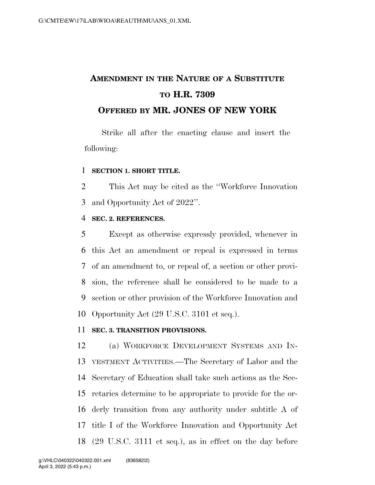# **AMENDMENT IN THE NATURE OF A SUBSTITUTE TO H.R. 7309 OFFERED BY MR. JONES OF NEW YORK**

Strike all after the enacting clause and insert the following:

# **SECTION 1. SHORT TITLE.**

 This Act may be cited as the ''Workforce Innovation and Opportunity Act of 2022''.

# **SEC. 2. REFERENCES.**

 Except as otherwise expressly provided, whenever in this Act an amendment or repeal is expressed in terms of an amendment to, or repeal of, a section or other provi- sion, the reference shall be considered to be made to a section or other provision of the Workforce Innovation and Opportunity Act (29 U.S.C. 3101 et seq.).

## **SEC. 3. TRANSITION PROVISIONS.**

 (a) WORKFORCE DEVELOPMENT SYSTEMS AND IN- VESTMENT ACTIVITIES.—The Secretary of Labor and the Secretary of Education shall take such actions as the Sec- retaries determine to be appropriate to provide for the or- derly transition from any authority under subtitle A of title I of the Workforce Innovation and Opportunity Act (29 U.S.C. 3111 et seq.), as in effect on the day before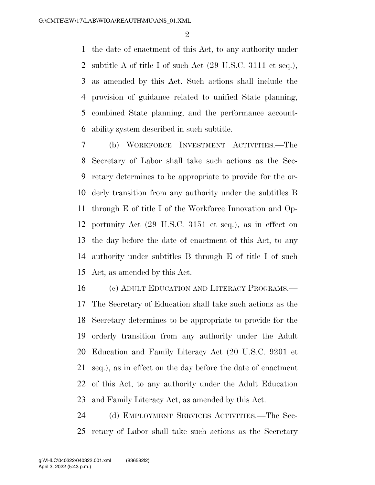$\mathfrak{D}$ 

 the date of enactment of this Act, to any authority under subtitle A of title I of such Act (29 U.S.C. 3111 et seq.), as amended by this Act. Such actions shall include the provision of guidance related to unified State planning, combined State planning, and the performance account-ability system described in such subtitle.

 (b) WORKFORCE INVESTMENT ACTIVITIES.—The Secretary of Labor shall take such actions as the Sec- retary determines to be appropriate to provide for the or- derly transition from any authority under the subtitles B through E of title I of the Workforce Innovation and Op- portunity Act (29 U.S.C. 3151 et seq.), as in effect on the day before the date of enactment of this Act, to any authority under subtitles B through E of title I of such Act, as amended by this Act.

 (c) ADULT EDUCATION AND LITERACY PROGRAMS.— The Secretary of Education shall take such actions as the Secretary determines to be appropriate to provide for the orderly transition from any authority under the Adult Education and Family Literacy Act (20 U.S.C. 9201 et seq.), as in effect on the day before the date of enactment of this Act, to any authority under the Adult Education and Family Literacy Act, as amended by this Act.

 (d) EMPLOYMENT SERVICES ACTIVITIES.—The Sec-retary of Labor shall take such actions as the Secretary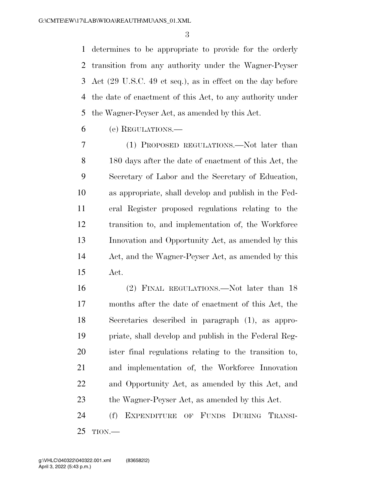determines to be appropriate to provide for the orderly transition from any authority under the Wagner-Peyser Act (29 U.S.C. 49 et seq.), as in effect on the day before the date of enactment of this Act, to any authority under the Wagner-Peyser Act, as amended by this Act.

(e) REGULATIONS.—

 (1) PROPOSED REGULATIONS.—Not later than 180 days after the date of enactment of this Act, the Secretary of Labor and the Secretary of Education, as appropriate, shall develop and publish in the Fed- eral Register proposed regulations relating to the transition to, and implementation of, the Workforce Innovation and Opportunity Act, as amended by this Act, and the Wagner-Peyser Act, as amended by this Act.

 (2) FINAL REGULATIONS.—Not later than 18 months after the date of enactment of this Act, the Secretaries described in paragraph (1), as appro- priate, shall develop and publish in the Federal Reg- ister final regulations relating to the transition to, and implementation of, the Workforce Innovation and Opportunity Act, as amended by this Act, and the Wagner-Peyser Act, as amended by this Act.

 (f) EXPENDITURE OF FUNDS DURING TRANSI-TION.—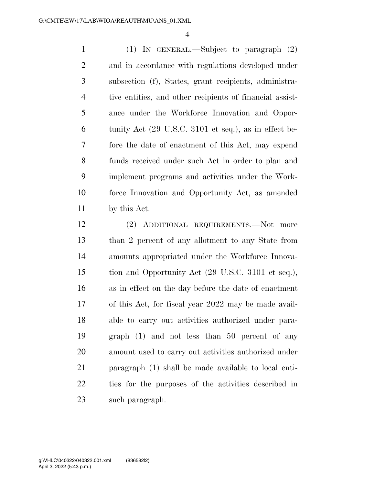(1) IN GENERAL.—Subject to paragraph (2) and in accordance with regulations developed under subsection (f), States, grant recipients, administra- tive entities, and other recipients of financial assist- ance under the Workforce Innovation and Oppor- tunity Act (29 U.S.C. 3101 et seq.), as in effect be- fore the date of enactment of this Act, may expend funds received under such Act in order to plan and implement programs and activities under the Work- force Innovation and Opportunity Act, as amended by this Act.

 (2) ADDITIONAL REQUIREMENTS.—Not more than 2 percent of any allotment to any State from amounts appropriated under the Workforce Innova- tion and Opportunity Act (29 U.S.C. 3101 et seq.), as in effect on the day before the date of enactment of this Act, for fiscal year 2022 may be made avail- able to carry out activities authorized under para- graph (1) and not less than 50 percent of any amount used to carry out activities authorized under paragraph (1) shall be made available to local enti- ties for the purposes of the activities described in such paragraph.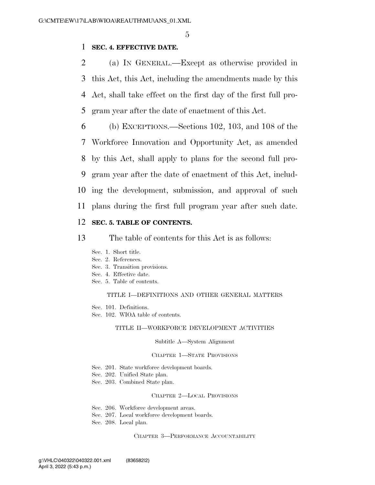# 1 **SEC. 4. EFFECTIVE DATE.**

 (a) IN GENERAL.—Except as otherwise provided in this Act, this Act, including the amendments made by this Act, shall take effect on the first day of the first full pro-gram year after the date of enactment of this Act.

 (b) EXCEPTIONS.—Sections 102, 103, and 108 of the Workforce Innovation and Opportunity Act, as amended by this Act, shall apply to plans for the second full pro- gram year after the date of enactment of this Act, includ- ing the development, submission, and approval of such plans during the first full program year after such date.

# 12 **SEC. 5. TABLE OF CONTENTS.**

13 The table of contents for this Act is as follows:

- Sec. 1. Short title.
- Sec. 2. References.
- Sec. 3. Transition provisions.
- Sec. 4. Effective date.
- Sec. 5. Table of contents.

#### TITLE I—DEFINITIONS AND OTHER GENERAL MATTERS

- Sec. 101. Definitions.
- Sec. 102. WIOA table of contents.

#### TITLE II—WORKFORCE DEVELOPMENT ACTIVITIES

#### Subtitle A—System Alignment

## CHAPTER 1—STATE PROVISIONS

- Sec. 201. State workforce development boards.
- Sec. 202. Unified State plan.
- Sec. 203. Combined State plan.

#### CHAPTER 2—LOCAL PROVISIONS

- Sec. 206. Workforce development areas.
- Sec. 207. Local workforce development boards.
- Sec. 208. Local plan.

CHAPTER 3—PERFORMANCE ACCOUNTABILITY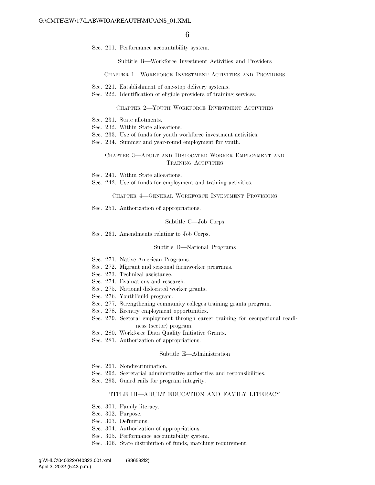Sec. 211. Performance accountability system.

Subtitle B—Workforce Investment Activities and Providers

CHAPTER 1—WORKFORCE INVESTMENT ACTIVITIES AND PROVIDERS

- Sec. 221. Establishment of one-stop delivery systems.
- Sec. 222. Identification of eligible providers of training services.

#### CHAPTER 2—YOUTH WORKFORCE INVESTMENT ACTIVITIES

- Sec. 231. State allotments.
- Sec. 232. Within State allocations.
- Sec. 233. Use of funds for youth workforce investment activities.
- Sec. 234. Summer and year-round employment for youth.

#### CHAPTER 3—ADULT AND DISLOCATED WORKER EMPLOYMENT AND TRAINING ACTIVITIES

- Sec. 241. Within State allocations.
- Sec. 242. Use of funds for employment and training activities.

CHAPTER 4—GENERAL WORKFORCE INVESTMENT PROVISIONS

Sec. 251. Authorization of appropriations.

#### Subtitle C—Job Corps

Sec. 261. Amendments relating to Job Corps.

#### Subtitle D—National Programs

- Sec. 271. Native American Programs.
- Sec. 272. Migrant and seasonal farmworker programs.
- Sec. 273. Technical assistance.
- Sec. 274. Evaluations and research.
- Sec. 275. National dislocated worker grants.
- Sec. 276. YouthBuild program.
- Sec. 277. Strengthening community colleges training grants program.
- Sec. 278. Reentry employment opportunities.
- Sec. 279. Sectoral employment through career training for occupational readiness (sector) program.
- Sec. 280. Workforce Data Quality Initiative Grants.
- Sec. 281. Authorization of appropriations.

### Subtitle E—Administration

- Sec. 291. Nondiscrimination.
- Sec. 292. Secretarial administrative authorities and responsibilities.
- Sec. 293. Guard rails for program integrity.

#### TITLE III—ADULT EDUCATION AND FAMILY LITERACY

- Sec. 301. Family literacy.
- Sec. 302. Purpose.
- Sec. 303. Definitions.
- Sec. 304. Authorization of appropriations.
- Sec. 305. Performance accountability system.
- Sec. 306. State distribution of funds; matching requirement.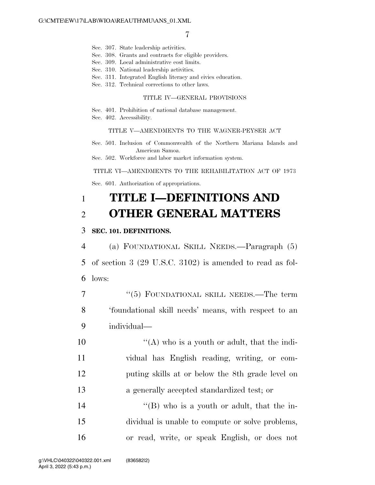- Sec. 307. State leadership activities.
- Sec. 308. Grants and contracts for eligible providers.
- Sec. 309. Local administrative cost limits.
- Sec. 310. National leadership activities.
- Sec. 311. Integrated English literacy and civics education.
- Sec. 312. Technical corrections to other laws.

## TITLE IV—GENERAL PROVISIONS

- Sec. 401. Prohibition of national database management.
- Sec. 402. Accessibility.

#### TITLE V—AMENDMENTS TO THE WAGNER-PEYSER ACT

- Sec. 501. Inclusion of Commonwealth of the Northern Mariana Islands and American Samoa.
- Sec. 502. Workforce and labor market information system.

### TITLE VI—AMENDMENTS TO THE REHABILITATION ACT OF 1973

Sec. 601. Authorization of appropriations.

# 1 **TITLE I—DEFINITIONS AND**  2 **OTHER GENERAL MATTERS**

## 3 **SEC. 101. DEFINITIONS.**

4 (a) FOUNDATIONAL SKILL NEEDS.—Paragraph (5) 5 of section 3 (29 U.S.C. 3102) is amended to read as fol-6 lows:

7 "(5) FOUNDATIONAL SKILL NEEDS.—The term 8 'foundational skill needs' means, with respect to an 9 individual—

 $\langle (A)$  who is a youth or adult, that the indi- vidual has English reading, writing, or com- puting skills at or below the 8th grade level on a generally accepted standardized test; or

14 ''(B) who is a youth or adult, that the in-15 dividual is unable to compute or solve problems, 16 or read, write, or speak English, or does not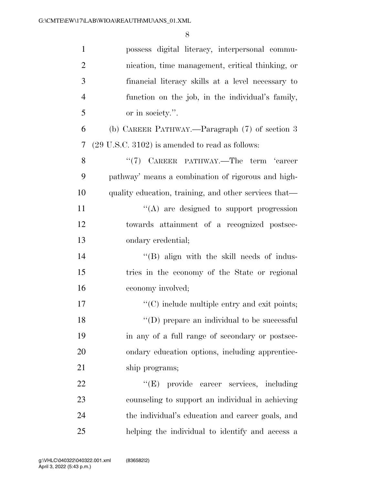| $\mathbf{1}$   | possess digital literacy, interpersonal commu-             |
|----------------|------------------------------------------------------------|
| $\mathbf{2}$   | nication, time management, critical thinking, or           |
| 3              | financial literacy skills at a level necessary to          |
| $\overline{4}$ | function on the job, in the individual's family,           |
| 5              | or in society.".                                           |
| 6              | (b) CAREER PATHWAY.—Paragraph (7) of section 3             |
| 7              | $(29 \text{ U.S.C. } 3102)$ is amended to read as follows: |
| 8              | "(7) CAREER PATHWAY.—The term 'career                      |
| 9              | pathway' means a combination of rigorous and high-         |
| 10             | quality education, training, and other services that—      |
| 11             | "(A) are designed to support progression                   |
| 12             | towards attainment of a recognized postsec-                |
| 13             | ondary credential;                                         |
| 14             | $\lq\lq$ (B) align with the skill needs of indus-          |
| 15             | tries in the economy of the State or regional              |
| 16             | economy involved;                                          |
| 17             | $\cdot$ (C) include multiple entry and exit points;        |
| 18             | $\lq\lq$ (D) prepare an individual to be successful        |
| 19             | in any of a full range of secondary or postsec-            |
| 20             | ondary education options, including apprentice-            |
| 21             | ship programs;                                             |
| 22             | "(E) provide career services, including                    |
| 23             | counseling to support an individual in achieving           |
| 24             | the individual's education and career goals, and           |
| 25             | helping the individual to identify and access a            |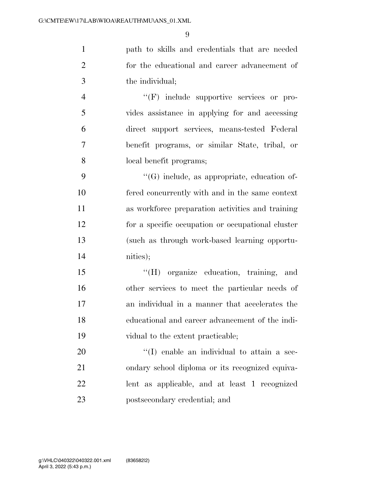path to skills and credentials that are needed for the educational and career advancement of the individual;

 $\langle f \rangle$  include supportive services or pro- vides assistance in applying for and accessing direct support services, means-tested Federal benefit programs, or similar State, tribal, or local benefit programs;

 $\langle G \rangle$  include, as appropriate, education of- fered concurrently with and in the same context as workforce preparation activities and training for a specific occupation or occupational cluster (such as through work-based learning opportu-nities);

 ''(H) organize education, training, and other services to meet the particular needs of an individual in a manner that accelerates the educational and career advancement of the indi-vidual to the extent practicable;

 $\cdot$  (I) enable an individual to attain a sec- ondary school diploma or its recognized equiva- lent as applicable, and at least 1 recognized postsecondary credential; and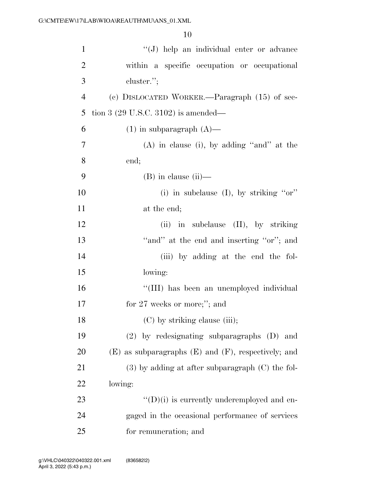| $\mathbf{1}$   | "(J) help an individual enter or advance                   |
|----------------|------------------------------------------------------------|
| $\overline{2}$ | within a specific occupation or occupational               |
| 3              | cluster.";                                                 |
| $\overline{4}$ | (c) DISLOCATED WORKER.—Paragraph $(15)$ of sec-            |
| 5              | tion 3 $(29 \text{ U.S.C. } 3102)$ is amended—             |
| 6              | $(1)$ in subparagraph $(A)$ —                              |
| 7              | $(A)$ in clause (i), by adding "and" at the                |
| 8              | end;                                                       |
| 9              | $(B)$ in clause $(ii)$ —                                   |
| 10             | (i) in subclause (I), by striking " $or$ "                 |
| 11             | at the end;                                                |
| 12             | $(ii)$ in subclause $(II)$ , by striking                   |
| 13             | "and" at the end and inserting "or"; and                   |
| 14             | (iii) by adding at the end the fol-                        |
| 15             | lowing:                                                    |
| 16             | "(III) has been an unemployed individual                   |
| 17             | for $27$ weeks or more;"; and                              |
| 18             | (C) by striking clause (iii);                              |
| 19             | $(2)$ by redesignating subparagraphs $(D)$ and             |
| 20             | $(E)$ as subparagraphs $(E)$ and $(F)$ , respectively; and |
| 21             | $(3)$ by adding at after subparagraph $(C)$ the fol-       |
| 22             | lowing:                                                    |
| 23             | $\lq\lq$ (D)(i) is currently underemployed and en-         |
| 24             | gaged in the occasional performance of services            |
| 25             | for remuneration; and                                      |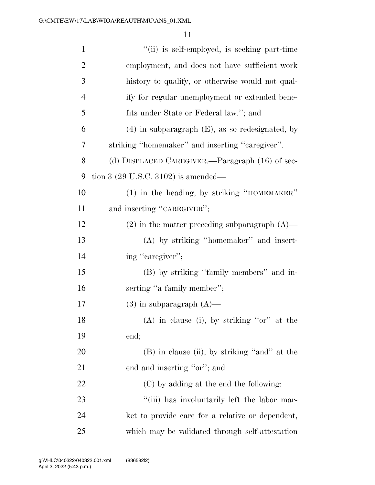| $\mathbf{1}$   | "(ii) is self-employed, is seeking part-time         |
|----------------|------------------------------------------------------|
| $\overline{c}$ | employment, and does not have sufficient work        |
| 3              | history to qualify, or otherwise would not qual-     |
| $\overline{4}$ | ify for regular unemployment or extended bene-       |
| 5              | fits under State or Federal law."; and               |
| 6              | $(4)$ in subparagraph $(E)$ , as so redesignated, by |
| 7              | striking "homemaker" and inserting "caregiver".      |
| 8              | (d) DISPLACED CAREGIVER.—Paragraph (16) of sec-      |
| 9              | tion 3 $(29 \text{ U.S.C. } 3102)$ is amended—       |
| 10             | (1) in the heading, by striking "HOMEMAKER"          |
| 11             | and inserting "CAREGIVER";                           |
| 12             | $(2)$ in the matter preceding subparagraph $(A)$ —   |
| 13             | (A) by striking "homemaker" and insert-              |
| 14             | ing "caregiver";                                     |
| 15             | (B) by striking "family members" and in-             |
| 16             | serting "a family member";                           |
| 17             | $(3)$ in subparagraph $(A)$ —                        |
| 18             | $(A)$ in clause (i), by striking "or" at the         |
| 19             | end;                                                 |
| 20             | (B) in clause (ii), by striking "and" at the         |
| 21             | end and inserting "or"; and                          |
| 22             | (C) by adding at the end the following:              |
| 23             | "(iii) has involuntarily left the labor mar-         |
| 24             | ket to provide care for a relative or dependent,     |
| 25             | which may be validated through self-attestation      |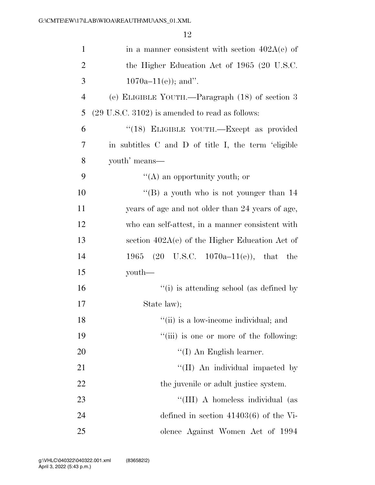| $\mathbf{1}$   | in a manner consistent with section $402A(e)$ of             |
|----------------|--------------------------------------------------------------|
| $\overline{2}$ | the Higher Education Act of 1965 (20 U.S.C.                  |
| 3              | $1070a-11(e)$ ; and".                                        |
| $\overline{4}$ | (e) ELIGIBLE YOUTH.—Paragraph (18) of section 3              |
| 5              | $(29 \text{ U.S.C. } 3102)$ is amended to read as follows:   |
| 6              | "(18) ELIGIBLE YOUTH.-Except as provided                     |
| 7              | in subtitles C and D of title I, the term 'eligible          |
| 8              | youth' means—                                                |
| 9              | $\lq\lq$ an opportunity youth; or                            |
| 10             | "(B) a youth who is not younger than $14$                    |
| 11             | years of age and not older than 24 years of age,             |
| 12             | who can self-attest, in a manner consistent with             |
| 13             | section $402A(e)$ of the Higher Education Act of             |
| 14             | $(20 \text{ U.S.C. } 1070a-11(e)), \text{ that the}$<br>1965 |
| 15             | youth—                                                       |
| 16             | "(i) is attending school (as defined by                      |
| 17             | State law);                                                  |
| 18             | "(ii) is a low-income individual; and                        |
| 19             | "(iii) is one or more of the following:                      |
| 20             | $\lq (I)$ An English learner.                                |
| 21             | "(II) An individual impacted by                              |
| 22             | the juvenile or adult justice system.                        |
| 23             | "(III) A homeless individual (as                             |
| 24             | defined in section $41403(6)$ of the Vi-                     |
| 25             | olence Against Women Act of 1994                             |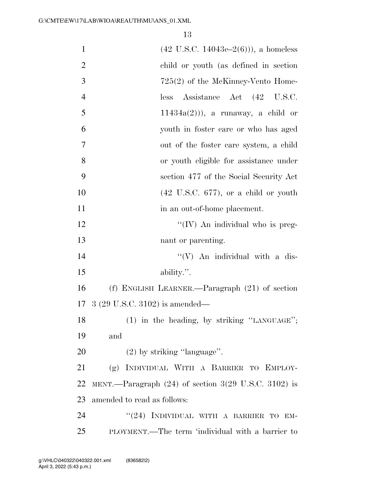| $\mathbf{1}$   | $(42 \text{ U.S.C. } 14043\text{e} - 2(6)))$ , a homeless |
|----------------|-----------------------------------------------------------|
| $\overline{2}$ | child or youth (as defined in section                     |
| 3              | $725(2)$ of the McKinney-Vento Home-                      |
| $\overline{4}$ | Assistance Act (42 U.S.C.<br>less                         |
| 5              | $11434a(2)$ ), a runaway, a child or                      |
| 6              | youth in foster care or who has aged                      |
| 7              | out of the foster care system, a child                    |
| 8              | or youth eligible for assistance under                    |
| 9              | section 477 of the Social Security Act                    |
| 10             | $(42 \text{ U.S.C. } 677)$ , or a child or youth          |
| 11             | in an out-of-home placement.                              |
| 12             | "(IV) An individual who is preg-                          |
| 13             | nant or parenting.                                        |
| 14             | $\lq\lq (V)$ An individual with a dis-                    |
| 15             | ability.".                                                |
| 16             | (f) ENGLISH LEARNER.—Paragraph $(21)$ of section          |
| 17             | $3(29 \text{ U.S.C. } 3102)$ is amended—                  |
| 18             | (1) in the heading, by striking "LANGUAGE";               |
| 19             | and                                                       |
| 20             | $(2)$ by striking "language".                             |
| 21             | (g) INDIVIDUAL WITH A BARRIER TO EMPLOY-                  |
| 22             | MENT.—Paragraph $(24)$ of section 3(29 U.S.C. 3102) is    |
| 23             | amended to read as follows:                               |
| 24             | "(24) INDIVIDUAL WITH A BARRIER TO EM-                    |
| 25             | PLOYMENT.—The term 'individual with a barrier to          |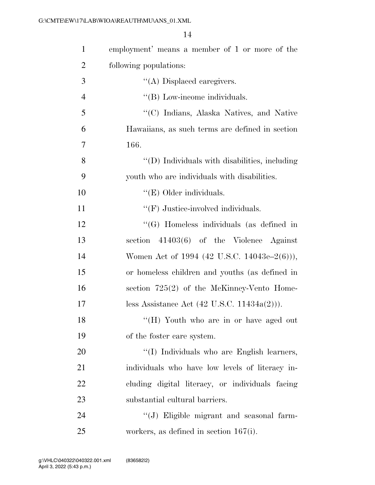| $\mathbf{1}$   | employment' means a member of 1 or more of the         |
|----------------|--------------------------------------------------------|
| $\overline{c}$ | following populations:                                 |
| 3              | $\lq\lq$ Displaced caregivers.                         |
| $\overline{4}$ | $\lq\lq$ (B) Low-income individuals.                   |
| 5              | "(C) Indians, Alaska Natives, and Native               |
| 6              | Hawaiians, as such terms are defined in section        |
| $\overline{7}$ | 166.                                                   |
| 8              | "(D) Individuals with disabilities, including          |
| 9              | youth who are individuals with disabilities.           |
| 10             | " $(E)$ Older individuals.                             |
| 11             | $\lq\lq(F)$ Justice-involved individuals.              |
| 12             | "(G) Homeless individuals (as defined in               |
| 13             | section $41403(6)$ of the Violence Against             |
| 14             | Women Act of 1994 (42 U.S.C. 14043e–2(6))),            |
| 15             | or homeless children and youths (as defined in         |
| 16             | section $725(2)$ of the McKinney-Vento Home-           |
| 17             | less Assistance Act $(42 \text{ U.S.C. } 11434a(2))$ . |
| 18             | "(H) Youth who are in or have aged out                 |
| 19             | of the foster care system.                             |
| 20             | "(I) Individuals who are English learners,             |
| 21             | individuals who have low levels of literacy in-        |
| 22             | cluding digital literacy, or individuals facing        |
| 23             | substantial cultural barriers.                         |
| 24             | "(J) Eligible migrant and seasonal farm-               |
| 25             | workers, as defined in section $167(i)$ .              |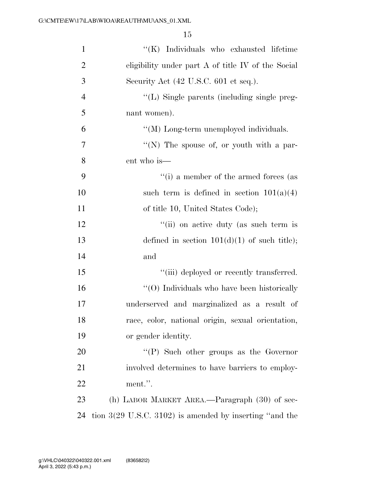| $\mathbf{1}$   | "(K) Individuals who exhausted lifetime                            |
|----------------|--------------------------------------------------------------------|
| $\overline{2}$ | eligibility under part $A$ of title IV of the Social               |
| 3              | Security Act (42 U.S.C. 601 et seq.).                              |
| $\overline{4}$ | "(L) Single parents (including single preg-                        |
| 5              | nant women).                                                       |
| 6              | "(M) Long-term unemployed individuals.                             |
| $\tau$         | "(N) The spouse of, or youth with a par-                           |
| 8              | ent who is—                                                        |
| 9              | $``(i)$ a member of the armed forces (as                           |
| 10             | such term is defined in section $101(a)(4)$                        |
| 11             | of title 10, United States Code);                                  |
| 12             | "(ii) on active duty (as such term is                              |
| 13             | defined in section $101(d)(1)$ of such title);                     |
| 14             | and                                                                |
| 15             | "(iii) deployed or recently transferred.                           |
| 16             | "(O) Individuals who have been historically                        |
| 17             | underserved and marginalized as a result of                        |
| 18             | race, color, national origin, sexual orientation,                  |
| 19             | or gender identity.                                                |
| 20             | $\lq\lq(P)$ Such other groups as the Governor                      |
| 21             | involved determines to have barriers to employ-                    |
| 22             | ment.".                                                            |
| 23             | (h) LABOR MARKET AREA.—Paragraph (30) of sec-                      |
| 24             | tion $3(29 \text{ U.S.C. } 3102)$ is amended by inserting "and the |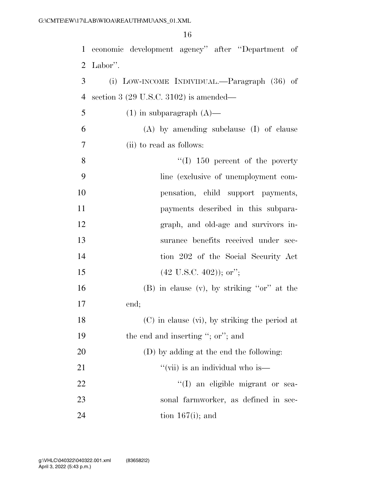| 1  | economic development agency" after "Department of |
|----|---------------------------------------------------|
| 2  | Labor".                                           |
| 3  | (i) LOW-INCOME INDIVIDUAL.—Paragraph (36) of      |
| 4  | section 3 $(29 \text{ U.S.C. } 3102)$ is amended— |
| 5  | $(1)$ in subparagraph $(A)$ —                     |
| 6  | $(A)$ by amending subclause $(I)$ of clause       |
| 7  | (ii) to read as follows:                          |
| 8  | $\lq(1)$ 150 percent of the poverty               |
| 9  | line (exclusive of unemployment com-              |
| 10 | pensation, child support payments,                |
| 11 | payments described in this subpara-               |
| 12 | graph, and old-age and survivors in-              |
| 13 | surance benefits received under sec-              |
| 14 | tion 202 of the Social Security Act               |
| 15 | $(42 \text{ U.S.C. } 402)$ ); or";                |
| 16 | $(B)$ in clause $(v)$ , by striking "or" at the   |
| 17 | end;                                              |
| 18 | $(C)$ in clause (vi), by striking the period at   |
| 19 | the end and inserting "; or"; and                 |
| 20 | (D) by adding at the end the following:           |
| 21 | "(vii) is an individual who is—                   |
| 22 | "(I) an eligible migrant or sea-                  |
| 23 | sonal farmworker, as defined in sec-              |
| 24 | tion $167(i)$ ; and                               |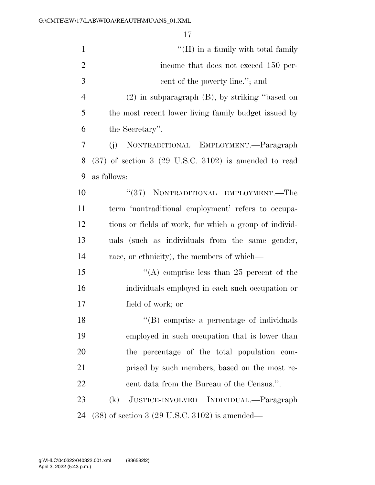| $\mathbf{1}$   | $\lq\lq$ (II) in a family with total family                        |
|----------------|--------------------------------------------------------------------|
| $\overline{2}$ | income that does not exceed 150 per-                               |
| 3              | cent of the poverty line."; and                                    |
| $\overline{4}$ | $(2)$ in subparagraph $(B)$ , by striking "based on                |
| 5              | the most recent lower living family budget issued by               |
| 6              | the Secretary".                                                    |
| 7              | NONTRADITIONAL EMPLOYMENT.—Paragraph<br>(j)                        |
| 8              | $(37)$ of section 3 $(29 \text{ U.S.C. } 3102)$ is amended to read |
| 9              | as follows:                                                        |
| 10             | "(37) NONTRADITIONAL EMPLOYMENT.—The                               |
| 11             | term 'nontraditional employment' refers to occupa-                 |
| 12             | tions or fields of work, for which a group of individ-             |
| 13             | uals (such as individuals from the same gender,                    |
| 14             | race, or ethnicity), the members of which—                         |
| 15             | "(A) comprise less than 25 percent of the                          |
| 16             | individuals employed in each such occupation or                    |
| 17             | field of work; or                                                  |
| 18             | "(B) comprise a percentage of individuals                          |
| 19             | employed in such occupation that is lower than                     |
| 20             | the percentage of the total population com-                        |
| 21             | prised by such members, based on the most re-                      |
| 22             | cent data from the Bureau of the Census.".                         |
| 23             | (k)<br>JUSTICE-INVOLVED INDIVIDUAL.—Paragraph                      |
| 24             | $(38)$ of section 3 (29 U.S.C. 3102) is amended—                   |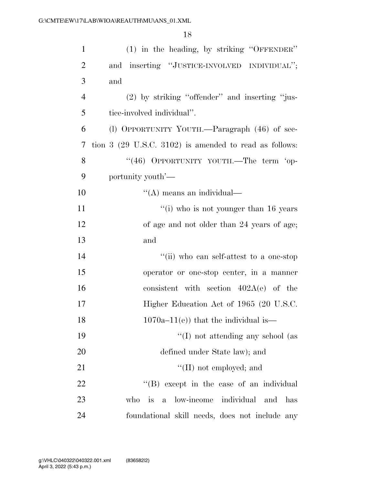| $\mathbf{1}$   | (1) in the heading, by striking "OFFENDER"                                 |
|----------------|----------------------------------------------------------------------------|
| $\overline{2}$ | and inserting "JUSTICE-INVOLVED INDIVIDUAL";                               |
| 3              | and                                                                        |
| $\overline{4}$ | $(2)$ by striking "offender" and inserting "jus-                           |
| 5              | tice-involved individual".                                                 |
| 6              | (l) OPPORTUNITY YOUTH.—Paragraph (46) of sec-                              |
| 7              | tion $3$ (29 U.S.C. 3102) is amended to read as follows:                   |
| 8              | "(46) OPPORTUNITY YOUTH.—The term 'op-                                     |
| 9              | portunity youth'—                                                          |
| 10             | $\lq\lq$ means an individual—                                              |
| 11             | "(i) who is not younger than $16$ years                                    |
| 12             | of age and not older than 24 years of age;                                 |
| 13             | and                                                                        |
| 14             | "(ii) who can self-attest to a one-stop                                    |
| 15             | operator or one-stop center, in a manner                                   |
| 16             | consistent with section $402A(e)$ of the                                   |
| 17             | Higher Education Act of 1965 (20 U.S.C.                                    |
| 18             | $1070a-11(e)$ that the individual is—                                      |
| 19             | $\lq\lq$ (I) not attending any school (as                                  |
| 20             | defined under State law); and                                              |
| 21             | $\lq\lq$ (II) not employed; and                                            |
| 22             | "(B) except in the case of an individual                                   |
| 23             | individual<br>low-income<br>who<br><i>is</i><br>$\mathbf{a}$<br>and<br>has |
| 24             | foundational skill needs, does not include any                             |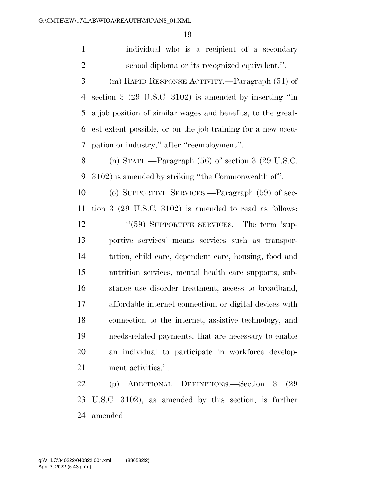individual who is a recipient of a secondary school diploma or its recognized equivalent.''.

 (m) RAPID RESPONSE ACTIVITY.—Paragraph (51) of section 3 (29 U.S.C. 3102) is amended by inserting ''in a job position of similar wages and benefits, to the great- est extent possible, or on the job training for a new occu-pation or industry,'' after ''reemployment''.

 (n) STATE.—Paragraph (56) of section 3 (29 U.S.C. 3102) is amended by striking ''the Commonwealth of''.

 (o) SUPPORTIVE SERVICES.—Paragraph (59) of sec- tion 3 (29 U.S.C. 3102) is amended to read as follows: 12 "(59) SUPPORTIVE SERVICES.—The term 'sup- portive services' means services such as transpor- tation, child care, dependent care, housing, food and nutrition services, mental health care supports, sub- stance use disorder treatment, access to broadband, affordable internet connection, or digital devices with connection to the internet, assistive technology, and needs-related payments, that are necessary to enable an individual to participate in workforce develop-ment activities.''.

 (p) ADDITIONAL DEFINITIONS.—Section 3 (29 U.S.C. 3102), as amended by this section, is further amended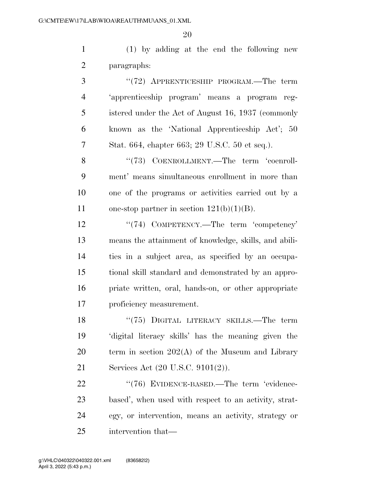(1) by adding at the end the following new paragraphs:

 ''(72) APPRENTICESHIP PROGRAM.—The term 'apprenticeship program' means a program reg- istered under the Act of August 16, 1937 (commonly known as the 'National Apprenticeship Act'; 50 Stat. 664, chapter 663; 29 U.S.C. 50 et seq.).

8 "(73) COENROLLMENT.—The term 'coenroll- ment' means simultaneous enrollment in more than one of the programs or activities carried out by a 11 one-stop partner in section  $121(b)(1)(B)$ .

12 ''(74) COMPETENCY.—The term 'competency' means the attainment of knowledge, skills, and abili- ties in a subject area, as specified by an occupa- tional skill standard and demonstrated by an appro- priate written, oral, hands-on, or other appropriate proficiency measurement.

18 "(75) DIGITAL LITERACY SKILLS.—The term 'digital literacy skills' has the meaning given the term in section 202(A) of the Museum and Library Services Act (20 U.S.C. 9101(2)).

22 "(76) EVIDENCE-BASED.—The term 'evidence- based', when used with respect to an activity, strat- egy, or intervention, means an activity, strategy or intervention that—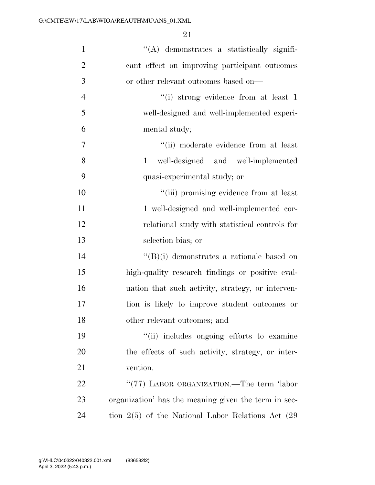| $\mathbf{1}$   | "(A) demonstrates a statistically signifi-             |
|----------------|--------------------------------------------------------|
| $\overline{2}$ | cant effect on improving participant outcomes          |
| 3              | or other relevant outcomes based on—                   |
| $\overline{4}$ | "(i) strong evidence from at least 1                   |
| 5              | well-designed and well-implemented experi-             |
| 6              | mental study;                                          |
| 7              | "(ii) moderate evidence from at least                  |
| 8              | well-designed and well-implemented<br>$\mathbf{1}$     |
| 9              | quasi-experimental study; or                           |
| 10             | "(iii) promising evidence from at least                |
| 11             | 1 well-designed and well-implemented cor-              |
| 12             | relational study with statistical controls for         |
| 13             | selection bias; or                                     |
| 14             | $\lq\lq(B)(i)$ demonstrates a rationale based on       |
| 15             | high-quality research findings or positive eval-       |
| 16             | uation that such activity, strategy, or interven-      |
| 17             | tion is likely to improve student outcomes or          |
| 18             | other relevant outcomes; and                           |
| 19             | "(ii) includes ongoing efforts to examine              |
| 20             | the effects of such activity, strategy, or inter-      |
| 21             | vention.                                               |
| 22             | "(77) LABOR ORGANIZATION.—The term 'labor              |
| 23             | organization' has the meaning given the term in sec-   |
| 24             | tion $2(5)$ of the National Labor Relations Act $(29)$ |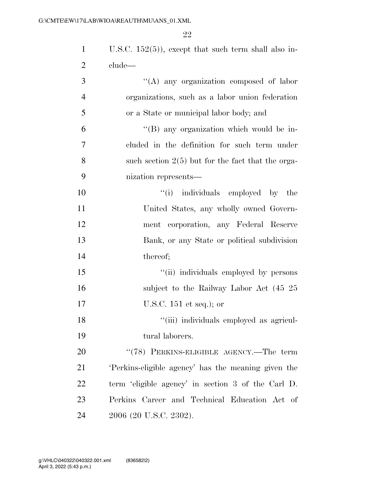| $\mathbf{1}$   | U.S.C. $152(5)$ , except that such term shall also in- |
|----------------|--------------------------------------------------------|
| $\overline{2}$ | clude—                                                 |
| 3              | "(A) any organization composed of labor                |
| $\overline{4}$ | organizations, such as a labor union federation        |
| 5              | or a State or municipal labor body; and                |
| 6              | "(B) any organization which would be in-               |
| 7              | cluded in the definition for such term under           |
| 8              | such section $2(5)$ but for the fact that the orga-    |
| 9              | nization represents—                                   |
| 10             | ``(i)<br>individuals employed by the                   |
| 11             | United States, any wholly owned Govern-                |
| 12             | ment corporation, any Federal Reserve                  |
| 13             | Bank, or any State or political subdivision            |
| 14             | thereof;                                               |
| 15             | "(ii) individuals employed by persons                  |
| 16             | subject to the Railway Labor Act (45 25                |
| 17             | U.S.C. $151$ et seq.); or                              |
| 18             | "(iii) individuals employed as agricul-                |
| 19             | tural laborers.                                        |
| 20             | " $(78)$ PERKINS-ELIGIBLE AGENCY.—The term             |
| 21             | 'Perkins-eligible agency' has the meaning given the    |
| 22             | term 'eligible agency' in section 3 of the Carl D.     |
| 23             | Perkins Career and Technical Education Act of          |
| 24             | 2006 (20 U.S.C. 2302).                                 |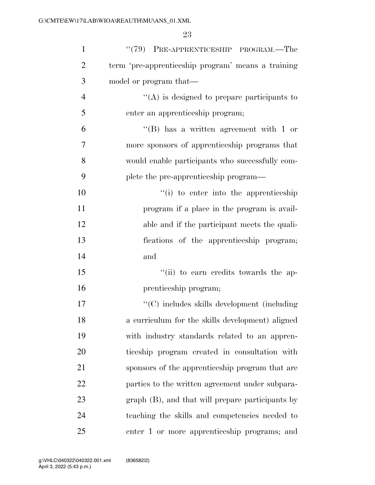| $\mathbf{1}$   | $``(79)$ PRE-APPRENTICESHIP PROGRAM.—The           |
|----------------|----------------------------------------------------|
| $\overline{2}$ | term 'pre-apprenticeship program' means a training |
| 3              | model or program that—                             |
| $\overline{4}$ | $\lq\lq$ is designed to prepare participants to    |
| 5              | enter an apprenticeship program;                   |
| 6              | $\lq\lq$ has a written agreement with 1 or         |
| 7              | more sponsors of apprenticeship programs that      |
| 8              | would enable participants who successfully com-    |
| 9              | plete the pre-apprenticeship program—              |
| 10             | "(i) to enter into the apprenticeship              |
| 11             | program if a place in the program is avail-        |
| 12             | able and if the participant meets the quali-       |
| 13             | fications of the apprenticeship program;           |
| 14             | and                                                |
| 15             | "(ii) to earn credits towards the ap-              |
| 16             | prenticeship program;                              |
| 17             | $\lq\lq$ includes skills development (including    |
| 18             | a curriculum for the skills development) aligned   |
| 19             | with industry standards related to an appren-      |
| 20             | ticeship program created in consultation with      |
| 21             | sponsors of the apprenticeship program that are    |
| 22             | parties to the written agreement under subpara-    |
| 23             | graph (B), and that will prepare participants by   |
| 24             | teaching the skills and competencies needed to     |
| 25             | enter 1 or more apprenticeship programs; and       |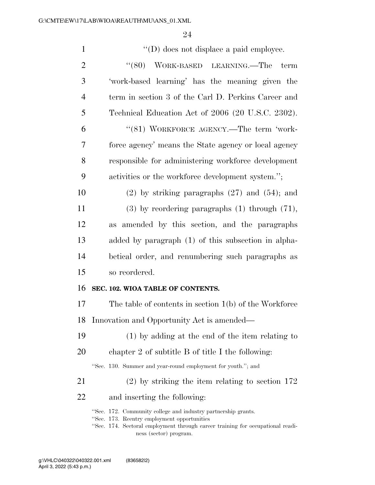| $\mathbf{1}$   | $\lq\lq$ (D) does not displace a paid employee.                                                                                                                                                |
|----------------|------------------------------------------------------------------------------------------------------------------------------------------------------------------------------------------------|
| $\overline{2}$ | "(80) WORK-BASED LEARNING.—The<br>term                                                                                                                                                         |
| 3              | 'work-based learning' has the meaning given the                                                                                                                                                |
| $\overline{4}$ | term in section 3 of the Carl D. Perkins Career and                                                                                                                                            |
| 5              | Technical Education Act of 2006 (20 U.S.C. 2302).                                                                                                                                              |
| 6              | "(81) WORKFORCE AGENCY.—The term 'work-                                                                                                                                                        |
| 7              | force agency' means the State agency or local agency                                                                                                                                           |
| 8              | responsible for administering workforce development                                                                                                                                            |
| 9              | activities or the workforce development system.";                                                                                                                                              |
| 10             | $(2)$ by striking paragraphs $(27)$ and $(54)$ ; and                                                                                                                                           |
| 11             | $(3)$ by reordering paragraphs $(1)$ through $(71)$ ,                                                                                                                                          |
| 12             | amended by this section, and the paragraphs<br>as                                                                                                                                              |
| 13             | added by paragraph (1) of this subsection in alpha-                                                                                                                                            |
| 14             | betical order, and renumbering such paragraphs as                                                                                                                                              |
| 15             | so reordered.                                                                                                                                                                                  |
| 16             | SEC. 102. WIOA TABLE OF CONTENTS.                                                                                                                                                              |
| 17             | The table of contents in section $1(b)$ of the Workforce                                                                                                                                       |
|                | 18 Innovation and Opportunity Act is amended—                                                                                                                                                  |
| 19             | $(1)$ by adding at the end of the item relating to                                                                                                                                             |
| 20             | chapter 2 of subtitle $B$ of title I the following:                                                                                                                                            |
|                | "Sec. 130. Summer and year-round employment for youth."; and                                                                                                                                   |
| 21             | $(2)$ by striking the item relating to section 172                                                                                                                                             |
| 22             | and inserting the following:                                                                                                                                                                   |
|                | "Sec. 172. Community college and industry partnership grants.<br>"Sec. 173. Reentry employment opportunities<br>"Sec. 174. Sectoral employment through career training for occupational readi- |
|                | ness (sector) program.                                                                                                                                                                         |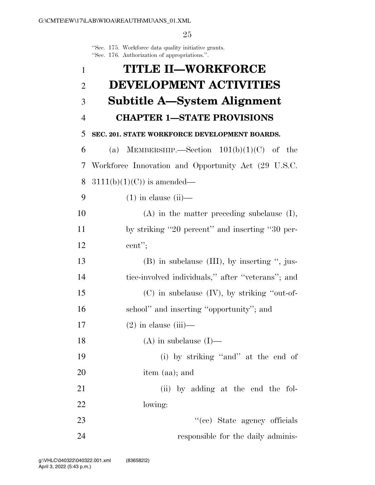''Sec. 175. Workforce data quality initiative grants. ''Sec. 176. Authorization of appropriations.''.

| $\mathbf{1}$   | <b>TITLE II-WORKFORCE</b>                           |
|----------------|-----------------------------------------------------|
| $\overline{2}$ | <b>DEVELOPMENT ACTIVITIES</b>                       |
| 3              | Subtitle A—System Alignment                         |
| $\overline{4}$ | <b>CHAPTER 1-STATE PROVISIONS</b>                   |
| 5              | SEC. 201. STATE WORKFORCE DEVELOPMENT BOARDS.       |
| 6              | (a) MEMBERSHIP.—Section $101(b)(1)(C)$ of the       |
| 7              | Workforce Innovation and Opportunity Act (29 U.S.C. |
| 8              | $3111(b)(1)(C)$ is amended—                         |
| 9              | $(1)$ in clause $(ii)$ —                            |
| 10             | $(A)$ in the matter preceding subclause $(I)$ ,     |
| 11             | by striking "20 percent" and inserting "30 per-     |
| 12             | cent";                                              |
| 13             | $(B)$ in subclause $(III)$ , by inserting ", jus-   |
| 14             | tice-involved individuals," after "veterans"; and   |
| 15             | $(C)$ in subclause $(IV)$ , by striking "out-of-    |
| 16             | school" and inserting "opportunity"; and            |
| 17             | $(2)$ in clause $(iii)$ —                           |
| 18             | (A) in subclause $(I)$ —                            |
| 19             | (i) by striking "and" at the end of                 |
| 20             | item (aa); and                                      |
| 21             | (ii) by adding at the end the fol-                  |
| 22             | lowing:                                             |
| 23             | "(cc) State agency officials                        |
| 24             | responsible for the daily adminis-                  |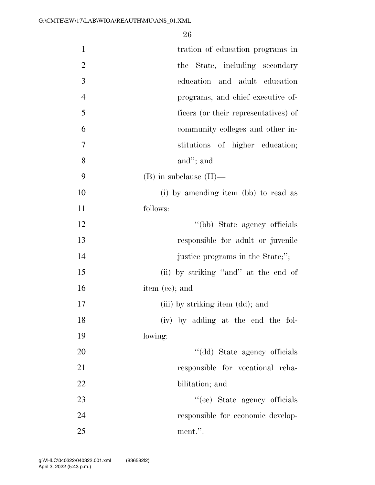| $\mathbf{1}$   | tration of education programs in     |
|----------------|--------------------------------------|
| $\overline{2}$ | the State, including secondary       |
| 3              | education and adult education        |
| $\overline{4}$ | programs, and chief executive of-    |
| 5              | ficers (or their representatives) of |
| 6              | community colleges and other in-     |
| 7              | stitutions of higher education;      |
| 8              | and"; and                            |
| 9              | $(B)$ in subclause $(II)$ —          |
| 10             | (i) by amending item (bb) to read as |
| 11             | follows:                             |
| 12             | "(bb) State agency officials         |
| 13             | responsible for adult or juvenile    |
| 14             | justice programs in the State;";     |
| 15             | (ii) by striking "and" at the end of |
| 16             | item (cc); and                       |
| 17             | (iii) by striking item (dd); and     |
| 18             | (iv) by adding at the end the fol-   |
| 19             | lowing:                              |
| 20             | "(dd) State agency officials         |
| 21             | responsible for vocational reha-     |
| 22             | bilitation; and                      |
| 23             | "(ee) State agency officials         |
| 24             | responsible for economic develop-    |
| 25             | ment.".                              |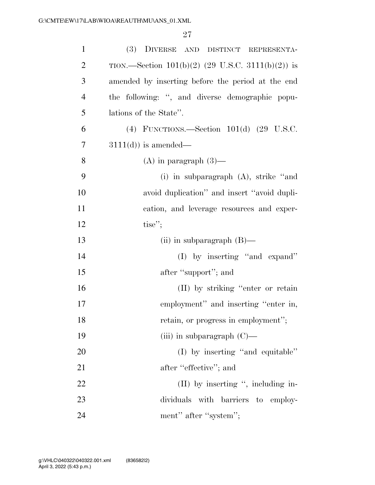| $\mathbf{1}$   | (3) DIVERSE AND DISTINCT REPRESENTA-                |
|----------------|-----------------------------------------------------|
| $\overline{2}$ | TION.—Section $101(b)(2)$ (29 U.S.C. 3111(b)(2)) is |
| 3              | amended by inserting before the period at the end   |
| $\overline{4}$ | the following: ", and diverse demographic popu-     |
| 5              | lations of the State".                              |
| 6              | (4) FUNCTIONS.—Section $101(d)$ (29 U.S.C.          |
| 7              | $3111(d)$ ) is amended—                             |
| 8              | $(A)$ in paragraph $(3)$ —                          |
| 9              | (i) in subparagraph $(A)$ , strike "and             |
| 10             | avoid duplication" and insert "avoid dupli-         |
| 11             | cation, and leverage resources and exper-           |
| 12             | tise";                                              |
| 13             | (ii) in subparagraph $(B)$ —                        |
| 14             | $(I)$ by inserting "and expand"                     |
| 15             | after "support"; and                                |
| 16             | (II) by striking "enter or retain                   |
| 17             | employment" and inserting "enter in,                |
| 18             | retain, or progress in employment";                 |
| 19             | (iii) in subparagraph $(C)$ —                       |
| 20             | (I) by inserting "and equitable"                    |
| 21             | after "effective"; and                              |
| 22             | $(II)$ by inserting ", including in-                |
| 23             | dividuals with barriers to employ-                  |
| 24             | ment" after "system";                               |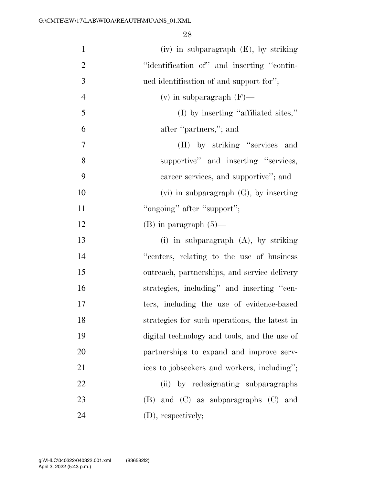| $\mathbf{1}$   | $(iv)$ in subparagraph $(E)$ , by striking    |
|----------------|-----------------------------------------------|
| $\overline{2}$ | "identification of" and inserting "contin-    |
| 3              | ued identification of and support for";       |
| $\overline{4}$ | (v) in subparagraph $(F)$ —                   |
| 5              | (I) by inserting "affiliated sites,"          |
| 6              | after "partners,"; and                        |
| $\overline{7}$ | (II) by striking "services and                |
| 8              | supportive" and inserting "services,          |
| 9              | career services, and supportive"; and         |
| 10             | $(vi)$ in subparagraph $(G)$ , by inserting   |
| 11             | "ongoing" after "support";                    |
| 12             | $(B)$ in paragraph $(5)$ —                    |
| 13             | (i) in subparagraph (A), by striking          |
| 14             | "centers, relating to the use of business     |
| 15             | outreach, partnerships, and service delivery  |
| 16             | strategies, including" and inserting "cen-    |
| 17             | ters, including the use of evidence-based     |
| 18             | strategies for such operations, the latest in |
| 19             | digital technology and tools, and the use of  |
| 20             | partnerships to expand and improve serv-      |
| 21             | ices to jobseekers and workers, including";   |
| 22             | (ii) by redesignating subparagraphs           |
| 23             | $(B)$ and $(C)$ as subparagraphs $(C)$ and    |
| 24             | (D), respectively;                            |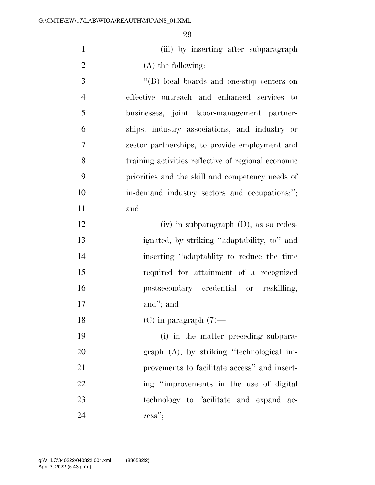(iii) by inserting after subparagraph 2 (A) the following:

 ''(B) local boards and one-stop centers on effective outreach and enhanced services to businesses, joint labor-management partner- ships, industry associations, and industry or sector partnerships, to provide employment and training activities reflective of regional economic priorities and the skill and competency needs of in-demand industry sectors and occupations;''; and

 (iv) in subparagraph (D), as so redes- ignated, by striking ''adaptability, to'' and inserting ''adaptablity to reduce the time required for attainment of a recognized postsecondary credential or reskilling, and''; and

18 (C) in paragraph  $(7)$ —

 (i) in the matter preceding subpara- graph (A), by striking ''technological im- provements to facilitate access'' and insert-22 ing "improvements in the use of digital technology to facilitate and expand ac-cess'';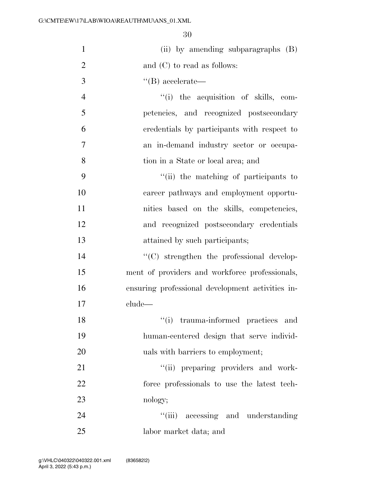| $\mathbf{1}$   | (ii) by amending subparagraphs (B)               |
|----------------|--------------------------------------------------|
| $\overline{2}$ | and $(C)$ to read as follows:                    |
| 3              | $\lq\lq (B)$ accelerate—                         |
| $\overline{4}$ | "(i) the acquisition of skills, com-             |
| 5              | petencies, and recognized postsecondary          |
| 6              | credentials by participants with respect to      |
| 7              | an in-demand industry sector or occupa-          |
| 8              | tion in a State or local area; and               |
| 9              | "(ii) the matching of participants to            |
| 10             | career pathways and employment opportu-          |
| 11             | nities based on the skills, competencies,        |
| 12             | and recognized postsecondary credentials         |
| 13             | attained by such participants;                   |
| 14             | $\lq\lq$ strengthen the professional develop-    |
| 15             | ment of providers and workforce professionals,   |
| 16             | ensuring professional development activities in- |
| 17             | clude-                                           |
| 18             | trauma-informed practices and<br>``(i)           |
| 19             | human-centered design that serve individ-        |
| 20             | uals with barriers to employment;                |
| 21             | "(ii) preparing providers and work-              |
| 22             | force professionals to use the latest tech-      |
| 23             | nology;                                          |
| 24             | "(iii) accessing and understanding               |
| 25             | labor market data; and                           |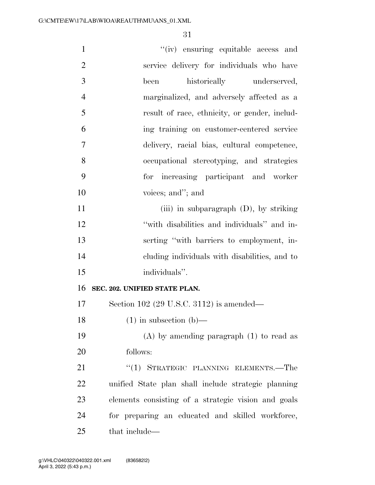| $\mathbf{1}$   | "(iv) ensuring equitable access and                 |
|----------------|-----------------------------------------------------|
| $\overline{2}$ | service delivery for individuals who have           |
| 3              | historically underserved,<br>been                   |
| $\overline{4}$ | marginalized, and adversely affected as a           |
| 5              | result of race, ethnicity, or gender, includ-       |
| 6              | ing training on customer-centered service           |
| $\overline{7}$ | delivery, racial bias, cultural competence,         |
| 8              | occupational stereotyping, and strategies           |
| 9              | for increasing participant and worker               |
| 10             | voices; and"; and                                   |
| 11             | (iii) in subparagraph $(D)$ , by striking           |
| 12             | "with disabilities and individuals" and in-         |
| 13             | serting "with barriers to employment, in-           |
| 14             | eluding individuals with disabilities, and to       |
| 15             | individuals".                                       |
| 16             | SEC. 202. UNIFIED STATE PLAN.                       |
| 17             | Section 102 (29 U.S.C. 3112) is amended—            |
| 18             | $(1)$ in subsection $(b)$ —                         |
| 19             | $(A)$ by amending paragraph $(1)$ to read as        |
| 20             | follows:                                            |
| 21             | "(1) STRATEGIC PLANNING ELEMENTS.—The               |
| 22             | unified State plan shall include strategic planning |
| 23             | elements consisting of a strategic vision and goals |
| 24             | for preparing an educated and skilled workforce,    |
| 25             | that include—                                       |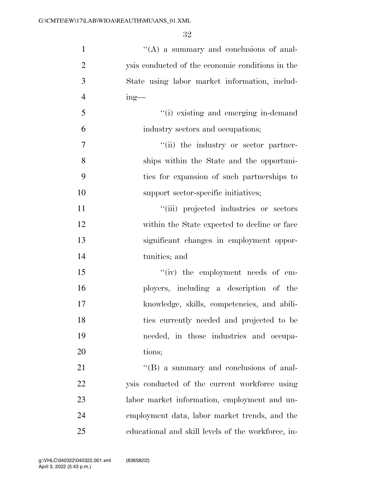| $\mathbf{1}$   | $\lq\lq$ (A) a summary and conclusions of anal-    |
|----------------|----------------------------------------------------|
| $\overline{2}$ | ysis conducted of the economic conditions in the   |
| 3              | State using labor market information, includ-      |
| $\overline{4}$ | $ing$ —                                            |
| 5              | "(i) existing and emerging in-demand               |
| 6              | industry sectors and occupations;                  |
| 7              | "(ii) the industry or sector partner-              |
| 8              | ships within the State and the opportuni-          |
| 9              | ties for expansion of such partnerships to         |
| 10             | support sector-specific initiatives;               |
| 11             | "(iii) projected industries or sectors             |
| 12             | within the State expected to decline or face       |
| 13             | significant changes in employment oppor-           |
| 14             | tunities; and                                      |
| 15             | "(iv) the employment needs of em-                  |
| 16             | ployers, including a description of the            |
| 17             | knowledge, skills, competencies, and abili-        |
| 18             | ties currently needed and projected to be          |
| 19             | needed, in those industries and occupa-            |
| 20             | tions;                                             |
| 21             | $\lq\lq (B)$ a summary and conclusions of anal-    |
| 22             | ysis conducted of the current workforce using      |
| 23             | labor market information, employment and un-       |
| 24             | employment data, labor market trends, and the      |
| 25             | educational and skill levels of the workforce, in- |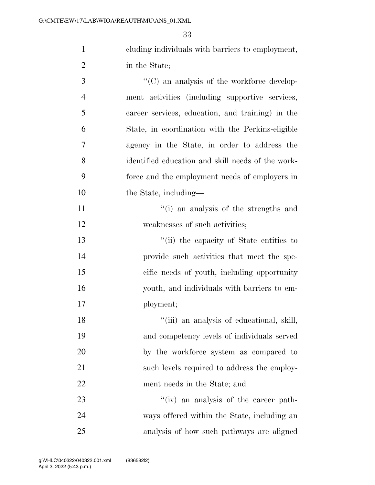cluding individuals with barriers to employment, in the State;

 $\cdot$  (C) an analysis of the workforce develop- ment activities (including supportive services, career services, education, and training) in the State, in coordination with the Perkins-eligible agency in the State, in order to address the identified education and skill needs of the work- force and the employment needs of employers in 10 the State, including—

11 ''(i) an analysis of the strengths and 12 weaknesses of such activities;

 ''(ii) the capacity of State entities to provide such activities that meet the spe- cific needs of youth, including opportunity youth, and individuals with barriers to em-ployment;

18 ''(iii) an analysis of educational, skill, and competency levels of individuals served by the workforce system as compared to 21 such levels required to address the employ-ment needs in the State; and

23 ''(iv) an analysis of the career path- ways offered within the State, including an analysis of how such pathways are aligned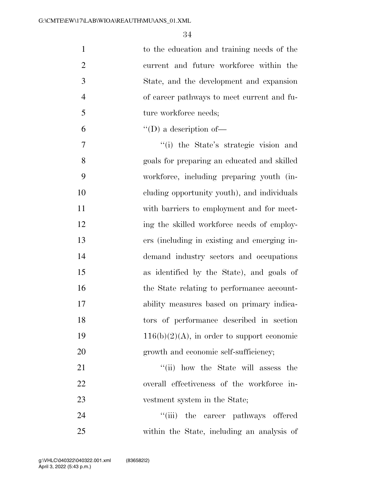| $\mathbf{1}$   | to the education and training needs of the    |
|----------------|-----------------------------------------------|
| $\overline{2}$ | current and future workforce within the       |
| 3              | State, and the development and expansion      |
| $\overline{4}$ | of career pathways to meet current and fu-    |
| 5              | ture workforce needs;                         |
| 6              | $\lq\lq$ (D) a description of —               |
| 7              | "(i) the State's strategic vision and         |
| 8              | goals for preparing an educated and skilled   |
| 9              | workforce, including preparing youth (in-     |
| 10             | cluding opportunity youth), and individuals   |
| 11             | with barriers to employment and for meet-     |
| 12             | ing the skilled workforce needs of employ-    |
| 13             | ers (including in existing and emerging in-   |
| 14             | demand industry sectors and occupations       |
| 15             | as identified by the State), and goals of     |
| 16             | the State relating to performance account-    |
| 17             | ability measures based on primary indica-     |
| 18             | tors of performance described in section      |
| 19             | $116(b)(2)(A)$ , in order to support economic |
| 20             | growth and economic self-sufficiency;         |
| 21             | "(ii) how the State will assess the           |
| 22             | overall effectiveness of the workforce in-    |
| 23             | vestment system in the State;                 |

24 ''(iii) the career pathways offered within the State, including an analysis of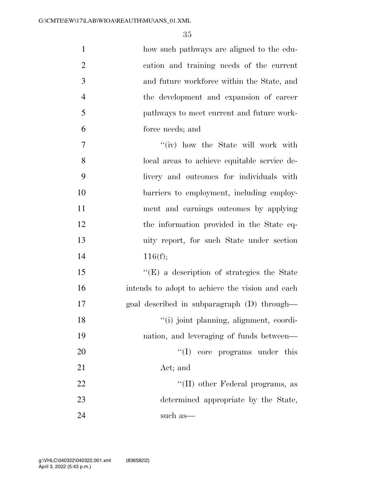| $\mathbf{1}$   | how such pathways are aligned to the edu-         |
|----------------|---------------------------------------------------|
| $\overline{2}$ | cation and training needs of the current          |
| 3              | and future workforce within the State, and        |
| $\overline{4}$ | the development and expansion of career           |
| 5              | pathways to meet current and future work-         |
| 6              | force needs; and                                  |
| 7              | "(iv) how the State will work with                |
| 8              | local areas to achieve equitable service de-      |
| 9              | livery and outcomes for individuals with          |
| 10             | barriers to employment, including employ-         |
| 11             | ment and earnings outcomes by applying            |
| 12             | the information provided in the State eq-         |
| 13             | uity report, for such State under section         |
| 14             | 116(f);                                           |
| 15             | $\lq\lq(E)$ a description of strategies the State |
| 16             | intends to adopt to achieve the vision and each   |
| 17             | goal described in subparagraph (D) through—       |
| 18             | "(i) joint planning, alignment, coordi-           |
| 19             | nation, and leveraging of funds between—          |
| 20             | ``(I)<br>core programs under this                 |
| 21             | Act; and                                          |
| 22             | "(II) other Federal programs, as                  |
| 23             | determined appropriate by the State,              |
| 24             | such as—                                          |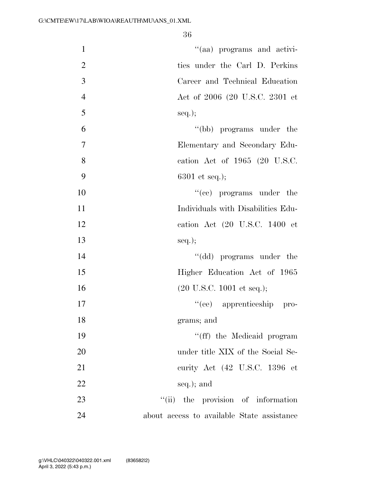| $\mathbf{1}$   | "(aa) programs and activi-                   |
|----------------|----------------------------------------------|
| $\overline{2}$ | ties under the Carl D. Perkins               |
| 3              | Career and Technical Education               |
| $\overline{4}$ | Act of 2006 (20 U.S.C. 2301 et               |
| 5              | $seq.$ ;                                     |
| 6              | "(bb) programs under the                     |
| $\overline{7}$ | Elementary and Secondary Edu-                |
| 8              | cation Act of 1965 (20 U.S.C.                |
| 9              | $6301$ et seq.);                             |
| 10             | $f'(ce)$ programs under the                  |
| 11             | Individuals with Disabilities Edu-           |
| 12             | cation Act (20 U.S.C. 1400 et                |
| 13             | $seq.$ ;                                     |
| 14             | "(dd) programs under the                     |
| 15             | Higher Education Act of 1965                 |
| 16             | $(20 \text{ U.S.C. } 1001 \text{ et seq.});$ |
| 17             | "(ee) apprenticeship pro-                    |
| 18             | grams; and                                   |
| 19             | "(ff) the Medicaid program                   |
| 20             | under title XIX of the Social Se-            |
| 21             | curity Act (42 U.S.C. 1396 et                |
| 22             | seq.); and                                   |
| 23             | "(ii) the provision of information           |
| 24             | about access to available State assistance   |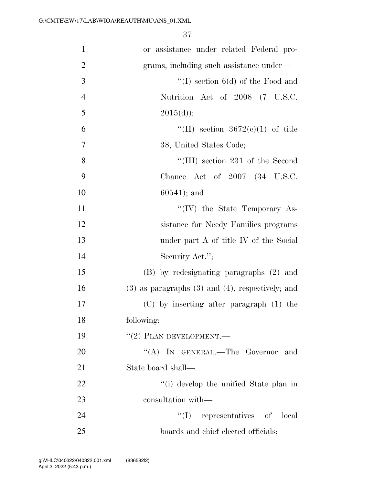| $\mathbf{1}$   | or assistance under related Federal pro-                |
|----------------|---------------------------------------------------------|
| $\overline{2}$ | grams, including such assistance under—                 |
| $\mathfrak{Z}$ | "(I) section $6(d)$ of the Food and                     |
| $\overline{4}$ | Nutrition Act of 2008 (7 U.S.C.                         |
| 5              | 2015(d));                                               |
| 6              | "(II) section $3672(e)(1)$ of title                     |
| $\overline{7}$ | 38, United States Code;                                 |
| 8              | "(III) section 231 of the Second                        |
| 9              | Chance Act of $2007$ $(34 \text{ U.S.C.})$              |
| 10             | $60541$ ; and                                           |
| 11             | "(IV) the State Temporary As-                           |
| 12             | sistance for Needy Families programs                    |
| 13             | under part A of title IV of the Social                  |
| 14             | Security Act.";                                         |
| 15             | (B) by redesignating paragraphs (2) and                 |
| 16             | $(3)$ as paragraphs $(3)$ and $(4)$ , respectively; and |
| 17             | $(C)$ by inserting after paragraph $(1)$ the            |
| 18             | following:                                              |
| 19             | $``(2)$ PLAN DEVELOPMENT.—                              |
| 20             | "(A) IN GENERAL.—The Governor and                       |
| 21             | State board shall—                                      |
| 22             | "(i) develop the unified State plan in                  |
| 23             | consultation with—                                      |
| 24             | $\lq\lq$ (I) representatives of local                   |
| 25             | boards and chief elected officials;                     |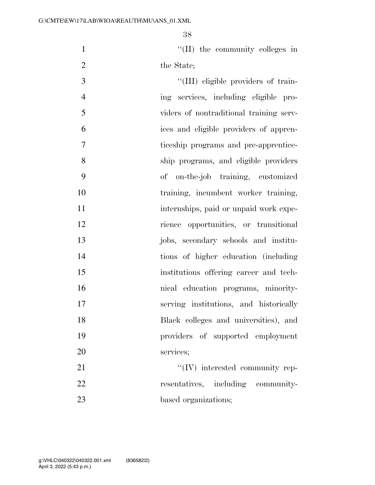1  $\text{``(II)}$  the community colleges in 2 the State;

 $\frac{1}{2}$  (III) eligible providers of train- ing services, including eligible pro- viders of nontraditional training serv- ices and eligible providers of appren- ticeship programs and pre-apprentice- ship programs, and eligible providers of on-the-job training, customized 10 training, incumbent worker training, 11 internships, paid or unpaid work expe- rience opportunities, or transitional jobs, secondary schools and institu- tions of higher education (including institutions offering career and tech- nical education programs, minority- serving institutions, and historically Black colleges and universities), and providers of supported employment services;  $\text{``(IV)}$  interested community rep-22 resentatives, including community-

23 based organizations;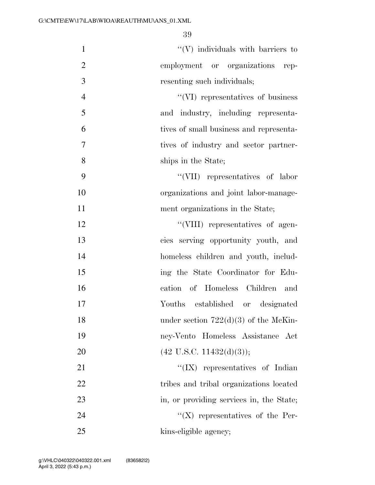| $\mathbf{1}$   | $\lq\lq(V)$ individuals with barriers to |
|----------------|------------------------------------------|
| $\overline{2}$ | employment or organizations rep-         |
| 3              | resenting such individuals;              |
| $\overline{4}$ | "(VI) representatives of business        |
| 5              | and industry, including representa-      |
| 6              | tives of small business and representa-  |
| $\tau$         | tives of industry and sector partner-    |
| 8              | ships in the State;                      |
| 9              | $``(VII)$ representatives of labor       |
| 10             | organizations and joint labor-manage-    |
| 11             | ment organizations in the State;         |
| 12             | "(VIII) representatives of agen-         |
| 13             | cies serving opportunity youth, and      |
| 14             | homeless children and youth, includ-     |
| 15             | ing the State Coordinator for Edu-       |
| 16             | cation of Homeless Children and          |
| 17             | Youths established or designated         |
| 18             | under section $722(d)(3)$ of the McKin-  |
| 19             | ney-Vento Homeless Assistance Act        |
| 20             | $(42 \text{ U.S.C. } 11432(d)(3));$      |
| 21             | " $(IX)$ representatives of Indian       |
| 22             | tribes and tribal organizations located  |
| 23             | in, or providing services in, the State; |
| 24             | $\lq\lq (X)$ representatives of the Per- |
| 25             | kins-eligible agency;                    |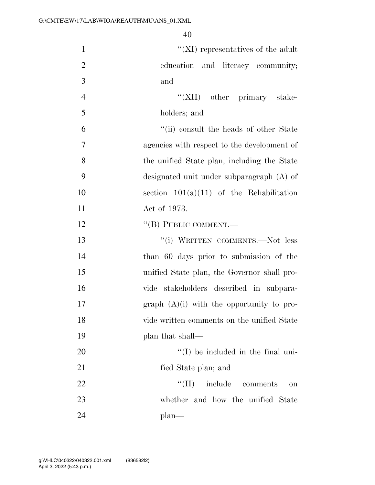| $\mathbf{1}$   | $\lq\lq$ (XI) representatives of the adult  |
|----------------|---------------------------------------------|
| $\overline{2}$ | education and literacy community;           |
| 3              | and                                         |
| $\overline{4}$ | "(XII) other primary stake-                 |
| 5              | holders; and                                |
| 6              | "(ii) consult the heads of other State      |
| 7              | agencies with respect to the development of |
| 8              | the unified State plan, including the State |
| 9              | designated unit under subparagraph (A) of   |
| 10             | section $101(a)(11)$ of the Rehabilitation  |
| 11             | Act of 1973.                                |
| 12             | "(B) PUBLIC COMMENT.—                       |
| 13             | "(i) WRITTEN COMMENTS.-Not less             |
| 14             | than 60 days prior to submission of the     |
| 15             | unified State plan, the Governor shall pro- |
| 16             | vide stakeholders described in subpara-     |
| 17             | graph $(A)(i)$ with the opportunity to pro- |
| 18             | vide written comments on the unified State  |
| 19             | plan that shall—                            |
| 20             | $\lq (I)$ be included in the final uni-     |
| 21             | fied State plan; and                        |
| 22             | ``(II)<br>include comments<br>on            |
| 23             | whether and how the unified State           |
| 24             | $plan$ —                                    |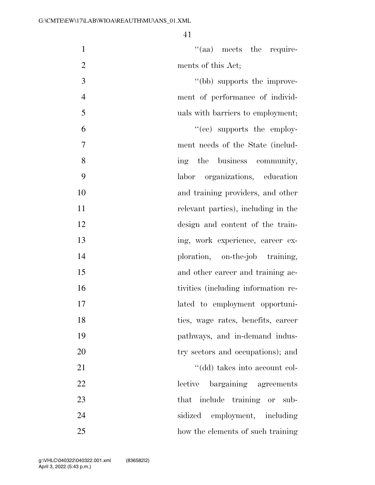| $\mathbf{1}$     | $\mathcal{L}(\text{aa})$ meets the require- |
|------------------|---------------------------------------------|
| $\overline{2}$   | ments of this Act;                          |
| $\mathfrak{Z}$   | "(bb) supports the improve-                 |
| $\overline{4}$   | ment of performance of individ-             |
| 5                | uals with barriers to employment;           |
| 6                | $\cdot$ (ce) supports the employ-           |
| $\boldsymbol{7}$ | ment needs of the State (includ-            |
| 8                | ing the business community,                 |
| 9                | labor organizations, education              |
| 10               | and training providers, and other           |
| 11               | relevant parties), including in the         |
| 12               | design and content of the train-            |
| 13               | ing, work experience, career ex-            |
| 14               | ploration, on-the-job training,             |
| 15               | and other career and training ac-           |
| 16               | tivities (including information re-         |
| 17               | lated to employment opportuni-              |
| 18               | ties, wage rates, benefits, career          |
| 19               | pathways, and in-demand indus-              |
| 20               | try sectors and occupations); and           |
| 21               | "(dd) takes into account col-               |
| 22               | lective<br>bargaining agreements            |
| 23               | that include training or sub-               |
| 24               | employment, including<br>sidized            |
| 25               | how the elements of such training           |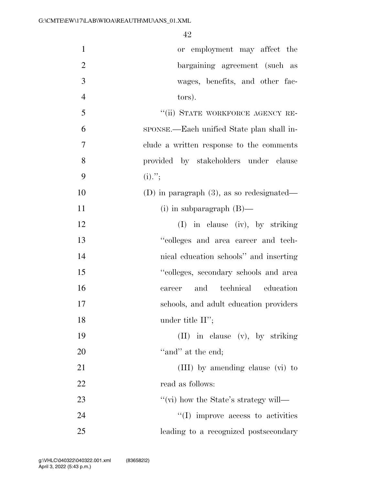| $\mathbf{1}$   | or employment may affect the                 |
|----------------|----------------------------------------------|
| $\overline{2}$ | bargaining agreement (such as                |
| 3              | wages, benefits, and other fac-              |
| $\overline{4}$ | tors).                                       |
| 5              | "(ii) STATE WORKFORCE AGENCY RE-             |
| 6              | sponse.—Each unified State plan shall in-    |
| 7              | clude a written response to the comments     |
| 8              | provided by stakeholders under clause        |
| 9              | $(i)$ .";                                    |
| 10             | (D) in paragraph $(3)$ , as so redesignated— |
| 11             | (i) in subparagraph $(B)$ —                  |
| 12             | $(I)$ in clause (iv), by striking            |
| 13             | "colleges and area career and tech-          |
| 14             | nical education schools" and inserting       |
| 15             | "colleges, secondary schools and area        |
| 16             | and technical education<br>career            |
| 17             | schools, and adult education providers       |
| 18             | under title $II$ ";                          |
| 19             | (II) in clause (v), by striking              |
| 20             | "and" at the end;                            |
| 21             | (III) by amending clause (vi) to             |
| 22             | read as follows:                             |
| 23             | "(vi) how the State's strategy will—         |
| 24             | $\lq\lq$ (I) improve access to activities    |
| 25             | leading to a recognized postsecondary        |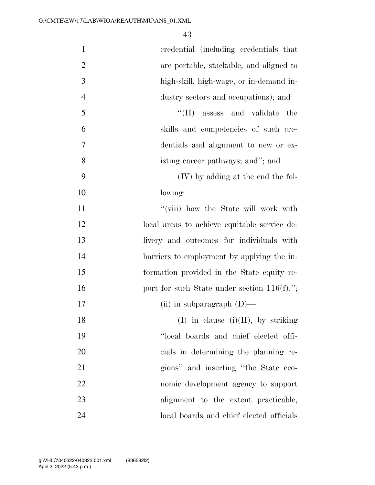| $\mathbf{1}$   | credential (including credentials that         |
|----------------|------------------------------------------------|
| $\overline{2}$ | are portable, stackable, and aligned to        |
| 3              | high-skill, high-wage, or in-demand in-        |
| $\overline{4}$ | dustry sectors and occupations); and           |
| 5              | $\lq\lq$ (II) assess and validate<br>the       |
| 6              | skills and competencies of such cre-           |
| 7              | dentials and alignment to new or ex-           |
| 8              | isting career pathways; and"; and              |
| 9              | (IV) by adding at the end the fol-             |
| 10             | lowing:                                        |
| 11             | "(viii) how the State will work with           |
| 12             | local areas to achieve equitable service de-   |
| 13             | livery and outcomes for individuals with       |
| 14             | barriers to employment by applying the in-     |
| 15             | formation provided in the State equity re-     |
| 16             | port for such State under section $116(f)$ ."; |
| 17             | (ii) in subparagraph $(D)$ —                   |
| 18             | $(I)$ in clause $(i)(II)$ , by striking        |
| 19             | "local boards and chief elected offi-          |
| 20             | cials in determining the planning re-          |
| 21             | gions" and inserting "the State eco-           |
| 22             | nomic development agency to support            |
| 23             | alignment to the extent practicable,           |
| 24             | local boards and chief elected officials       |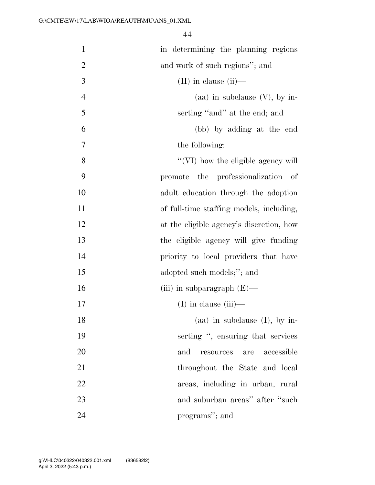| $\mathbf{1}$   | in determining the planning regions                    |
|----------------|--------------------------------------------------------|
| $\overline{2}$ | and work of such regions"; and                         |
| 3              | $(II)$ in clause $(ii)$ —                              |
| $\overline{4}$ | (aa) in subclause $(V)$ , by in-                       |
| 5              | serting "and" at the end; and                          |
| 6              | (bb) by adding at the end                              |
| 7              | the following:                                         |
| 8              | "(VI) how the eligible agency will                     |
| 9              | promote the professionalization of                     |
| 10             | adult education through the adoption                   |
| 11             | of full-time staffing models, including,               |
| 12             | at the eligible agency's discretion, how               |
| 13             | the eligible agency will give funding                  |
| 14             | priority to local providers that have                  |
| 15             | adopted such models;"; and                             |
| 16             | (iii) in subparagraph $(E)$ —                          |
| 17             | $(I)$ in clause $(iii)$ —                              |
| 18             | (aa) in subclause $(I)$ , by in-                       |
| 19             | serting ", ensuring that services                      |
| 20             | accessible<br>and<br>$\operatorname{resources}$<br>are |
| 21             | throughout the State and local                         |
| 22             | areas, including in urban, rural                       |
| 23             | and suburban areas" after "such                        |
| 24             | programs"; and                                         |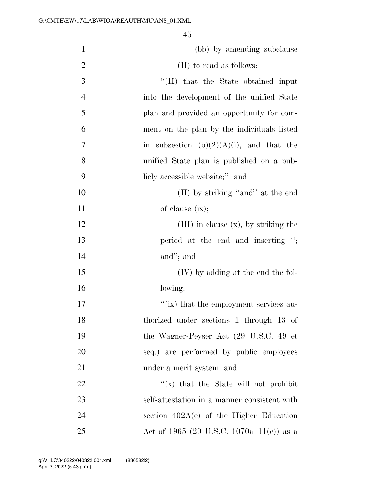| $\mathbf{1}$   | (bb) by amending subclause                   |
|----------------|----------------------------------------------|
| $\overline{2}$ | (II) to read as follows:                     |
| 3              | "(II) that the State obtained input          |
| $\overline{4}$ | into the development of the unified State    |
| 5              | plan and provided an opportunity for com-    |
| 6              | ment on the plan by the individuals listed   |
| 7              | in subsection $(b)(2)(A)(i)$ , and that the  |
| 8              | unified State plan is published on a pub-    |
| 9              | licly accessible website;"; and              |
| 10             | (II) by striking "and" at the end            |
| 11             | of clause $(ix);$                            |
| 12             | $(III)$ in clause $(x)$ , by striking the    |
| 13             | period at the end and inserting ";           |
| 14             | and"; and                                    |
| 15             | $(IV)$ by adding at the end the fol-         |
| 16             | lowing:                                      |
| 17             | "(ix) that the employment services au-       |
| 18             | thorized under sections 1 through 13 of      |
| 19             | the Wagner-Peyser Act (29 U.S.C. 49 et       |
| 20             | seq.) are performed by public employees      |
| 21             | under a merit system; and                    |
| 22             | " $(x)$ that the State will not prohibit     |
| 23             | self-attestation in a manner consistent with |
| 24             | section $402A(e)$ of the Higher Education    |
| 25             | Act of 1965 (20 U.S.C. 1070a–11(e)) as a     |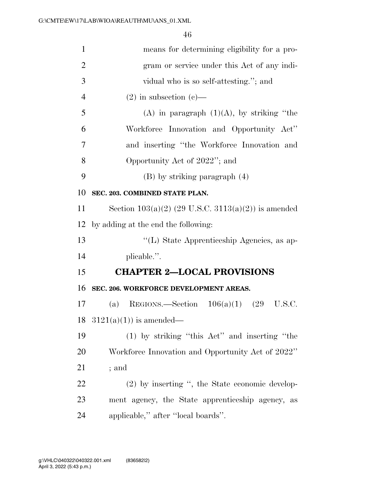| $\mathbf{1}$   | means for determining eligibility for a pro-          |
|----------------|-------------------------------------------------------|
| $\overline{2}$ | gram or service under this Act of any indi-           |
| 3              | vidual who is so self-attesting."; and                |
| $\overline{4}$ | $(2)$ in subsection $(e)$ —                           |
| 5              | (A) in paragraph $(1)(A)$ , by striking "the          |
| 6              | Workforce Innovation and Opportunity Act"             |
| 7              | and inserting "the Workforce Innovation and           |
| 8              | Opportunity Act of 2022"; and                         |
| 9              | $(B)$ by striking paragraph $(4)$                     |
| 10             | SEC. 203. COMBINED STATE PLAN.                        |
| 11             | Section $103(a)(2)$ (29 U.S.C. 3113(a)(2)) is amended |
| 12             | by adding at the end the following:                   |
| 13             | "(L) State Apprenticeship Agencies, as ap-            |
| 14             | plicable.".                                           |
| 15             | <b>CHAPTER 2-LOCAL PROVISIONS</b>                     |
| 16             | SEC. 206. WORKFORCE DEVELOPMENT AREAS.                |
| 17             | REGIONS.—Section $106(a)(1)$ (29<br>U.S.C.<br>(a)     |
| 18             | $3121(a)(1)$ is amended—                              |
| 19             | (1) by striking "this Act" and inserting "the         |
| 20             | Workforce Innovation and Opportunity Act of 2022"     |
| 21             | ; and                                                 |
| 22             | (2) by inserting ", the State economic develop-       |
| 23             | ment agency, the State apprenticeship agency, as      |
| 24             | applicable," after "local boards".                    |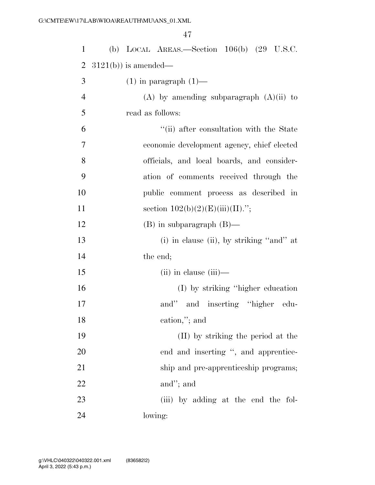| $\mathbf{1}$   | (b) LOCAL AREAS.—Section $106(b)$ (29 U.S.C.  |
|----------------|-----------------------------------------------|
| 2              | $3121(b)$ ) is amended—                       |
| 3              | $(1)$ in paragraph $(1)$ —                    |
| $\overline{4}$ | $(A)$ by amending subparagraph $(A)(ii)$ to   |
| 5              | read as follows:                              |
| 6              | "(ii) after consultation with the State       |
| $\overline{7}$ | economic development agency, chief elected    |
| 8              | officials, and local boards, and consider-    |
| 9              | ation of comments received through the        |
| 10             | public comment process as described in        |
| 11             | section $102(b)(2)(E)(iii)(II)$ .";           |
| 12             | $(B)$ in subparagraph $(B)$ —                 |
| 13             | $(i)$ in clause $(ii)$ , by striking "and" at |
| 14             | the end;                                      |
| 15             | $(ii)$ in clause $(iii)$ —                    |
| 16             | (I) by striking "higher education"            |
| 17             | and" and inserting "higher edu-               |
| 18             | cation,"; and                                 |
| 19             | (II) by striking the period at the            |
| 20             | end and inserting ", and apprentice-          |
| 21             | ship and pre-apprenticeship programs;         |
| 22             | and"; and                                     |
| 23             | (iii) by adding at the end the fol-           |
| 24             | lowing:                                       |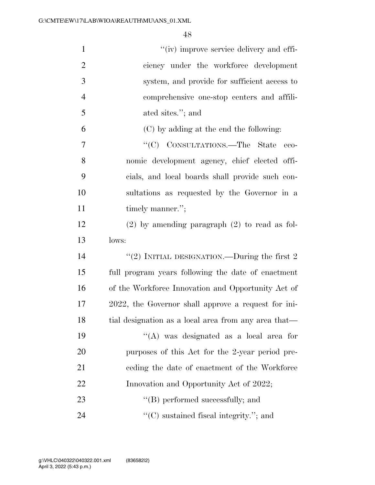| $\mathbf{1}$   | "(iv) improve service delivery and effi-             |
|----------------|------------------------------------------------------|
| $\overline{2}$ | ciency under the workforce development               |
| 3              | system, and provide for sufficient access to         |
| $\overline{4}$ | comprehensive one-stop centers and affili-           |
| 5              | ated sites."; and                                    |
| 6              | (C) by adding at the end the following:              |
| 7              | "(C) CONSULTATIONS.—The State eco-                   |
| 8              | nomic development agency, chief elected offi-        |
| 9              | cials, and local boards shall provide such con-      |
| 10             | sultations as requested by the Governor in a         |
| 11             | timely manner.";                                     |
| 12             | $(2)$ by amending paragraph $(2)$ to read as fol-    |
| 13             | lows:                                                |
| 14             | "(2) INITIAL DESIGNATION.—During the first $2$       |
| 15             | full program years following the date of enactment   |
| 16             | of the Workforce Innovation and Opportunity Act of   |
| 17             | 2022, the Governor shall approve a request for ini-  |
| 18             | tial designation as a local area from any area that- |
| 19             | "(A) was designated as a local area for              |
| 20             | purposes of this Act for the 2-year period pre-      |
| 21             | eeding the date of enactment of the Workforce        |
| 22             | Innovation and Opportunity Act of 2022;              |
| 23             | $\lq\lq$ (B) performed successfully; and             |
| 24             | $\lq\lq$ sustained fiscal integrity."; and           |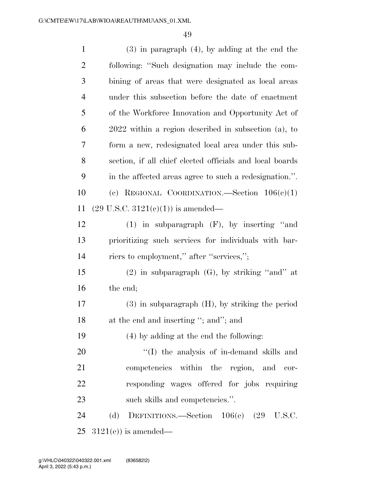| $\mathbf{1}$   | $(3)$ in paragraph $(4)$ , by adding at the end the      |
|----------------|----------------------------------------------------------|
| $\overline{2}$ | following: "Such designation may include the com-        |
| 3              | bining of areas that were designated as local areas      |
| $\overline{4}$ | under this subsection before the date of enactment       |
| 5              | of the Workforce Innovation and Opportunity Act of       |
| 6              | $2022$ within a region described in subsection (a), to   |
| 7              | form a new, redesignated local area under this sub-      |
| 8              | section, if all chief elected officials and local boards |
| 9              | in the affected areas agree to such a redesignation.".   |
| 10             | (c) REGIONAL COORDINATION. Section $106(c)(1)$           |
| 11             | $(29 \text{ U.S.C. } 3121(e)(1))$ is amended—            |
| 12             | $(1)$ in subparagraph $(F)$ , by inserting "and          |
| 13             | prioritizing such services for individuals with bar-     |
| 14             | riers to employment," after "services,";                 |
| 15             | $(2)$ in subparagraph $(G)$ , by striking "and" at       |
| 16             | the end;                                                 |
| $17\,$         | $(3)$ in subparagraph $(H)$ , by striking the period     |
| 18             | at the end and inserting "; and"; and                    |
| 19             | (4) by adding at the end the following:                  |
| 20             | $\lq\lq$ the analysis of in-demand skills and            |
| 21             | competencies within the region, and cor-                 |
| 22             | responding wages offered for jobs requiring              |
| 23             | such skills and competencies.".                          |
| 24             | (d)<br>DEFINITIONS.—Section 106(e) (29 U.S.C.            |
| 25             | $3121(e)$ ) is amended—                                  |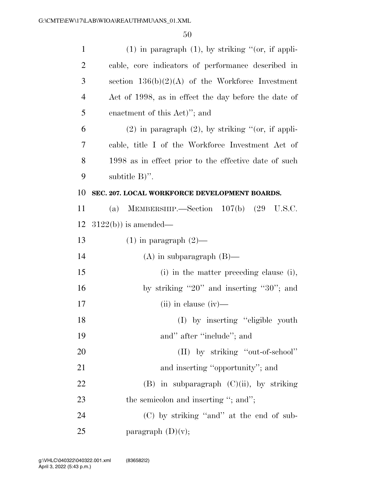| $\mathbf{1}$   | $(1)$ in paragraph $(1)$ , by striking " $($ or, if appli- |
|----------------|------------------------------------------------------------|
| $\overline{2}$ | cable, core indicators of performance described in         |
| 3              | section $136(b)(2)(A)$ of the Workforce Investment         |
| 4              | Act of 1998, as in effect the day before the date of       |
| 5              | enactment of this Act)"; and                               |
| 6              | $(2)$ in paragraph $(2)$ , by striking " $($ or, if appli- |
| 7              | cable, title I of the Workforce Investment Act of          |
| 8              | 1998 as in effect prior to the effective date of such      |
| 9              | subtitle $B$ )".                                           |
| 10             | SEC. 207. LOCAL WORKFORCE DEVELOPMENT BOARDS.              |
| 11             | MEMBERSHIP.—Section $107(b)$ (29<br>U.S.C.<br>(a)          |
| 12             | $3122(b)$ ) is amended—                                    |
| 13             | $(1)$ in paragraph $(2)$ —                                 |
| 14             | $(A)$ in subparagraph $(B)$ —                              |
| 15             | (i) in the matter preceding clause (i),                    |
| 16             | by striking "20" and inserting "30"; and                   |
| 17             | $(ii)$ in clause $(iv)$ —                                  |
| 18             | (I) by inserting "eligible youth                           |
| 19             | and" after "include"; and                                  |
| 20             | (II) by striking "out-of-school"                           |
| 21             | and inserting "opportunity"; and                           |
| 22             | $(B)$ in subparagraph $(C)(ii)$ , by striking              |
| 23             | the semicolon and inserting "; and";                       |
| 24             | (C) by striking "and" at the end of sub-                   |
| 25             | paragraph $(D)(v)$ ;                                       |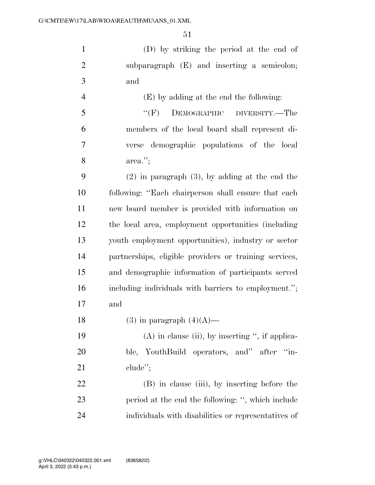(D) by striking the period at the end of subparagraph (E) and inserting a semicolon; and

 (E) by adding at the end the following: ''(F) DEMOGRAPHIC DIVERSITY.—The members of the local board shall represent di- verse demographic populations of the local area.'';

 (2) in paragraph (3), by adding at the end the following: ''Each chairperson shall ensure that each new board member is provided with information on the local area, employment opportunities (including youth employment opportunities), industry or sector partnerships, eligible providers or training services, and demographic information of participants served including individuals with barriers to employment.''; and

18 (3) in paragraph  $(4)(A)$ —

19 (A) in clause (ii), by inserting  $\lq$ , if applica- ble, YouthBuild operators, and'' after ''in-21 clude";

 (B) in clause (iii), by inserting before the period at the end the following: '', which include individuals with disabilities or representatives of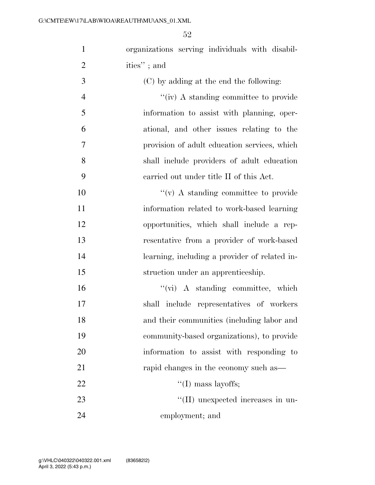| $\mathbf{1}$   | organizations serving individuals with disabil- |
|----------------|-------------------------------------------------|
| $\overline{2}$ | ities"; and                                     |
| 3              | (C) by adding at the end the following:         |
| $\overline{4}$ | "(iv) A standing committee to provide           |
| 5              | information to assist with planning, oper-      |
| 6              | ational, and other issues relating to the       |
| 7              | provision of adult education services, which    |
| 8              | shall include providers of adult education      |
| 9              | carried out under title II of this Act.         |
| 10             | $\lq\lq$ (v) A standing committee to provide    |
| 11             | information related to work-based learning      |
| 12             | opportunities, which shall include a rep-       |
| 13             | resentative from a provider of work-based       |
| 14             | learning, including a provider of related in-   |
| 15             | struction under an apprenticeship.              |
| 16             | $``(\text{vi})$ A standing committee, which     |
| 17             | shall include representatives of workers        |
| 18             | and their communities (including labor and      |
| 19             | community-based organizations), to provide      |
| 20             | information to assist with responding to        |
| 21             | rapid changes in the economy such as—           |
| 22             | $\lq\lq$ (I) mass layoffs;                      |
| 23             | "(II) unexpected increases in un-               |
| 24             | employment; and                                 |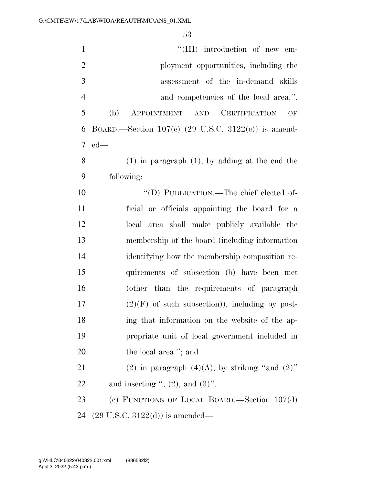| $\mathbf{1}$   | "(III) introduction of new em-                        |
|----------------|-------------------------------------------------------|
| $\overline{2}$ | ployment opportunities, including the                 |
| 3              | assessment of the in-demand skills                    |
| $\overline{4}$ | and competencies of the local area.".                 |
| 5              | (b)<br>CERTIFICATION<br>APPOINTMENT AND<br>OF         |
| 6              | BOARD.—Section $107(e)$ (29 U.S.C. 3122(c)) is amend- |
| 7              | $ed$ —                                                |
| 8              | $(1)$ in paragraph $(1)$ , by adding at the end the   |
| 9              | following:                                            |
| 10             | "(D) PUBLICATION.—The chief elected of-               |
| 11             | ficial or officials appointing the board for a        |
| 12             | local area shall make publicly available the          |
| 13             | membership of the board (including information        |
| 14             | identifying how the membership composition re-        |
| 15             | quirements of subsection (b) have been met            |
| 16             | (other than the requirements of paragraph             |
| 17             | $(2)(F)$ of such subsection)), including by post-     |
| 18             | ing that information on the website of the ap-        |
| 19             | propriate unit of local government included in        |
| 20             | the local area."; and                                 |
| 21             | (2) in paragraph $(4)(A)$ , by striking "and $(2)$ "  |
| 22             | and inserting ", $(2)$ , and $(3)$ ".                 |
| 23             | (c) FUNCTIONS OF LOCAL BOARD.—Section $107(d)$        |
| 24             | $(29 \text{ U.S.C. } 3122(d))$ is amended—            |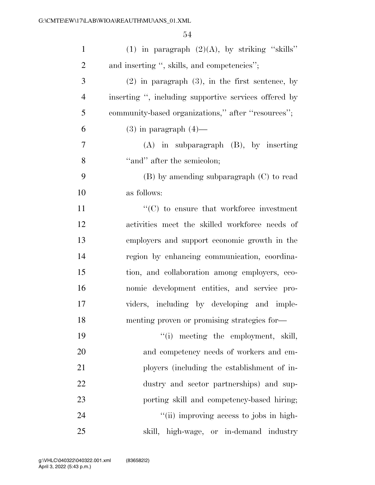| $\mathbf{1}$   | (1) in paragraph $(2)(A)$ , by striking "skills"      |
|----------------|-------------------------------------------------------|
| $\overline{2}$ | and inserting ", skills, and competencies";           |
| 3              | $(2)$ in paragraph $(3)$ , in the first sentence, by  |
| $\overline{4}$ | inserting ", including supportive services offered by |
| 5              | community-based organizations," after "resources";    |
| 6              | $(3)$ in paragraph $(4)$ —                            |
| 7              | $(A)$ in subparagraph $(B)$ , by inserting            |
| 8              | "and" after the semicolon;                            |
| 9              | $(B)$ by amending subparagraph $(C)$ to read          |
| 10             | as follows:                                           |
| 11             | $\lq\lq$ (C) to ensure that workforce investment      |
| 12             | activities meet the skilled workforce needs of        |
| 13             | employers and support economic growth in the          |
| 14             | region by enhancing communication, coordina-          |
| 15             | tion, and collaboration among employers, eco-         |
| 16             | nomic development entities, and service pro-          |
| 17             | viders, including by developing and imple-            |
| 18             | menting proven or promising strategies for-           |
| 19             | "(i) meeting the employment, skill,                   |
| 20             | and competency needs of workers and em-               |
| 21             | ployers (including the establishment of in-           |
| 22             | dustry and sector partnerships) and sup-              |
| 23             | porting skill and competency-based hiring;            |
| 24             | "(ii) improving access to jobs in high-               |
| 25             | skill, high-wage, or in-demand industry               |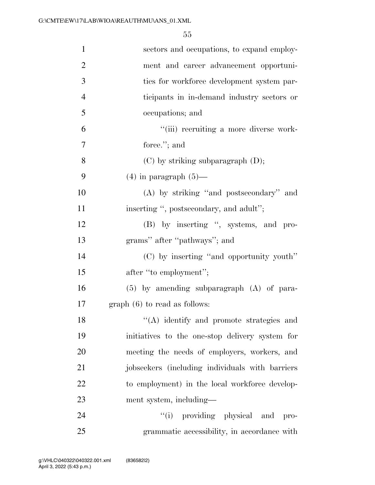| $\mathbf{1}$   | sectors and occupations, to expand employ-      |
|----------------|-------------------------------------------------|
| $\overline{2}$ | ment and career advancement opportuni-          |
| 3              | ties for workforce development system par-      |
| $\overline{4}$ | ticipants in in-demand industry sectors or      |
| 5              | occupations; and                                |
| 6              | "(iii) recruiting a more diverse work-          |
| 7              | force."; and                                    |
| 8              |                                                 |
|                | (C) by striking subparagraph (D);               |
| 9              | $(4)$ in paragraph $(5)$ —                      |
| 10             | (A) by striking "and postsecondary" and         |
| 11             | inserting ", postsecondary, and adult";         |
| 12             | (B) by inserting ", systems, and pro-           |
| 13             | grams" after "pathways"; and                    |
| 14             | (C) by inserting "and opportunity youth"        |
| 15             | after "to employment";                          |
| 16             | $(5)$ by amending subparagraph $(A)$ of para-   |
| 17             | $graph(6)$ to read as follows:                  |
| 18             | "(A) identify and promote strategies and        |
| 19             | initiatives to the one-stop delivery system for |
| 20             | meeting the needs of employers, workers, and    |
| 21             | jobseekers (including individuals with barriers |
| 22             | to employment) in the local workforce develop-  |
| 23             | ment system, including—                         |
| 24             | "(i) providing physical and pro-                |
| 25             | grammatic accessibility, in accordance with     |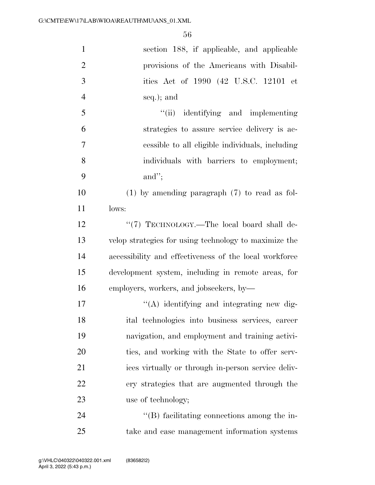| $\mathbf{1}$   | section 188, if applicable, and applicable             |
|----------------|--------------------------------------------------------|
| $\overline{2}$ | provisions of the Americans with Disabil-              |
| 3              | ities Act of 1990 (42 U.S.C. 12101 et                  |
| $\overline{4}$ | seq.); and                                             |
| 5              | "(ii) identifying and implementing                     |
| 6              | strategies to assure service delivery is ac-           |
| $\tau$         | cessible to all eligible individuals, including        |
| 8              | individuals with barriers to employment;               |
| 9              | and";                                                  |
| 10             | $(1)$ by amending paragraph $(7)$ to read as fol-      |
| 11             | lows:                                                  |
| 12             | "(7) TECHNOLOGY.—The local board shall de-             |
| 13             | velop strategies for using technology to maximize the  |
| 14             | accessibility and effectiveness of the local workforce |
| 15             | development system, including in remote areas, for     |
| 16             | employers, workers, and jobseekers, by-                |
| $17\,$         | "(A) identifying and integrating new dig-              |
| 18             | ital technologies into business services, career       |
| 19             | navigation, and employment and training activi-        |
| 20             | ties, and working with the State to offer serv-        |
| 21             | ices virtually or through in-person service deliv-     |
| 22             | ery strategies that are augmented through the          |
| 23             | use of technology;                                     |
| 24             | $\lq\lq$ facilitating connections among the in-        |
| 25             | take and case management information systems           |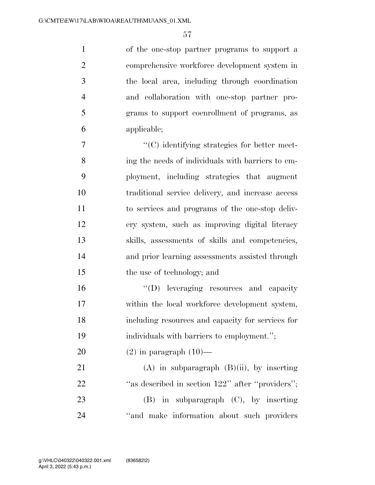of the one-stop partner programs to support a comprehensive workforce development system in the local area, including through coordination and collaboration with one-stop partner pro- grams to support coenrollment of programs, as applicable;

 ''(C) identifying strategies for better meet- ing the needs of individuals with barriers to em- ployment, including strategies that augment traditional service delivery, and increase access to services and programs of the one-stop deliv- ery system, such as improving digital literacy skills, assessments of skills and competencies, and prior learning assessments assisted through the use of technology; and

 ''(D) leveraging resources and capacity within the local workforce development system, including resources and capacity for services for individuals with barriers to employment.'';

20  $(2)$  in paragraph  $(10)$ —

21 (A) in subparagraph  $(B)(ii)$ , by inserting 22 "as described in section 122" after "providers"; (B) in subparagraph (C), by inserting 24 "and make information about such providers"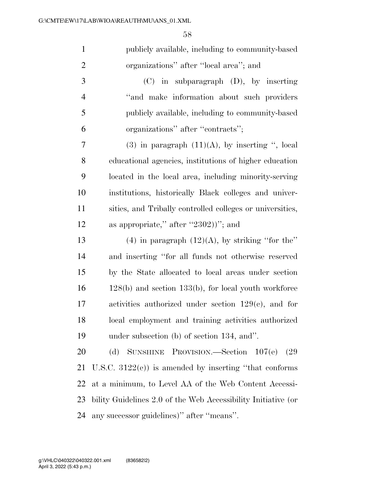| $\mathbf{1}$   | publicly available, including to community-based              |
|----------------|---------------------------------------------------------------|
| $\overline{2}$ | organizations" after "local area"; and                        |
| 3              | $(C)$ in subparagraph $(D)$ , by inserting                    |
| $\overline{4}$ | "and make information about such providers"                   |
| 5              | publicly available, including to community-based              |
| 6              | organizations" after "contracts";                             |
| 7              | $(3)$ in paragraph $(11)(A)$ , by inserting ", local          |
| 8              | educational agencies, institutions of higher education        |
| 9              | located in the local area, including minority-serving         |
| 10             | institutions, historically Black colleges and univer-         |
| 11             | sities, and Tribally controlled colleges or universities,     |
| 12             | as appropriate," after "2302))"; and                          |
| 13             | $(4)$ in paragraph $(12)(A)$ , by striking "for the"          |
| 14             | and inserting "for all funds not otherwise reserved           |
| 15             | by the State allocated to local areas under section           |
| 16             | $128(b)$ and section $133(b)$ , for local youth workforce     |
| 17             | activities authorized under section $129(c)$ , and for        |
| 18             | local employment and training activities authorized           |
| 19             | under subsection (b) of section 134, and".                    |
| 20             | SUNSHINE PROVISION.—Section $107(e)$<br>(d)<br>(29            |
| 21             | U.S.C. $3122(e)$ ) is amended by inserting "that conforms"    |
| 22             | at a minimum, to Level AA of the Web Content Accessi-         |
| 23             | bility Guidelines 2.0 of the Web Accessibility Initiative (or |
| 24             | any successor guidelines)" after "means".                     |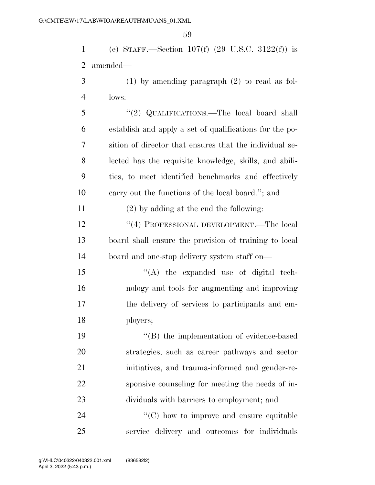(e) STAFF.—Section 107(f) (29 U.S.C. 3122(f)) is amended—

 (1) by amending paragraph (2) to read as fol-lows:

 ''(2) QUALIFICATIONS.—The local board shall establish and apply a set of qualifications for the po- sition of director that ensures that the individual se- lected has the requisite knowledge, skills, and abili- ties, to meet identified benchmarks and effectively carry out the functions of the local board.''; and

(2) by adding at the end the following:

12 ''(4) PROFESSIONAL DEVELOPMENT.—The local board shall ensure the provision of training to local board and one-stop delivery system staff on—

15 "(A) the expanded use of digital tech- nology and tools for augmenting and improving the delivery of services to participants and em-ployers;

19 ''(B) the implementation of evidence-based strategies, such as career pathways and sector initiatives, and trauma-informed and gender-re- sponsive counseling for meeting the needs of in-dividuals with barriers to employment; and

24  $\cdot$  (C) how to improve and ensure equitable service delivery and outcomes for individuals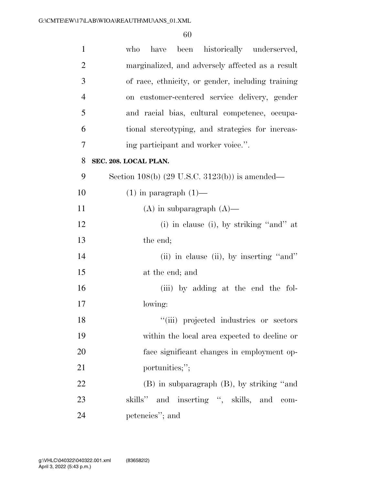| $\mathbf{1}$   | been historically underserved,<br>who<br>have             |
|----------------|-----------------------------------------------------------|
| $\overline{2}$ | marginalized, and adversely affected as a result          |
| 3              | of race, ethnicity, or gender, including training         |
| $\overline{4}$ | on customer-centered service delivery, gender             |
| 5              | and racial bias, cultural competence, occupa-             |
| 6              | tional stereotyping, and strategies for increas-          |
| 7              | ing participant and worker voice.".                       |
| 8              | SEC. 208. LOCAL PLAN.                                     |
| 9              | Section 108(b) $(29 \text{ U.S.C. } 3123(b))$ is amended— |
| 10             | $(1)$ in paragraph $(1)$ —                                |
| 11             | $(A)$ in subparagraph $(A)$ —                             |
| 12             | (i) in clause (i), by striking "and" at                   |
| 13             | the end;                                                  |
| 14             | (ii) in clause (ii), by inserting "and"                   |
| 15             | at the end; and                                           |
| 16             | (iii) by adding at the end the fol-                       |
| 17             | lowing:                                                   |
| 18             | "(iii) projected industries or sectors                    |
| 19             | within the local area expected to decline or              |
| 20             | face significant changes in employment op-                |
| 21             | portunities;";                                            |
| 22             | (B) in subparagraph (B), by striking "and                 |
| 23             | skills" and inserting ", skills, and com-                 |
| 24             | petencies"; and                                           |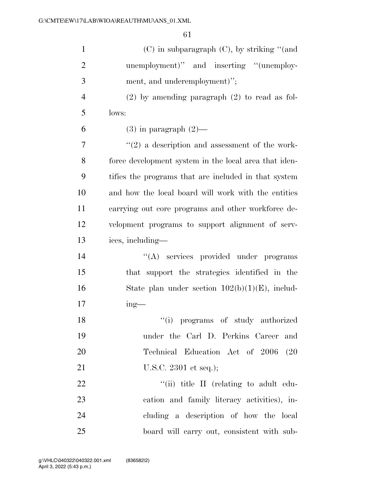| $\mathbf{1}$   | (C) in subparagraph (C), by striking "(and            |
|----------------|-------------------------------------------------------|
| $\overline{2}$ | unemployment)" and inserting "(unemploy-              |
| 3              | ment, and underemployment)";                          |
| 4              | $(2)$ by amending paragraph $(2)$ to read as fol-     |
| 5              | lows:                                                 |
| 6              | $(3)$ in paragraph $(2)$ —                            |
| 7              | $\lq(2)$ a description and assessment of the work-    |
| 8              | force development system in the local area that iden- |
| 9              | tifies the programs that are included in that system  |
| 10             | and how the local board will work with the entities   |
| 11             | carrying out core programs and other workforce de-    |
| 12             | velopment programs to support alignment of serv-      |
| 13             | ices, including—                                      |
| 14             | "(A) services provided under programs                 |
| 15             | that support the strategies identified in the         |
| 16             | State plan under section $102(b)(1)(E)$ , includ-     |
| 17             | $ing$ —                                               |
| 18             | "(i) programs of study authorized                     |
| 19             | under the Carl D. Perkins Career and                  |
| 20             | Technical Education Act of 2006 (20                   |
| 21             | U.S.C. 2301 et seq.);                                 |
| 22             | "(ii) title II (relating to adult edu-                |
| 23             | cation and family literacy activities), in-           |
| 24             | cluding a description of how the local                |
| 25             | board will carry out, consistent with sub-            |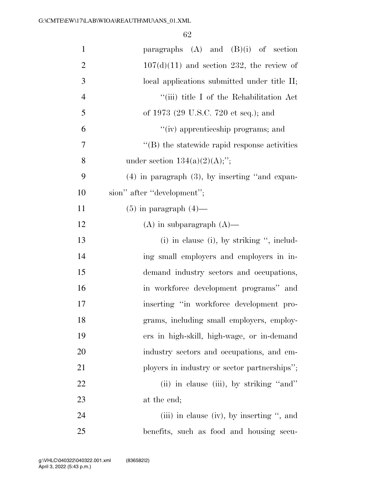| $\mathbf{1}$   | paragraphs $(A)$ and $(B)(i)$ of section            |
|----------------|-----------------------------------------------------|
| $\overline{2}$ | $107(d)(11)$ and section 232, the review of         |
| 3              | local applications submitted under title II;        |
| $\overline{4}$ | "(iii) title I of the Rehabilitation Act            |
| 5              | of 1973 (29 U.S.C. 720 et seq.); and                |
| 6              | "(iv) apprenticeship programs; and                  |
| 7              | $\lq\lq$ the statewide rapid response activities    |
| 8              | under section $134(a)(2)(A);$ ";                    |
| 9              | $(4)$ in paragraph $(3)$ , by inserting "and expan- |
| 10             | sion" after "development";                          |
| 11             | $(5)$ in paragraph $(4)$ —                          |
| 12             | $(A)$ in subparagraph $(A)$ —                       |
| 13             | $(i)$ in clause $(i)$ , by striking ", includ-      |
| 14             | ing small employers and employers in in-            |
| 15             | demand industry sectors and occupations,            |
| 16             | in workforce development programs" and              |
| 17             | inserting "in workforce development pro-            |
| 18             | grams, including small employers, employ-           |
| 19             | ers in high-skill, high-wage, or in-demand          |
| 20             | industry sectors and occupations, and em-           |
| 21             | ployers in industry or sector partnerships";        |
| 22             | (ii) in clause (iii), by striking "and"             |
| 23             | at the end;                                         |
| 24             | (iii) in clause (iv), by inserting $\cdot$ , and    |
| 25             | benefits, such as food and housing secu-            |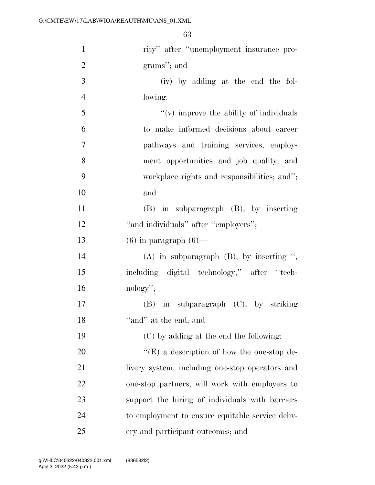| $\mathbf{1}$   | rity" after "unemployment insurance pro-          |
|----------------|---------------------------------------------------|
| $\overline{2}$ | grams"; and                                       |
| 3              | (iv) by adding at the end the fol-                |
| $\overline{4}$ | lowing:                                           |
| 5              | $f'(v)$ improve the ability of individuals        |
| 6              | to make informed decisions about career           |
| 7              | pathways and training services, employ-           |
| 8              | ment opportunities and job quality, and           |
| 9              | workplace rights and responsibilities; and";      |
| 10             | and                                               |
| 11             | (B) in subparagraph (B), by inserting             |
| 12             | "and individuals" after "employers";              |
| 13             | $(6)$ in paragraph $(6)$ —                        |
| 14             | $(A)$ in subparagraph $(B)$ , by inserting ",     |
| 15             | including digital technology," after "tech-       |
| 16             | $nology$ ";                                       |
| 17             | in subparagraph (C), by striking<br>(B)           |
| 18             | "and" at the end; and                             |
| 19             | (C) by adding at the end the following:           |
| 20             | $\lq\lq(E)$ a description of how the one-stop de- |
| 21             | livery system, including one-stop operators and   |
| 22             | one-stop partners, will work with employers to    |
| 23             | support the hiring of individuals with barriers   |
| 24             | to employment to ensure equitable service deliv-  |
| 25             | ery and participant outcomes; and                 |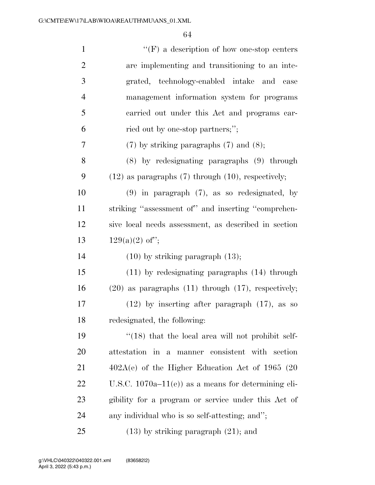| $\mathbf{1}$   | $\lq\lq(F)$ a description of how one-stop centers          |
|----------------|------------------------------------------------------------|
| $\mathbf{2}$   | are implementing and transitioning to an inte-             |
| 3              | grated, technology-enabled intake and<br>case              |
| $\overline{4}$ | management information system for programs                 |
| 5              | carried out under this Act and programs car-               |
| 6              | ried out by one-stop partners;";                           |
| 7              | $(7)$ by striking paragraphs $(7)$ and $(8)$ ;             |
| 8              | $(8)$ by redesignating paragraphs $(9)$ through            |
| 9              | $(12)$ as paragraphs $(7)$ through $(10)$ , respectively;  |
| 10             | $(9)$ in paragraph $(7)$ , as so redesignated, by          |
| 11             | striking "assessment of" and inserting "comprehen-         |
| 12             | sive local needs assessment, as described in section       |
|                |                                                            |
| 13             | $129(a)(2)$ of";                                           |
| 14             | $(10)$ by striking paragraph $(13)$ ;                      |
| 15             | $(11)$ by redesignating paragraphs $(14)$ through          |
| 16             | $(20)$ as paragraphs $(11)$ through $(17)$ , respectively; |
| 17             | $(12)$ by inserting after paragraph $(17)$ , as so         |
| 18             | redesignated, the following:                               |
| 19             | $\cdot$ (18) that the local area will not prohibit self-   |
| 20             | attestation in a manner consistent with section            |
| 21             | $402A(e)$ of the Higher Education Act of 1965 (20          |
| 22             | U.S.C. $1070a-11(e)$ as a means for determining eli-       |
| 23             | gibility for a program or service under this Act of        |
| 24             | any individual who is so self-attesting; and";             |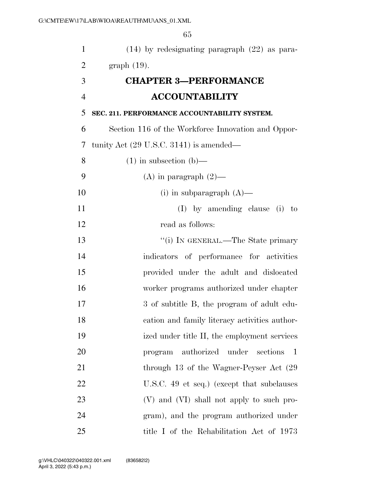| $\mathbf{1}$   | $(14)$ by redesignating paragraph $(22)$ as para-         |
|----------------|-----------------------------------------------------------|
| 2              | $graph(19)$ .                                             |
| 3              | <b>CHAPTER 3-PERFORMANCE</b>                              |
| $\overline{4}$ | <b>ACCOUNTABILITY</b>                                     |
| 5              | SEC. 211. PERFORMANCE ACCOUNTABILITY SYSTEM.              |
| 6              | Section 116 of the Workforce Innovation and Oppor-        |
| 7              | tunity Act $(29 \text{ U.S.C. } 3141)$ is amended—        |
| 8              | $(1)$ in subsection $(b)$ —                               |
| 9              | (A) in paragraph $(2)$ —                                  |
| 10             | (i) in subparagraph $(A)$ —                               |
| 11             | $(I)$ by amending clause $(i)$ to                         |
| 12             | read as follows:                                          |
| 13             | "(i) IN GENERAL.—The State primary                        |
| 14             | indicators of performance for activities                  |
| 15             | provided under the adult and dislocated                   |
| 16             | worker programs authorized under chapter                  |
| 17             | 3 of subtitle B, the program of adult edu-                |
| 18             | cation and family literacy activities author-             |
| 19             | ized under title II, the employment services              |
| 20             | authorized under<br>sections<br>$\overline{1}$<br>program |
| 21             | through 13 of the Wagner-Peyser Act (29)                  |
| 22             | U.S.C. 49 et seq.) (except that subclauses                |
| 23             | (V) and (VI) shall not apply to such pro-                 |
| 24             | gram), and the program authorized under                   |
| 25             | title I of the Rehabilitation Act of 1973                 |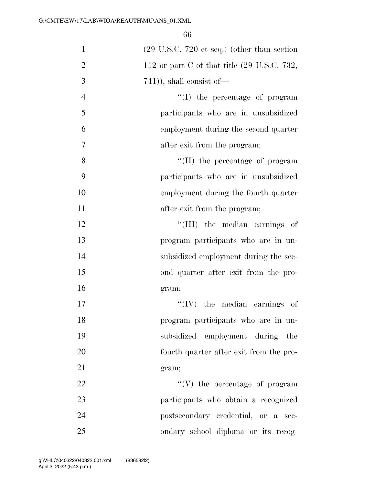| $\mathbf{1}$   | $(29 \text{ U.S.C. } 720 \text{ et seq.})$ (other than section |
|----------------|----------------------------------------------------------------|
| $\overline{2}$ | 112 or part C of that title $(29 \text{ U.S.C. } 732,$         |
| 3              | $(741)$ , shall consist of —                                   |
| $\overline{4}$ | "(I) the percentage of program                                 |
| 5              | participants who are in unsubsidized                           |
| 6              | employment during the second quarter                           |
| $\overline{7}$ | after exit from the program;                                   |
| 8              | $\lq\lq$ (II) the percentage of program                        |
| 9              | participants who are in unsubsidized                           |
| 10             | employment during the fourth quarter                           |
| 11             | after exit from the program;                                   |
| 12             | "(III) the median earnings of                                  |
| 13             | program participants who are in un-                            |
| 14             | subsidized employment during the sec-                          |
| 15             | ond quarter after exit from the pro-                           |
| 16             | gram;                                                          |
| 17             | $\lq\lq$ (IV) the median earnings of                           |
| 18             | program participants who are in un-                            |
| 19             | subsidized employment during the                               |
| 20             | fourth quarter after exit from the pro-                        |
| 21             | gram;                                                          |
| 22             | $\lq\lq(V)$ the percentage of program                          |
| 23             | participants who obtain a recognized                           |
| 24             | postsecondary credential, or a sec-                            |
| 25             | ondary school diploma or its recog-                            |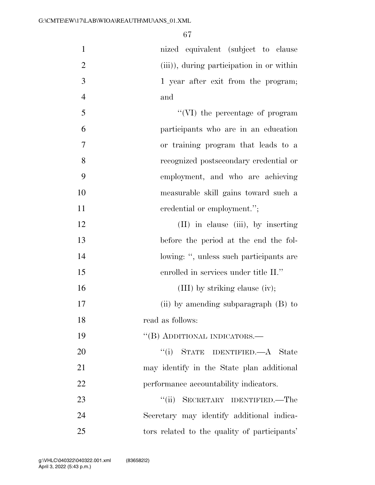| $\mathbf{1}$   | nized equivalent (subject to clause          |
|----------------|----------------------------------------------|
| $\overline{2}$ | (iii)), during participation in or within    |
| 3              | 1 year after exit from the program;          |
| $\overline{4}$ | and                                          |
| 5              | "(VI) the percentage of program              |
| 6              | participants who are in an education         |
| 7              | or training program that leads to a          |
| 8              | recognized postsecondary credential or       |
| 9              | employment, and who are achieving            |
| 10             | measurable skill gains toward such a         |
| 11             | credential or employment.";                  |
| 12             | $(II)$ in clause $(iii)$ , by inserting      |
| 13             | before the period at the end the fol-        |
| 14             | lowing: ", unless such participants are      |
| 15             | enrolled in services under title II."        |
| 16             | (III) by striking clause (iv);               |
| 17             | (ii) by amending subparagraph (B) to         |
| 18             | read as follows:                             |
| 19             | "(B) ADDITIONAL INDICATORS.—                 |
| 20             | "(i) STATE IDENTIFIED.—A State               |
| 21             | may identify in the State plan additional    |
| 22             | performance accountability indicators.       |
| 23             | "(ii) SECRETARY IDENTIFIED.—The              |
| 24             | Secretary may identify additional indica-    |
| 25             | tors related to the quality of participants' |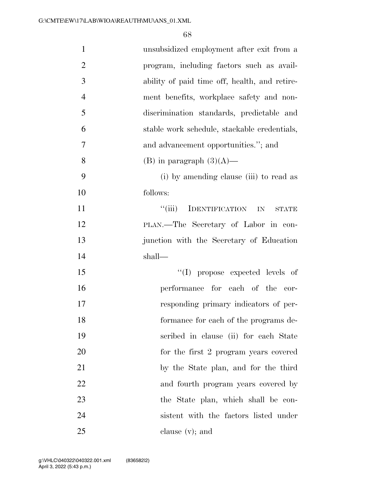| $\mathbf{1}$   | unsubsidized employment after exit from a     |
|----------------|-----------------------------------------------|
| $\overline{2}$ | program, including factors such as avail-     |
| 3              | ability of paid time off, health, and retire- |
| $\overline{4}$ | ment benefits, workplace safety and non-      |
| 5              | discrimination standards, predictable and     |
| 6              | stable work schedule, stackable credentials,  |
| $\tau$         | and advancement opportunities."; and          |
| 8              | (B) in paragraph $(3)(A)$ —                   |
| 9              | (i) by amending clause (iii) to read as       |
| 10             | follows:                                      |
| 11             | "(iii) IDENTIFICATION IN<br>STATE             |
| 12             | PLAN.—The Secretary of Labor in con-          |
| 13             | junction with the Secretary of Education      |
| 14             | shall—                                        |
| 15             | "(I) propose expected levels of               |
| 16             | performance for each of the cor-              |
| 17             | responding primary indicators of per-         |
| 18             | formance for each of the programs de-         |
| 19             | scribed in clause (ii) for each State         |
| 20             | for the first 2 program years covered         |
| 21             | by the State plan, and for the third          |
| 22             | and fourth program years covered by           |
| 23             | the State plan, which shall be con-           |
| 24             | sistent with the factors listed under         |
| 25             | clause $(v)$ ; and                            |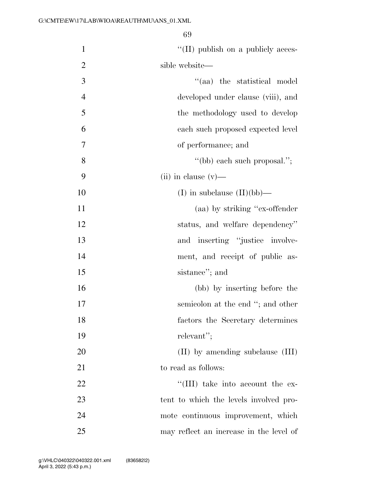| $\mathbf{1}$   | $\lq\lq$ (II) publish on a publicly acces- |
|----------------|--------------------------------------------|
| $\overline{2}$ | sible website—                             |
| $\mathfrak{Z}$ | "(aa) the statistical model                |
| $\overline{4}$ | developed under clause (viii), and         |
| 5              | the methodology used to develop            |
| 6              | each such proposed expected level          |
| 7              | of performance; and                        |
| 8              | "(bb) each such proposal.";                |
| 9              | $(ii)$ in clause $(v)$ —                   |
| 10             | (I) in subclause $(II)(bb)$ —              |
| 11             | (aa) by striking "ex-offender"             |
| 12             | status, and welfare dependency"            |
| 13             | and inserting "justice involve-            |
| 14             | ment, and receipt of public as-            |
| 15             | sistance"; and                             |
| 16             | (bb) by inserting before the               |
| 17             | semicolon at the end "; and other          |
| 18             | factors the Secretary determines           |
| 19             | relevant";                                 |
| 20             | (II) by amending subclause (III)           |
| 21             | to read as follows:                        |
| 22             | $\lq\lq$ (III) take into account the ex-   |
| 23             | tent to which the levels involved pro-     |
| 24             | mote continuous improvement, which         |
| 25             | may reflect an increase in the level of    |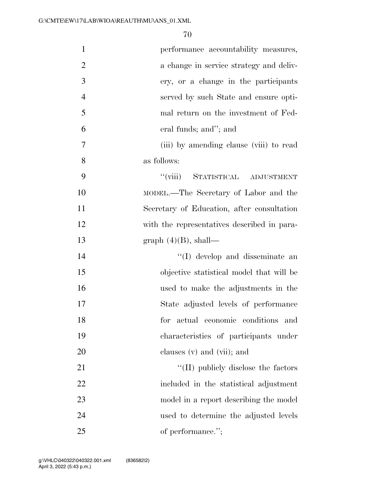| $\mathbf{1}$   | performance accountability measures,        |
|----------------|---------------------------------------------|
| $\overline{2}$ | a change in service strategy and deliv-     |
| 3              | ery, or a change in the participants        |
| $\overline{4}$ | served by such State and ensure opti-       |
| 5              | mal return on the investment of Fed-        |
| 6              | eral funds; and"; and                       |
| 7              | (iii) by amending clause (viii) to read     |
| 8              | as follows:                                 |
| 9              | "(viii) STATISTICAL ADJUSTMENT              |
| 10             | MODEL.—The Secretary of Labor and the       |
| 11             | Secretary of Education, after consultation  |
| 12             | with the representatives described in para- |
| 13             | graph $(4)(B)$ , shall—                     |
| 14             | "(I) develop and disseminate an             |
| 15             | objective statistical model that will be    |
| 16             | used to make the adjustments in the         |
| 17             | State adjusted levels of performance        |
| 18             | for<br>actual economic conditions<br>and    |
| 19             | characteristics of participants under       |
| 20             | clauses $(v)$ and $(vii)$ ; and             |
| 21             | $\lq\lq$ (II) publicly disclose the factors |
| 22             | included in the statistical adjustment      |
| 23             | model in a report describing the model      |
| 24             | used to determine the adjusted levels       |
| 25             | of performance.";                           |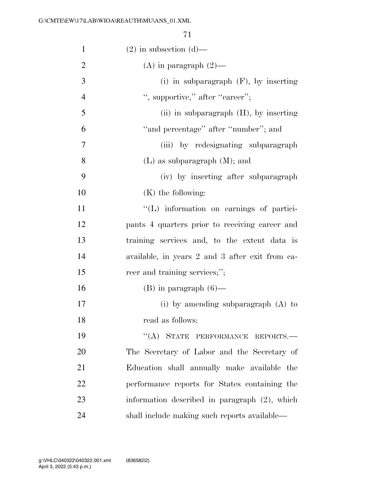| $\mathbf{1}$   | $(2)$ in subsection $(d)$ —                     |
|----------------|-------------------------------------------------|
| $\overline{2}$ | $(A)$ in paragraph $(2)$ —                      |
| 3              | (i) in subparagraph $(F)$ , by inserting        |
| $\overline{4}$ | ", supportive," after "career";                 |
| 5              | (ii) in subparagraph $(H)$ , by inserting       |
| 6              | "and percentage" after "number"; and            |
| 7              | (iii) by redesignating subparagraph             |
| 8              | $(L)$ as subparagraph $(M)$ ; and               |
| 9              | (iv) by inserting after subparagraph            |
| 10             | $(K)$ the following:                            |
| 11             | "(L) information on earnings of partici-        |
| 12             | pants 4 quarters prior to receiving career and  |
| 13             | training services and, to the extent data is    |
| 14             | available, in years 2 and 3 after exit from ca- |
| 15             | reer and training services;";                   |
| 16             | $(B)$ in paragraph $(6)$ —                      |
| 17             | (i) by amending subparagraph $(A)$ to           |
| 18             | read as follows:                                |
| 19             | "(A) STATE PERFORMANCE REPORTS.-                |
| 20             | The Secretary of Labor and the Secretary of     |
| 21             | Education shall annually make available the     |
| 22             | performance reports for States containing the   |
| 23             | information described in paragraph (2), which   |
| 24             | shall include making such reports available-    |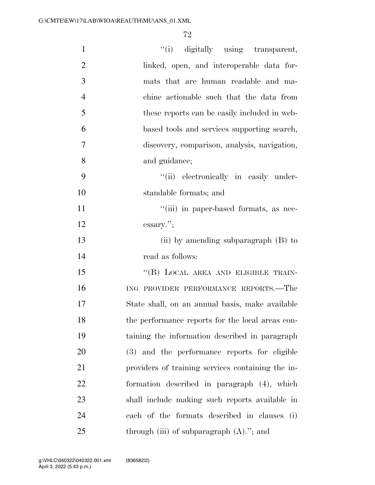| $\mathbf{1}$   | "(i) digitally using transparent,                 |
|----------------|---------------------------------------------------|
| $\overline{2}$ | linked, open, and interoperable data for-         |
| 3              | mats that are human readable and ma-              |
| $\overline{4}$ | chine actionable such that the data from          |
| 5              | these reports can be easily included in web-      |
| 6              | based tools and services supporting search,       |
| 7              | discovery, comparison, analysis, navigation,      |
| 8              | and guidance;                                     |
| 9              | "(ii) electronically in easily under-             |
| 10             | standable formats; and                            |
| 11             | "(iii) in paper-based formats, as nec-            |
| 12             | $\sum$ essary.";                                  |
| 13             | (ii) by amending subparagraph $(B)$ to            |
| 14             | read as follows:                                  |
| 15             | "(B) LOCAL AREA AND ELIGIBLE TRAIN-               |
| 16             | ING PROVIDER PERFORMANCE REPORTS.-The             |
| 17             | State shall, on an annual basis, make available   |
| 18             | the performance reports for the local areas con-  |
| 19             | taining the information described in paragraph    |
| 20             | (3) and the performance reports for eligible      |
| 21             | providers of training services containing the in- |
| 22             | formation described in paragraph (4), which       |
| 23             | shall include making such reports available in    |
| 24             | each of the formats described in clauses (i)      |
| 25             | through (iii) of subparagraph $(A)$ ."; and       |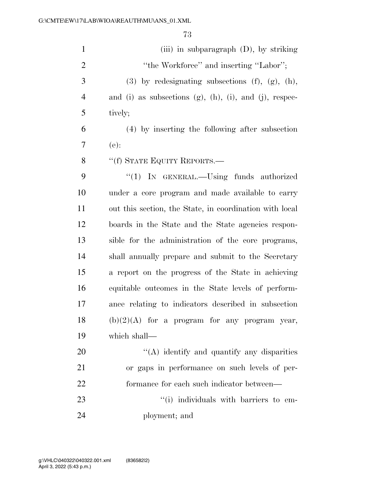| $\mathbf{1}$   | (iii) in subparagraph $(D)$ , by striking                          |
|----------------|--------------------------------------------------------------------|
| $\overline{2}$ | "the Workforce" and inserting "Labor";                             |
| 3              | $(3)$ by redesignating subsections $(f)$ , $(g)$ , $(h)$ ,         |
| $\overline{4}$ | and (i) as subsections $(g)$ , $(h)$ , $(i)$ , and $(j)$ , respec- |
| 5              | tively;                                                            |
| 6              | (4) by inserting the following after subsection                    |
| 7              | $(e)$ :                                                            |
| 8              | "(f) STATE EQUITY REPORTS.—                                        |
| 9              | " $(1)$ IN GENERAL.—Using funds authorized                         |
| 10             | under a core program and made available to carry                   |
| 11             | out this section, the State, in coordination with local            |
| 12             | boards in the State and the State agencies respon-                 |
| 13             | sible for the administration of the core programs,                 |
| 14             | shall annually prepare and submit to the Secretary                 |
| 15             | a report on the progress of the State in achieving                 |
| 16             | equitable outcomes in the State levels of perform-                 |
| 17             | ance relating to indicators described in subsection                |
| 18             | $(b)(2)(A)$ for a program for any program year,                    |
| 19             | which shall—                                                       |
| 20             | "(A) identify and quantify any disparities                         |
| 21             | or gaps in performance on such levels of per-                      |
| 22             | formance for each such indicator between—                          |
| 23             | "(i) individuals with barriers to em-                              |
| 24             | ployment; and                                                      |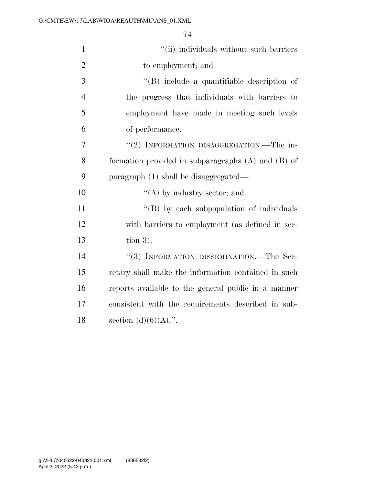| $\mathbf{1}$   | "(ii) individuals without such barriers                |
|----------------|--------------------------------------------------------|
| $\overline{2}$ | to employment; and                                     |
| 3              | "(B) include a quantifiable description of             |
| $\overline{4}$ | the progress that individuals with barriers to         |
| 5              | employment have made in meeting such levels            |
| 6              | of performance.                                        |
| $\overline{7}$ | "(2) INFORMATION DISAGGREGATION.—The in-               |
| 8              | formation provided in subparagraphs $(A)$ and $(B)$ of |
| 9              | paragraph (1) shall be disaggregated—                  |
| 10             | $\lq\lq$ by industry sector; and                       |
| 11             | "(B) by each subpopulation of individuals              |
| 12             | with barriers to employment (as defined in sec-        |
| 13             | tion $3$ ).                                            |
| 14             | "(3) INFORMATION DISSEMINATION.—The Sec-               |
| 15             | retary shall make the information contained in such    |
| 16             | reports available to the general public in a manner    |
| 17             | consistent with the requirements described in sub-     |
| 18             | section $(d)(6)(A)$ .".                                |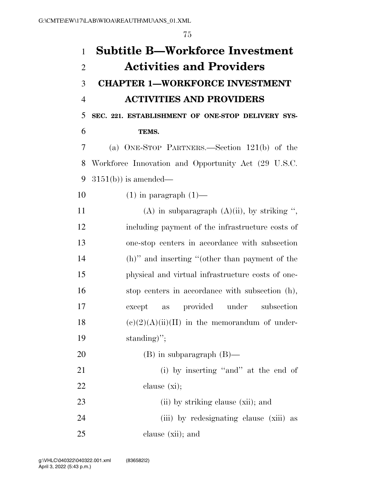| $\mathbf{1}$   | <b>Subtitle B-Workforce Investment</b>              |
|----------------|-----------------------------------------------------|
| $\overline{2}$ | <b>Activities and Providers</b>                     |
| 3              | <b>CHAPTER 1-WORKFORCE INVESTMENT</b>               |
| $\overline{4}$ | <b>ACTIVITIES AND PROVIDERS</b>                     |
| 5              | SEC. 221. ESTABLISHMENT OF ONE-STOP DELIVERY SYS-   |
| 6              | TEMS.                                               |
| 7              | (a) ONE-STOP PARTNERS.—Section 121(b) of the        |
| 8              | Workforce Innovation and Opportunity Act (29 U.S.C. |
| 9              | $3151(b)$ is amended—                               |
| 10             | $(1)$ in paragraph $(1)$ —                          |
| 11             | (A) in subparagraph $(A)(ii)$ , by striking ",      |
| 12             | including payment of the infrastructure costs of    |
| 13             | one-stop centers in accordance with subsection      |
| 14             | (h)" and inserting "(other than payment of the      |
| 15             | physical and virtual infrastructure costs of one-   |
| 16             | stop centers in accordance with subsection (h),     |
| 17             | provided under subsection<br>except<br>as           |
| 18             | $(e)(2)(A)(ii)(II)$ in the memorandum of under-     |
| 19             | standing)";                                         |
| 20             | $(B)$ in subparagraph $(B)$ —                       |
| 21             | (i) by inserting "and" at the end of                |
| 22             | clause $(x_i)$ ;                                    |
| 23             | (ii) by striking clause (xii); and                  |
| 24             | (iii) by redesignating clause (xiii) as             |
| 25             | clause (xii); and                                   |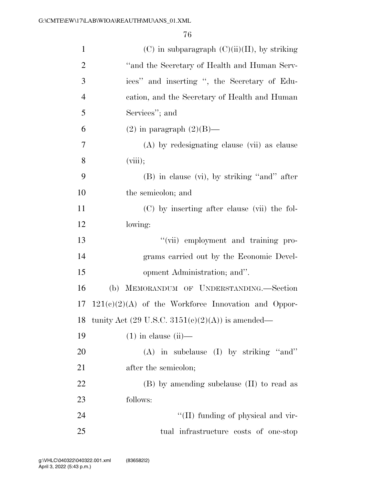| $\mathbf{1}$   | $(C)$ in subparagraph $(C)(ii)(II)$ , by striking                  |
|----------------|--------------------------------------------------------------------|
| $\overline{2}$ | "and the Secretary of Health and Human Serv-                       |
| 3              | ices" and inserting ", the Secretary of Edu-                       |
| $\overline{4}$ | cation, and the Secretary of Health and Human                      |
| 5              | Services"; and                                                     |
| 6              | $(2)$ in paragraph $(2)(B)$ —                                      |
| 7              | (A) by redesignating clause (vii) as clause                        |
| 8              | (viii);                                                            |
| 9              | $(B)$ in clause $(vi)$ , by striking "and" after                   |
| 10             | the semicolon; and                                                 |
| 11             | (C) by inserting after clause (vii) the fol-                       |
| 12             | lowing:                                                            |
| 13             | "(vii) employment and training pro-                                |
| 14             | grams carried out by the Economic Devel-                           |
| 15             | opment Administration; and".                                       |
| 16             | (b) MEMORANDUM OF UNDERSTANDING.—Section                           |
| 17             | $121(e)(2)(A)$ of the Workforce Innovation and Oppor-              |
| 18             | tunity Act $(29 \text{ U.S.C. } 3151(c)(2)(\text{A}))$ is amended— |
| 19             | $(1)$ in clause $(ii)$ —                                           |
| 20             | $(A)$ in subclause $(I)$ by striking "and"                         |
| 21             | after the semicolon;                                               |
| 22             | (B) by amending subclause (II) to read as                          |
| 23             | follows:                                                           |
| 24             | "(II) funding of physical and vir-                                 |
| 25             | tual infrastructure costs of one-stop                              |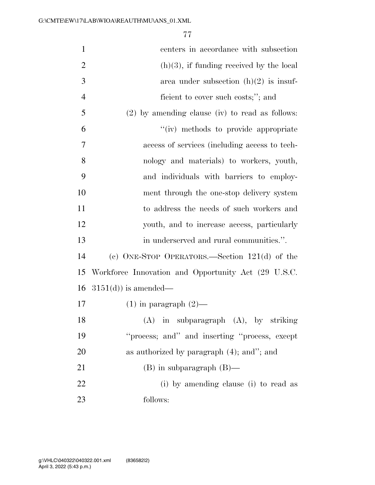| $\mathbf{1}$   | centers in accordance with subsection               |
|----------------|-----------------------------------------------------|
| $\overline{2}$ | $(h)(3)$ , if funding received by the local         |
| 3              | area under subsection $(h)(2)$ is insuf-            |
| $\overline{4}$ | ficient to cover such costs;"; and                  |
| 5              | $(2)$ by amending clause (iv) to read as follows:   |
| 6              | "(iv) methods to provide appropriate                |
| 7              | access of services (including access to tech-       |
| 8              | nology and materials) to workers, youth,            |
| 9              | and individuals with barriers to employ-            |
| 10             | ment through the one-stop delivery system           |
| 11             | to address the needs of such workers and            |
| 12             | youth, and to increase access, particularly         |
| 13             | in underserved and rural communities.".             |
| 14             | (c) ONE-STOP OPERATORS.—Section $121(d)$ of the     |
| 15             | Workforce Innovation and Opportunity Act (29 U.S.C. |
| 16             | $3151(d)$ is amended—                               |
| 17             | $(1)$ in paragraph $(2)$ —                          |
| 18             | (A)<br>in subparagraph (A), by striking             |
| 19             | "process; and" and inserting "process, except       |
| 20             | as authorized by paragraph $(4)$ ; and"; and        |
| 21             | $(B)$ in subparagraph $(B)$ —                       |
| 22             | (i) by amending clause (i) to read as               |
| 23             | follows:                                            |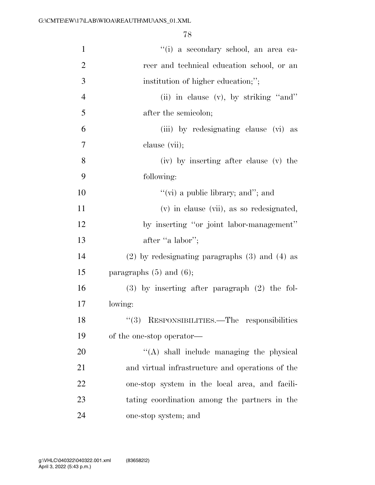| $\mathbf{1}$   | "(i) a secondary school, an area ca-                 |
|----------------|------------------------------------------------------|
| $\overline{2}$ | reer and technical education school, or an           |
| 3              | institution of higher education;";                   |
| $\overline{4}$ | (ii) in clause (v), by striking "and"                |
| 5              | after the semicolon;                                 |
| 6              | (iii) by redesignating clause (vi) as                |
| $\overline{7}$ | clause (vii);                                        |
| 8              | (iv) by inserting after clause (v) the               |
| 9              | following:                                           |
| 10             | "(vi) a public library; and"; and                    |
| 11             | (v) in clause (vii), as so redesignated,             |
| 12             | by inserting "or joint labor-management"             |
| 13             | after "a labor";                                     |
| 14             | $(2)$ by redesignating paragraphs $(3)$ and $(4)$ as |
| 15             | paragraphs $(5)$ and $(6)$ ;                         |
| 16             | $(3)$ by inserting after paragraph $(2)$ the fol-    |
| 17             | lowing:                                              |
| 18             | "(3) RESPONSIBILITIES.—The responsibilities          |
| 19             | of the one-stop operator—                            |
| 20             | $\lq\lq$ shall include managing the physical         |
| 21             | and virtual infrastructure and operations of the     |
| 22             | one-stop system in the local area, and facili-       |
| 23             | tating coordination among the partners in the        |
| 24             | one-stop system; and                                 |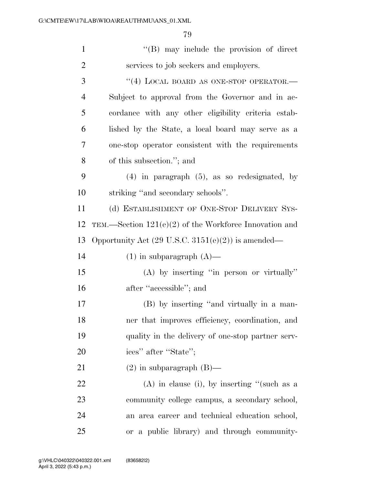| $\mathbf{1}$   | $\lq\lq (B)$ may include the provision of direct              |
|----------------|---------------------------------------------------------------|
| $\overline{2}$ | services to job seekers and employers.                        |
| 3              | $``(4)$ LOCAL BOARD AS ONE-STOP OPERATOR.                     |
| 4              | Subject to approval from the Governor and in ac-              |
| 5              | cordance with any other eligibility criteria estab-           |
| 6              | lished by the State, a local board may serve as a             |
| $\overline{7}$ | one-stop operator consistent with the requirements            |
| 8              | of this subsection."; and                                     |
| 9              | $(4)$ in paragraph $(5)$ , as so redesignated, by             |
| 10             | striking "and secondary schools".                             |
| 11             | (d) ESTABLISHMENT OF ONE-STOP DELIVERY SYS-                   |
| 12             | TEM.—Section $121(e)(2)$ of the Workforce Innovation and      |
| 13             | Opportunity Act $(29 \text{ U.S.C. } 3151(e)(2))$ is amended— |
| 14             | $(1)$ in subparagraph $(A)$ —                                 |
| 15             | (A) by inserting "in person or virtually"                     |
| 16             | after "accessible"; and                                       |
| 17             | (B) by inserting "and virtually in a man-                     |
| 18             | ner that improves efficiency, coordination, and               |
| 19             | quality in the delivery of one-stop partner serv-             |
| 20             | ices" after "State";                                          |
| 21             | $(2)$ in subparagraph $(B)$ —                                 |
| 22             | $(A)$ in clause (i), by inserting "(such as a                 |
| 23             | community college campus, a secondary school,                 |
| 24             | an area career and technical education school,                |
| 25             | or a public library) and through community-                   |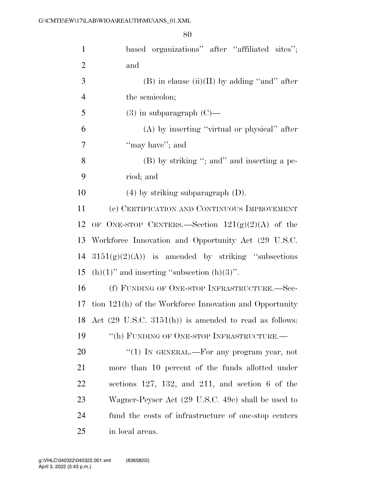| $\mathbf{1}$   | based organizations" after "affiliated sites";                    |
|----------------|-------------------------------------------------------------------|
| $\overline{2}$ | and                                                               |
| 3              | $(B)$ in clause $(ii)(II)$ by adding "and" after                  |
| $\overline{4}$ | the semicolon;                                                    |
| 5              | $(3)$ in subparagraph $(C)$ —                                     |
| 6              | $(A)$ by inserting "virtual or physical" after                    |
| 7              | "may have"; and                                                   |
| 8              | (B) by striking "; and" and inserting a pe-                       |
| 9              | riod; and                                                         |
| 10             | $(4)$ by striking subparagraph $(D)$ .                            |
| 11             | (e) CERTIFICATION AND CONTINUOUS IMPROVEMENT                      |
| 12             | OF ONE-STOP CENTERS.—Section $121(g)(2)(A)$ of the                |
| 13             | Workforce Innovation and Opportunity Act (29 U.S.C.               |
| 14             | $3151(g)(2)(A)$ is amended by striking "subsections"              |
| 15             | $(h)(1)$ " and inserting "subsection $(h)(3)$ ".                  |
| 16             | (f) FUNDING OF ONE-STOP INFRASTRUCTURE.-Sec-                      |
| 17             | tion 121(h) of the Workforce Innovation and Opportunity           |
| 18             | Act $(29 \text{ U.S.C. } 3151(h))$ is amended to read as follows: |
| 19             | "(h) FUNDING OF ONE-STOP INFRASTRUCTURE.-                         |
| 20             | "(1) IN GENERAL.—For any program year, not                        |
| 21             | more than 10 percent of the funds allotted under                  |
| 22             | sections $127, 132,$ and $211,$ and section 6 of the              |
| 23             | Wagner-Peyser Act (29 U.S.C. 49e) shall be used to                |
| 24             | fund the costs of infrastructure of one-stop centers              |
| 25             | in local areas.                                                   |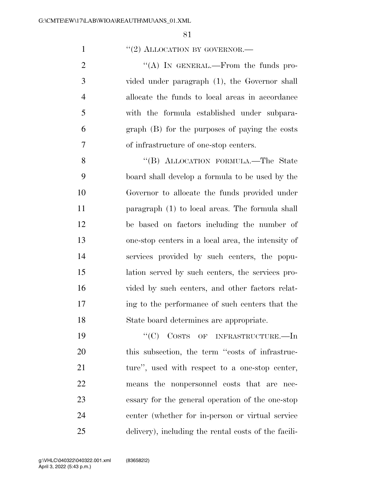### 1  $\frac{1}{2}$  ALLOCATION BY GOVERNOR.

 $\langle (A) \rangle$  In GENERAL.—From the funds pro- vided under paragraph (1), the Governor shall allocate the funds to local areas in accordance with the formula established under subpara- graph (B) for the purposes of paying the costs of infrastructure of one-stop centers.

8 "(B) ALLOCATION FORMULA.—The State board shall develop a formula to be used by the Governor to allocate the funds provided under paragraph (1) to local areas. The formula shall be based on factors including the number of one-stop centers in a local area, the intensity of services provided by such centers, the popu- lation served by such centers, the services pro-16 vided by such centers, and other factors relat- ing to the performance of such centers that the State board determines are appropriate.

19 "'(C) COSTS OF INFRASTRUCTURE.—In 20 this subsection, the term "costs of infrastruc-21 ture", used with respect to a one-stop center, means the nonpersonnel costs that are nec- essary for the general operation of the one-stop center (whether for in-person or virtual service delivery), including the rental costs of the facili-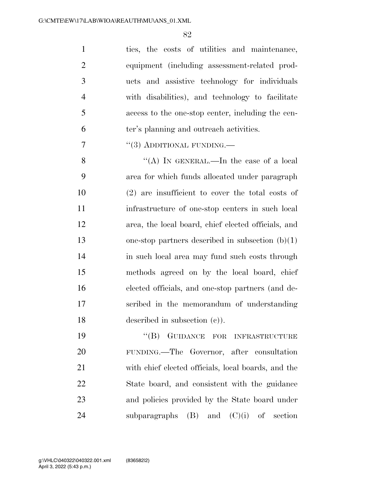ties, the costs of utilities and maintenance, equipment (including assessment-related prod- ucts and assistive technology for individuals with disabilities), and technology to facilitate access to the one-stop center, including the cen-ter's planning and outreach activities.

7  $''(3)$  ADDITIONAL FUNDING.—

8 "(A) In GENERAL.—In the case of a local area for which funds allocated under paragraph (2) are insufficient to cover the total costs of infrastructure of one-stop centers in such local area, the local board, chief elected officials, and one-stop partners described in subsection (b)(1) in such local area may fund such costs through methods agreed on by the local board, chief elected officials, and one-stop partners (and de- scribed in the memorandum of understanding described in subsection (c)).

19 "(B) GUIDANCE FOR INFRASTRUCTURE FUNDING.—The Governor, after consultation with chief elected officials, local boards, and the State board, and consistent with the guidance and policies provided by the State board under 24 subparagraphs  $(B)$  and  $(C)(i)$  of section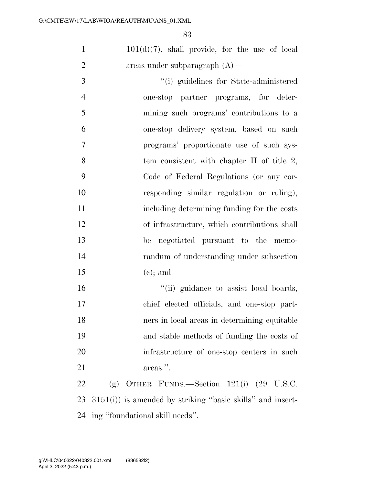$101(d)(7)$ , shall provide, for the use of local areas under subparagraph (A)—

 ''(i) guidelines for State-administered one-stop partner programs, for deter- mining such programs' contributions to a one-stop delivery system, based on such programs' proportionate use of such sys-8 tem consistent with chapter II of title 2, Code of Federal Regulations (or any cor- responding similar regulation or ruling), including determining funding for the costs of infrastructure, which contributions shall be negotiated pursuant to the memo- randum of understanding under subsection 15 (e); and

 ''(ii) guidance to assist local boards, chief elected officials, and one-stop part- ners in local areas in determining equitable and stable methods of funding the costs of infrastructure of one-stop centers in such 21 areas.".

 (g) OTHER FUNDS.—Section 121(i) (29 U.S.C. 3151(i)) is amended by striking ''basic skills'' and insert-ing ''foundational skill needs''.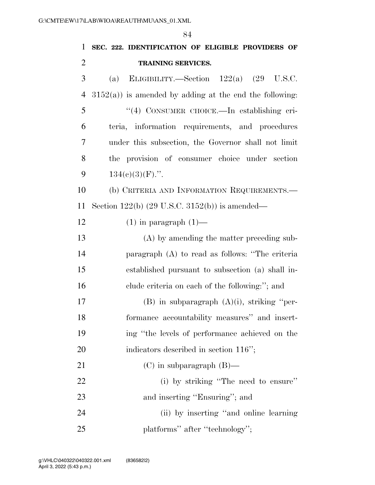**SEC. 222. IDENTIFICATION OF ELIGIBLE PROVIDERS OF TRAINING SERVICES.**  (a) ELIGIBILITY.—Section 122(a) (29 U.S.C.  $3152(a)$  is amended by adding at the end the following: ''(4) CONSUMER CHOICE.—In establishing cri- teria, information requirements, and procedures under this subsection, the Governor shall not limit the provision of consumer choice under section  $134(e)(3)(F)$ .". (b) CRITERIA AND INFORMATION REQUIREMENTS.— Section 122(b) (29 U.S.C. 3152(b)) is amended—  $(1)$  in paragraph  $(1)$ — (A) by amending the matter preceding sub- paragraph (A) to read as follows: ''The criteria established pursuant to subsection (a) shall in-16 clude criteria on each of the following:"; and 17 (B) in subparagraph  $(A)(i)$ , striking "per- formance accountability measures'' and insert- ing ''the levels of performance achieved on the 20 indicators described in section 116"; (C) in subparagraph (B)— (i) by striking ''The need to ensure'' 23 and inserting "Ensuring"; and (ii) by inserting ''and online learning 25 platforms'' after "technology";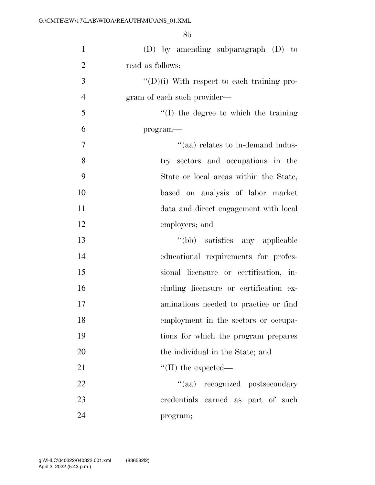| $\mathbf{1}$   | $(D)$ by amending subparagraph $(D)$ to            |
|----------------|----------------------------------------------------|
| $\overline{2}$ | read as follows:                                   |
| 3              | $\lq\lq$ (D)(i) With respect to each training pro- |
| $\overline{4}$ | gram of each such provider—                        |
| 5              | $``(I)$ the degree to which the training           |
| 6              | $program-$                                         |
| $\overline{7}$ | "(aa) relates to in-demand indus-                  |
| 8              | try sectors and occupations in the                 |
| 9              | State or local areas within the State,             |
| 10             | based on analysis of labor market                  |
| 11             | data and direct engagement with local              |
| 12             | employers; and                                     |
| 13             | "(bb) satisfies any applicable                     |
| 14             | educational requirements for profes-               |
| 15             | sional licensure or certification, in-             |
| 16             | cluding licensure or certification ex-             |
| 17             | aminations needed to practice or find              |
| 18             | employment in the sectors or occupa-               |
| 19             | tions for which the program prepares               |
| 20             | the individual in the State; and                   |
| 21             | $\lq\lq$ (II) the expected—                        |
| 22             | "(aa) recognized postsecondary                     |
| 23             | credentials earned as part of such                 |
| 24             | program;                                           |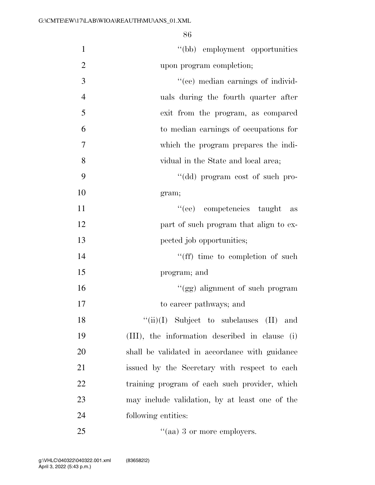1 ''(bb) employment opportunities upon program completion;  $\frac{1}{2}$   $\frac{1}{2}$   $\frac{1}{2}$   $\frac{1}{2}$   $\frac{1}{2}$   $\frac{1}{2}$   $\frac{1}{2}$   $\frac{1}{2}$   $\frac{1}{2}$   $\frac{1}{2}$   $\frac{1}{2}$   $\frac{1}{2}$   $\frac{1}{2}$   $\frac{1}{2}$   $\frac{1}{2}$   $\frac{1}{2}$   $\frac{1}{2}$   $\frac{1}{2}$   $\frac{1}{2}$   $\frac{1}{2}$   $\frac{1}{2}$   $\frac{1}{2}$  uals during the fourth quarter after exit from the program, as compared to median earnings of occupations for which the program prepares the indi- vidual in the State and local area; 9 ''(dd) program cost of such pro-10 gram; 11 ''(ee) competencies taught as

12 **part of such program that align to ex-**13 pected job opportunities; 14 ''(ff) time to completion of such

15 program; and

16 ''(gg) alignment of such program 17 to career pathways; and

 $"(*ii*)(I)$  Subject to subclauses  $(II)$  and (III), the information described in clause (i) shall be validated in accordance with guidance issued by the Secretary with respect to each 22 training program of each such provider, which may include validation, by at least one of the 24 following entities:

25  $\frac{1}{2}$  aa) 3 or more employers.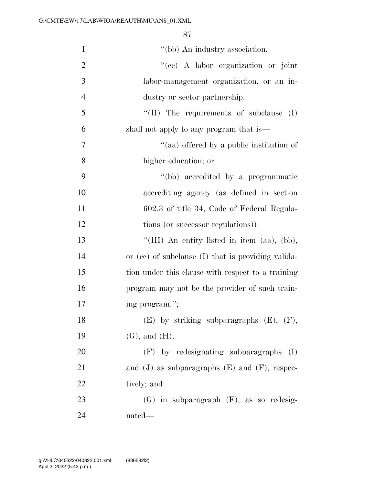| $\mathbf{1}$   | "(bb) An industry association.                       |
|----------------|------------------------------------------------------|
| $\overline{2}$ | "(ee) A labor organization or joint                  |
| 3              | labor-management organization, or an in-             |
| $\overline{4}$ | dustry or sector partnership.                        |
| 5              | "(II) The requirements of subclause $(I)$            |
| 6              | shall not apply to any program that is—              |
| 7              | "(aa) offered by a public institution of             |
| 8              | higher education; or                                 |
| 9              | "(bb) accredited by a programmatic                   |
| 10             | accrediting agency (as defined in section            |
| 11             | 602.3 of title 34, Code of Federal Regula-           |
| 12             | tions (or successor regulations)).                   |
| 13             | "(III) An entity listed in item $(aa), (bb),$        |
| 14             | or (ee) of subclause (I) that is providing valida-   |
| 15             | tion under this clause with respect to a training    |
| 16             | program may not be the provider of such train-       |
| 17             | ing program.";                                       |
| 18             | $(E)$ by striking subparagraphs $(E)$ , $(F)$ ,      |
| 19             | $(G)$ , and $(H)$ ;                                  |
| 20             | (F) by redesignating subparagraphs<br>(I)            |
| 21             | and $(J)$ as subparagraphs $(E)$ and $(F)$ , respec- |
| 22             | tively; and                                          |
| 23             | $(G)$ in subparagraph $(F)$ , as so redesig-         |
| 24             | nated—                                               |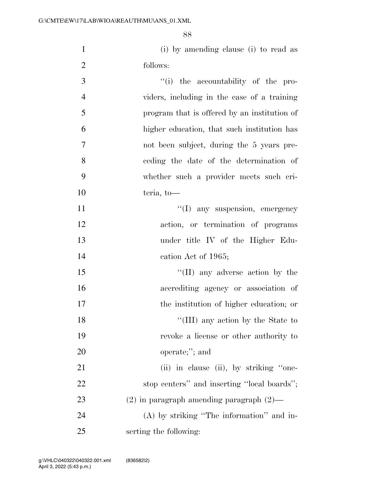(i) by amending clause (i) to read as follows:

| 3              | "(i) the accountability of the pro-           |
|----------------|-----------------------------------------------|
| $\overline{4}$ | viders, including in the case of a training   |
| 5              | program that is offered by an institution of  |
| 6              | higher education, that such institution has   |
| $\tau$         | not been subject, during the 5 years pre-     |
| 8              | ceding the date of the determination of       |
| 9              | whether such a provider meets such cri-       |
| 10             | teria, to-                                    |
| 11             | "(I) any suspension, emergency                |
| 12             | action, or termination of programs            |
| 13             | under title IV of the Higher Edu-             |
| 14             | cation Act of 1965;                           |
| 15             | $\lq\lq$ (II) any adverse action by the       |
| 16             | accrediting agency or association of          |
| 17             | the institution of higher education; or       |
| 18             | "(III) any action by the State to             |
| 19             | revoke a license or other authority to        |
| 20             | operate;"; and                                |
| 21             | (ii) in clause (ii), by striking "one-        |
| 22             | stop centers" and inserting "local boards";   |
| 23             | $(2)$ in paragraph amending paragraph $(2)$ — |
| 24             | $(A)$ by striking "The information" and in-   |
|                |                                               |

serting the following: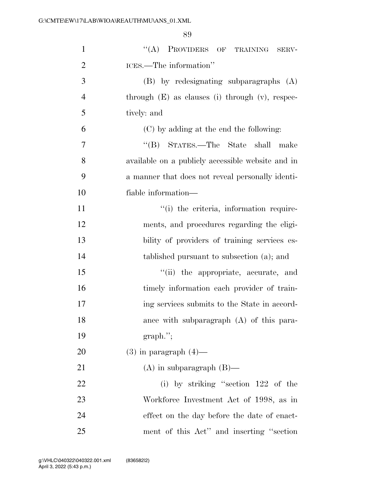| $\mathbf{1}$   | "(A) PROVIDERS OF TRAINING<br>SERV-                  |
|----------------|------------------------------------------------------|
| $\overline{2}$ | ICES.—The information"                               |
| 3              | (B) by redesignating subparagraphs (A)               |
| $\overline{4}$ | through $(E)$ as clauses (i) through $(v)$ , respec- |
| 5              | tively: and                                          |
| 6              | (C) by adding at the end the following:              |
| $\overline{7}$ | "(B) STATES.—The State shall make                    |
| 8              | available on a publicly accessible website and in    |
| 9              | a manner that does not reveal personally identi-     |
| 10             | fiable information—                                  |
| 11             | "(i) the criteria, information require-              |
| 12             | ments, and procedures regarding the eligi-           |
| 13             | bility of providers of training services es-         |
| 14             | tablished pursuant to subsection (a); and            |
| 15             | "(ii) the appropriate, accurate, and                 |
| 16             | timely information each provider of train-           |
| 17             | ing services submits to the State in accord-         |
| 18             | ance with subparagraph (A) of this para-             |
| 19             | $graph$ .";                                          |
| 20             | $(3)$ in paragraph $(4)$ —                           |
| 21             | $(A)$ in subparagraph $(B)$ —                        |
| 22             | (i) by striking "section $122$ of the                |
| 23             | Workforce Investment Act of 1998, as in              |
| 24             | effect on the day before the date of enact-          |
| 25             | ment of this Act" and inserting "section"            |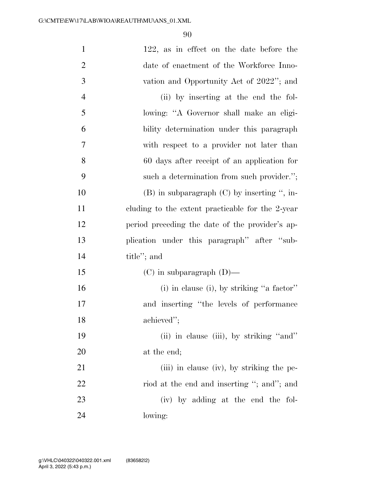| $\mathbf{1}$   | 122, as in effect on the date before the         |
|----------------|--------------------------------------------------|
| $\overline{2}$ | date of enactment of the Workforce Inno-         |
| 3              | vation and Opportunity Act of 2022"; and         |
| $\overline{4}$ | (ii) by inserting at the end the fol-            |
| 5              | lowing: "A Governor shall make an eligi-         |
| 6              | bility determination under this paragraph        |
| $\overline{7}$ | with respect to a provider not later than        |
| 8              | 60 days after receipt of an application for      |
| 9              | such a determination from such provider.";       |
| 10             | $(B)$ in subparagraph $(C)$ by inserting ", in-  |
| 11             | cluding to the extent practicable for the 2-year |
| 12             | period preceding the date of the provider's ap-  |
| 13             | plication under this paragraph" after "sub-      |
| 14             | title"; and                                      |
| 15             | $(C)$ in subparagraph $(D)$ —                    |
| 16             | (i) in clause (i), by striking "a factor"        |
| 17             | and inserting "the levels of performance         |
| 18             | achieved";                                       |
| 19             | (ii) in clause (iii), by striking "and"          |
| <b>20</b>      | at the end;                                      |
| 21             | (iii) in clause (iv), by striking the pe-        |
| 22             | riod at the end and inserting "; and"; and       |
| 23             | (iv) by adding at the end the fol-               |
| 24             | lowing:                                          |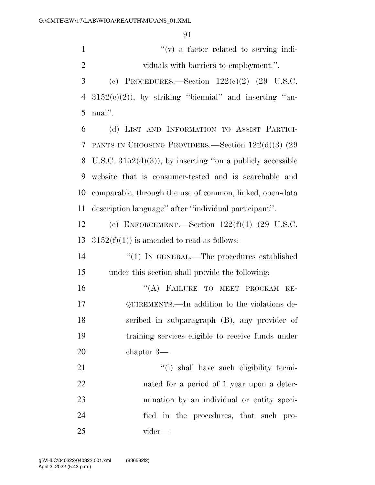1  $''(v)$  a factor related to serving indi-viduals with barriers to employment.''.

3 (c) PROCEDURES.—Section  $122(e)(2)$  (29 U.S.C. 4  $3152(c)(2)$ , by striking "biennial" and inserting "an-nual''.

 (d) LIST AND INFORMATION TO ASSIST PARTICI- PANTS IN CHOOSING PROVIDERS.—Section 122(d)(3) (29 8 U.S.C.  $3152(d)(3)$ , by inserting "on a publicly accessible website that is consumer-tested and is searchable and comparable, through the use of common, linked, open-data description language'' after ''individual participant''.

 (e) ENFORCEMENT.—Section 122(f)(1) (29 U.S.C. 13  $3152(f)(1)$  is amended to read as follows:

14  $\frac{1}{2}$  (1) In GENERAL.—The procedures established under this section shall provide the following:

16 "(A) FAILURE TO MEET PROGRAM RE- QUIREMENTS.—In addition to the violations de- scribed in subparagraph (B), any provider of training services eligible to receive funds under chapter 3—

 $\frac{1}{1}$  shall have such eligibility termi- nated for a period of 1 year upon a deter- mination by an individual or entity speci- fied in the procedures, that such pro-vider—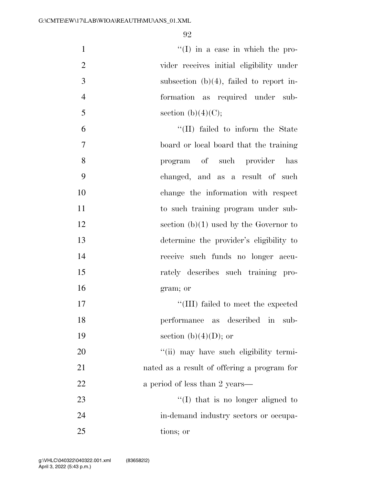$''(I)$  in a case in which the pro- vider receives initial eligibility under subsection (b)(4), failed to report in- formation as required under sub-5 section (b)(4)(C);

 ''(II) failed to inform the State board or local board that the training program of such provider has changed, and as a result of such change the information with respect 11 to such training program under sub-12 section (b)(1) used by the Governor to determine the provider's eligibility to receive such funds no longer accu- rately describes such training pro- gram; or  $\frac{17}{111}$  failed to meet the expected

18 performance as described in sub-19 section (b)(4)(D); or

20  $\frac{1}{20}$   $\frac{1}{20}$  may have such eligibility termi-21 nated as a result of offering a program for 22 a period of less than 2 years—

23 ''(I) that is no longer aligned to 24 in-demand industry sectors or occupa-25 tions; or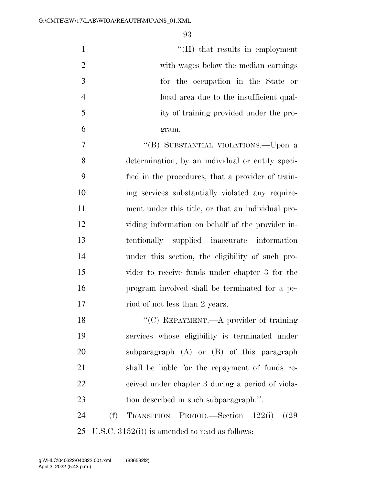| $\mathbf{1}$   | $\lq\lq$ (II) that results in employment                    |
|----------------|-------------------------------------------------------------|
| $\overline{2}$ | with wages below the median earnings                        |
| 3              | for the occupation in the State or                          |
| $\overline{4}$ | local area due to the insufficient qual-                    |
| 5              | ity of training provided under the pro-                     |
| 6              | gram.                                                       |
| $\tau$         | "(B) SUBSTANTIAL VIOLATIONS.—Upon a                         |
| 8              | determination, by an individual or entity speci-            |
| 9              | fied in the procedures, that a provider of train-           |
| 10             | ing services substantially violated any require-            |
| 11             | ment under this title, or that an individual pro-           |
| 12             | viding information on behalf of the provider in-            |
| 13             | tentionally supplied inaccurate information                 |
| 14             | under this section, the eligibility of such pro-            |
| 15             | vider to receive funds under chapter 3 for the              |
| 16             | program involved shall be terminated for a pe-              |
| 17             | riod of not less than 2 years.                              |
| 18             | $\lq\lq$ <sup>"</sup> (C) REPAYMENT.—A provider of training |
| 19             | services whose eligibility is terminated under              |
| 20             | subparagraph $(A)$ or $(B)$ of this paragraph               |
| 21             | shall be liable for the repayment of funds re-              |
| 22             | ceived under chapter 3 during a period of viola-            |
| 23             | tion described in such subparagraph.".                      |
| 24             | (f)<br>TRANSITION PERIOD.—Section 122(i) ((29)              |
|                |                                                             |

U.S.C. 3152(i)) is amended to read as follows: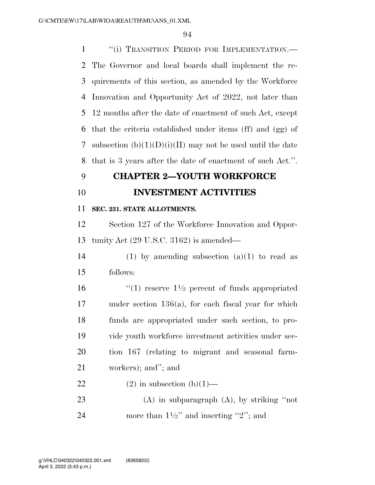1 <sup>"</sup>(i) TRANSITION PERIOD FOR IMPLEMENTATION.— The Governor and local boards shall implement the re- quirements of this section, as amended by the Workforce Innovation and Opportunity Act of 2022, not later than 12 months after the date of enactment of such Act, except that the criteria established under items (ff) and (gg) of 7 subsection  $(b)(1)(D)(i)(II)$  may not be used until the date that is 3 years after the date of enactment of such Act.''.

## **CHAPTER 2—YOUTH WORKFORCE**

# **INVESTMENT ACTIVITIES**

### **SEC. 231. STATE ALLOTMENTS.**

 Section 127 of the Workforce Innovation and Oppor-tunity Act (29 U.S.C. 3162) is amended—

14 (1) by amending subsection  $(a)(1)$  to read as follows:

 $\frac{16}{2}$  (1) reserve  $1\frac{1}{2}$  percent of funds appropriated under section 136(a), for each fiscal year for which funds are appropriated under such section, to pro- vide youth workforce investment activities under sec- tion 167 (relating to migrant and seasonal farm-workers); and''; and

## 22 (2) in subsection  $(b)(1)$ —

 (A) in subparagraph (A), by striking ''not 24 more than  $1\frac{1}{2}$  and inserting "2"; and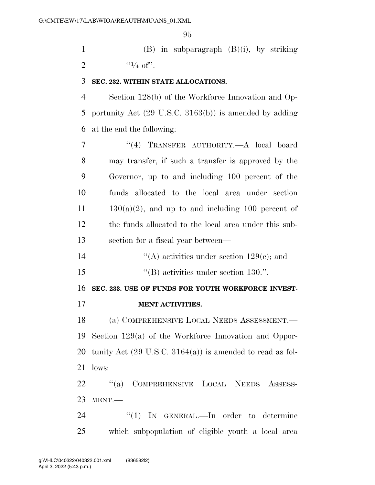(B) in subparagraph (B)(i), by striking 2  $\frac{1}{4}$  of".

#### **SEC. 232. WITHIN STATE ALLOCATIONS.**

 Section 128(b) of the Workforce Innovation and Op- portunity Act (29 U.S.C. 3163(b)) is amended by adding at the end the following:

 ''(4) TRANSFER AUTHORITY.—A local board may transfer, if such a transfer is approved by the Governor, up to and including 100 percent of the funds allocated to the local area under section  $11 \t 130(a)(2)$ , and up to and including 100 percent of the funds allocated to the local area under this sub-section for a fiscal year between—

''(A) activities under section 129(c); and

15  $\text{``(B) activities under section 130."}$ 

**SEC. 233. USE OF FUNDS FOR YOUTH WORKFORCE INVEST-**

**MENT ACTIVITIES.** 

 (a) COMPREHENSIVE LOCAL NEEDS ASSESSMENT.— Section 129(a) of the Workforce Innovation and Oppor- tunity Act (29 U.S.C. 3164(a)) is amended to read as fol-lows:

 ''(a) COMPREHENSIVE LOCAL NEEDS ASSESS-MENT.—

24 "(1) In GENERAL.—In order to determine which subpopulation of eligible youth a local area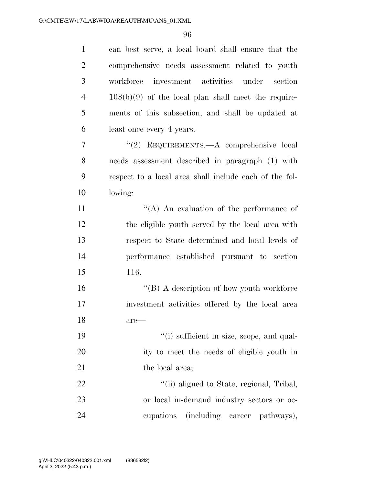| $\mathbf{1}$   | can best serve, a local board shall ensure that the    |
|----------------|--------------------------------------------------------|
| $\overline{2}$ | comprehensive needs assessment related to youth        |
| 3              | workforce investment activities under section          |
| $\overline{4}$ | $108(b)(9)$ of the local plan shall meet the require-  |
| 5              | ments of this subsection, and shall be updated at      |
| 6              | least once every 4 years.                              |
| 7              | "(2) REQUIREMENTS.—A comprehensive local               |
| 8              | needs assessment described in paragraph (1) with       |
| 9              | respect to a local area shall include each of the fol- |
| 10             | lowing:                                                |
| 11             | "(A) An evaluation of the performance of               |
| 12             | the eligible youth served by the local area with       |
| 13             | respect to State determined and local levels of        |
| 14             | performance established pursuant to section            |
| 15             | 116.                                                   |
| 16             | $\lq\lq (B)$ A description of how youth workforce      |
| 17             | investment activities offered by the local area        |
| 18             | $are$ —                                                |
| 19             | "(i) sufficient in size, scope, and qual-              |
| 20             | ity to meet the needs of eligible youth in             |
| 21             | the local area;                                        |
| 22             | "(ii) aligned to State, regional, Tribal,              |
| 23             | or local in-demand industry sectors or oc-             |
| 24             | (including career<br>cupations<br>pathways),           |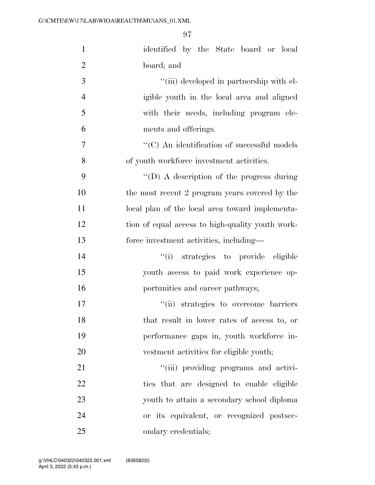| $\mathbf{1}$   | identified by the State board or local             |
|----------------|----------------------------------------------------|
| $\overline{2}$ | board; and                                         |
| 3              | "(iii) developed in partnership with el-           |
| $\overline{4}$ | igible youth in the local area and aligned         |
| 5              | with their needs, including program ele-           |
| 6              | ments and offerings.                               |
| $\overline{7}$ | $\cdot$ (C) An identification of successful models |
| 8              | of youth workforce investment activities.          |
| 9              | "(D) A description of the progress during          |
| 10             | the most recent 2 program years covered by the     |
| 11             | local plan of the local area toward implementa-    |
| 12             | tion of equal access to high-quality youth work-   |
| 13             | force investment activities, including-            |
| 14             | "(i) strategies to provide eligible                |
| 15             | youth access to paid work experience op-           |
| 16             | portunities and career pathways;                   |
| 17             | "(ii) strategies to overcome barriers              |
| 18             | that result in lower rates of access to, or        |
| 19             | performance gaps in, youth workforce in-           |
| 20             | vestment activities for eligible youth;            |
| 21             | "(iii) providing programs and activi-              |
| 22             | ties that are designed to enable eligible          |
| 23             | youth to attain a secondary school diploma         |
| 24             | or its equivalent, or recognized postsec-          |
| 25             | ondary credentials;                                |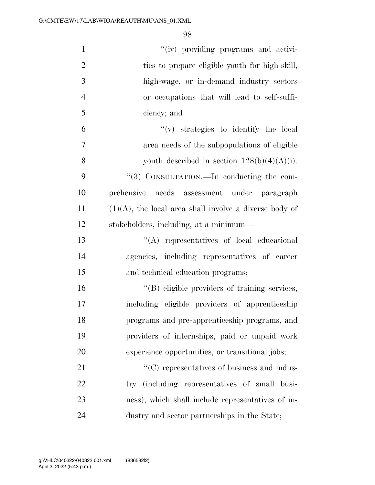| $\mathbf{1}$   | "(iv) providing programs and activi-                      |
|----------------|-----------------------------------------------------------|
| $\overline{2}$ | ties to prepare eligible youth for high-skill,            |
| 3              | high-wage, or in-demand industry sectors                  |
| $\overline{4}$ | or occupations that will lead to self-suffi-              |
| 5              | ciency; and                                               |
| 6              | $f'(v)$ strategies to identify the local                  |
| $\overline{7}$ | area needs of the subpopulations of eligible              |
| 8              | youth described in section $128(b)(4)(A)(i)$ .            |
| 9              | "(3) CONSULTATION.—In conducting the com-                 |
| 10             | prehensive needs assessment under paragraph               |
| 11             | $(1)(A)$ , the local area shall involve a diverse body of |
| 12             | stakeholders, including, at a minimum-                    |
| 13             | "(A) representatives of local educational                 |
| 14             | agencies, including representatives of career             |
| 15             | and technical education programs;                         |
| 16             | "(B) eligible providers of training services,             |
| 17             | including eligible providers of apprenticeship            |
| 18             | programs and pre-apprenticeship programs, and             |
| 19             | providers of internships, paid or unpaid work             |
| 20             | experience opportunities, or transitional jobs;           |
| 21             | $\lq\lq$ representatives of business and indus-           |
| 22             | try (including representatives of small busi-             |
| 23             | ness), which shall include representatives of in-         |
| 24             | dustry and sector partnerships in the State;              |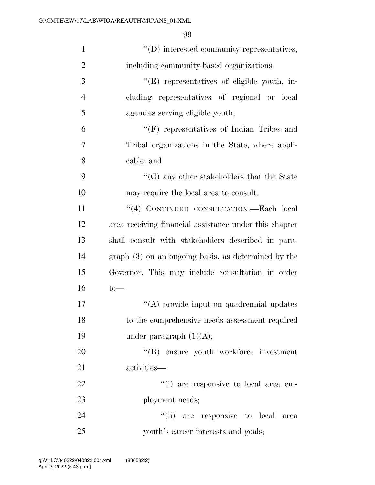| $\mathbf{1}$   | $\lq\lq$ ) interested community representatives,       |
|----------------|--------------------------------------------------------|
| $\overline{2}$ | including community-based organizations;               |
| 3              | "(E) representatives of eligible youth, in-            |
| $\overline{4}$ | cluding representatives of regional or local           |
| 5              | agencies serving eligible youth;                       |
| 6              | $\lq\lq(F)$ representatives of Indian Tribes and       |
| 7              | Tribal organizations in the State, where appli-        |
| 8              | cable; and                                             |
| 9              | $\lq\lq(G)$ any other stakeholders that the State      |
| 10             | may require the local area to consult.                 |
| 11             | "(4) CONTINUED CONSULTATION.—Each local                |
| 12             | area receiving financial assistance under this chapter |
| 13             | shall consult with stakeholders described in para-     |
| 14             | $graph(3)$ on an ongoing basis, as determined by the   |
| 15             | Governor. This may include consultation in order       |
| 16             | $to$ —                                                 |
| 17             | "(A) provide input on quadrennial updates              |
| 18             | to the comprehensive needs assessment required         |
| 19             | under paragraph $(1)(A);$                              |
| 20             | "(B) ensure youth workforce investment                 |
| 21             | activities—                                            |
| 22             | "(i) are responsive to local area em-                  |
| 23             | ployment needs;                                        |
| 24             | "(ii) are responsive to local<br>area                  |
| 25             | youth's career interests and goals;                    |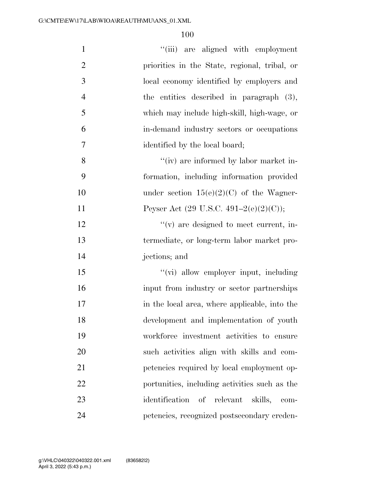| $\mathbf{1}$   | "(iii) are aligned with employment                |
|----------------|---------------------------------------------------|
| $\overline{2}$ | priorities in the State, regional, tribal, or     |
| $\mathfrak{Z}$ | local economy identified by employers and         |
| $\overline{4}$ | the entities described in paragraph $(3)$ ,       |
| 5              | which may include high-skill, high-wage, or       |
| 6              | in-demand industry sectors or occupations         |
| $\overline{7}$ | identified by the local board;                    |
| 8              | "(iv) are informed by labor market in-            |
| 9              | formation, including information provided         |
| 10             | under section $15(e)(2)(C)$ of the Wagner-        |
| 11             | Peyser Act $(29 \text{ U.S.C. } 491-2(e)(2)(C));$ |
| 12             | $f'(v)$ are designed to meet current, in-         |
| 13             | termediate, or long-term labor market pro-        |
| 14             | jections; and                                     |
| 15             | "(vi) allow employer input, including             |
| 16             | input from industry or sector partnerships        |
| 17             | in the local area, where applicable, into the     |
| 18             | development and implementation of youth           |
| 19             | workforce investment activities to ensure         |
| 20             | such activities align with skills and com-        |
| 21             | petencies required by local employment op-        |
| 22             | portunities, including activities such as the     |
| 23             | identification of relevant<br>skills,<br>$com-$   |
| 24             | petencies, recognized postsecondary creden-       |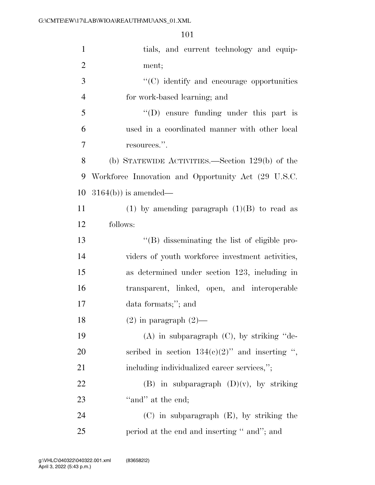| $\mathbf{1}$   | tials, and current technology and equip-            |
|----------------|-----------------------------------------------------|
| $\overline{2}$ | ment;                                               |
| 3              | $\cdot$ (C) identify and encourage opportunities    |
| $\overline{4}$ | for work-based learning; and                        |
| 5              | $\lq\lq$ (D) ensure funding under this part is      |
| 6              | used in a coordinated manner with other local       |
| 7              | resources.".                                        |
| 8              | (b) STATEWIDE ACTIVITIES.—Section $129(b)$ of the   |
| 9              | Workforce Innovation and Opportunity Act (29 U.S.C. |
| 10             | $3164(b)$ ) is amended—                             |
| 11             | (1) by amending paragraph $(1)(B)$ to read as       |
| 12             | follows:                                            |
| 13             | "(B) disseminating the list of eligible pro-        |
| 14             | viders of youth workforce investment activities,    |
| 15             | as determined under section 123, including in       |
| 16             | transparent, linked, open, and interoperable        |
| 17             | data formats;"; and                                 |
| 18             | $(2)$ in paragraph $(2)$ —                          |
| 19             | $(A)$ in subparagraph $(C)$ , by striking "de-      |
| 20             | scribed in section $134(e)(2)$ " and inserting ",   |
| 21             | including individualized career services,";         |
| 22             | (B) in subparagraph $(D)(v)$ , by striking          |
| 23             | "and" at the end;                                   |
| 24             | $(C)$ in subparagraph $(E)$ , by striking the       |
| 25             | period at the end and inserting " and"; and         |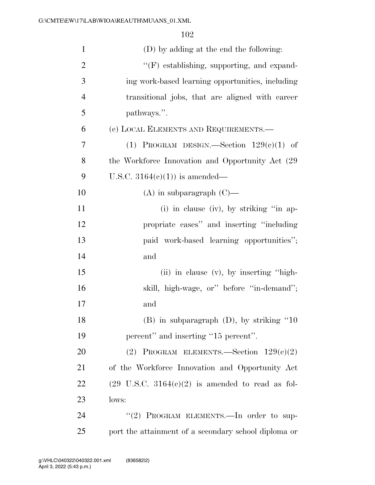| $\mathbf{1}$   | (D) by adding at the end the following:                     |
|----------------|-------------------------------------------------------------|
| $\overline{2}$ | $\lq\lq(F)$ establishing, supporting, and expand-           |
| 3              | ing work-based learning opportunities, including            |
| $\overline{4}$ | transitional jobs, that are aligned with career             |
| 5              | pathways.".                                                 |
| 6              | (c) LOCAL ELEMENTS AND REQUIREMENTS.—                       |
| 7              | (1) PROGRAM DESIGN.—Section $129(e)(1)$ of                  |
| 8              | the Workforce Innovation and Opportunity Act (29)           |
| 9              | U.S.C. $3164(e)(1)$ is amended—                             |
| 10             | $(A)$ in subparagraph $(C)$ —                               |
| 11             | (i) in clause (iv), by striking "in ap-                     |
| 12             | propriate cases" and inserting "including                   |
| 13             | paid work-based learning opportunities";                    |
| 14             | and                                                         |
| 15             | (ii) in clause $(v)$ , by inserting "high-                  |
| 16             | skill, high-wage, or" before "in-demand";                   |
| 17             | and                                                         |
| 18             | $(B)$ in subparagraph $(D)$ , by striking "10               |
| 19             | percent" and inserting "15 percent".                        |
| 20             | (2) PROGRAM ELEMENTS.—Section $129(e)(2)$                   |
| 21             | of the Workforce Innovation and Opportunity Act             |
| 22             | $(29 \text{ U.S.C. } 3164(e)(2)$ is amended to read as fol- |
| 23             | lows:                                                       |
| 24             | "(2) PROGRAM ELEMENTS. - In order to sup-                   |
| 25             | port the attainment of a secondary school diploma or        |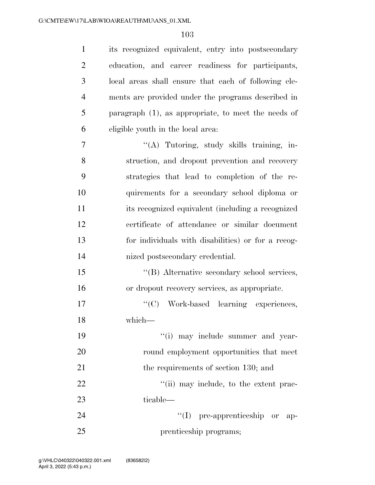| $\mathbf{1}$   | its recognized equivalent, entry into postsecondary    |
|----------------|--------------------------------------------------------|
| $\overline{2}$ | education, and career readiness for participants,      |
| 3              | local areas shall ensure that each of following ele-   |
| $\overline{4}$ | ments are provided under the programs described in     |
| 5              | paragraph $(1)$ , as appropriate, to meet the needs of |
| 6              | eligible youth in the local area.                      |
| 7              | "(A) Tutoring, study skills training, in-              |
| 8              | struction, and dropout prevention and recovery         |
| 9              | strategies that lead to completion of the re-          |
| 10             | quirements for a secondary school diploma or           |
| 11             | its recognized equivalent (including a recognized      |
| 12             | certificate of attendance or similar document          |
| 13             | for individuals with disabilities) or for a recog-     |
| 14             | nized postsecondary credential.                        |
| 15             | "(B) Alternative secondary school services,            |
| 16             | or dropout recovery services, as appropriate.          |
| 17             | "(C) Work-based learning experiences,                  |
| 18             | which—                                                 |
| 19             | "(i) may include summer and year-                      |
| 20             | round employment opportunities that meet               |
| 21             | the requirements of section 130; and                   |
| 22             | "(ii) may include, to the extent prac-                 |
| 23             | ticable—                                               |
| 24             | $\lq\lq$ pre-apprenticeship or<br>-ap-                 |
| 25             | prenticeship programs;                                 |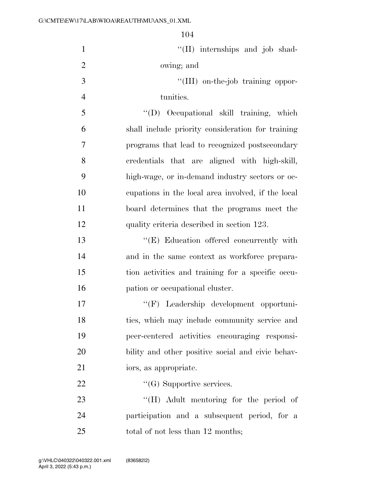1 ''(II) internships and job shad- owing; and  $\frac{1}{\text{III}}$  on-the-job training oppor- tunities. ''(D) Occupational skill training, which shall include priority consideration for training programs that lead to recognized postsecondary credentials that are aligned with high-skill, high-wage, or in-demand industry sectors or oc- cupations in the local area involved, if the local board determines that the programs meet the quality criteria described in section 123. ''(E) Education offered concurrently with and in the same context as workforce prepara- tion activities and training for a specific occu-**pation** or occupational cluster. ''(F) Leadership development opportuni- ties, which may include community service and peer-centered activities encouraging responsi-

- iors, as appropriate.
- 22  $\bullet$  ''(G) Supportive services.

23 "'(H) Adult mentoring for the period of participation and a subsequent period, for a 25 total of not less than 12 months;

bility and other positive social and civic behav-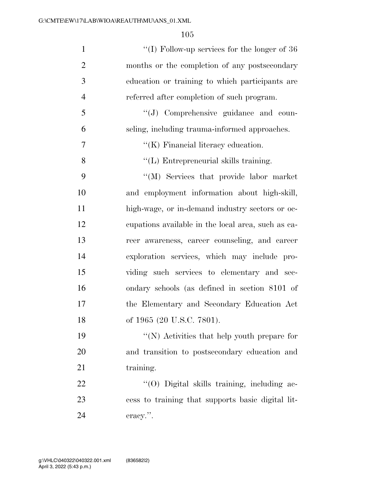| $\mathbf{1}$   | "(I) Follow-up services for the longer of $36$     |
|----------------|----------------------------------------------------|
| $\overline{2}$ | months or the completion of any postsecondary      |
| 3              | education or training to which participants are    |
| $\overline{4}$ | referred after completion of such program.         |
| 5              | "(J) Comprehensive guidance and coun-              |
| 6              | seling, including trauma-informed approaches.      |
| 7              | $\lq\lq$ (K) Financial literacy education.         |
| 8              | "(L) Entrepreneurial skills training.              |
| 9              | "(M) Services that provide labor market            |
| 10             | and employment information about high-skill,       |
| 11             | high-wage, or in-demand industry sectors or oc-    |
| 12             | equations available in the local area, such as ea- |
| 13             | reer awareness, career counseling, and career      |
| 14             | exploration services, which may include pro-       |
| 15             | viding such services to elementary and sec-        |
| 16             | ondary schools (as defined in section 8101 of      |
| 17             | the Elementary and Secondary Education Act         |
| 18             | of 1965 (20 U.S.C. 7801).                          |
| 19             | "(N) Activities that help youth prepare for        |
| 20             | and transition to postsecondary education and      |
| 21             | training.                                          |
| 22             | "(O) Digital skills training, including ac-        |
| 23             | cess to training that supports basic digital lit-  |
| 24             | eracy.".                                           |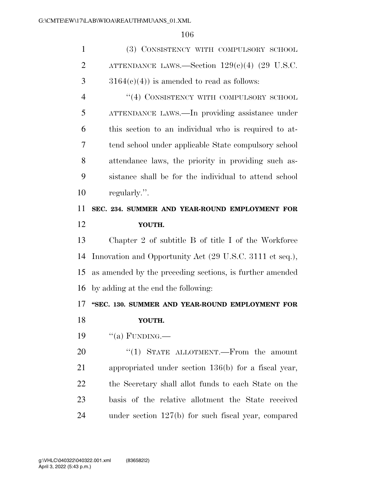| $\mathbf{1}$   | (3) CONSISTENCY WITH COMPULSORY SCHOOL                   |
|----------------|----------------------------------------------------------|
| $\overline{2}$ | ATTENDANCE LAWS.—Section $129(e)(4)$ (29 U.S.C.          |
| 3              | $3164(c)(4)$ is amended to read as follows:              |
| $\overline{4}$ | "(4) CONSISTENCY WITH COMPULSORY SCHOOL                  |
| 5              | ATTENDANCE LAWS.—In providing assistance under           |
| 6              | this section to an individual who is required to at-     |
| 7              | tend school under applicable State compulsory school     |
| 8              | attendance laws, the priority in providing such as-      |
| 9              | sistance shall be for the individual to attend school    |
| 10             | regularly.".                                             |
| 11             | SEC. 234. SUMMER AND YEAR-ROUND EMPLOYMENT FOR           |
| 12             | YOUTH.                                                   |
|                |                                                          |
| 13             | Chapter 2 of subtitle B of title I of the Workforce      |
| 14             | Innovation and Opportunity Act (29 U.S.C. 3111 et seq.), |
| 15             | as amended by the preceding sections, is further amended |
| 16             | by adding at the end the following:                      |
| 17             | "SEC. 130. SUMMER AND YEAR-ROUND EMPLOYMENT FOR          |
| 18             | YOUTH.                                                   |
| 19             | "(a) FUNDING.—                                           |
| 20             | "(1) STATE ALLOTMENT.—From the amount                    |
| 21             | appropriated under section $136(b)$ for a fiscal year,   |
| 22             | the Secretary shall allot funds to each State on the     |
| 23             | basis of the relative allotment the State received       |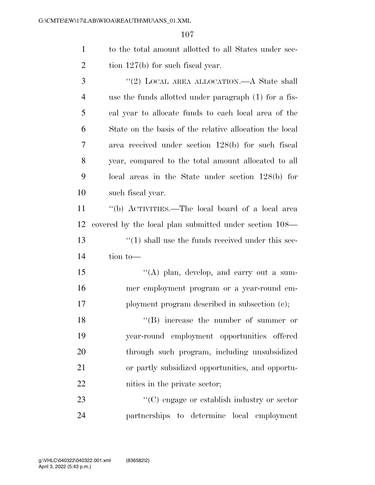| to the total amount allotted to all States under sec- |
|-------------------------------------------------------|
| tion $127(b)$ for such fiscal year.                   |

3 "(2) LOCAL AREA ALLOCATION.—A State shall use the funds allotted under paragraph (1) for a fis- cal year to allocate funds to each local area of the State on the basis of the relative allocation the local area received under section 128(b) for such fiscal year, compared to the total amount allocated to all local areas in the State under section 128(b) for such fiscal year.

 ''(b) ACTIVITIES.—The local board of a local area covered by the local plan submitted under section 108— 13 ''(1) shall use the funds received under this sec-tion to—

15 "(A) plan, develop, and carry out a sum- mer employment program or a year-round em-17 ployment program described in subsection (c);

18 ''(B) increase the number of summer or year-round employment opportunities offered through such program, including unsubsidized or partly subsidized opportunities, and opportu-nities in the private sector;

23  $\cdot$  (C) engage or establish industry or sector partnerships to determine local employment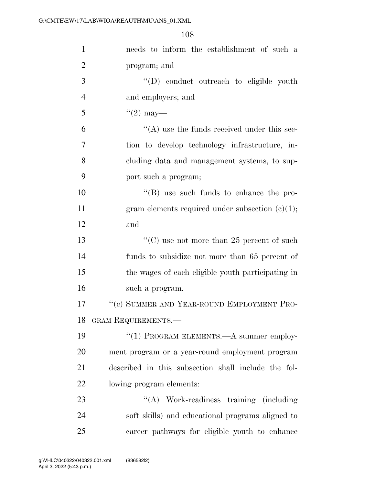| $\mathbf{1}$   | needs to inform the establishment of such a         |
|----------------|-----------------------------------------------------|
| $\overline{2}$ | program; and                                        |
| 3              | "(D) conduct outreach to eligible youth             |
| $\overline{4}$ | and employers; and                                  |
| 5              | $(2)$ may—                                          |
| 6              | $\lq\lq$ use the funds received under this sec-     |
| $\overline{7}$ | tion to develop technology infrastructure, in-      |
| 8              | cluding data and management systems, to sup-        |
| 9              | port such a program;                                |
| 10             | $\lq\lq$ (B) use such funds to enhance the pro-     |
| 11             | gram elements required under subsection $(c)(1)$ ;  |
| 12             | and                                                 |
| 13             | "(C) use not more than 25 percent of such           |
| 14             | funds to subsidize not more than 65 percent of      |
| 15             | the wages of each eligible youth participating in   |
| 16             | such a program.                                     |
| 17             | "(c) SUMMER AND YEAR-ROUND EMPLOYMENT PRO-          |
| 18             | GRAM REQUIREMENTS.                                  |
| 19             | "(1) PROGRAM ELEMENTS.—A summer employ-             |
| 20             | ment program or a year-round employment program     |
| 21             | described in this subsection shall include the fol- |
| 22             | lowing program elements:                            |
| 23             | "(A) Work-readiness training (including)            |
| 24             | soft skills) and educational programs aligned to    |
| 25             | career pathways for eligible youth to enhance       |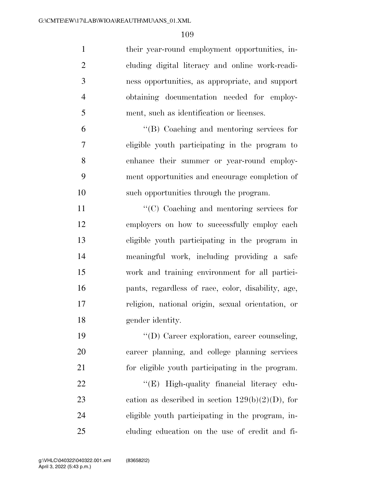| $\mathbf{1}$   | their year-round employment opportunities, in-      |
|----------------|-----------------------------------------------------|
| $\overline{2}$ | cluding digital literacy and online work-readi-     |
| 3              | ness opportunities, as appropriate, and support     |
| $\overline{4}$ | obtaining documentation needed for employ-          |
| 5              | ment, such as identification or licenses.           |
| 6              | "(B) Coaching and mentoring services for            |
| $\overline{7}$ | eligible youth participating in the program to      |
| 8              | enhance their summer or year-round employ-          |
| 9              | ment opportunities and encourage completion of      |
| 10             | such opportunities through the program.             |
| 11             | "(C) Coaching and mentoring services for            |
| 12             | employers on how to successfully employ each        |
| 13             | eligible youth participating in the program in      |
| 14             | meaningful work, including providing a safe         |
| 15             | work and training environment for all partici-      |
| 16             | pants, regardless of race, color, disability, age,  |
| 17             | religion, national origin, sexual orientation, or   |
| 18             | gender identity.                                    |
| 19             | "(D) Career exploration, career counseling,         |
| 20             | career planning, and college planning services      |
| 21             | for eligible youth participating in the program.    |
| 22             | "(E) High-quality financial literacy edu-           |
| 23             | cation as described in section $129(b)(2)(D)$ , for |
| 24             | eligible youth participating in the program, in-    |
| 25             | cluding education on the use of credit and fi-      |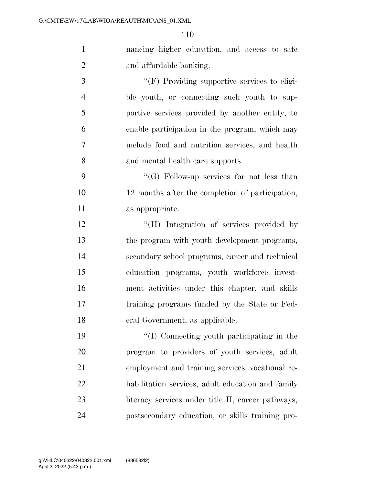nancing higher education, and access to safe and affordable banking.

 ''(F) Providing supportive services to eligi- ble youth, or connecting such youth to sup- portive services provided by another entity, to enable participation in the program, which may include food and nutrition services, and health and mental health care supports.

 ''(G) Follow-up services for not less than 12 months after the completion of participation, as appropriate.

12 "(H) Integration of services provided by the program with youth development programs, secondary school programs, career and technical education programs, youth workforce invest- ment activities under this chapter, and skills training programs funded by the State or Fed-eral Government, as applicable.

 ''(I) Connecting youth participating in the program to providers of youth services, adult employment and training services, vocational re- habilitation services, adult education and family 23 literacy services under title II, career pathways, postsecondary education, or skills training pro-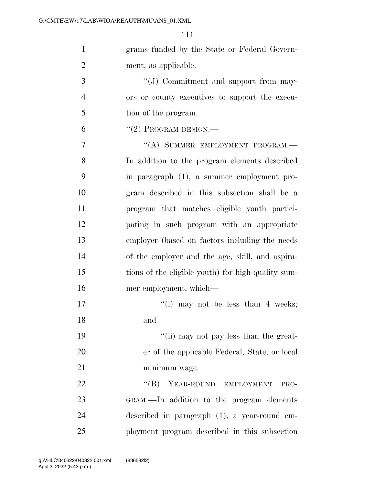grams funded by the State or Federal Govern-ment, as applicable.

3  $\cdot$  (J) Commitment and support from may- ors or county executives to support the execu-tion of the program.

 $^{(4)}$ (2) PROGRAM DESIGN.—

7 "(A) SUMMER EMPLOYMENT PROGRAM.— In addition to the program elements described in paragraph (1), a summer employment pro- gram described in this subsection shall be a program that matches eligible youth partici- pating in such program with an appropriate employer (based on factors including the needs of the employer and the age, skill, and aspira- tions of the eligible youth) for high-quality sum-mer employment, which—

17 ''(i) may not be less than 4 weeks; and

19 ''(ii) may not pay less than the great- er of the applicable Federal, State, or local minimum wage.

22 "(B) YEAR-ROUND EMPLOYMENT PRO- GRAM.—In addition to the program elements described in paragraph (1), a year-round em-ployment program described in this subsection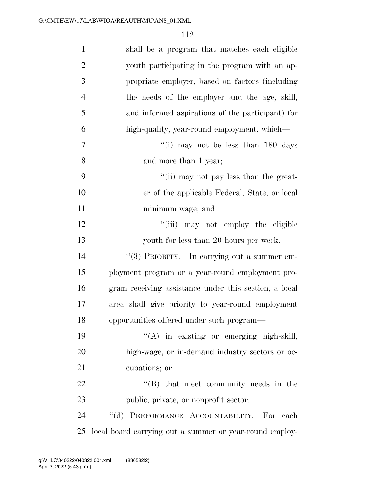| $\mathbf{1}$   | shall be a program that matches each eligible           |
|----------------|---------------------------------------------------------|
| $\overline{2}$ | youth participating in the program with an ap-          |
| 3              | propriate employer, based on factors (including         |
| $\overline{4}$ | the needs of the employer and the age, skill,           |
| 5              | and informed aspirations of the participant) for        |
| 6              | high-quality, year-round employment, which—             |
| $\overline{7}$ | "(i) may not be less than 180 days                      |
| 8              | and more than 1 year;                                   |
| 9              | "(ii) may not pay less than the great-                  |
| 10             | er of the applicable Federal, State, or local           |
| 11             | minimum wage; and                                       |
| 12             | "(iii) may not employ the eligible                      |
| 13             | youth for less than 20 hours per week.                  |
| 14             | "(3) PRIORITY.—In carrying out a summer em-             |
| 15             | ployment program or a year-round employment pro-        |
| 16             | gram receiving assistance under this section, a local   |
| 17             | area shall give priority to year-round employment       |
| 18             | opportunities offered under such program-               |
| 19             | "(A) in existing or emerging high-skill,                |
| 20             | high-wage, or in-demand industry sectors or oc-         |
| 21             | cupations; or                                           |
| 22             | $\lq\lq$ that meet community needs in the               |
| 23             | public, private, or nonprofit sector.                   |
| 24             | "(d) PERFORMANCE ACCOUNTABILITY.-For each               |
| 25             | local board carrying out a summer or year-round employ- |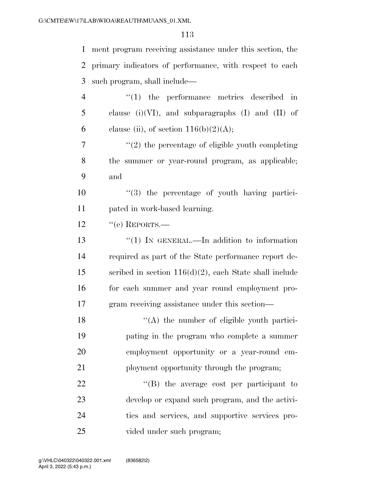| $\mathbf{1}$   | ment program receiving assistance under this section, the |
|----------------|-----------------------------------------------------------|
| 2              | primary indicators of performance, with respect to each   |
| 3              | such program, shall include—                              |
| $\overline{4}$ | $\lq(1)$ the performance metrics described in             |
| 5              | clause (i)(VI), and subparagraphs (I) and (II) of         |
| 6              | clause (ii), of section $116(b)(2)(A);$                   |
| 7              | $\lq(2)$ the percentage of eligible youth completing      |
| 8              | the summer or year-round program, as applicable;          |
| 9              | and                                                       |
| 10             | "(3) the percentage of youth having partici-              |
| 11             | pated in work-based learning.                             |
| 12             | $``$ (e) REPORTS.—                                        |
| 13             | $\lq(1)$ In GENERAL.—In addition to information           |
| 14             | required as part of the State performance report de-      |
| 15             | scribed in section $116(d)(2)$ , each State shall include |
| 16             | for each summer and year round employment pro-            |
| 17             | gram receiving assistance under this section—             |
| 18             | $\lq($ A) the number of eligible youth partici-           |
| 19             | pating in the program who complete a summer               |
| 20             | employment opportunity or a year-round em-                |
| 21             | ployment opportunity through the program;                 |
| 22             | $\lq\lq$ the average cost per participant to              |
| 23             | develop or expand such program, and the activi-           |
| 24             | ties and services, and supportive services pro-           |
| 25             | vided under such program;                                 |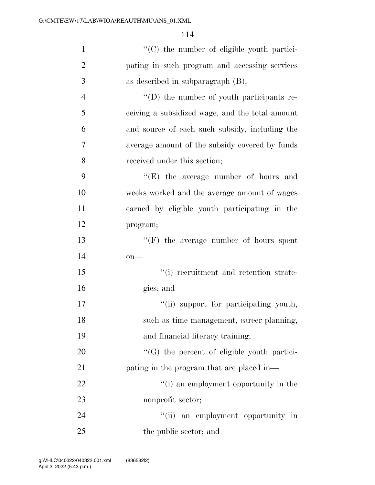| $\mathbf{1}$   | "(C) the number of eligible youth partici-         |
|----------------|----------------------------------------------------|
| $\overline{2}$ | pating in such program and accessing services      |
| 3              | as described in subparagraph $(B)$ ;               |
| $\overline{4}$ | "(D) the number of youth participants re-          |
| 5              | ceiving a subsidized wage, and the total amount    |
| 6              | and source of each such subsidy, including the     |
| 7              | average amount of the subsidy covered by funds     |
| 8              | received under this section;                       |
| 9              | $\lq\lq(E)$ the average number of hours and        |
| 10             | weeks worked and the average amount of wages       |
| 11             | earned by eligible youth participating in the      |
| 12             | program;                                           |
| 13             | $``(F)$ the average number of hours spent          |
| 14             | $on$ —                                             |
| 15             | "(i) recruitment and retention strate-             |
| 16             | gies; and                                          |
| 17             | "(ii) support for participating youth,             |
| 18             | such as time management, career planning,          |
| 19             | and financial literacy training;                   |
| 20             | $\lq\lq(G)$ the percent of eligible youth partici- |
| 21             | pating in the program that are placed in—          |
| 22             | "(i) an employment opportunity in the              |
| 23             | nonprofit sector;                                  |
| 24             | "(ii) an employment opportunity in                 |
| 25             | the public sector; and                             |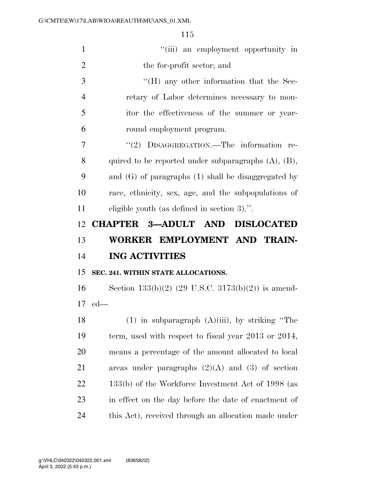| $\mathbf{1}$   | "(iii) an employment opportunity in                       |
|----------------|-----------------------------------------------------------|
| $\overline{2}$ | the for-profit sector; and                                |
| 3              | $\rm{``(H)}$ any other information that the Sec-          |
| $\overline{4}$ | retary of Labor determines necessary to mon-              |
| 5              | itor the effectiveness of the summer or year-             |
| 6              | round employment program.                                 |
| 7              | "(2) DISAGGREGATION.—The information re-                  |
| 8              | quired to be reported under subparagraphs $(A)$ , $(B)$ , |
| 9              | and $(G)$ of paragraphs $(1)$ shall be disaggregated by   |
| 10             | race, ethnicity, sex, age, and the subpopulations of      |
| 11             | eligible youth (as defined in section 3).".               |
| 12             | CHAPTER 3-ADULT AND DISLOCATED                            |
|                |                                                           |
| 13             | WORKER EMPLOYMENT AND TRAIN-                              |
| 14             | <b>ING ACTIVITIES</b>                                     |
| 15             | SEC. 241. WITHIN STATE ALLOCATIONS.                       |
| 16             | Section $133(b)(2)$ (29 U.S.C. $3173(b)(2)$ ) is amend-   |
|                | $17$ ed—                                                  |
| 18             | $(1)$ in subparagraph $(A)(iii)$ , by striking "The       |
| 19             | term, used with respect to fiscal year $2013$ or $2014$ , |
| 20             | means a percentage of the amount allocated to local       |
| 21             | areas under paragraphs $(2)(A)$ and $(3)$ of section      |
| 22             | 133(b) of the Workforce Investment Act of 1998 (as        |
| 23             | in effect on the day before the date of enactment of      |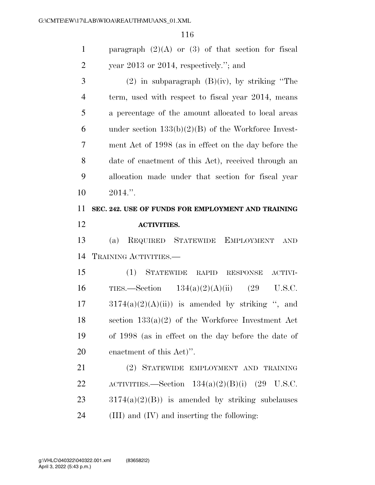1 paragraph  $(2)(A)$  or  $(3)$  of that section for fiscal year 2013 or 2014, respectively.''; and

3 (2) in subparagraph  $(B)(iv)$ , by striking "The term, used with respect to fiscal year 2014, means a percentage of the amount allocated to local areas 6 under section  $133(b)(2)(B)$  of the Workforce Invest- ment Act of 1998 (as in effect on the day before the date of enactment of this Act), received through an allocation made under that section for fiscal year  $10 \t2014."$ 

## **SEC. 242. USE OF FUNDS FOR EMPLOYMENT AND TRAINING ACTIVITIES.**

 (a) REQUIRED STATEWIDE EMPLOYMENT AND TRAINING ACTIVITIES.—

 (1) STATEWIDE RAPID RESPONSE ACTIVI- TIES.—Section 134(a)(2)(A)(ii) (29 U.S.C.  $17 \qquad 3174(a)(2)(A)(ii)$  is amended by striking ", and section 133(a)(2) of the Workforce Investment Act of 1998 (as in effect on the day before the date of enactment of this Act)''.

 (2) STATEWIDE EMPLOYMENT AND TRAINING 22 ACTIVITIES.—Section  $134(a)(2)(B)(i)$  (29 U.S.C.  $23 \qquad \frac{3174(a)(2)(B)}{3174(a)(2)(B)}$  is amended by striking subclauses (III) and (IV) and inserting the following: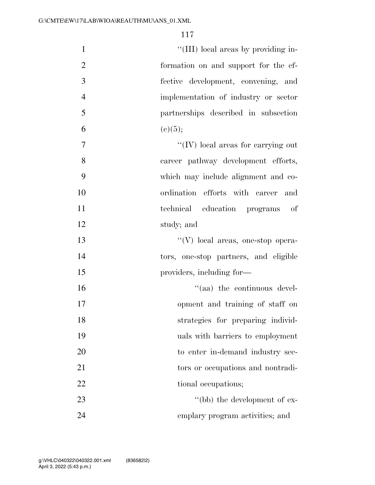| $\mathbf{1}$   | "(III) local areas by providing in-                  |
|----------------|------------------------------------------------------|
| $\overline{2}$ | formation on and support for the ef-                 |
| 3              | fective development, convening, and                  |
| $\overline{4}$ | implementation of industry or sector                 |
| 5              | partnerships described in subsection                 |
| 6              | (c)(5);                                              |
| $\overline{7}$ | $\lq\lq ( \mathrm{IV})$ local areas for carrying out |
| 8              | career pathway development efforts,                  |
| 9              | which may include alignment and co-                  |
| 10             | ordination efforts with career and                   |
| 11             | technical education programs of                      |
| 12             | study; and                                           |
| 13             | "(V) local areas, one-stop opera-                    |
| 14             | tors, one-stop partners, and eligible                |
| 15             | providers, including for—                            |
| 16             | "(aa) the continuous devel-                          |
| 17             | opment and training of staff on                      |
| 18             | strategies for preparing individ-                    |
| 19             | uals with barriers to employment                     |
| 20             | to enter in-demand industry sec-                     |
| 21             | tors or occupations and nontradi-                    |
| 22             | tional occupations;                                  |
| 23             | "(bb) the development of ex-                         |
| 24             | emplary program activities; and                      |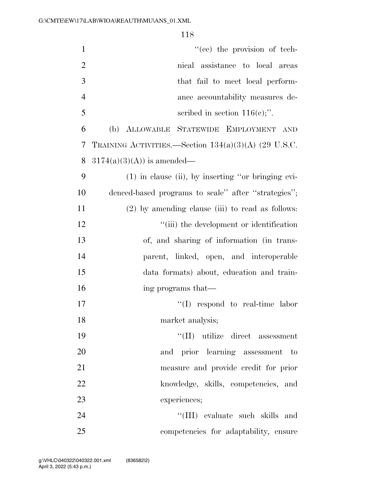| $\mathbf{1}$   | "(cc) the provision of tech-                           |
|----------------|--------------------------------------------------------|
| $\overline{2}$ | nical assistance to local areas                        |
| 3              | that fail to meet local perform-                       |
| $\overline{4}$ | ance accountability measures de-                       |
| 5              | scribed in section $116(e)$ ;".                        |
| 6              | (b) ALLOWABLE STATEWIDE EMPLOYMENT<br>AND              |
| 7              | TRAINING ACTIVITIES.—Section $134(a)(3)(A)$ (29 U.S.C. |
| 8              | $3174(a)(3)(A)$ is amended—                            |
| 9              | (1) in clause (ii), by inserting "or bringing evi-     |
| 10             | denced-based programs to scale" after "strategies";    |
| 11             | $(2)$ by amending clause (iii) to read as follows:     |
| 12             | "(iii) the development or identification               |
| 13             | of, and sharing of information (in trans-              |
| 14             | parent, linked, open, and interoperable                |
| 15             | data formats) about, education and train-              |
| 16             | ing programs that—                                     |
| 17             | $\lq\lq$ respond to real-time labor                    |
| 18             | market analysis;                                       |
| 19             | $\lq\lq$ (II) utilize direct assessment                |
| 20             | prior learning assessment<br>and<br>$-$ to             |
| 21             | measure and provide credit for prior                   |
| 22             | knowledge, skills, competencies, and                   |
| 23             | experiences;                                           |
| 24             | "(III) evaluate such skills and                        |
| 25             | competencies for adaptability, ensure                  |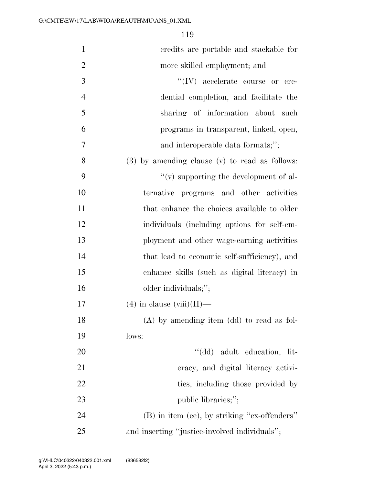| $\mathbf{1}$   | credits are portable and stackable for             |
|----------------|----------------------------------------------------|
| $\overline{2}$ | more skilled employment; and                       |
| 3              | $\lq\lq (IV)$ accelerate course or cre-            |
| $\overline{4}$ | dential completion, and facilitate the             |
| 5              | sharing of information about such                  |
| 6              | programs in transparent, linked, open,             |
| 7              | and interoperable data formats;";                  |
| 8              | $(3)$ by amending clause $(v)$ to read as follows: |
| 9              | $\lq\lq$ supporting the development of al-         |
| 10             | ternative programs and other activities            |
| 11             | that enhance the choices available to older        |
| 12             | individuals (including options for self-em-        |
| 13             | ployment and other wage-earning activities         |
| 14             | that lead to economic self-sufficiency), and       |
| 15             | enhance skills (such as digital literacy) in       |
| 16             | older individuals;";                               |
| 17             | $(4)$ in clause (viii)(II)—                        |
| 18             | $(A)$ by amending item $(dd)$ to read as fol-      |
| 19             | lows:                                              |
| 20             | "(dd) adult education, lit-                        |
| 21             | eracy, and digital literacy activi-                |
| 22             | ties, including those provided by                  |
| 23             | public libraries;";                                |
| 24             | (B) in item (ee), by striking "ex-offenders"       |
| 25             | and inserting "justice-involved individuals";      |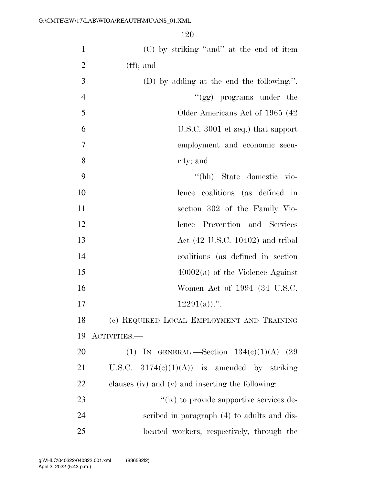| $\mathbf{1}$   | (C) by striking "and" at the end of item          |
|----------------|---------------------------------------------------|
| $\overline{2}$ | $(f\!f);$ and                                     |
| 3              | (D) by adding at the end the following:".         |
| $\overline{4}$ | " $(gg)$ programs under the                       |
| 5              | Older Americans Act of 1965 (42)                  |
| 6              | U.S.C. 3001 et seq.) that support                 |
| 7              | employment and economic secu-                     |
| 8              | rity; and                                         |
| 9              | "(hh) State domestic vio-                         |
| 10             | lence coalitions (as defined in                   |
| 11             | section 302 of the Family Vio-                    |
| 12             | lence Prevention and Services                     |
| 13             | Act $(42 \text{ U.S.C. } 10402)$ and tribal       |
| 14             | coalitions (as defined in section                 |
| 15             | $40002(a)$ of the Violence Against                |
| 16             | Women Act of 1994 (34 U.S.C.                      |
| 17             | $12291(a)$ .".                                    |
| 18             | (c) REQUIRED LOCAL EMPLOYMENT AND TRAINING        |
| 19             | ACTIVITIES.—                                      |
| 20             | (1) IN GENERAL.—Section $134(e)(1)(A)$ (29        |
| 21             | U.S.C. $3174(e)(1)(A)$ is amended by striking     |
| 22             | clauses (iv) and (v) and inserting the following: |
| 23             | "(iv) to provide supportive services de-          |
| 24             | scribed in paragraph (4) to adults and dis-       |
| 25             | located workers, respectively, through the        |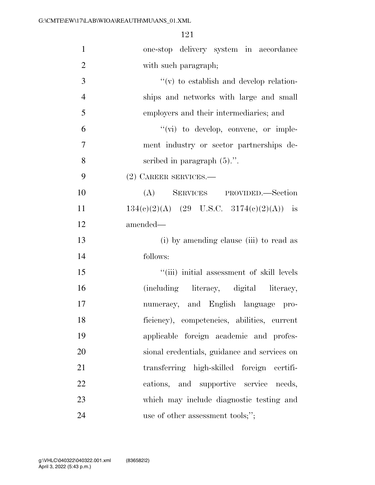| $\mathbf{1}$   | one-stop delivery system in accordance       |
|----------------|----------------------------------------------|
| $\overline{2}$ | with such paragraph;                         |
| 3              | $f'(v)$ to establish and develop relation-   |
| $\overline{4}$ | ships and networks with large and small      |
| 5              | employers and their intermediaries; and      |
| 6              | "(vi) to develop, convene, or imple-         |
| $\overline{7}$ | ment industry or sector partnerships de-     |
| 8              | scribed in paragraph $(5)$ .".               |
| 9              | (2) CAREER SERVICES.-                        |
| 10             | (A) SERVICES PROVIDED.—Section               |
| 11             | $134(c)(2)(A)$ (29 U.S.C. 3174(c)(2)(A)) is  |
| 12             | amended—                                     |
| 13             | (i) by amending clause (iii) to read as      |
| 14             | follows:                                     |
| 15             | "(iii) initial assessment of skill levels    |
| 16             | (including literacy, digital literacy,       |
| 17             | numeracy, and English language pro-          |
| 18             | ficiency), competencies, abilities, current  |
| 19             | applicable foreign academic and profes-      |
| 20             | sional credentials, guidance and services on |
| 21             | transferring high-skilled foreign certifi-   |
| 22             | cations, and supportive service needs,       |
| 23             | which may include diagnostic testing and     |
| 24             | use of other assessment tools;";             |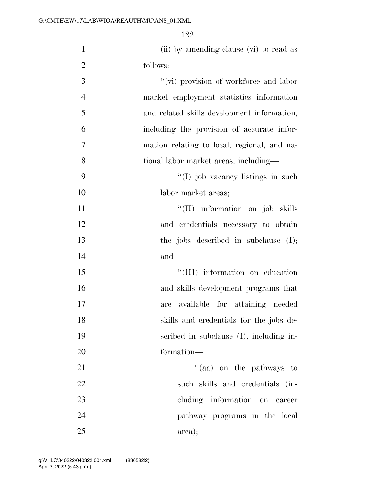| $\mathbf{1}$   | (ii) by amending clause (vi) to read as     |
|----------------|---------------------------------------------|
| $\overline{c}$ | follows:                                    |
| 3              | "(vi) provision of workforce and labor      |
| $\overline{4}$ | market employment statistics information    |
| 5              | and related skills development information, |
| 6              | including the provision of accurate infor-  |
| 7              | mation relating to local, regional, and na- |
| 8              | tional labor market areas, including—       |
| 9              | "(I) job vacancy listings in such           |
| 10             | labor market areas;                         |
| 11             | "(II) information on job skills             |
| 12             | and credentials necessary to obtain         |
| 13             | the jobs described in subclause $(I);$      |
| 14             | and                                         |
| 15             | "(III) information on education             |
| 16             | and skills development programs that        |
| 17             | available for attaining needed<br>are       |
| 18             | skills and credentials for the jobs de-     |
| 19             | scribed in subclause $(I)$ , including in-  |

21 ''(aa) on the pathways to such skills and credentials (in- cluding information on career pathway programs in the local area);

formation—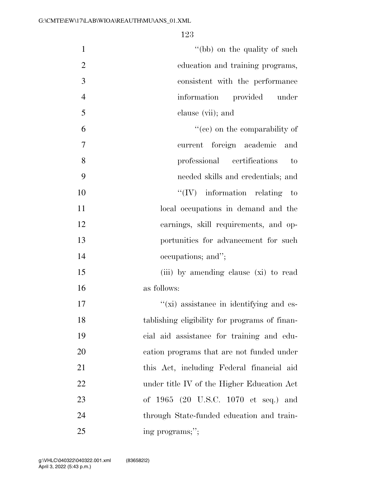| $\mathbf{1}$   | "(bb) on the quality of such                  |
|----------------|-----------------------------------------------|
| $\overline{2}$ | education and training programs,              |
| 3              | consistent with the performance               |
| $\overline{4}$ | information provided under                    |
| 5              | clause (vii); and                             |
| 6              | $f''(ce)$ on the comparability of             |
| 7              | current foreign academic<br>and               |
| 8              | professional certifications<br>to             |
| 9              | needed skills and credentials; and            |
| 10             | $\lq\lq (IV)$ information relating to         |
| 11             | local occupations in demand and the           |
| 12             | earnings, skill requirements, and op-         |
| 13             | portunities for advancement for such          |
| 14             | occupations; and";                            |
| 15             | (iii) by amending clause (xi) to read         |
| 16             | as follows:                                   |
| 17             | "(xi) assistance in identifying and es-       |
| 18             | tablishing eligibility for programs of finan- |
| 19             | cial aid assistance for training and edu-     |
| 20             | cation programs that are not funded under     |
| 21             | this Act, including Federal financial aid     |
| 22             | under title IV of the Higher Education Act    |
| 23             | of 1965 (20 U.S.C. 1070 et seq.) and          |
| 24             | through State-funded education and train-     |
| 25             | ing programs;";                               |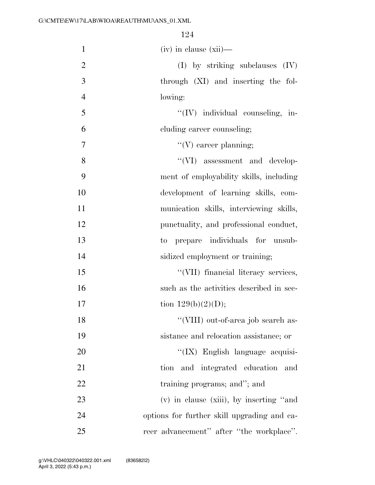| $\mathbf{1}$   | $(iv)$ in clause $(xii)$ —                  |
|----------------|---------------------------------------------|
| $\overline{2}$ | $(I)$ by striking subclauses $(IV)$         |
| 3              | through (XI) and inserting the fol-         |
| $\overline{4}$ | lowing:                                     |
| 5              | "(IV) individual counseling, in-            |
| 6              | cluding career counseling;                  |
| 7              | $\lq\lq(V)$ career planning;                |
| 8              | "(VI) assessment and develop-               |
| 9              | ment of employability skills, including     |
| 10             | development of learning skills, com-        |
| 11             | munication skills, interviewing skills,     |
| 12             | punctuality, and professional conduct,      |
| 13             | prepare individuals for unsub-<br>$\rm{to}$ |
| 14             | sidized employment or training;             |
| 15             | "(VII) financial literacy services,         |
| 16             | such as the activities described in sec-    |
| 17             | tion $129(b)(2)(D);$                        |
| 18             | "(VIII) out-of-area job search as-          |
| 19             | sistance and relocation assistance; or      |
| 20             | "(IX) English language acquisi-             |
| 21             | and integrated education<br>tion<br>and     |
| 22             | training programs; and"; and                |
| 23             | (v) in clause (xiii), by inserting "and     |
| 24             | options for further skill upgrading and ca- |
| 25             | reer advancement" after "the workplace".    |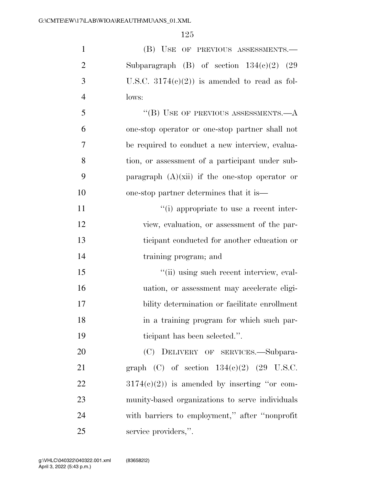| $\mathbf{1}$   | (B) USE OF PREVIOUS ASSESSMENTS.-                |
|----------------|--------------------------------------------------|
| $\overline{2}$ | Subparagraph (B) of section $134(c)(2)$ (29      |
| 3              | U.S.C. $3174(c)(2)$ is amended to read as fol-   |
| $\overline{4}$ | lows:                                            |
| 5              | "(B) USE OF PREVIOUS ASSESSMENTS. $-A$           |
| 6              | one-stop operator or one-stop partner shall not  |
| 7              | be required to conduct a new interview, evalua-  |
| 8              | tion, or assessment of a participant under sub-  |
| 9              | paragraph $(A)(xii)$ if the one-stop operator or |
| 10             | one-stop partner determines that it is—          |
| 11             | "(i) appropriate to use a recent inter-          |
| 12             | view, evaluation, or assessment of the par-      |
| 13             | ticipant conducted for another education or      |
| 14             | training program; and                            |
| 15             | "(ii) using such recent interview, eval-         |
| 16             | uation, or assessment may accelerate eligi-      |
| 17             | bility determination or facilitate enrollment    |
| 18             | in a training program for which such par-        |
| 19             | ticipant has been selected.".                    |
| 20             | (C) DELIVERY OF SERVICES.-Subpara-               |
| 21             | graph (C) of section $134(e)(2)$ (29 U.S.C.      |
| 22             | $3174(e)(2)$ is amended by inserting "or com-    |
| 23             | munity-based organizations to serve individuals  |
| 24             | with barriers to employment," after "nonprofit   |
| 25             | service providers,".                             |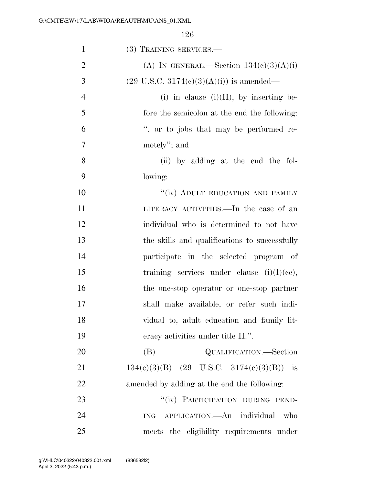| $\mathbf{1}$   | (3) TRAINING SERVICES.—                             |
|----------------|-----------------------------------------------------|
| $\overline{2}$ | (A) IN GENERAL.—Section $134(c)(3)(A)(i)$           |
| 3              | $(29 \text{ U.S.C. } 3174(c)(3)(A)(i))$ is amended— |
| $\overline{4}$ | (i) in clause (i)(II), by inserting be-             |
| 5              | fore the semicolon at the end the following:        |
| 6              | ", or to jobs that may be performed re-             |
| $\tau$         | motely"; and                                        |
| 8              | (ii) by adding at the end the fol-                  |
| 9              | lowing:                                             |
| 10             | "(iv) ADULT EDUCATION AND FAMILY                    |
| 11             | LITERACY ACTIVITIES.—In the case of an              |
| 12             | individual who is determined to not have            |
| 13             | the skills and qualifications to successfully       |
| 14             | participate in the selected program of              |
| 15             | training services under clause $(i)(I)(ce)$ ,       |
| 16             | the one-stop operator or one-stop partner           |
| 17             | shall make available, or refer such indi-           |
| 18             | vidual to, adult education and family lit-          |
| 19             | eracy activities under title II.".                  |
| 20             | (B)<br>QUALIFICATION.—Section                       |
| 21             | $134(e)(3)(B)$ (29 U.S.C. 3174(e)(3)(B)) is         |
| 22             | amended by adding at the end the following:         |
| 23             | "(iv) PARTICIPATION DURING PEND-                    |
| 24             | ING APPLICATION. An individual<br>who               |
| 25             | meets the eligibility requirements under            |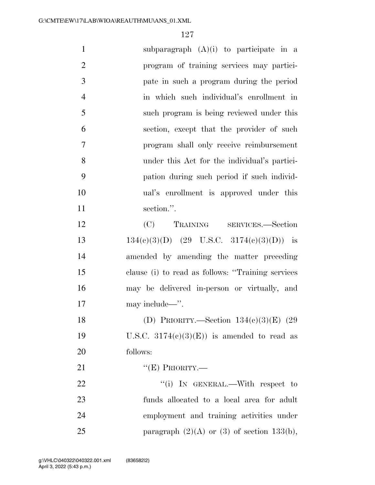| $\mathbf{1}$   | subparagraph $(A)(i)$ to participate in a         |
|----------------|---------------------------------------------------|
| $\overline{2}$ | program of training services may partici-         |
| 3              | pate in such a program during the period          |
| $\overline{4}$ | in which such individual's enrollment in          |
| 5              | such program is being reviewed under this         |
| 6              | section, except that the provider of such         |
| 7              | program shall only receive reimbursement          |
| 8              | under this Act for the individual's partici-      |
| 9              | pation during such period if such individ-        |
| 10             | ual's enrollment is approved under this           |
| 11             | section.".                                        |
| 12             | (C) TRAINING SERVICES.—Section                    |
| 13             | $134(c)(3)(D)$ (29 U.S.C. 3174(c)(3)(D)) is       |
| 14             | amended by amending the matter preceding          |
| 15             | clause (i) to read as follows: "Training services |
| 16             | may be delivered in-person or virtually, and      |
| 17             | may include—".                                    |
| 18             | (D) PRIORITY.—Section $134(c)(3)(E)$ (29          |
| 19             | U.S.C. $3174(e)(3)(E)$ is amended to read as      |
| 20             | follows:                                          |
| 21             | " $(E)$ PRIORITY.—                                |
| 22             | "(i) In GENERAL.—With respect to                  |
| 23             | funds allocated to a local area for adult         |
| 24             | employment and training activities under          |
| 25             | paragraph $(2)(A)$ or $(3)$ of section 133(b),    |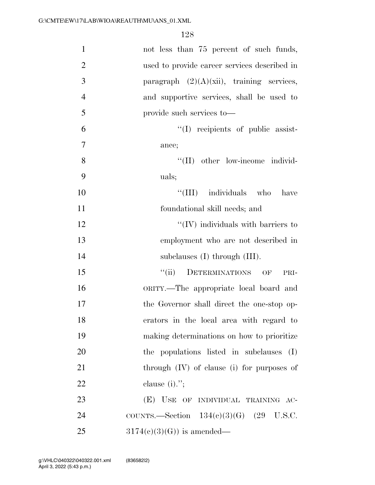| $\mathbf{1}$   | not less than 75 percent of such funds,        |
|----------------|------------------------------------------------|
| $\overline{2}$ | used to provide career services described in   |
| 3              | paragraph $(2)(A)(xii)$ , training services,   |
| $\overline{4}$ | and supportive services, shall be used to      |
| 5              | provide such services to—                      |
| 6              | $\lq\lq$ recipients of public assist-          |
| $\tau$         | ance;                                          |
| 8              | "(II) other low-income individ-                |
| 9              | uals;                                          |
| 10             | "(III) individuals who<br>have                 |
| 11             | foundational skill needs; and                  |
| 12             | $\lq\lq$ (IV) individuals with barriers to     |
| 13             | employment who are not described in            |
| 14             | subclauses $(I)$ through $(III)$ .             |
| 15             | ``(ii)<br>DETERMINATIONS<br>OF<br>PRI-         |
| 16             | ORITY.—The appropriate local board and         |
| 17             | the Governor shall direct the one-stop op-     |
| 18             | erators in the local area with regard to       |
| 19             | making determinations on how to prioritize     |
| 20             | the populations listed in subclauses<br>(I)    |
| 21             | through $(IV)$ of clause $(i)$ for purposes of |
| 22             | clause $(i)$ .";                               |
| 23             | (E) USE OF INDIVIDUAL TRAINING AC-             |
| 24             | COUNTS.—Section $134(c)(3)(G)$ (29 U.S.C.      |
| 25             | $3174(c)(3)(G)$ is amended—                    |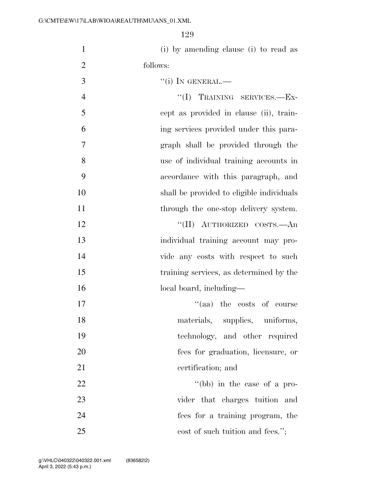| $\mathbf{1}$   | (i) by amending clause (i) to read as     |
|----------------|-------------------------------------------|
| $\overline{2}$ | follows:                                  |
| 3              | $``(i)$ In GENERAL.—                      |
| $\overline{4}$ | "(I) TRAINING SERVICES.-Ex-               |
| 5              | cept as provided in clause (ii), train-   |
| 6              | ing services provided under this para-    |
| 7              | graph shall be provided through the       |
| 8              | use of individual training accounts in    |
| 9              | accordance with this paragraph, and       |
| 10             | shall be provided to eligible individuals |
| 11             | through the one-stop delivery system.     |
| 12             | "(II) AUTHORIZED COSTS.—An                |
| 13             | individual training account may pro-      |
| 14             | vide any costs with respect to such       |
| 15             | training services, as determined by the   |
| 16             | local board, including—                   |
| 17             | "(aa) the costs of course                 |
| 18             | materials, supplies, uniforms,            |
| 19             | technology, and other required            |
| 20             | fees for graduation, licensure, or        |
| 21             | certification; and                        |
| 22             | "(bb) in the case of a pro-               |
| 23             | vider that charges tuition and            |
| 24             | fees for a training program, the          |

25 cost of such tuition and fees.";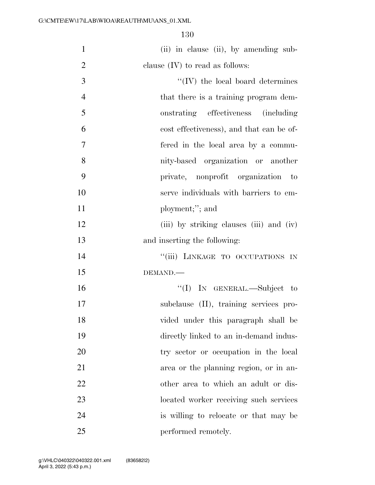| $\mathbf{1}$     | (ii) in clause (ii), by amending sub-    |
|------------------|------------------------------------------|
| $\overline{2}$   | clause $(IV)$ to read as follows:        |
| 3                | $\lq\lq (IV)$ the local board determines |
| $\overline{4}$   | that there is a training program dem-    |
| 5                | onstrating effectiveness (including      |
| 6                | cost effectiveness), and that can be of- |
| $\boldsymbol{7}$ | fered in the local area by a commu-      |
| 8                | nity-based organization or another       |
| 9                | private, nonprofit organization to       |
| 10               | serve individuals with barriers to em-   |
| 11               | ployment;"; and                          |
| 12               | (iii) by striking clauses (iii) and (iv) |
| 13               | and inserting the following:             |
| 14               | "(iii) LINKAGE TO OCCUPATIONS IN         |
| 15               | DEMAND.                                  |
| 16               | "(I) IN GENERAL.—Subject to              |
| 17               | subclause (II), training services pro-   |
| 18               | vided under this paragraph shall be      |
| 19               | directly linked to an in-demand indus-   |
| 20               | try sector or occupation in the local    |
| 21               | area or the planning region, or in an-   |
| 22               | other area to which an adult or dis-     |
| 23               | located worker receiving such services   |
| 24               | is willing to relocate or that may be    |
| 25               | performed remotely.                      |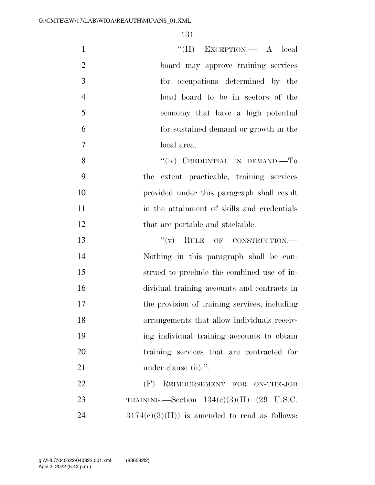| $\mathbf{1}$   | "(II) EXCEPTION.— A local                      |
|----------------|------------------------------------------------|
| $\overline{2}$ | board may approve training services            |
| 3              | for occupations determined by the              |
| $\overline{4}$ | local board to be in sectors of the            |
| 5              | economy that have a high potential             |
| 6              | for sustained demand or growth in the          |
| $\overline{7}$ | local area.                                    |
| 8              | "(iv) CREDENTIAL IN DEMAND.—To                 |
| 9              | the extent practicable, training services      |
| 10             | provided under this paragraph shall result     |
| 11             | in the attainment of skills and credentials    |
| 12             | that are portable and stackable.               |
| 13             | $``(v)$ RULE OF CONSTRUCTION.—                 |
| 14             | Nothing in this paragraph shall be con-        |
| 15             | strued to preclude the combined use of in-     |
| 16             | dividual training accounts and contracts in    |
| 17             | the provision of training services, including  |
| 18             | arrangements that allow individuals receiv-    |
| 19             | ing individual training accounts to obtain     |
| 20             | training services that are contracted for      |
| 21             | under clause (ii).".                           |
| 22             | (F)<br>REIMBURSEMENT FOR ON-THE-JOB            |
| 23             | TRAINING. Section $134(c)(3)(H)$ (29 U.S.C.    |
| 24             | $3174(c)(3)(H)$ is amended to read as follows: |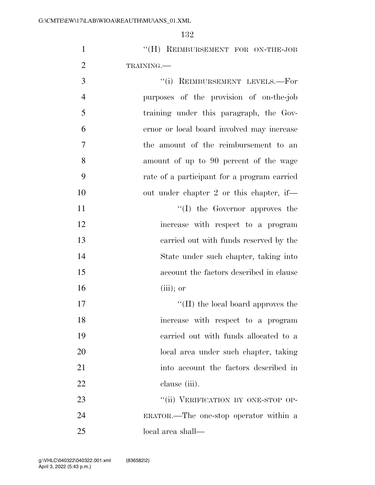- 1 "(H) REIMBURSEMENT FOR ON-THE-JOB TRAINING.—
- 3 "(i) REIMBURSEMENT LEVELS.—For purposes of the provision of on-the-job training under this paragraph, the Gov- ernor or local board involved may increase the amount of the reimbursement to an amount of up to 90 percent of the wage rate of a participant for a program carried 10 out under chapter 2 or this chapter, if— 11  $\text{``(I)}$  the Governor approves the increase with respect to a program carried out with funds reserved by the State under such chapter, taking into account the factors described in clause
- 17  $\text{``(II)}$  the local board approves the increase with respect to a program carried out with funds allocated to a local area under such chapter, taking into account the factors described in clause (iii).

(iii); or

23 "(ii) VERIFICATION BY ONE-STOP OP- ERATOR.—The one-stop operator within a local area shall—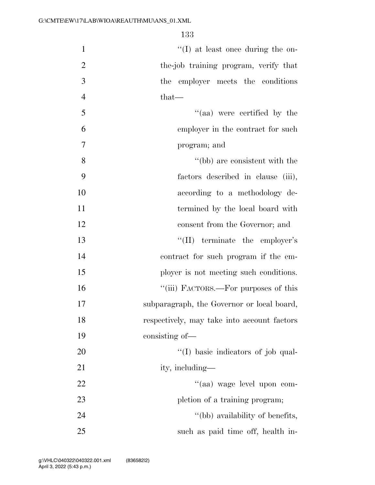| $\mathbf{1}$   | $\lq\lq$ (I) at least once during the on-   |
|----------------|---------------------------------------------|
| $\overline{2}$ | the-job training program, verify that       |
| 3              | the employer meets the conditions           |
| $\overline{4}$ | that—                                       |
| 5              | "(aa) were certified by the                 |
| 6              | employer in the contract for such           |
| 7              | program; and                                |
| 8              | $``(bb)$ are consistent with the            |
| 9              | factors described in clause (iii),          |
| 10             | according to a methodology de-              |
| 11             | termined by the local board with            |
| 12             | consent from the Governor; and              |
| 13             | $\lq\lq$ (II) terminate the employer's      |
| 14             | contract for such program if the em-        |
| 15             | ployer is not meeting such conditions.      |
| 16             | "(iii) FACTORS.—For purposes of this        |
| 17             | subparagraph, the Governor or local board,  |
| 18             | respectively, may take into account factors |
| 19             | consisting of—                              |
| 20             | "(I) basic indicators of job qual-          |
| 21             | ity, including—                             |
| 22             | "(aa) wage level upon com-                  |
| 23             | pletion of a training program;              |
| 24             | "(bb) availability of benefits,             |
| 25             | such as paid time off, health in-           |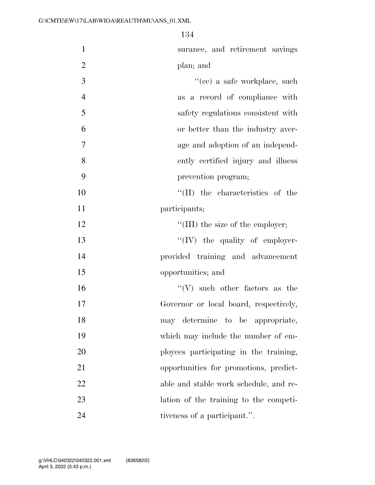| $\mathbf{1}$   | surance, and retirement savings          |
|----------------|------------------------------------------|
| $\overline{2}$ | plan; and                                |
| 3              | "(cc) a safe workplace, such             |
| $\overline{4}$ | as a record of compliance with           |
| 5              | safety regulations consistent with       |
| 6              | or better than the industry aver-        |
| $\overline{7}$ | age and adoption of an independ-         |
| 8              | ently certified injury and illness       |
| 9              | prevention program;                      |
| 10             | "(II) the characteristics of the         |
| 11             | participants;                            |
| 12             | $\lq\lq$ (III) the size of the employer; |
| 13             | $\lq\lq (IV)$ the quality of employer-   |
| 14             | provided training and advancement        |
| 15             | opportunities; and                       |
| 16             | $``(V)$ such other factors as the        |
| 17             | Governor or local board, respectively,   |
| 18             | may determine to be appropriate,         |
| 19             | which may include the number of em-      |
| 20             | ployees participating in the training,   |
| 21             | opportunities for promotions, predict-   |
| 22             | able and stable work schedule, and re-   |
| 23             | lation of the training to the competi-   |
| 24             | tiveness of a participant.".             |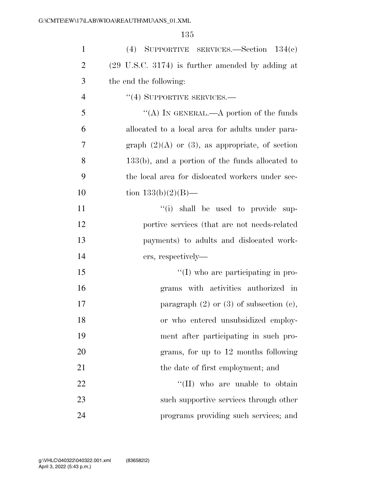| $\mathbf{1}$   | (4) SUPPORTIVE SERVICES. Section $134(e)$                   |
|----------------|-------------------------------------------------------------|
| $\overline{2}$ | $(29 \text{ U.S.C. } 3174)$ is further amended by adding at |
| 3              | the end the following:                                      |
| 4              | $``(4)$ SUPPORTIVE SERVICES.—                               |
| 5              | "(A) IN GENERAL.—A portion of the funds                     |
| 6              | allocated to a local area for adults under para-            |
| $\overline{7}$ | graph $(2)(A)$ or $(3)$ , as appropriate, of section        |
| 8              | $133(b)$ , and a portion of the funds allocated to          |
| 9              | the local area for dislocated workers under sec-            |
| 10             | tion $133(b)(2)(B)$ —                                       |
| 11             | "(i) shall be used to provide sup-                          |
| 12             | portive services (that are not needs-related)               |
| 13             | payments) to adults and dislocated work-                    |
| 14             | ers, respectively—                                          |
| 15             | "(I) who are participating in pro-                          |
| 16             | grams with activities authorized in                         |
| 17             | paragraph $(2)$ or $(3)$ of subsection $(e)$ ,              |
| 18             | or who entered unsubsidized employ-                         |
| 19             | ment after participating in such pro-                       |
| 20             | grams, for up to 12 months following                        |
| 21             | the date of first employment; and                           |
| 22             | "(II) who are unable to obtain                              |
| 23             | such supportive services through other                      |
| 24             | programs providing such services; and                       |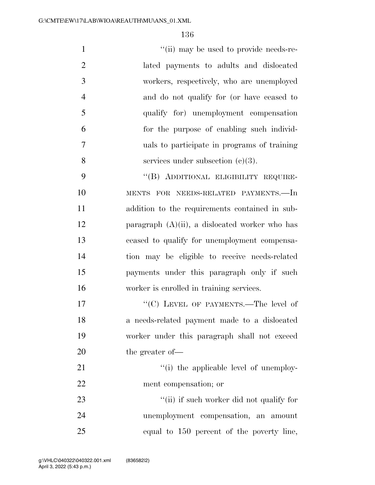$''(ii)$  may be used to provide needs-re- lated payments to adults and dislocated workers, respectively, who are unemployed and do not qualify for (or have ceased to qualify for) unemployment compensation for the purpose of enabling such individ- uals to participate in programs of training 8 services under subsection (c)(3). ''(B) ADDITIONAL ELIGIBILITY REQUIRE- MENTS FOR NEEDS-RELATED PAYMENTS.—In addition to the requirements contained in sub-12 paragraph  $(A)(ii)$ , a dislocated worker who has ceased to qualify for unemployment compensa- tion may be eligible to receive needs-related payments under this paragraph only if such

17 ""(C) LEVEL OF PAYMENTS.—The level of a needs-related payment made to a dislocated worker under this paragraph shall not exceed 20 the greater of —

worker is enrolled in training services.

21  $\frac{1}{2}$   $\frac{1}{2}$  the applicable level of unemploy-ment compensation; or

23 ''(ii) if such worker did not qualify for unemployment compensation, an amount equal to 150 percent of the poverty line,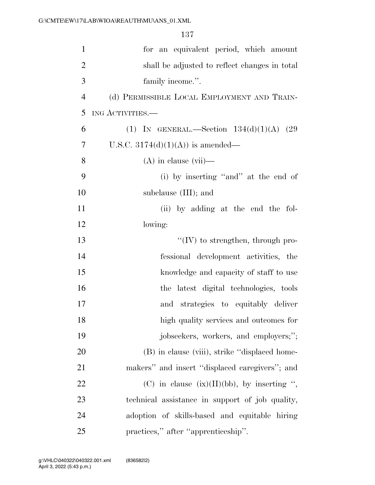| $\mathbf{1}$   | for an equivalent period, which amount          |
|----------------|-------------------------------------------------|
| $\overline{2}$ | shall be adjusted to reflect changes in total   |
| 3              | family income.".                                |
| $\overline{4}$ | (d) PERMISSIBLE LOCAL EMPLOYMENT AND TRAIN-     |
| 5              | ING ACTIVITIES.-                                |
| 6              | (1) IN GENERAL.—Section $134(d)(1)(A)$ (29      |
| $\overline{7}$ | U.S.C. $3174(d)(1)(A)$ is amended—              |
| 8              | $(A)$ in clause $(vii)$ —                       |
| 9              | (i) by inserting "and" at the end of            |
| 10             | subclause (III); and                            |
| 11             | (ii) by adding at the end the fol-              |
| 12             | lowing:                                         |
| 13             | $``(IV)$ to strengthen, through pro-            |
| 14             | fessional development activities, the           |
| 15             | knowledge and capacity of staff to use          |
| 16             | the latest digital technologies, tools          |
| 17             | and strategies to equitably deliver             |
| 18             | high quality services and outcomes for          |
| 19             | jobseekers, workers, and employers;";           |
| 20             | (B) in clause (viii), strike "displaced home-   |
| 21             | makers" and insert "displaced caregivers"; and  |
| 22             | (C) in clause $(ix)(II)(bb)$ , by inserting ",  |
| 23             | technical assistance in support of job quality, |
| 24             | adoption of skills-based and equitable hiring   |
| 25             | practices," after "apprenticeship".             |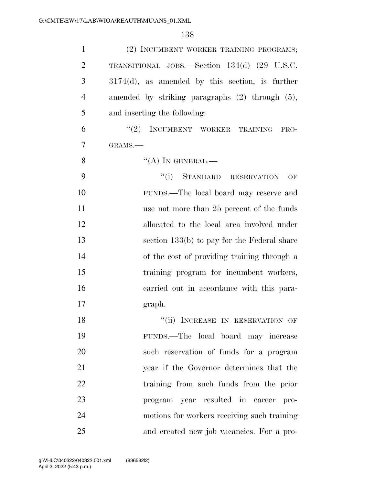| $\mathbf{1}$   | (2) INCUMBENT WORKER TRAINING PROGRAMS;              |
|----------------|------------------------------------------------------|
| $\overline{2}$ | TRANSITIONAL JOBS.—Section 134(d) (29 U.S.C.         |
| 3              | $3174(d)$ , as amended by this section, is further   |
| $\overline{4}$ | amended by striking paragraphs $(2)$ through $(5)$ , |
| 5              | and inserting the following:                         |
| 6              | "(2) INCUMBENT WORKER TRAINING<br>PRO-               |
| $\overline{7}$ | GRAMS.-                                              |
| 8              | $\lq\lq (A)$ In GENERAL.—                            |
| 9              | "(i) STANDARD RESERVATION<br>OF                      |
| 10             | FUNDS.—The local board may reserve and               |
| 11             | use not more than 25 percent of the funds            |
| 12             | allocated to the local area involved under           |
| 13             | section 133(b) to pay for the Federal share          |
| 14             | of the cost of providing training through a          |
| 15             | training program for incumbent workers,              |
| 16             | carried out in accordance with this para-            |
| 17             | graph.                                               |
| 18             | "(ii) INCREASE IN RESERVATION OF                     |
| 19             | FUNDS.—The local board may increase                  |
| 20             | such reservation of funds for a program              |
| 21             | year if the Governor determines that the             |
| 22             | training from such funds from the prior              |
| 23             | program year resulted in career<br>pro-              |
| 24             | motions for workers receiving such training          |
| 25             | and created new job vacancies. For a pro-            |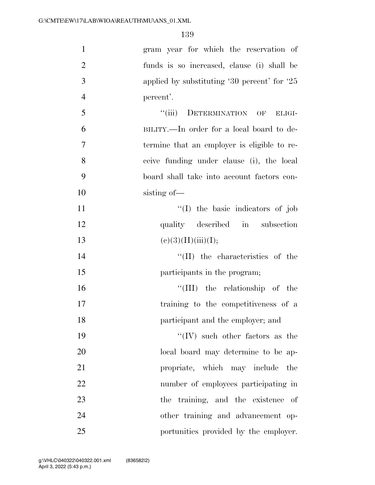| $\mathbf{1}$   | gram year for which the reservation of         |
|----------------|------------------------------------------------|
| $\overline{2}$ | funds is so increased, clause (i) shall be     |
| 3              | applied by substituting $30$ percent' for $25$ |
| $\overline{4}$ | percent'.                                      |
| 5              | "(iii) DETERMINATION OF ELIGI-                 |
| 6              | BILITY.—In order for a local board to de-      |
| $\tau$         | termine that an employer is eligible to re-    |
| 8              | ceive funding under clause (i), the local      |
| 9              | board shall take into account factors con-     |
| 10             | sisting of-                                    |
| 11             | "(I) the basic indicators of job               |
| 12             | quality described in subsection                |
| 13             | (e)(3)(H)(iii)(I);                             |
| 14             | $\lq\lq$ (II) the characteristics of the       |
| 15             | participants in the program;                   |
| 16             | "(III) the relationship of the                 |
| 17             | training to the competitiveness of a           |
| 18             | participant and the employer; and              |
| 19             | "(IV) such other factors as the                |
| 20             | local board may determine to be ap-            |
| 21             | propriate, which may include<br>the            |
| 22             | number of employees participating in           |
| 23             | the training, and the existence<br>of          |
| 24             | other training and advancement op-             |
| 25             | portunities provided by the employer.          |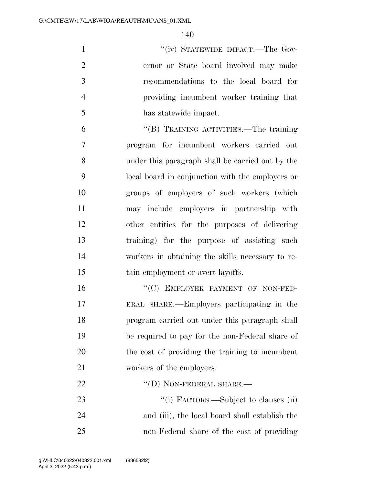1 ''(iv) STATEWIDE IMPACT.—The Gov- ernor or State board involved may make recommendations to the local board for providing incumbent worker training that has statewide impact.

 ''(B) TRAINING ACTIVITIES.—The training program for incumbent workers carried out under this paragraph shall be carried out by the local board in conjunction with the employers or groups of employers of such workers (which may include employers in partnership with other entities for the purposes of delivering training) for the purpose of assisting such workers in obtaining the skills necessary to re-15 tain employment or avert layoffs.

16 "(C) EMPLOYER PAYMENT OF NON-FED- ERAL SHARE.—Employers participating in the program carried out under this paragraph shall be required to pay for the non-Federal share of the cost of providing the training to incumbent workers of the employers.

23  $\frac{1}{1}$  FACTORS.—Subject to clauses (ii) and (iii), the local board shall establish the non-Federal share of the cost of providing

22 "(D) NON-FEDERAL SHARE.—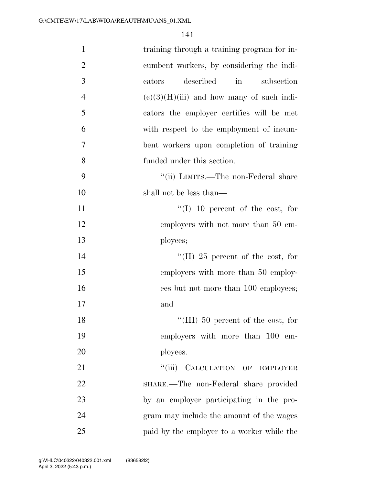| $\mathbf{1}$   | training through a training program for in- |
|----------------|---------------------------------------------|
| $\overline{2}$ | cumbent workers, by considering the indi-   |
| 3              | described<br>$\sin$<br>subsection<br>cators |
| $\overline{4}$ | $(e)(3)(H)(iii)$ and how many of such indi- |
| 5              | cators the employer certifies will be met   |
| 6              | with respect to the employment of incum-    |
| $\overline{7}$ | bent workers upon completion of training    |
| 8              | funded under this section.                  |
| 9              | "(ii) LIMITS.—The non-Federal share         |
| 10             | shall not be less than—                     |
| 11             | $\lq(1)$ 10 percent of the cost, for        |
| 12             | employers with not more than 50 em-         |
| 13             | ployees;                                    |
| 14             | "(II) 25 percent of the cost, for           |
| 15             | employers with more than 50 employ-         |
| 16             | ees but not more than 100 employees;        |
| 17             | and                                         |
| 18             | "(III) 50 percent of the cost, for          |
| 19             | employers with more than 100 em-            |
| 20             | ployees.                                    |
| 21             | "(iii) CALCULATION OF EMPLOYER              |
| 22             | SHARE.—The non-Federal share provided       |
| 23             | by an employer participating in the pro-    |
| 24             | gram may include the amount of the wages    |
| 25             | paid by the employer to a worker while the  |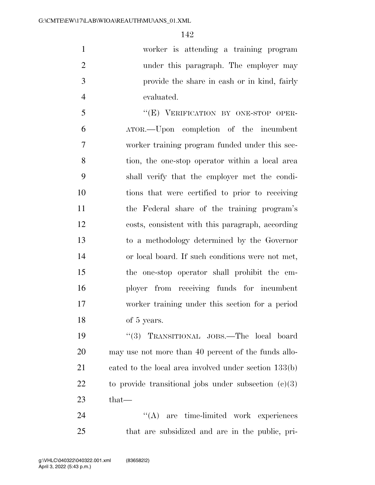worker is attending a training program under this paragraph. The employer may provide the share in cash or in kind, fairly evaluated.

 ''(E) VERIFICATION BY ONE-STOP OPER- ATOR.—Upon completion of the incumbent worker training program funded under this sec- tion, the one-stop operator within a local area shall verify that the employer met the condi- tions that were certified to prior to receiving the Federal share of the training program's costs, consistent with this paragraph, according to a methodology determined by the Governor or local board. If such conditions were not met, the one-stop operator shall prohibit the em- ployer from receiving funds for incumbent worker training under this section for a period of 5 years.

 ''(3) TRANSITIONAL JOBS.—The local board may use not more than 40 percent of the funds allo- cated to the local area involved under section 133(b) 22 to provide transitional jobs under subsection  $(c)(3)$ that—

24 "(A) are time-limited work experiences that are subsidized and are in the public, pri-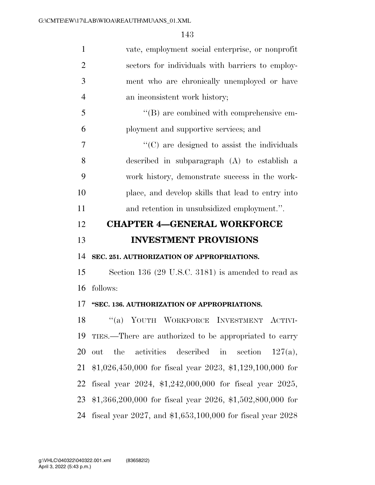| $\mathbf{1}$                                 | vate, employment social enterprise, or nonprofit              |
|----------------------------------------------|---------------------------------------------------------------|
| $\overline{2}$                               | sectors for individuals with barriers to employ-              |
| 3                                            | ment who are chronically unemployed or have                   |
| $\overline{4}$                               | an inconsistent work history;                                 |
| 5                                            | $\lq\lq (B)$ are combined with comprehensive em-              |
| 6                                            | ployment and supportive services; and                         |
| 7                                            | "(C) are designed to assist the individuals                   |
| 8                                            | described in subparagraph $(A)$ to establish a                |
| 9                                            | work history, demonstrate success in the work-                |
| 10                                           | place, and develop skills that lead to entry into             |
| 11                                           | and retention in unsubsidized employment.".                   |
| 12                                           | <b>CHAPTER 4-GENERAL WORKFORCE</b>                            |
|                                              |                                                               |
|                                              | <b>INVESTMENT PROVISIONS</b>                                  |
|                                              | SEC. 251. AUTHORIZATION OF APPROPRIATIONS.                    |
|                                              | Section 136 (29 U.S.C. 3181) is amended to read as            |
|                                              | follows:                                                      |
|                                              | "SEC. 136. AUTHORIZATION OF APPROPRIATIONS.                   |
|                                              | "(a) YOUTH WORKFORCE INVESTMENT ACTIVI-                       |
|                                              | TIES.—There are authorized to be appropriated to carry        |
| 13<br>14<br>15<br>16<br>17<br>18<br>19<br>20 | the activities described in<br>section<br>out<br>$127(a)$ ,   |
| 21                                           | $$1,026,450,000$ for fiscal year 2023, \$1,129,100,000 for    |
| 22                                           | fiscal year $2024$ , \$1,242,000,000 for fiscal year $2025$ , |
| 23                                           | $$1,366,200,000$ for fiscal year 2026, \$1,502,800,000 for    |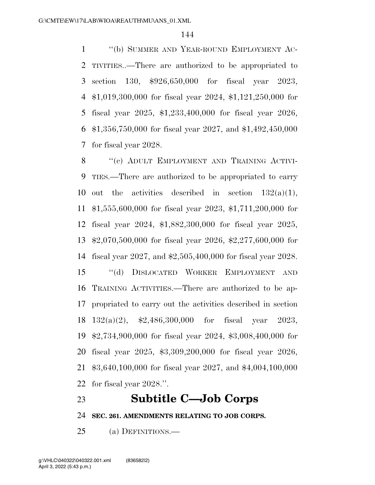''(b) SUMMER AND YEAR-ROUND EMPLOYMENT AC- TIVITIES..—There are authorized to be appropriated to section 130, \$926,650,000 for fiscal year 2023, \$1,019,300,000 for fiscal year 2024, \$1,121,250,000 for fiscal year 2025, \$1,233,400,000 for fiscal year 2026, \$1,356,750,000 for fiscal year 2027, and \$1,492,450,000 for fiscal year 2028.

8 "(c) ADULT EMPLOYMENT AND TRAINING ACTIVI- TIES.—There are authorized to be appropriated to carry 10 out the activities described in section  $132(a)(1)$ , \$1,555,600,000 for fiscal year 2023, \$1,711,200,000 for fiscal year 2024, \$1,882,300,000 for fiscal year 2025, \$2,070,500,000 for fiscal year 2026, \$2,277,600,000 for fiscal year 2027, and \$2,505,400,000 for fiscal year 2028. ''(d) DISLOCATED WORKER EMPLOYMENT AND TRAINING ACTIVITIES.—There are authorized to be ap- propriated to carry out the activities described in section 132(a)(2), \$2,486,300,000 for fiscal year 2023, \$2,734,900,000 for fiscal year 2024, \$3,008,400,000 for fiscal year 2025, \$3,309,200,000 for fiscal year 2026, \$3,640,100,000 for fiscal year 2027, and \$4,004,100,000 for fiscal year 2028.''.

## **Subtitle C—Job Corps**

**SEC. 261. AMENDMENTS RELATING TO JOB CORPS.** 

(a) DEFINITIONS.—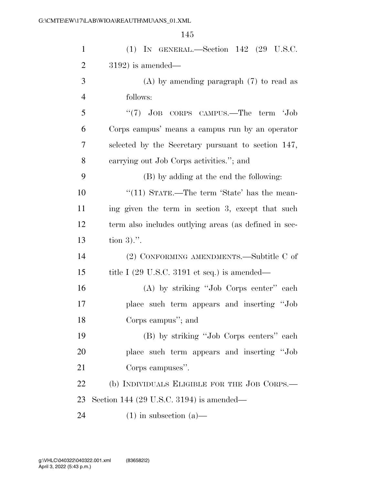| $\mathbf{1}$   | $(1)$ IN GENERAL.—Section 142 $(29 \text{ U.S.C.})$   |
|----------------|-------------------------------------------------------|
| $\overline{2}$ | $3192$ ) is amended—                                  |
| 3              | $(A)$ by amending paragraph $(7)$ to read as          |
| $\overline{4}$ | follows:                                              |
| 5              | " $(7)$ JOB CORPS CAMPUS.—The term 'Job               |
| 6              | Corps campus' means a campus run by an operator       |
| 7              | selected by the Secretary pursuant to section 147,    |
| 8              | carrying out Job Corps activities."; and              |
| 9              | (B) by adding at the end the following:               |
| 10             | "(11) STATE.—The term 'State' has the mean-           |
| 11             | ing given the term in section 3, except that such     |
| 12             | term also includes outlying areas (as defined in sec- |
| 13             | tion $3)$ .".                                         |
| 14             | (2) CONFORMING AMENDMENTS.—Subtitle C of              |
| 15             | title I (29 U.S.C. 3191 et seq.) is amended—          |
| 16             | (A) by striking "Job Corps center" each               |
| 17             | place such term appears and inserting "Job            |
| 18             | Corps campus"; and                                    |
| 19             | (B) by striking "Job Corps centers" each              |
| 20             | place such term appears and inserting "Job            |
| 21             | Corps campuses".                                      |
| 22             | (b) INDIVIDUALS ELIGIBLE FOR THE JOB CORPS.—          |
| 23             | Section 144 (29 U.S.C. 3194) is amended—              |
| 24             | $(1)$ in subsection $(a)$ —                           |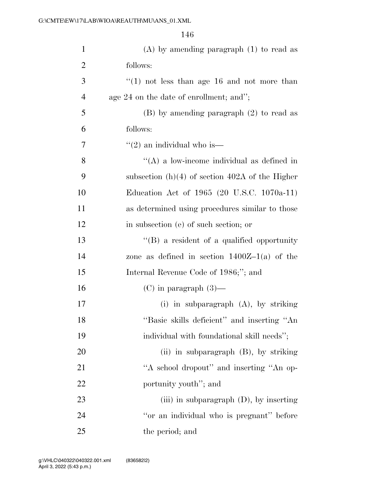| $\mathbf{1}$   | $(A)$ by amending paragraph $(1)$ to read as       |
|----------------|----------------------------------------------------|
| $\overline{2}$ | follows:                                           |
| 3              | $(1)$ not less than age 16 and not more than       |
| $\overline{4}$ | age $24$ on the date of enrollment; and";          |
| 5              | $(B)$ by amending paragraph $(2)$ to read as       |
| 6              | follows:                                           |
| 7              | $\lq(2)$ an individual who is—                     |
| 8              | "(A) a low-income individual as defined in         |
| 9              | subsection $(h)(4)$ of section 402A of the Higher  |
| 10             | Education Act of 1965 (20 U.S.C. 1070a-11)         |
| 11             | as determined using procedures similar to those    |
| 12             | in subsection (e) of such section; or              |
| 13             | $\lq\lq (B)$ a resident of a qualified opportunity |
| 14             | zone as defined in section $1400Z-1(a)$ of the     |
| 15             | Internal Revenue Code of 1986;"; and               |
| 16             | $(C)$ in paragraph $(3)$ —                         |
| 17             | (i) in subparagraph $(A)$ , by striking            |
| 18             | "Basic skills deficient" and inserting "An         |
| 19             | individual with foundational skill needs";         |
| 20             | (ii) in subparagraph $(B)$ , by striking           |
| 21             | "A school dropout" and inserting "An op-           |
| 22             | portunity youth"; and                              |
| 23             | (iii) in subparagraph $(D)$ , by inserting         |
| 24             | "or an individual who is pregnant" before          |
| 25             | the period; and                                    |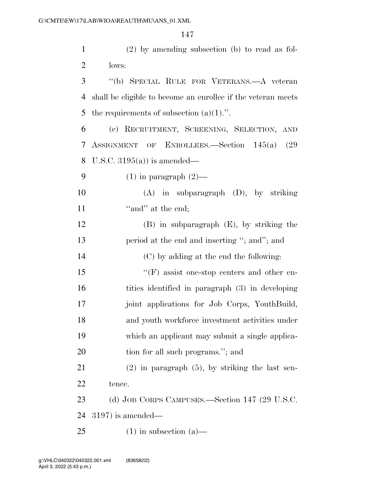(2) by amending subsection (b) to read as fol- lows: ''(b) SPECIAL RULE FOR VETERANS.—A veteran shall be eligible to become an enrollee if the veteran meets 5 the requirements of subsection  $(a)(1)$ .". (c) RECRUITMENT, SCREENING, SELECTION, AND ASSIGNMENT OF ENROLLEES.—Section 145(a) (29 U.S.C. 3195(a)) is amended— 9 (1) in paragraph  $(2)$ — (A) in subparagraph (D), by striking  $"and"$  at the end; (B) in subparagraph (E), by striking the 13 period at the end and inserting "; and"; and (C) by adding at the end the following: 15 "'(F) assist one-stop centers and other en- tities identified in paragraph (3) in developing 17 ioint applications for Job Corps, YouthBuild, and youth workforce investment activities under which an applicant may submit a single applica-20 tion for all such programs."; and

 (2) in paragraph (5), by striking the last sen-tence.

 (d) JOB CORPS CAMPUSES.—Section 147 (29 U.S.C. 3197) is amended—

25 (1) in subsection  $(a)$ —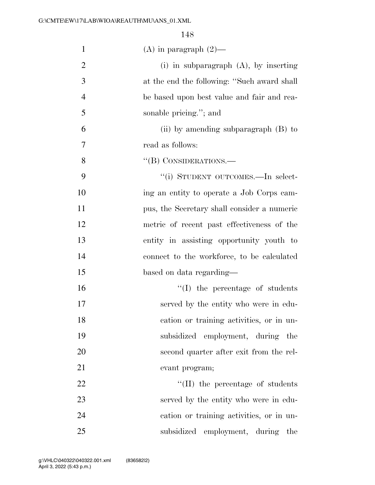| $\mathbf{1}$   | $(A)$ in paragraph $(2)$ —                  |
|----------------|---------------------------------------------|
| $\overline{2}$ | (i) in subparagraph $(A)$ , by inserting    |
| 3              | at the end the following: "Such award shall |
| $\overline{4}$ | be based upon best value and fair and rea-  |
| 5              | sonable pricing."; and                      |
| 6              | (ii) by amending subparagraph $(B)$ to      |
| 7              | read as follows:                            |
| 8              | $``$ (B) CONSIDERATIONS.—                   |
| 9              | "(i) STUDENT OUTCOMES.-In select-           |
| 10             | ing an entity to operate a Job Corps cam-   |
| 11             | pus, the Secretary shall consider a numeric |
| 12             | metric of recent past effectiveness of the  |
| 13             | entity in assisting opportunity youth to    |
| 14             | connect to the workforce, to be calculated  |
| 15             | based on data regarding—                    |
| 16             | "(I) the percentage of students             |
| 17             | served by the entity who were in edu-       |
| 18             | cation or training activities, or in un-    |
| 19             | subsidized employment, during the           |
| 20             | second quarter after exit from the rel-     |
| 21             | evant program;                              |
| 22             | $\lq\lq$ (II) the percentage of students    |
| 23             | served by the entity who were in edu-       |
| 24             | cation or training activities, or in un-    |
| 25             | subsidized employment, during<br>the        |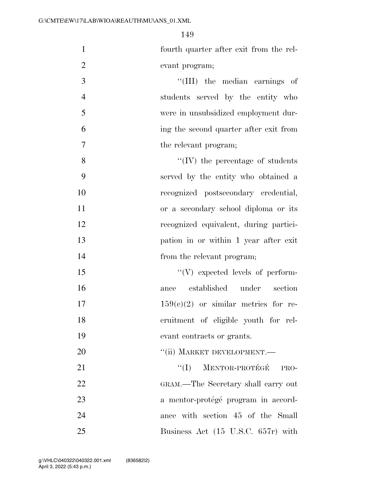fourth quarter after exit from the rel-evant program;

 ''(III) the median earnings of students served by the entity who were in unsubsidized employment dur- ing the second quarter after exit from 7 the relevant program;

8 ''(IV) the percentage of students served by the entity who obtained a recognized postsecondary credential, or a secondary school diploma or its recognized equivalent, during partici- pation in or within 1 year after exit 14 from the relevant program;

 $\langle V \rangle$  expected levels of perform- ance established under section  $17 \t 159(c)(2)$  or similar metrics for re- cruitment of eligible youth for rel-evant contracts or grants.

20  $"$ (ii) MARKET DEVELOPMENT.

 ''(I) MENTOR-PROTE´GE´ PRO- GRAM.—The Secretary shall carry out 23 a mentor-protégé program in accord-24 ance with section 45 of the Small Business Act (15 U.S.C. 657r) with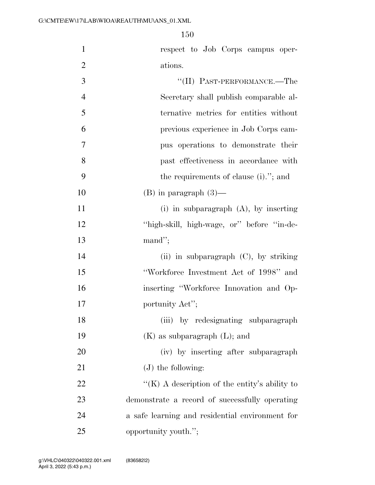respect to Job Corps campus oper- ations.  $\text{``(II)}$  PAST-PERFORMANCE.—The Secretary shall publish comparable al- ternative metrics for entities without previous experience in Job Corps cam-

 pus operations to demonstrate their past effectiveness in accordance with the requirements of clause (i).''; and

10 (B) in paragraph  $(3)$ —

11 (i) in subparagraph (A), by inserting ''high-skill, high-wage, or'' before ''in-de-mand'';

 (ii) in subparagraph (C), by striking ''Workforce Investment Act of 1998'' and inserting ''Workforce Innovation and Op-17 portunity Act'';

18 (iii) by redesignating subparagraph 19  $(K)$  as subparagraph  $(L)$ ; and

 (iv) by inserting after subparagraph 21 (J) the following:

 $\langle K \rangle$  A description of the entity's ability to demonstrate a record of successfully operating a safe learning and residential environment for opportunity youth.'';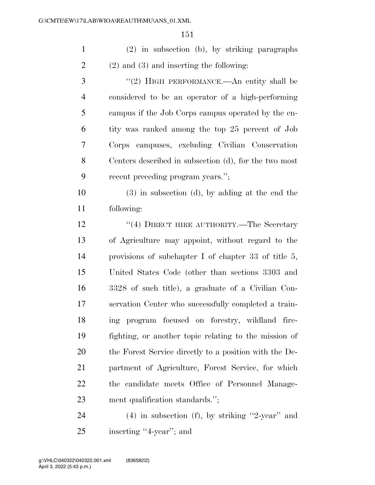(2) in subsection (b), by striking paragraphs (2) and (3) and inserting the following:

3 "(2) HIGH PERFORMANCE.—An entity shall be considered to be an operator of a high-performing campus if the Job Corps campus operated by the en- tity was ranked among the top 25 percent of Job Corps campuses, excluding Civilian Conservation Centers described in subsection (d), for the two most recent preceding program years.'';

 (3) in subsection (d), by adding at the end the following:

12 ''(4) DIRECT HIRE AUTHORITY.—The Secretary of Agriculture may appoint, without regard to the provisions of subchapter I of chapter 33 of title 5, United States Code (other than sections 3303 and 3328 of such title), a graduate of a Civilian Con- servation Center who successfully completed a train- ing program focused on forestry, wildland fire- fighting, or another topic relating to the mission of the Forest Service directly to a position with the De- partment of Agriculture, Forest Service, for which the candidate meets Office of Personnel Manage-ment qualification standards.'';

 (4) in subsection (f), by striking ''2-year'' and inserting ''4-year''; and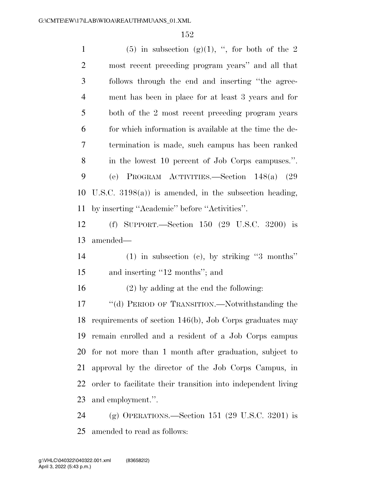1 (5) in subsection (g)(1), ", for both of the 2 most recent preceding program years'' and all that follows through the end and inserting ''the agree- ment has been in place for at least 3 years and for both of the 2 most recent preceding program years for which information is available at the time the de- termination is made, such campus has been ranked in the lowest 10 percent of Job Corps campuses.''. (e) PROGRAM ACTIVITIES.—Section 148(a) (29 U.S.C. 3198(a)) is amended, in the subsection heading, by inserting ''Academic'' before ''Activities''. (f) SUPPORT.—Section 150 (29 U.S.C. 3200) is amended— (1) in subsection (c), by striking ''3 months'' 15 and inserting "12 months"; and (2) by adding at the end the following: ''(d) PERIOD OF TRANSITION.—Notwithstanding the requirements of section 146(b), Job Corps graduates may remain enrolled and a resident of a Job Corps campus for not more than 1 month after graduation, subject to approval by the director of the Job Corps Campus, in order to facilitate their transition into independent living and employment.''. (g) OPERATIONS.—Section 151 (29 U.S.C. 3201) is amended to read as follows: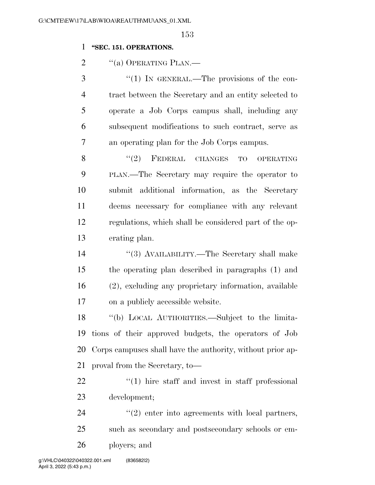### **''SEC. 151. OPERATIONS.**

2 "(a) OPERATING PLAN.—

3 "(1) In GENERAL.—The provisions of the con- tract between the Secretary and an entity selected to operate a Job Corps campus shall, including any subsequent modifications to such contract, serve as an operating plan for the Job Corps campus.

8 "(2) FEDERAL CHANGES TO OPERATING PLAN.—The Secretary may require the operator to submit additional information, as the Secretary deems necessary for compliance with any relevant regulations, which shall be considered part of the op-erating plan.

14 ''(3) AVAILABILITY.—The Secretary shall make the operating plan described in paragraphs (1) and (2), excluding any proprietary information, available on a publicly accessible website.

 ''(b) LOCAL AUTHORITIES.—Subject to the limita- tions of their approved budgets, the operators of Job Corps campuses shall have the authority, without prior ap-proval from the Secretary, to—

22  $\frac{1}{2}$  (1) hire staff and invest in staff professional development;

24  $\frac{1}{2}$  (2) enter into agreements with local partners, such as secondary and postsecondary schools or em-ployers; and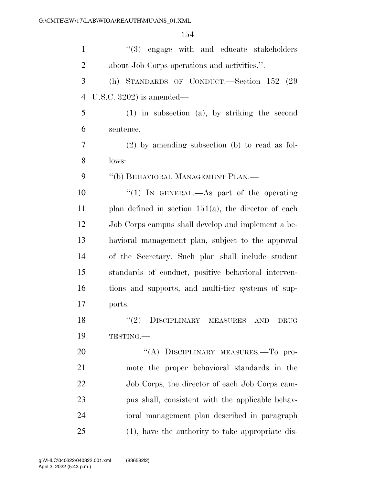| $\mathbf{1}$   | "(3) engage with and educate stakeholders               |
|----------------|---------------------------------------------------------|
| $\overline{2}$ | about Job Corps operations and activities.".            |
| 3              | (h) STANDARDS OF CONDUCT.—Section 152 (29)              |
| $\overline{4}$ | U.S.C. $3202$ ) is amended—                             |
| 5              | $(1)$ in subsection $(a)$ , by striking the second      |
| 6              | sentence;                                               |
| 7              | $(2)$ by amending subsection (b) to read as fol-        |
| 8              | lows:                                                   |
| 9              | "(b) BEHAVIORAL MANAGEMENT PLAN.—                       |
| 10             | "(1) IN GENERAL.—As part of the operating               |
| 11             | plan defined in section $151(a)$ , the director of each |
| 12             | Job Corps campus shall develop and implement a be-      |
| 13             | havioral management plan, subject to the approval       |
| 14             | of the Secretary. Such plan shall include student       |
| 15             | standards of conduct, positive behavioral interven-     |
| 16             | tions and supports, and multi-tier systems of sup-      |
| 17             | ports.                                                  |
| 18             | "(2) DISCIPLINARY MEASURES AND DRUG                     |
| 19             | TESTING.                                                |
| 20             | "(A) DISCIPLINARY MEASURES.—To pro-                     |
| 21             | mote the proper behavioral standards in the             |
| 22             | Job Corps, the director of each Job Corps cam-          |
| 23             | pus shall, consistent with the applicable behav-        |
| 24             | ioral management plan described in paragraph            |
| 25             | (1), have the authority to take appropriate dis-        |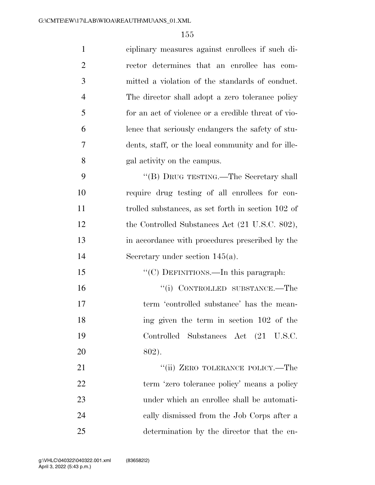| $\mathbf{1}$   | ciplinary measures against enrollees if such di-    |
|----------------|-----------------------------------------------------|
| $\overline{2}$ | rector determines that an enrollee has com-         |
| 3              | mitted a violation of the standards of conduct.     |
| $\overline{4}$ | The director shall adopt a zero tolerance policy    |
| 5              | for an act of violence or a credible threat of vio- |
| 6              | lence that seriously endangers the safety of stu-   |
| 7              | dents, staff, or the local community and for ille-  |
| 8              | gal activity on the campus.                         |
| 9              | "(B) DRUG TESTING.—The Secretary shall              |
| 10             | require drug testing of all enrollees for con-      |
| 11             | trolled substances, as set forth in section 102 of  |
| 12             | the Controlled Substances Act (21 U.S.C. 802),      |
| 13             | in accordance with procedures prescribed by the     |
| 14             | Secretary under section $145(a)$ .                  |
| 15             | "(C) DEFINITIONS.—In this paragraph:                |
| 16             | "(i) CONTROLLED SUBSTANCE.—The                      |
| 17             | term 'controlled substance' has the mean-           |
| 18             | ing given the term in section 102 of the            |
| 19             | Controlled Substances Act (21 U.S.C.                |
| 20             | 802).                                               |
| 21             | "(ii) ZERO TOLERANCE POLICY.—The                    |
| 22             | term 'zero tolerance policy' means a policy         |
| 23             | under which an enrollee shall be automati-          |
| 24             | cally dismissed from the Job Corps after a          |
| 25             | determination by the director that the en-          |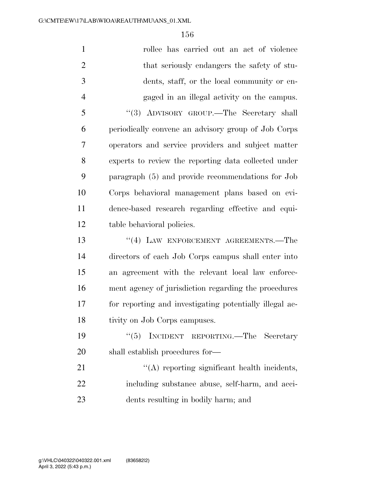| $\mathbf{1}$   | rollee has carried out an act of violence               |
|----------------|---------------------------------------------------------|
| $\overline{2}$ | that seriously endangers the safety of stu-             |
| 3              | dents, staff, or the local community or en-             |
| $\overline{4}$ | gaged in an illegal activity on the campus.             |
| 5              | "(3) ADVISORY GROUP.—The Secretary shall                |
| 6              | periodically convene an advisory group of Job Corps     |
| 7              | operators and service providers and subject matter      |
| 8              | experts to review the reporting data collected under    |
| 9              | paragraph (5) and provide recommendations for Job       |
| 10             | Corps behavioral management plans based on evi-         |
| 11             | dence-based research regarding effective and equi-      |
| 12             | table behavioral policies.                              |
| 13             | "(4) LAW ENFORCEMENT AGREEMENTS.—The                    |
| 14             | directors of each Job Corps campus shall enter into     |
| 15             | an agreement with the relevant local law enforce-       |
| 16             | ment agency of jurisdiction regarding the procedures    |
| 17             | for reporting and investigating potentially illegal ac- |
| 18             | tivity on Job Corps campuses.                           |
| 19             | INCIDENT REPORTING. The Secretary<br>(5)                |
| 20             | shall establish procedures for—                         |
| 21             | $\lq\lq$ reporting significant health incidents,        |
| 22             | including substance abuse, self-harm, and acci-         |
| 23             | dents resulting in bodily harm; and                     |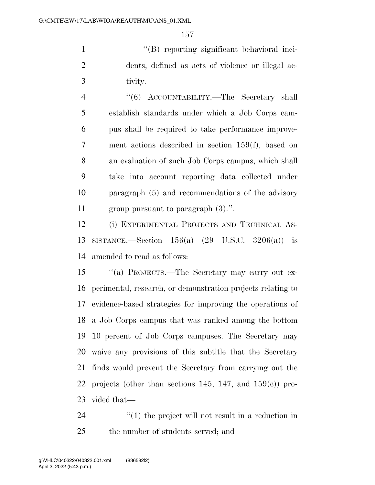''(B) reporting significant behavioral inci- dents, defined as acts of violence or illegal ac-tivity.

 ''(6) ACCOUNTABILITY.—The Secretary shall establish standards under which a Job Corps cam- pus shall be required to take performance improve- ment actions described in section 159(f), based on an evaluation of such Job Corps campus, which shall take into account reporting data collected under paragraph (5) and recommendations of the advisory group pursuant to paragraph (3).''.

 (i) EXPERIMENTAL PROJECTS AND TECHNICAL AS- SISTANCE.—Section 156(a) (29 U.S.C. 3206(a)) is amended to read as follows:

 ''(a) PROJECTS.—The Secretary may carry out ex- perimental, research, or demonstration projects relating to evidence-based strategies for improving the operations of a Job Corps campus that was ranked among the bottom 10 percent of Job Corps campuses. The Secretary may waive any provisions of this subtitle that the Secretary finds would prevent the Secretary from carrying out the 22 projects (other than sections 145, 147, and  $159(e)$ ) pro-vided that—

24  $\frac{1}{2}$  (1) the project will not result in a reduction in the number of students served; and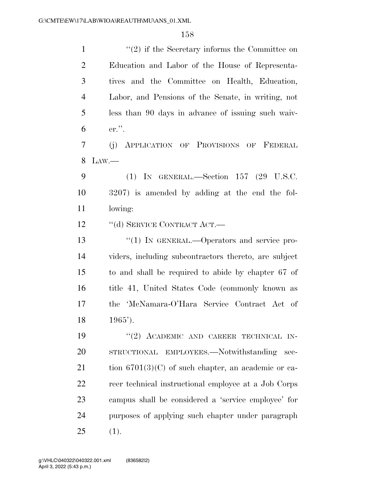1 ''(2) if the Secretary informs the Committee on Education and Labor of the House of Representa- tives and the Committee on Health, Education, Labor, and Pensions of the Senate, in writing, not less than 90 days in advance of issuing such waiv-er.''.

 (j) APPLICATION OF PROVISIONS OF FEDERAL LAW.—

 (1) IN GENERAL.—Section 157 (29 U.S.C. 3207) is amended by adding at the end the fol-lowing:

12 "(d) SERVICE CONTRACT ACT.—

13 "(1) IN GENERAL.—Operators and service pro- viders, including subcontractors thereto, are subject to and shall be required to abide by chapter 67 of title 41, United States Code (commonly known as the 'McNamara-O'Hara Service Contract Act of 1965').

19 "(2) ACADEMIC AND CAREER TECHNICAL IN- STRUCTIONAL EMPLOYEES.—Notwithstanding sec-21 tion  $6701(3)(C)$  of such chapter, an academic or ca- reer technical instructional employee at a Job Corps campus shall be considered a 'service employee' for purposes of applying such chapter under paragraph (1).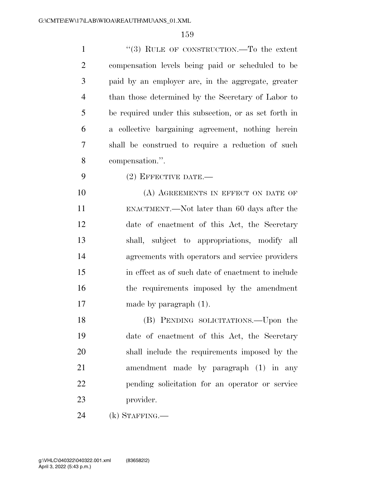| $\mathbf{1}$   | "(3) RULE OF CONSTRUCTION.—To the extent              |
|----------------|-------------------------------------------------------|
| $\overline{2}$ | compensation levels being paid or scheduled to be     |
| 3              | paid by an employer are, in the aggregate, greater    |
| $\overline{4}$ | than those determined by the Secretary of Labor to    |
| 5              | be required under this subsection, or as set forth in |
| 6              | a collective bargaining agreement, nothing herein     |
| 7              | shall be construed to require a reduction of such     |
| 8              | compensation.".                                       |
| 9              | $(2)$ EFFECTIVE DATE.—                                |
| 10             | (A) AGREEMENTS IN EFFECT ON DATE OF                   |
| 11             | ENACTMENT.—Not later than 60 days after the           |
| 12             | date of enactment of this Act, the Secretary          |
| 13             | shall, subject to appropriations, modify all          |
| 14             | agreements with operators and service providers       |
| 15             | in effect as of such date of enactment to include     |
| 16             | the requirements imposed by the amendment             |
| 17             | made by paragraph $(1)$ .                             |
| 18             | (B) PENDING SOLICITATIONS.—Upon the                   |
| 19             | date of enactment of this Act, the Secretary          |
| 20             | shall include the requirements imposed by the         |
| 21             | amendment made by paragraph (1) in any                |
| 22             | pending solicitation for an operator or service       |
| 23             | provider.                                             |
| 24             | $(k)$ STAFFING.—                                      |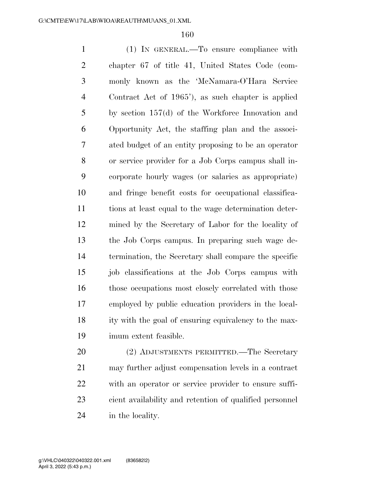(1) IN GENERAL.—To ensure compliance with chapter 67 of title 41, United States Code (com- monly known as the 'McNamara-O'Hara Service Contract Act of 1965'), as such chapter is applied by section 157(d) of the Workforce Innovation and Opportunity Act, the staffing plan and the associ- ated budget of an entity proposing to be an operator or service provider for a Job Corps campus shall in- corporate hourly wages (or salaries as appropriate) and fringe benefit costs for occupational classifica- tions at least equal to the wage determination deter- mined by the Secretary of Labor for the locality of the Job Corps campus. In preparing such wage de- termination, the Secretary shall compare the specific job classifications at the Job Corps campus with 16 those occupations most closely correlated with those employed by public education providers in the local- ity with the goal of ensuring equivalency to the max-imum extent feasible.

 (2) ADJUSTMENTS PERMITTED.—The Secretary may further adjust compensation levels in a contract with an operator or service provider to ensure suffi- cient availability and retention of qualified personnel in the locality.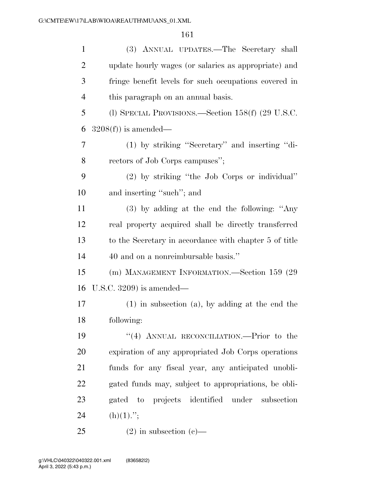| $\mathbf{1}$   | (3) ANNUAL UPDATES.—The Secretary shall                |
|----------------|--------------------------------------------------------|
| $\overline{2}$ | update hourly wages (or salaries as appropriate) and   |
| 3              | fringe benefit levels for such occupations covered in  |
| $\overline{4}$ | this paragraph on an annual basis.                     |
| 5              | (l) SPECIAL PROVISIONS.—Section $158(f)$ (29 U.S.C.    |
| 6              | $3208(f)$ is amended—                                  |
| 7              | (1) by striking "Secretary" and inserting "di-         |
| 8              | rectors of Job Corps campuses";                        |
| 9              | (2) by striking "the Job Corps or individual"          |
| 10             | and inserting "such"; and                              |
| 11             | $(3)$ by adding at the end the following: "Any         |
| 12             | real property acquired shall be directly transferred   |
| 13             | to the Secretary in accordance with chapter 5 of title |
| 14             | 40 and on a nonreimbursable basis."                    |
| 15             | (m) MANAGEMENT INFORMATION.—Section 159 (29            |
| 16             | U.S.C. $3209$ is amended—                              |
| 17             | $(1)$ in subsection $(a)$ , by adding at the end the   |
| 18             | following:                                             |
| 19             | "(4) ANNUAL RECONCILIATION.—Prior to the               |
| 20             | expiration of any appropriated Job Corps operations    |
| 21             | funds for any fiscal year, any anticipated unobli-     |
| 22             | gated funds may, subject to appropriations, be obli-   |
| 23             | gated to projects identified under subsection          |
| 24             | $(h)(1)$ .";                                           |
| 25             | $(2)$ in subsection $(e)$ —                            |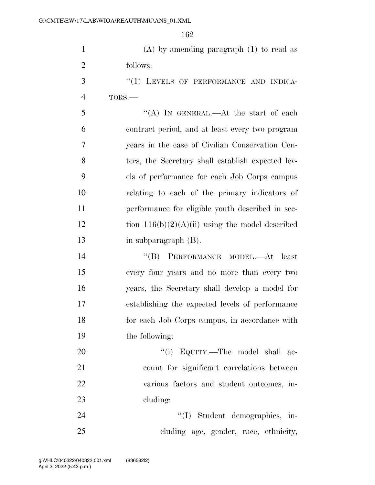| $\mathbf{1}$   | $(A)$ by amending paragraph $(1)$ to read as      |
|----------------|---------------------------------------------------|
| $\overline{2}$ | follows:                                          |
| 3              | "(1) LEVELS OF PERFORMANCE AND INDICA-            |
| $\overline{4}$ | TORS.-                                            |
| 5              | "(A) IN GENERAL.—At the start of each             |
| 6              | contract period, and at least every two program   |
| 7              | years in the case of Civilian Conservation Cen-   |
| 8              | ters, the Secretary shall establish expected lev- |
| 9              | els of performance for each Job Corps campus      |
| 10             | relating to each of the primary indicators of     |
| 11             | performance for eligible youth described in sec-  |
| 12             | tion $116(b)(2)(A)(ii)$ using the model described |
| 13             | in subparagraph (B).                              |
| 14             | "(B) PERFORMANCE MODEL.—At least                  |
| 15             | every four years and no more than every two       |
| 16             | years, the Secretary shall develop a model for    |
| 17             | establishing the expected levels of performance   |
| 18             | for each Job Corps campus, in accordance with     |
| 19             | the following:                                    |
| 20             | "(i) EQUITY.—The model shall ac-                  |
| 21             | count for significant correlations between        |
| 22             | various factors and student outcomes, in-         |
| 23             | cluding:                                          |
| 24             | "(I) Student demographics, in-                    |
| 25             | cluding age, gender, race, ethnicity,             |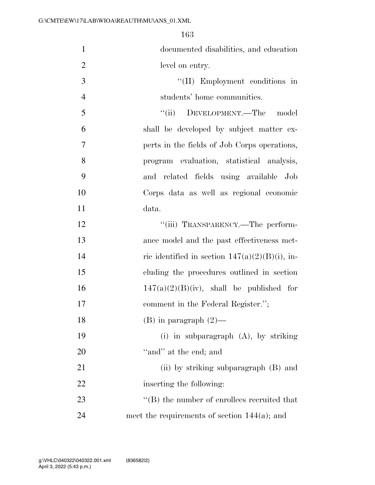documented disabilities, and education level on entry.

- 3  $\frac{1}{2}$  Employment conditions in students' home communities.
- ''(ii) DEVELOPMENT.—The model shall be developed by subject matter ex- perts in the fields of Job Corps operations, program evaluation, statistical analysis, and related fields using available Job Corps data as well as regional economic data.

| 12 | "(iii) TRANSPARENCY.-The perform-                   |
|----|-----------------------------------------------------|
| 13 | ance model and the past effectiveness met-          |
| 14 | ric identified in section $147(a)(2)(B)(i)$ , in-   |
| 15 | cluding the procedures outlined in section          |
| 16 | $147(a)(2)(B)(iv)$ , shall be published for         |
| 17 | comment in the Federal Register.";                  |
| 18 | $(B)$ in paragraph $(2)$ —                          |
| 19 | (i) in subparagraph $(A)$ , by striking             |
| 20 | "and" at the end; and                               |
| 21 | (ii) by striking subparagraph (B) and               |
| 22 | inserting the following:                            |
| 23 | $\lq\lq (B)$ the number of enrollees recruited that |
| 24 | meet the requirements of section $144(a)$ ; and     |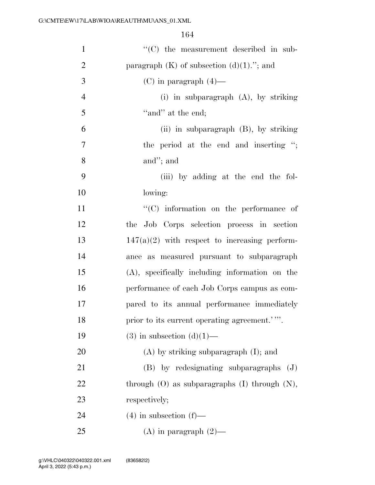| $\mathbf{1}$   | "(C) the measurement described in sub-               |
|----------------|------------------------------------------------------|
| $\overline{2}$ | paragraph $(K)$ of subsection $(d)(1)$ ."; and       |
| 3              | $(C)$ in paragraph $(4)$ —                           |
| $\overline{4}$ | (i) in subparagraph $(A)$ , by striking              |
| 5              | "and" at the end;                                    |
| 6              | $(ii)$ in subparagraph $(B)$ , by striking           |
| $\tau$         | the period at the end and inserting ";               |
| 8              | and"; and                                            |
| 9              | (iii) by adding at the end the fol-                  |
| 10             | lowing:                                              |
| 11             | $``(C)$ information on the performance of            |
| 12             | the Job Corps selection process in section           |
| 13             | $147(a)(2)$ with respect to increasing perform-      |
| 14             | ance as measured pursuant to subparagraph            |
| 15             | (A), specifically including information on the       |
| 16             | performance of each Job Corps campus as com-         |
| 17             | pared to its annual performance immediately          |
| 18             | prior to its current operating agreement.'"          |
| 19             | $(3)$ in subsection $(d)(1)$ —                       |
| 20             | $(A)$ by striking subparagraph $(I)$ ; and           |
| 21             | $(B)$ by redesignating subparagraphs $(J)$           |
| 22             | through $(O)$ as subparagraphs $(I)$ through $(N)$ , |
| 23             | respectively;                                        |
| 24             | $(4)$ in subsection $(f)$ —                          |
| 25             | (A) in paragraph $(2)$ —                             |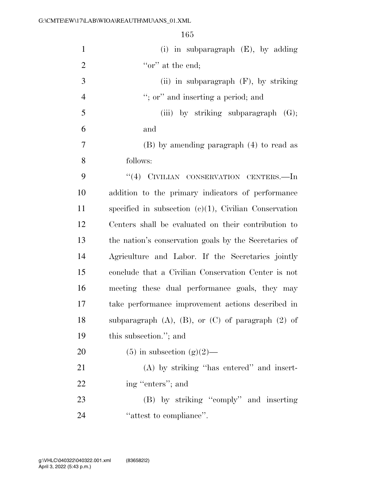(i) in subparagraph (E), by adding  $\qquad \qquad \text{``or'' at the end:}$  (ii) in subparagraph (F), by striking 4 ''; or'' and inserting a period; and (iii) by striking subparagraph (G); and (B) by amending paragraph (4) to read as follows: 9 "(4) CIVILIAN CONSERVATION CENTERS.—In addition to the primary indicators of performance specified in subsection (c)(1), Civilian Conservation Centers shall be evaluated on their contribution to the nation's conservation goals by the Secretaries of Agriculture and Labor. If the Secretaries jointly conclude that a Civilian Conservation Center is not meeting these dual performance goals, they may take performance improvement actions described in 18 subparagraph  $(A)$ ,  $(B)$ , or  $(C)$  of paragraph  $(2)$  of this subsection.''; and 20 (5) in subsection  $(g)(2)$ — (A) by striking ''has entered'' and insert-22 ing "enters"; and

 (B) by striking ''comply'' and inserting 24  $'$  attest to compliance".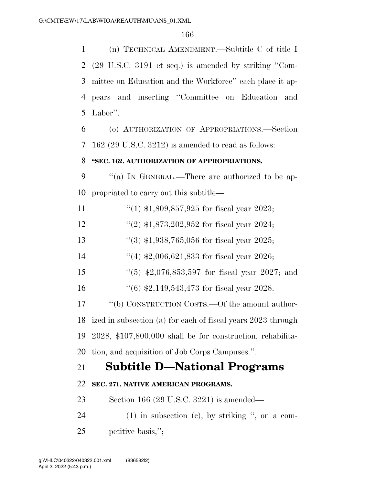(n) TECHNICAL AMENDMENT.—Subtitle C of title I (29 U.S.C. 3191 et seq.) is amended by striking ''Com- mittee on Education and the Workforce'' each place it ap- pears and inserting ''Committee on Education and Labor''.

 (o) AUTHORIZATION OF APPROPRIATIONS.—Section 162 (29 U.S.C. 3212) is amended to read as follows:

### **''SEC. 162. AUTHORIZATION OF APPROPRIATIONS.**

9 "(a) In GENERAL.—There are authorized to be ap-propriated to carry out this subtitle—

11 ''(1) \$1,809,857,925 for fiscal year 2023;

12 ''(2) \$1,873,202,952 for fiscal year 2024;

''(3) \$1,938,765,056 for fiscal year 2025;

14 ''(4) \$2,006,621,833 for fiscal year 2026;

- ''(5) \$2,076,853,597 for fiscal year 2027; and
- ''(6) \$2,149,543,473 for fiscal year 2028.

17 "(b) CONSTRUCTION COSTS.—Of the amount author- ized in subsection (a) for each of fiscal years 2023 through 2028, \$107,800,000 shall be for construction, rehabilita-tion, and acquisition of Job Corps Campuses.''.

# **Subtitle D—National Programs**

## **SEC. 271. NATIVE AMERICAN PROGRAMS.**

Section 166 (29 U.S.C. 3221) is amended—

 (1) in subsection (c), by striking '', on a com-petitive basis,'';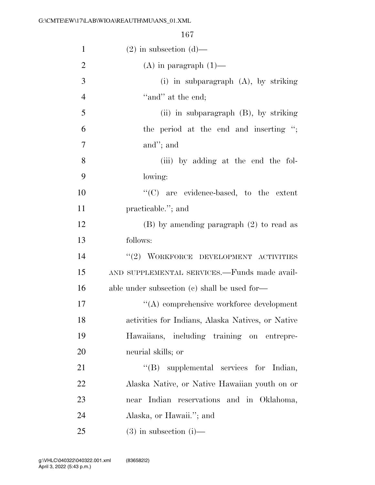| 1              | $(2)$ in subsection $(d)$ —                       |
|----------------|---------------------------------------------------|
| $\overline{2}$ | $(A)$ in paragraph $(1)$ —                        |
| 3              | (i) in subparagraph $(A)$ , by striking           |
| $\overline{4}$ | "and" at the end;                                 |
| 5              | (ii) in subparagraph $(B)$ , by striking          |
| 6              | the period at the end and inserting ";            |
| $\overline{7}$ | and"; and                                         |
| 8              | (iii) by adding at the end the fol-               |
| 9              | lowing:                                           |
| 10             | $\lq\lq$ are evidence-based, to the extent        |
| 11             | practicable."; and                                |
| 12             | $(B)$ by amending paragraph $(2)$ to read as      |
| 13             | follows:                                          |
| 14             | "(2) WORKFORCE DEVELOPMENT ACTIVITIES             |
| 15             | AND SUPPLEMENTAL SERVICES.-Funds made avail-      |
| 16             | able under subsection $(c)$ shall be used for-    |
| 17             | "(A) comprehensive workforce development          |
| 18             | activities for Indians, Alaska Natives, or Native |
| 19             | Hawaiians, including training on entrepre-        |
| 20             | neurial skills; or                                |
| 21             | "(B) supplemental services for Indian,            |
| 22             | Alaska Native, or Native Hawaiian youth on or     |
| 23             | reservations and in Oklahoma,<br>Indian<br>near   |
| 24             | Alaska, or Hawaii."; and                          |
| 25             | $(3)$ in subsection $(i)$ —                       |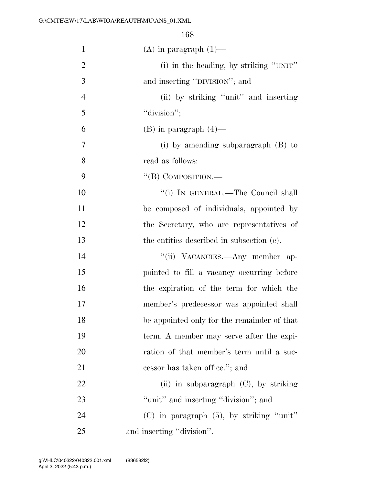| $\mathbf{1}$   | $(A)$ in paragraph $(1)$ —                    |
|----------------|-----------------------------------------------|
| $\overline{2}$ | (i) in the heading, by striking "UNIT"        |
| 3              | and inserting "DIVISION"; and                 |
| $\overline{4}$ | (ii) by striking "unit" and inserting         |
| 5              | "division";                                   |
| 6              | $(B)$ in paragraph $(4)$ —                    |
| 7              | (i) by amending subparagraph $(B)$ to         |
| 8              | read as follows:                              |
| 9              | $\lq\lq$ (B) COMPOSITION.—                    |
| 10             | "(i) IN GENERAL.—The Council shall            |
| 11             | be composed of individuals, appointed by      |
| 12             | the Secretary, who are representatives of     |
| 13             | the entities described in subsection (c).     |
| 14             | "(ii) VACANCIES.—Any member ap-               |
| 15             | pointed to fill a vacancy occurring before    |
| 16             | the expiration of the term for which the      |
| 17             | member's predecessor was appointed shall      |
| 18             | be appointed only for the remainder of that   |
| 19             | term. A member may serve after the expi-      |
| 20             | ration of that member's term until a suc-     |
| 21             | cessor has taken office."; and                |
| 22             | (ii) in subparagraph $(C)$ , by striking      |
| 23             | "unit" and inserting "division"; and          |
| 24             | $(C)$ in paragraph $(5)$ , by striking "unit" |
| 25             | and inserting "division".                     |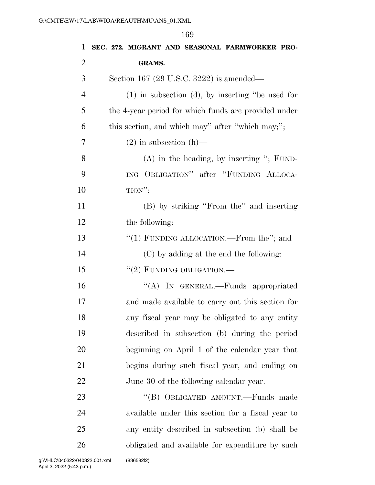|                | 169                                                   |
|----------------|-------------------------------------------------------|
| $\mathbf{1}$   | SEC. 272. MIGRANT AND SEASONAL FARMWORKER PRO-        |
| $\overline{2}$ | <b>GRAMS.</b>                                         |
| 3              | Section 167 (29 U.S.C. 3222) is amended—              |
| $\overline{4}$ | $(1)$ in subsection $(d)$ , by inserting "be used for |
| 5              | the 4-year period for which funds are provided under  |
| 6              | this section, and which may" after "which may;";      |
| 7              | $(2)$ in subsection $(h)$ —                           |
| 8              | $(A)$ in the heading, by inserting "; FUND-           |
| 9              | ING OBLIGATION" after "FUNDING ALLOCA-                |
| 10             | TION";                                                |
| 11             | (B) by striking "From the" and inserting              |
| 12             | the following:                                        |
| 13             | "(1) FUNDING ALLOCATION.—From the"; and               |
| 14             | (C) by adding at the end the following:               |
| 15             | "(2) FUNDING OBLIGATION.—                             |
| 16             | "(A) IN GENERAL.—Funds appropriated                   |
| 17             | and made available to carry out this section for      |
| 18             | any fiscal year may be obligated to any entity        |
| 19             | described in subsection (b) during the period         |
| 20             | beginning on April 1 of the calendar year that        |
| 21             | begins during such fiscal year, and ending on         |
| 22             | June 30 of the following calendar year.               |
| 23             | "(B) OBLIGATED AMOUNT.—Funds made                     |
| 24             | available under this section for a fiscal year to     |
| 25             | any entity described in subsection (b) shall be       |
| 26             | obligated and available for expenditure by such       |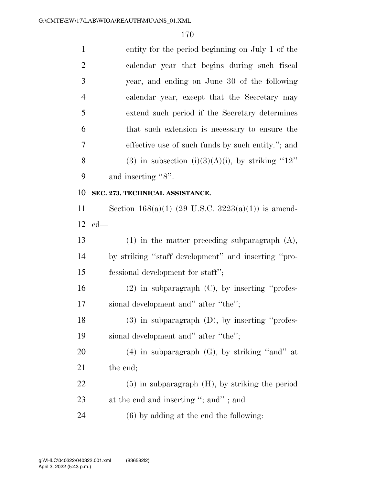| $\mathbf{1}$   | entity for the period beginning on July 1 of the     |
|----------------|------------------------------------------------------|
| $\overline{2}$ | calendar year that begins during such fiscal         |
| 3              | year, and ending on June 30 of the following         |
| $\overline{4}$ | calendar year, except that the Secretary may         |
| 5              | extend such period if the Secretary determines       |
| 6              | that such extension is necessary to ensure the       |
| 7              | effective use of such funds by such entity."; and    |
| 8              | (3) in subsection (i)(3)(A)(i), by striking " $12$ " |
| 9              | and inserting "8".                                   |
| 10             | SEC. 273. TECHNICAL ASSISTANCE.                      |
| 11             | Section 168(a)(1) (29 U.S.C. 3223(a)(1)) is amend-   |
| 12             | $ed$ —                                               |
| 13             | $(1)$ in the matter preceding subparagraph $(A)$ ,   |
| 14             | by striking "staff development" and inserting "pro-  |
| 15             | fessional development for staff";                    |
| 16             | $(2)$ in subparagraph $(C)$ , by inserting "profes-  |
| 17             | sional development and" after "the";                 |
| 18             | $(3)$ in subparagraph $(D)$ , by inserting "profes-  |
|                |                                                      |
| 19             | sional development and" after "the";                 |
| 20             | $(4)$ in subparagraph $(G)$ , by striking "and" at   |
| 21             | the end;                                             |
| 22             | $(5)$ in subparagraph $(H)$ , by striking the period |
| 23             | at the end and inserting "; and"; and                |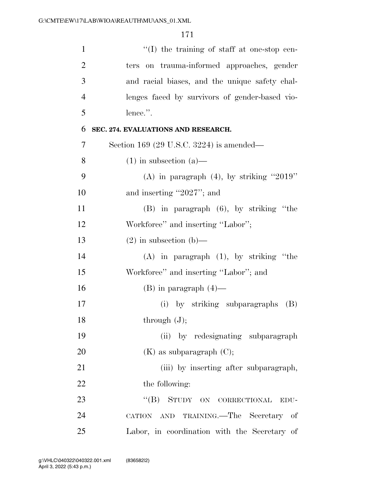| $\mathbf{1}$   | $\lq\lq$ the training of staff at one-stop cen- |
|----------------|-------------------------------------------------|
| $\overline{2}$ | ters on trauma-informed approaches, gender      |
| 3              | and racial biases, and the unique safety chal-  |
| $\overline{4}$ | lenges faced by survivors of gender-based vio-  |
| 5              | lence.".                                        |
| 6              | SEC. 274. EVALUATIONS AND RESEARCH.             |
| 7              | Section 169 (29 U.S.C. 3224) is amended—        |
| 8              | $(1)$ in subsection $(a)$ —                     |
| 9              | (A) in paragraph $(4)$ , by striking "2019"     |
| 10             | and inserting "2027"; and                       |
| 11             | $(B)$ in paragraph $(6)$ , by striking "the     |
| 12             | Workforce" and inserting "Labor";               |
| 13             | $(2)$ in subsection $(b)$ —                     |
| 14             | $(A)$ in paragraph $(1)$ , by striking "the     |
| 15             | Workforce" and inserting "Labor"; and           |
| 16             | $(B)$ in paragraph $(4)$ —                      |
| 17             | (i) by striking subparagraphs<br>(B)            |
| 18             | through $(J)$ ;                                 |
| 19             | by redesignating subparagraph<br>(ii)           |
| 20             | $(K)$ as subparagraph $(C)$ ;                   |
| 21             | (iii) by inserting after subparagraph,          |
| 22             | the following:                                  |
| 23             | $\lq\lq (B)$<br>STUDY ON CORRECTIONAL<br>EDU-   |
| 24             | TRAINING.—The Secretary of<br>CATION AND        |
| 25             | Labor, in coordination with the Secretary of    |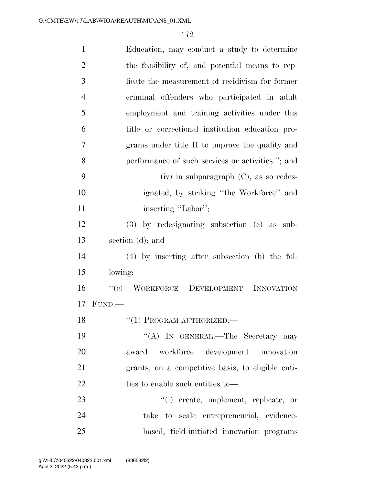| $\mathbf{1}$   | Education, may conduct a study to determine       |
|----------------|---------------------------------------------------|
| $\overline{2}$ | the feasibility of, and potential means to rep-   |
| 3              | licate the measurement of recidivism for former   |
| $\overline{4}$ | criminal offenders who participated in adult      |
| 5              | employment and training activities under this     |
| 6              | title or correctional institution education pro-  |
| 7              | grams under title II to improve the quality and   |
| 8              | performance of such services or activities."; and |
| 9              | $(iv)$ in subparagraph $(C)$ , as so redes-       |
| 10             | ignated, by striking "the Workforce" and          |
| 11             | inserting "Labor";                                |
| 12             | $(3)$ by redesignating subsection $(e)$ as sub-   |
| 13             | section (d); and                                  |
| 14             | $(4)$ by inserting after subsection (b) the fol-  |
| 15             | lowing:                                           |
| 16             | "(c) WORKFORCE DEVELOPMENT INNOVATION             |
| 17             | FUND.                                             |
| 18             | $``(1)$ PROGRAM AUTHORIZED.—                      |
| 19             | "(A) IN GENERAL.—The Secretary may                |
| 20             | workforce development innovation<br>award         |
| 21             | grants, on a competitive basis, to eligible enti- |
| 22             | ties to enable such entities to—                  |
| 23             | "(i) create, implement, replicate, or             |
| 24             | take to scale entrepreneurial, evidence-          |
| 25             | based, field-initiated innovation programs        |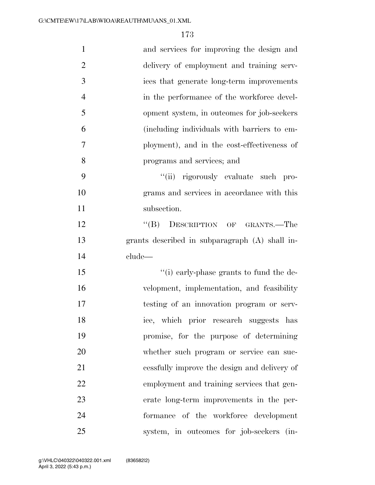| $\mathbf{1}$   | and services for improving the design and      |
|----------------|------------------------------------------------|
| $\overline{2}$ | delivery of employment and training serv-      |
| 3              | ices that generate long-term improvements      |
| $\overline{4}$ | in the performance of the workforce devel-     |
| 5              | opment system, in outcomes for job-seekers     |
| 6              | (including individuals with barriers to em-    |
| $\overline{7}$ | ployment), and in the cost-effectiveness of    |
| 8              | programs and services; and                     |
| 9              | "(ii) rigorously evaluate such pro-            |
| 10             | grams and services in accordance with this     |
| 11             | subsection.                                    |
| 12             | "(B) DESCRIPTION OF GRANTS.—The                |
| 13             | grants described in subparagraph (A) shall in- |
| 14             | clude—                                         |
| 15             | "(i) early-phase grants to fund the de-        |
| 16             | velopment, implementation, and feasibility     |
| 17             | testing of an innovation program or serv-      |
| 18             | ice, which prior research suggests has         |
| 19             | promise, for the purpose of determining        |
| 20             | whether such program or service can suc-       |
| 21             | cessfully improve the design and delivery of   |
| 22             | employment and training services that gen-     |
| 23             | erate long-term improvements in the per-       |
| 24             | formance of the workforce development          |
| 25             | system, in outcomes for job-seekers (in-       |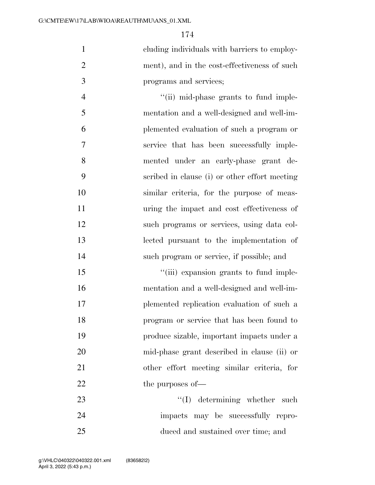cluding individuals with barriers to employ- ment), and in the cost-effectiveness of such programs and services;

4 ''(ii) mid-phase grants to fund imple- mentation and a well-designed and well-im- plemented evaluation of such a program or service that has been successfully imple- mented under an early-phase grant de- scribed in clause (i) or other effort meeting similar criteria, for the purpose of meas- uring the impact and cost effectiveness of such programs or services, using data col- lected pursuant to the implementation of such program or service, if possible; and

 $\frac{1}{\text{(iii)}}$  expansion grants to fund imple- mentation and a well-designed and well-im- plemented replication evaluation of such a program or service that has been found to produce sizable, important impacts under a mid-phase grant described in clause (ii) or other effort meeting similar criteria, for 22 the purposes of —

23 ''(I) determining whether such impacts may be successfully repro-duced and sustained over time; and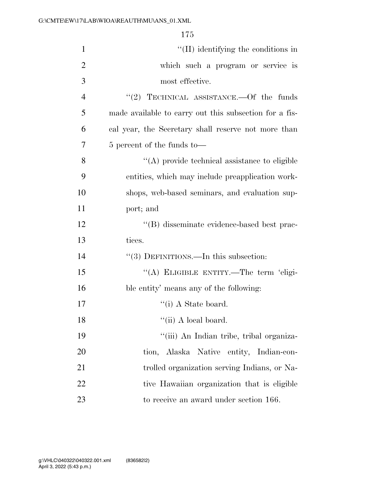| $\mathbf{1}$   | $\lq\lq$ (II) identifying the conditions in            |
|----------------|--------------------------------------------------------|
| $\overline{2}$ | which such a program or service is                     |
| 3              | most effective.                                        |
| 4              | "(2) TECHNICAL ASSISTANCE.—Of the funds                |
| 5              | made available to carry out this subsection for a fis- |
| 6              | cal year, the Secretary shall reserve not more than    |
| 7              | 5 percent of the funds to—                             |
| 8              | "(A) provide technical assistance to eligible          |
| 9              | entities, which may include preapplication work-       |
| 10             | shops, web-based seminars, and evaluation sup-         |
| 11             | port; and                                              |
| 12             | "(B) disseminate evidence-based best prac-             |
| 13             | tices.                                                 |
| 14             | "(3) DEFINITIONS.—In this subsection:                  |
| 15             | "(A) ELIGIBLE ENTITY.—The term 'eligi-                 |
| 16             | ble entity' means any of the following:                |
| 17             | $\lq\lq$ (i) A State board.                            |
| 18             | $``(ii)$ A local board.                                |
| 19             | "(iii) An Indian tribe, tribal organiza-               |
| 20             | tion, Alaska Native entity, Indian-con-                |
| 21             | trolled organization serving Indians, or Na-           |
| 22             | tive Hawaiian organization that is eligible            |
| 23             | to receive an award under section 166.                 |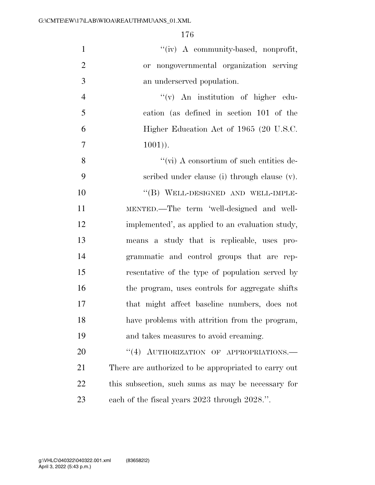| $\mathbf{1}$   | "(iv) A community-based, nonprofit,                  |
|----------------|------------------------------------------------------|
| $\overline{2}$ | or nongovernmental organization serving              |
| 3              | an underserved population.                           |
| $\overline{4}$ | "(v) An institution of higher edu-                   |
| 5              | cation (as defined in section 101 of the             |
| 6              | Higher Education Act of 1965 (20 U.S.C.              |
| $\tau$         | $1001$ ).                                            |
| 8              | $\lq\lq$ (vi) A consortium of such entities de-      |
| 9              | scribed under clause (i) through clause (v).         |
| 10             | "(B) WELL-DESIGNED AND WELL-IMPLE-                   |
| 11             | MENTED.—The term 'well-designed and well-            |
| 12             | implemented', as applied to an evaluation study,     |
| 13             | means a study that is replicable, uses pro-          |
| 14             | grammatic and control groups that are rep-           |
| 15             | resentative of the type of population served by      |
| 16             | the program, uses controls for aggregate shifts      |
| 17             | that might affect baseline numbers, does not         |
| 18             | have problems with attrition from the program,       |
| 19             | and takes measures to avoid creaming.                |
| 20             | "(4) AUTHORIZATION OF APPROPRIATIONS.                |
| 21             | There are authorized to be appropriated to carry out |
| 22             | this subsection, such sums as may be necessary for   |
| 23             | each of the fiscal years 2023 through 2028.".        |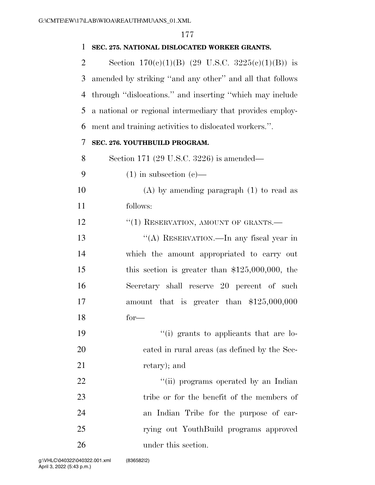### **SEC. 275. NATIONAL DISLOCATED WORKER GRANTS.**

2 Section  $170(e)(1)(B)$  (29 U.S.C.  $3225(e)(1)(B)$ ) is amended by striking ''and any other'' and all that follows through ''dislocations.'' and inserting ''which may include a national or regional intermediary that provides employ-ment and training activities to dislocated workers.''.

### **SEC. 276. YOUTHBUILD PROGRAM.**

Section 171 (29 U.S.C. 3226) is amended—

- 9  $(1)$  in subsection  $(e)$ —
- (A) by amending paragraph (1) to read as follows:

12 <sup>"</sup>(1) RESERVATION, AMOUNT OF GRANTS.

 ''(A) RESERVATION.—In any fiscal year in which the amount appropriated to carry out this section is greater than \$125,000,000, the Secretary shall reserve 20 percent of such amount that is greater than \$125,000,000 for—

19  $\frac{1}{2}$  (i) grants to applicants that are lo- cated in rural areas (as defined by the Sec-21 retary); and

 $\frac{1}{1}$   $\frac{1}{1}$  programs operated by an Indian 23 tribe or for the benefit of the members of an Indian Tribe for the purpose of car- rying out YouthBuild programs approved under this section.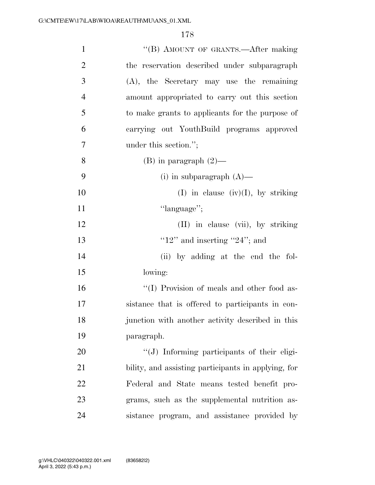| $\mathbf{1}$   | "(B) AMOUNT OF GRANTS.—After making                 |
|----------------|-----------------------------------------------------|
| $\overline{2}$ | the reservation described under subparagraph        |
| 3              | $(A)$ , the Secretary may use the remaining         |
| $\overline{4}$ | amount appropriated to carry out this section       |
| 5              | to make grants to applicants for the purpose of     |
| 6              | carrying out YouthBuild programs approved           |
| $\overline{7}$ | under this section.";                               |
| 8              | $(B)$ in paragraph $(2)$ —                          |
| 9              | (i) in subparagraph $(A)$ —                         |
| 10             | (I) in clause (iv)(I), by striking                  |
| 11             | "language";                                         |
| 12             | (II) in clause (vii), by striking                   |
| 13             | " $12"$ and inserting " $24"$ ; and                 |
| 14             | (ii) by adding at the end the fol-                  |
| 15             | lowing:                                             |
| 16             | "(I) Provision of meals and other food as-          |
| 17             | sistance that is offered to participants in con-    |
| 18             | junction with another activity described in this    |
| 19             | paragraph.                                          |
| 20             | "(J) Informing participants of their eligi-         |
| 21             | bility, and assisting participants in applying, for |
| 22             | Federal and State means tested benefit pro-         |
| 23             | grams, such as the supplemental nutrition as-       |
| 24             | sistance program, and assistance provided by        |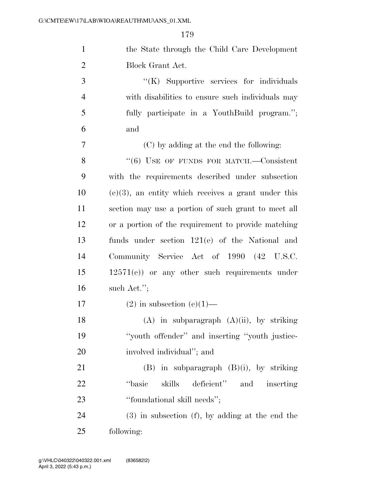| $\mathbf{1}$   | the State through the Child Care Development           |
|----------------|--------------------------------------------------------|
| $\overline{2}$ | Block Grant Act.                                       |
| 3              | "(K) Supportive services for individuals               |
| $\overline{4}$ | with disabilities to ensure such individuals may       |
| 5              | fully participate in a YouthBuild program.";           |
| 6              | and                                                    |
| 7              | (C) by adding at the end the following:                |
| 8              | $(6)$ USE OF FUNDS FOR MATCH.—Consistent               |
| 9              | with the requirements described under subsection       |
| 10             | $(e)(3)$ , an entity which receives a grant under this |
| 11             | section may use a portion of such grant to meet all    |
| 12             | or a portion of the requirement to provide matching    |
| 13             | funds under section 121(e) of the National and         |
| 14             | Community Service Act of 1990 (42 U.S.C.               |
| 15             | $12571(e)$ or any other such requirements under        |
| 16             | such Act.";                                            |
| 17             | $(2)$ in subsection $(e)(1)$ —                         |
| 18             | $(A)$ in subparagraph $(A)(ii)$ , by striking          |
| 19             | "youth offender" and inserting "youth justice-         |
| 20             | involved individual"; and                              |
| 21             | $(B)$ in subparagraph $(B)(i)$ , by striking           |
| 22             | "basic<br>skills<br>deficient" and inserting           |
| 23             | "foundational skill needs";                            |
| 24             | $(3)$ in subsection $(f)$ , by adding at the end the   |
| 25             | following:                                             |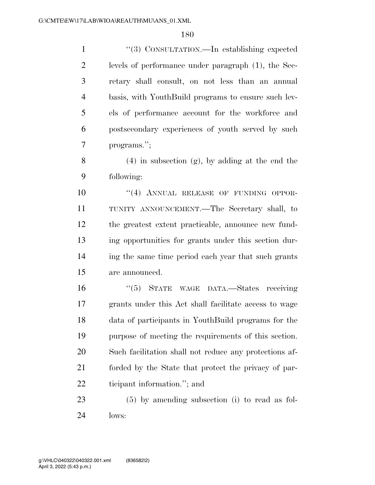''(3) CONSULTATION.—In establishing expected levels of performance under paragraph (1), the Sec- retary shall consult, on not less than an annual basis, with YouthBuild programs to ensure such lev- els of performance account for the workforce and postsecondary experiences of youth served by such programs.'';

8 (4) in subsection  $(g)$ , by adding at the end the following:

 $(4)$  ANNUAL RELEASE OF FUNDING OPPOR- TUNITY ANNOUNCEMENT.—The Secretary shall, to the greatest extent practicable, announce new fund- ing opportunities for grants under this section dur- ing the same time period each year that such grants are announced.

 ''(5) STATE WAGE DATA.—States receiving grants under this Act shall facilitate access to wage data of participants in YouthBuild programs for the purpose of meeting the requirements of this section. Such facilitation shall not reduce any protections af- forded by the State that protect the privacy of par-ticipant information.''; and

 (5) by amending subsection (i) to read as fol-lows: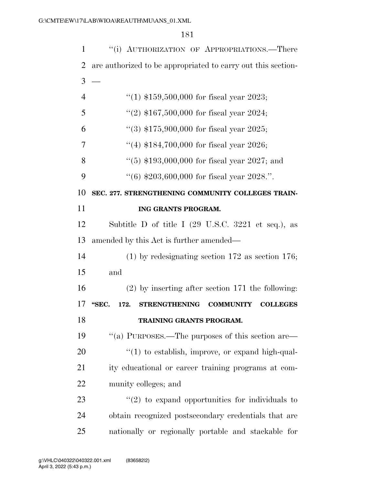| 1              | "(i) AUTHORIZATION OF APPROPRIATIONS.—There                                  |
|----------------|------------------------------------------------------------------------------|
| 2              | are authorized to be appropriated to carry out this section-                 |
| 3              |                                                                              |
| $\overline{4}$ | "(1) $$159,500,000$ for fiscal year 2023;                                    |
| 5              | "(2) $$167,500,000$ for fiscal year 2024;                                    |
| 6              | "(3) $$175,900,000$ for fiscal year 2025;                                    |
| 7              | "(4) $$184,700,000$ for fiscal year 2026;                                    |
| 8              | $(5)$ \$193,000,000 for fiscal year 2027; and                                |
| 9              | $(6)$ \$203,600,000 for fiscal year 2028.".                                  |
| 10             | SEC. 277. STRENGTHENING COMMUNITY COLLEGES TRAIN-                            |
| 11             | ING GRANTS PROGRAM.                                                          |
| 12             | Subtitle D of title I $(29 \text{ U.S.C. } 3221 \text{ et seq.}),$ as        |
| 13             | amended by this Act is further amended—                                      |
| 14             | $(1)$ by redesignating section 172 as section 176;                           |
| 15             | and                                                                          |
| 16             | $(2)$ by inserting after section 171 the following:                          |
| 17             | "SEC.<br><b>STRENGTHENING</b><br><b>COMMUNITY</b><br><b>COLLEGES</b><br>172. |
| 18             | TRAINING GRANTS PROGRAM.                                                     |
| 19             | "(a) PURPOSES.—The purposes of this section are—                             |
| 20             | $\lq(1)$ to establish, improve, or expand high-qual-                         |
| 21             | ity educational or career training programs at com-                          |
| 22             | munity colleges; and                                                         |
| 23             | $\lq(2)$ to expand opportunities for individuals to                          |
| 24             | obtain recognized postsecondary credentials that are                         |
| 25             | nationally or regionally portable and stackable for                          |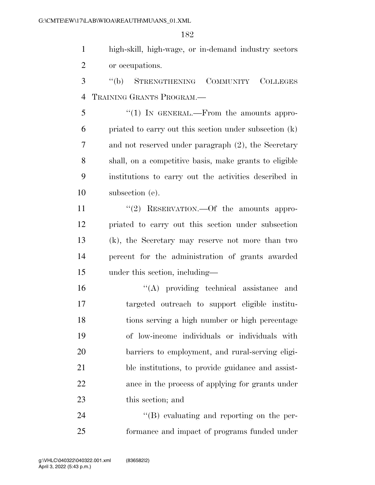high-skill, high-wage, or in-demand industry sectors or occupations.

 ''(b) STRENGTHENING COMMUNITY COLLEGES TRAINING GRANTS PROGRAM.—

5 "(1) In GENERAL.—From the amounts appro- priated to carry out this section under subsection (k) and not reserved under paragraph (2), the Secretary shall, on a competitive basis, make grants to eligible institutions to carry out the activities described in subsection (e).

11 ''(2) RESERVATION.—Of the amounts appro- priated to carry out this section under subsection (k), the Secretary may reserve not more than two percent for the administration of grants awarded under this section, including—

 ''(A) providing technical assistance and targeted outreach to support eligible institu- tions serving a high number or high percentage of low-income individuals or individuals with barriers to employment, and rural-serving eligi- ble institutions, to provide guidance and assist- ance in the process of applying for grants under this section; and

24  $\langle$  (B) evaluating and reporting on the per-formance and impact of programs funded under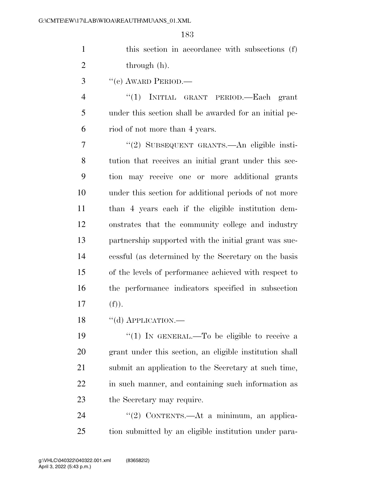| this section in accordance with subsections (f) |
|-------------------------------------------------|
| through (h).                                    |

"(c) AWARD PERIOD.—

 ''(1) INITIAL GRANT PERIOD.—Each grant under this section shall be awarded for an initial pe-riod of not more than 4 years.

 ''(2) SUBSEQUENT GRANTS.—An eligible insti- tution that receives an initial grant under this sec- tion may receive one or more additional grants under this section for additional periods of not more than 4 years each if the eligible institution dem- onstrates that the community college and industry partnership supported with the initial grant was suc- cessful (as determined by the Secretary on the basis of the levels of performance achieved with respect to the performance indicators specified in subsection (f)).

18 "(d) APPLICATION.

 $\frac{1}{2}$  (1) In GENERAL.—To be eligible to receive a grant under this section, an eligible institution shall submit an application to the Secretary at such time, in such manner, and containing such information as the Secretary may require.

24 "(2) CONTENTS.—At a minimum, an applica-tion submitted by an eligible institution under para-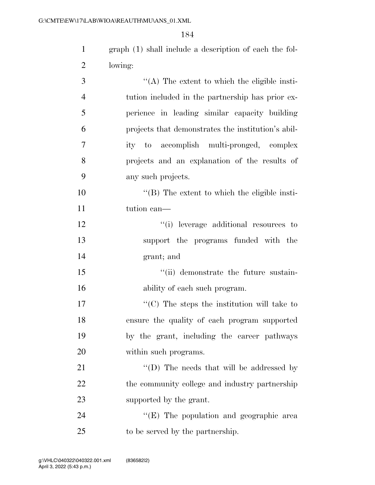| $\mathbf{1}$   | graph (1) shall include a description of each the fol- |
|----------------|--------------------------------------------------------|
| $\overline{2}$ | lowing:                                                |
| 3              | "(A) The extent to which the eligible insti-           |
| $\overline{4}$ | tution included in the partnership has prior ex-       |
| 5              | perience in leading similar capacity building          |
| 6              | projects that demonstrates the institution's abil-     |
| $\tau$         | ity to accomplish multi-pronged, complex               |
| 8              | projects and an explanation of the results of          |
| 9              | any such projects.                                     |
| 10             | $\lq\lq$ (B) The extent to which the eligible insti-   |
| 11             | tution can—                                            |
| 12             | "(i) leverage additional resources to                  |
| 13             | support the programs funded with the                   |
| 14             | grant; and                                             |
| 15             | "(ii) demonstrate the future sustain-                  |
| 16             | ability of each such program.                          |
| 17             | $\lq\lq (C)$ The steps the institution will take to    |
| 18             | ensure the quality of each program supported           |
| 19             | by the grant, including the career pathways            |
| 20             | within such programs.                                  |
| 21             | "(D) The needs that will be addressed by               |
| 22             | the community college and industry partnership         |
| 23             | supported by the grant.                                |

24 ''(E) The population and geographic area 25 to be served by the partnership.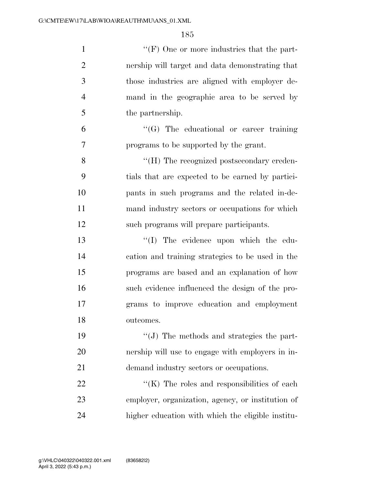| $\mathbf{1}$   | "(F) One or more industries that the part-          |
|----------------|-----------------------------------------------------|
| $\overline{2}$ | nership will target and data demonstrating that     |
| 3              | those industries are aligned with employer de-      |
| $\overline{4}$ | mand in the geographic area to be served by         |
| 5              | the partnership.                                    |
| 6              | $\lq\lq(G)$ The educational or career training      |
| 7              | programs to be supported by the grant.              |
| 8              | "(H) The recognized postsecondary creden-           |
| 9              | tials that are expected to be earned by partici-    |
| 10             | pants in such programs and the related in-de-       |
| 11             | mand industry sectors or occupations for which      |
| 12             | such programs will prepare participants.            |
| 13             | "(I) The evidence upon which the edu-               |
| 14             | cation and training strategies to be used in the    |
| 15             | programs are based and an explanation of how        |
| 16             | such evidence influenced the design of the pro-     |
| 17             | grams to improve education and employment           |
| 18             | outcomes.                                           |
| 19             | $\lq\lq$ . The methods and strategies the part-     |
| 20             | nership will use to engage with employers in in-    |
| 21             | demand industry sectors or occupations.             |
| 22             | $\lq\lq$ (K) The roles and responsibilities of each |
| 23             | employer, organization, agency, or institution of   |
| 24             | higher education with which the eligible institu-   |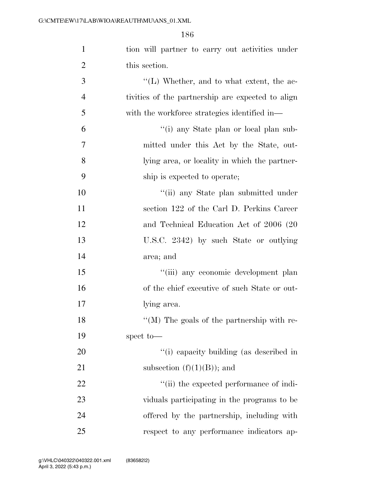| $\mathbf{1}$   | tion will partner to carry out activities under   |
|----------------|---------------------------------------------------|
| $\overline{2}$ | this section.                                     |
| 3              | "(L) Whether, and to what extent, the ac-         |
| $\overline{4}$ | tivities of the partnership are expected to align |
| 5              | with the workforce strategies identified in—      |
| 6              | "(i) any State plan or local plan sub-            |
| $\overline{7}$ | mitted under this Act by the State, out-          |
| 8              | lying area, or locality in which the partner-     |
| 9              | ship is expected to operate;                      |
| 10             | "(ii) any State plan submitted under              |
| 11             | section 122 of the Carl D. Perkins Career         |
| 12             | and Technical Education Act of 2006 (20           |
| 13             | U.S.C. 2342) by such State or outlying            |
| 14             | area; and                                         |
| 15             | "(iii) any economic development plan              |
| 16             | of the chief executive of such State or out-      |
| 17             | lying area.                                       |
| 18             | "(M) The goals of the partnership with re-        |
| 19             | spect to-                                         |
| 20             | "(i) capacity building (as described in           |
| 21             | subsection $(f)(1)(B)$ ; and                      |
| 22             | "(ii) the expected performance of indi-           |
| 23             | viduals participating in the programs to be       |
| 24             | offered by the partnership, including with        |
| 25             | respect to any performance indicators ap-         |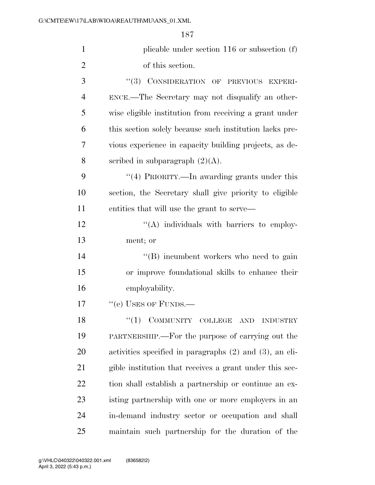1 plicable under section 116 or subsection (f) of this section. 3 "(3) CONSIDERATION OF PREVIOUS EXPERI- ENCE.—The Secretary may not disqualify an other- wise eligible institution from receiving a grant under this section solely because such institution lacks pre- vious experience in capacity building projects, as de-8 scribed in subparagraph  $(2)(A)$ . 9 "(4) PRIORITY.—In awarding grants under this section, the Secretary shall give priority to eligible entities that will use the grant to serve—  $\mathcal{L}^{\prime\prime}(A)$  individuals with barriers to employ- ment; or 14 ''(B) incumbent workers who need to gain or improve foundational skills to enhance their employability. 17 "(e) USES OF FUNDS.— 18 "(1) COMMUNITY COLLEGE AND INDUSTRY PARTNERSHIP.—For the purpose of carrying out the activities specified in paragraphs (2) and (3), an eli- gible institution that receives a grant under this sec- tion shall establish a partnership or continue an ex- isting partnership with one or more employers in an in-demand industry sector or occupation and shall

maintain such partnership for the duration of the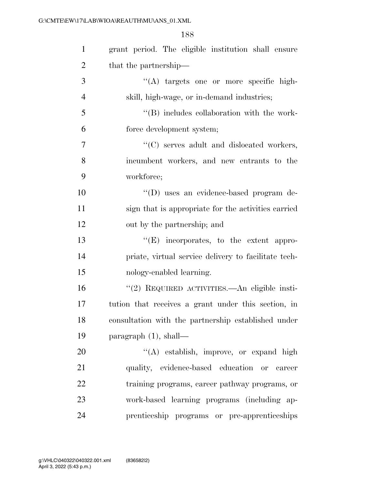| $\mathbf{1}$   | grant period. The eligible institution shall ensure  |
|----------------|------------------------------------------------------|
| $\overline{2}$ | that the partnership—                                |
| 3              | "(A) targets one or more specific high-              |
| $\overline{4}$ | skill, high-wage, or in-demand industries;           |
| 5              | $\lq\lq$ (B) includes collaboration with the work-   |
| 6              | force development system;                            |
| $\overline{7}$ | "(C) serves adult and dislocated workers,            |
| 8              | incumbent workers, and new entrants to the           |
| 9              | workforce;                                           |
| 10             | "(D) uses an evidence-based program de-              |
| 11             | sign that is appropriate for the activities carried  |
| 12             | out by the partnership; and                          |
| 13             | $\lq\lq(E)$ incorporates, to the extent appro-       |
| 14             | priate, virtual service delivery to facilitate tech- |
| 15             | nology-enabled learning.                             |
| 16             | "(2) REQUIRED ACTIVITIES.—An eligible insti-         |
| 17             | tution that receives a grant under this section, in  |
| 18             | consultation with the partnership established under  |
| 19             | paragraph $(1)$ , shall—                             |
| 20             | "(A) establish, improve, or expand high              |
| 21             | quality, evidence-based education or career          |
| 22             | training programs, career pathway programs, or       |
| 23             | work-based learning programs (including ap-          |
| 24             | prenticeship programs or pre-apprenticeships         |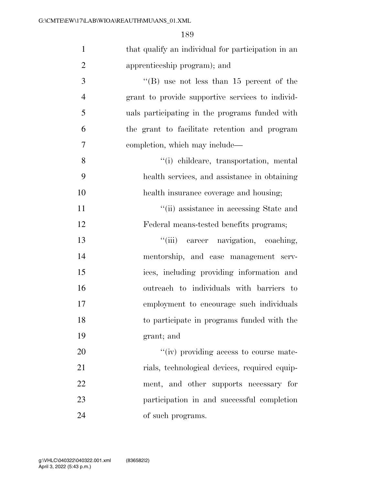| $\mathbf{1}$   | that qualify an individual for participation in an |
|----------------|----------------------------------------------------|
| $\overline{2}$ | apprenticeship program); and                       |
| 3              | "(B) use not less than $15$ percent of the         |
| $\overline{4}$ | grant to provide supportive services to individ-   |
| 5              | uals participating in the programs funded with     |
| 6              | the grant to facilitate retention and program      |
| $\tau$         | completion, which may include—                     |
| 8              | "(i) childcare, transportation, mental             |
| 9              | health services, and assistance in obtaining       |
| 10             | health insurance coverage and housing;             |
| 11             | "(ii) assistance in accessing State and            |
| 12             | Federal means-tested benefits programs;            |
| 13             | "(iii) career navigation, coaching,                |
| 14             | mentorship, and case management serv-              |
| 15             | ices, including providing information and          |
| 16             | outreach to individuals with barriers to           |
| 17             | employment to encourage such individuals           |
| 18             | to participate in programs funded with the         |
| 19             | grant; and                                         |
| 20             | "(iv) providing access to course mate-             |
| 21             | rials, technological devices, required equip-      |
| 22             | ment, and other supports necessary for             |
| 23             | participation in and successful completion         |
| 24             | of such programs.                                  |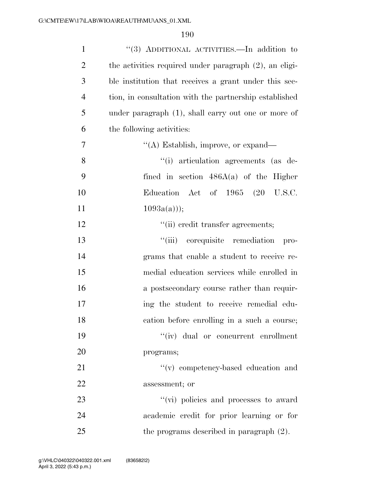| $\mathbf{1}$   | "(3) ADDITIONAL ACTIVITIES.—In addition to                |
|----------------|-----------------------------------------------------------|
| $\overline{2}$ | the activities required under paragraph $(2)$ , an eligi- |
| 3              | ble institution that receives a grant under this sec-     |
| $\overline{4}$ | tion, in consultation with the partnership established    |
| 5              | under paragraph $(1)$ , shall carry out one or more of    |
| 6              | the following activities:                                 |
| 7              | "(A) Establish, improve, or expand—                       |
| 8              | "(i) articulation agreements (as de-                      |
| 9              | fined in section $486A(a)$ of the Higher                  |
| 10             | Education Act of 1965 (20 U.S.C.                          |
| 11             | $1093a(a))$ ;                                             |
| 12             | "(ii) credit transfer agreements;                         |
| 13             | "(iii) corequisite remediation<br>pro-                    |
| 14             | grams that enable a student to receive re-                |
| 15             | medial education services while enrolled in               |
| 16             | a postsecondary course rather than requir-                |
| 17             | ing the student to receive remedial edu-                  |
| 18             | cation before enrolling in a such a course;               |
| 19             | $``(iv)$ dual or concurrent enrollment                    |
| 20             | programs;                                                 |
| 21             | "(v) competency-based education and                       |
| 22             | assessment; or                                            |
| 23             | "(vi) policies and processes to award                     |
| 24             | academic credit for prior learning or for                 |
| 25             | the programs described in paragraph $(2)$ .               |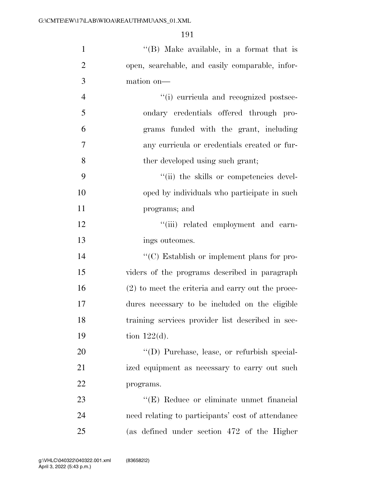| $\mathbf{1}$   | "(B) Make available, in a format that is            |
|----------------|-----------------------------------------------------|
| $\overline{2}$ | open, searchable, and easily comparable, infor-     |
| 3              | mation on-                                          |
| $\overline{4}$ | "(i) curricula and recognized postsec-              |
| 5              | ondary credentials offered through pro-             |
| 6              | grams funded with the grant, including              |
| $\overline{7}$ | any curricula or credentials created or fur-        |
| 8              | ther developed using such grant;                    |
| 9              | "(ii) the skills or competencies devel-             |
| 10             | oped by individuals who participate in such         |
| 11             | programs; and                                       |
| 12             | "(iii) related employment and earn-                 |
| 13             | ings outcomes.                                      |
| 14             | "(C) Establish or implement plans for pro-          |
| 15             | viders of the programs described in paragraph       |
| 16             | $(2)$ to meet the criteria and carry out the proce- |
| 17             | dures necessary to be included on the eligible      |
| 18             | training services provider list described in sec-   |
| 19             | tion $122(d)$ .                                     |
| 20             | "(D) Purchase, lease, or refurbish special-         |
| 21             | ized equipment as necessary to carry out such       |
| 22             | programs.                                           |
| 23             | "(E) Reduce or eliminate unmet financial            |
| 24             | need relating to participants' cost of attendance   |
| 25             | (as defined under section 472 of the Higher         |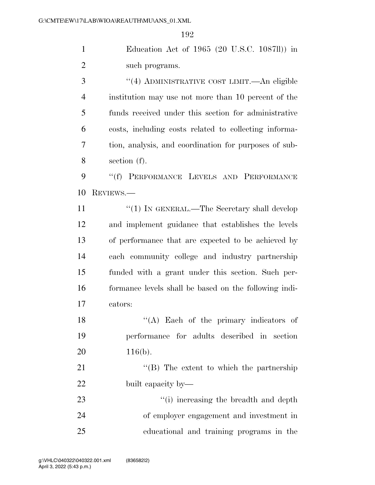Education Act of 1965 (20 U.S.C. 1087ll)) in 2 such programs.

 ''(4) ADMINISTRATIVE COST LIMIT.—An eligible institution may use not more than 10 percent of the funds received under this section for administrative costs, including costs related to collecting informa- tion, analysis, and coordination for purposes of sub-section (f).

9 "(f) PERFORMANCE LEVELS AND PERFORMANCE REVIEWS.—

11 ''(1) IN GENERAL.—The Secretary shall develop and implement guidance that establishes the levels of performance that are expected to be achieved by each community college and industry partnership funded with a grant under this section. Such per- formance levels shall be based on the following indi-cators:

18 ''(A) Each of the primary indicators of performance for adults described in section 20 116(b).

21 ''(B) The extent to which the partnership built capacity by—

23 ''(i) increasing the breadth and depth of employer engagement and investment in educational and training programs in the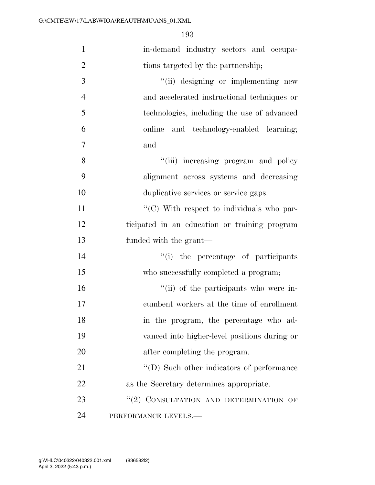| $\mathbf{1}$   | in-demand industry sectors and occupa-        |
|----------------|-----------------------------------------------|
| $\overline{2}$ | tions targeted by the partnership;            |
| 3              | "(ii) designing or implementing new           |
| $\overline{4}$ | and accelerated instructional techniques or   |
| 5              | technologies, including the use of advanced   |
| 6              | online and technology-enabled learning;       |
| $\overline{7}$ | and                                           |
| 8              | "(iii) increasing program and policy          |
| 9              | alignment across systems and decreasing       |
| 10             | duplicative services or service gaps.         |
| 11             | "(C) With respect to individuals who par-     |
| 12             | ticipated in an education or training program |
| 13             | funded with the grant—                        |
| 14             | "(i) the percentage of participants           |
| 15             | who successfully completed a program;         |
| 16             | "(ii) of the participants who were in-        |
| 17             | cumbent workers at the time of enrollment     |
| 18             | in the program, the percentage who ad-        |
| 19             | vanced into higher-level positions during or  |
| 20             | after completing the program.                 |
| 21             | "(D) Such other indicators of performance     |
| 22             | as the Secretary determines appropriate.      |
| 23             | "(2) CONSULTATION AND DETERMINATION OF        |
| 24             | PERFORMANCE LEVELS.-                          |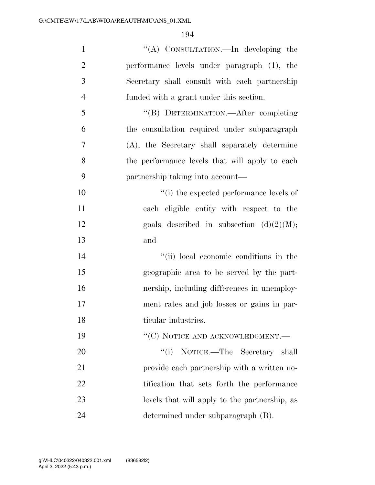| $\mathbf{1}$   | "(A) CONSULTATION.—In developing the           |
|----------------|------------------------------------------------|
| $\overline{2}$ | performance levels under paragraph (1), the    |
| 3              | Secretary shall consult with each partnership  |
| $\overline{4}$ | funded with a grant under this section.        |
| 5              | "(B) DETERMINATION.—After completing           |
| 6              | the consultation required under subparagraph   |
| $\overline{7}$ | (A), the Secretary shall separately determine  |
| 8              | the performance levels that will apply to each |
| 9              | partnership taking into account—               |
| 10             | "(i) the expected performance levels of        |
| 11             | each eligible entity with respect to the       |
| 12             | goals described in subsection $(d)(2)(M);$     |
| 13             | and                                            |
| 14             | "(ii) local economic conditions in the         |
| 15             | geographic area to be served by the part-      |
| 16             | nership, including differences in unemploy-    |
| 17             | ment rates and job losses or gains in par-     |
| 18             | ticular industries.                            |
| 19             | $\lq\lq (C)$ NOTICE AND ACKNOWLEDGMENT.        |
| 20             | NOTICE.—The Secretary shall<br>``(i)           |
| 21             | provide each partnership with a written no-    |
| 22             | tification that sets forth the performance     |
| 23             | levels that will apply to the partnership, as  |
| 24             | determined under subparagraph (B).             |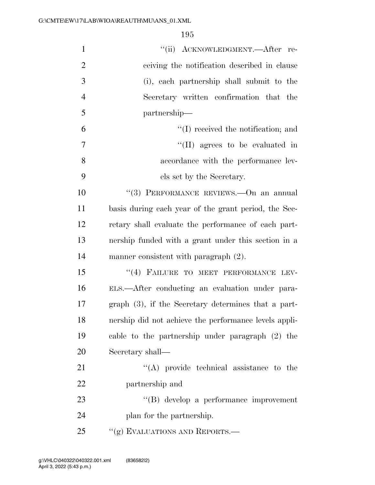| $\mathbf{1}$   | "(ii) ACKNOWLEDGMENT.—After re-                        |
|----------------|--------------------------------------------------------|
| $\overline{2}$ | ceiving the notification described in clause           |
| 3              | (i), each partnership shall submit to the              |
| $\overline{4}$ | Secretary written confirmation that the                |
| 5              | partnership—                                           |
| 6              | $\lq (I)$ received the notification; and               |
| 7              | $\lq\lq$ (II) agrees to be evaluated in                |
| 8              | accordance with the performance lev-                   |
| 9              | els set by the Secretary.                              |
| 10             | "(3) PERFORMANCE REVIEWS. - On an annual               |
| 11             | basis during each year of the grant period, the Sec-   |
| 12             | retary shall evaluate the performance of each part-    |
| 13             | nership funded with a grant under this section in a    |
| 14             | manner consistent with paragraph (2).                  |
| 15             | "(4) FAILURE TO MEET PERFORMANCE LEV-                  |
| 16             | ELS.—After conducting an evaluation under para-        |
| 17             | graph $(3)$ , if the Secretary determines that a part- |
| 18             | nership did not achieve the performance levels appli-  |
| 19             | cable to the partnership under paragraph (2) the       |
| 20             | Secretary shall-                                       |
| 21             | $\lq\lq$ provide technical assistance to the           |
| 22             | partnership and                                        |
| 23             | "(B) develop a performance improvement                 |
| 24             | plan for the partnership.                              |
| 25             | "(g) EVALUATIONS AND REPORTS.—                         |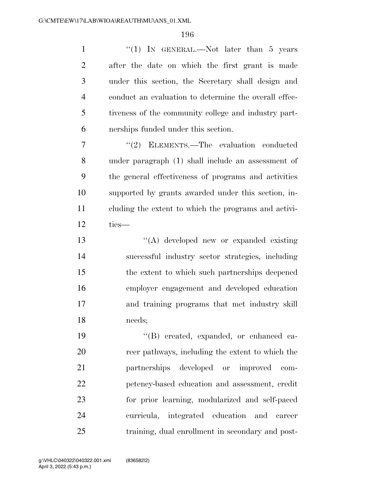| $\mathbf{1}$   | "(1) IN GENERAL.—Not later than 5 years               |
|----------------|-------------------------------------------------------|
| $\overline{2}$ | after the date on which the first grant is made       |
| 3              | under this section, the Secretary shall design and    |
| $\overline{4}$ | conduct an evaluation to determine the overall effec- |
| 5              | tiveness of the community college and industry part-  |
| 6              | nerships funded under this section.                   |
| 7              | "(2) ELEMENTS.—The evaluation conducted               |
| 8              | under paragraph (1) shall include an assessment of    |
| 9              | the general effectiveness of programs and activities  |
| 10             | supported by grants awarded under this section, in-   |
| 11             | cluding the extent to which the programs and activi-  |
| 12             | ties-                                                 |
| 13             | "(A) developed new or expanded existing               |
| 14             | successful industry sector strategies, including      |
| 15             | the extent to which such partnerships deepened        |
| 16             | employer engagement and developed education           |
| 17             | and training programs that met industry skill         |
| 18             | needs;                                                |
| 19             | "(B) created, expanded, or enhanced ca-               |
| 20             | reer pathways, including the extent to which the      |
| 21             | developed<br>partnerships<br>or improved<br>com-      |
| 22             | petency-based education and assessment, credit        |

for prior learning, modularized and self-paced

curricula, integrated education and career

training, dual enrollment in secondary and post-

April 3, 2022 (5:43 p.m.) g:\VHLC\040322\040322.001.xml (836582|2)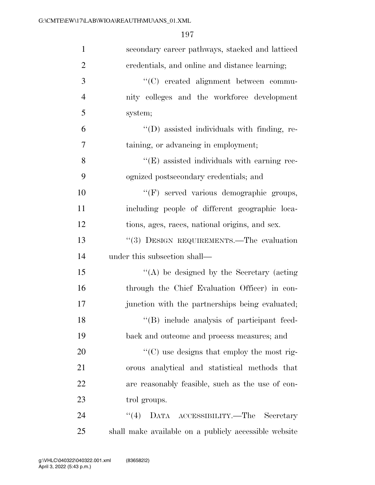| $\mathbf{1}$   | secondary career pathways, stacked and latticed       |
|----------------|-------------------------------------------------------|
| $\mathbf{2}$   | credentials, and online and distance learning;        |
| 3              | "(C) created alignment between commu-                 |
| $\overline{4}$ | nity colleges and the workforce development           |
| 5              | system;                                               |
| 6              | "(D) assisted individuals with finding, re-           |
| $\overline{7}$ | taining, or advancing in employment;                  |
| 8              | $\lq\lq$ (E) assisted individuals with earning rec-   |
| 9              | ognized postsecondary credentials; and                |
| 10             | "(F) served various demographic groups,               |
| 11             | including people of different geographic loca-        |
| 12             | tions, ages, races, national origins, and sex.        |
| 13             | "(3) DESIGN REQUIREMENTS.—The evaluation              |
| 14             | under this subsection shall—                          |
| 15             | "(A) be designed by the Secretary (acting             |
| 16             | through the Chief Evaluation Officer) in con-         |
| 17             | junction with the partnerships being evaluated;       |
| 18             | "(B) include analysis of participant feed-            |
| 19             | back and outcome and process measures; and            |
| 20             | "(C) use designs that employ the most rig-            |
| 21             | orous analytical and statistical methods that         |
| 22             | are reasonably feasible, such as the use of con-      |
| 23             | trol groups.                                          |
| 24             | (4)<br>DATA ACCESSIBILITY.—The Secretary              |
| 25             | shall make available on a publicly accessible website |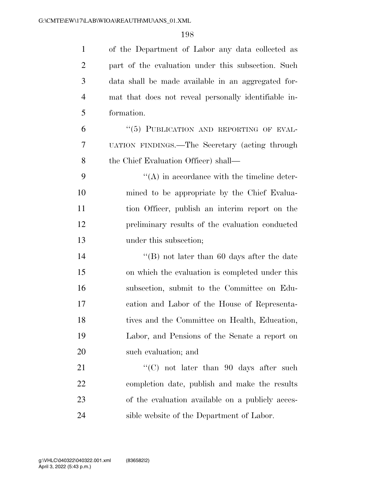| $\mathbf{1}$   | of the Department of Labor any data collected as     |
|----------------|------------------------------------------------------|
| $\overline{2}$ | part of the evaluation under this subsection. Such   |
| 3              | data shall be made available in an aggregated for-   |
| $\overline{4}$ | mat that does not reveal personally identifiable in- |
| 5              | formation.                                           |
| 6              | "(5) PUBLICATION AND REPORTING OF EVAL-              |
| 7              | UATION FINDINGS.—The Secretary (acting through       |
| 8              | the Chief Evaluation Officer) shall—                 |
| 9              | $\lq\lq$ in accordance with the timeline deter-      |
| 10             | mined to be appropriate by the Chief Evalua-         |
| 11             | tion Officer, publish an interim report on the       |
| 12             | preliminary results of the evaluation conducted      |
| 13             | under this subsection;                               |
| 14             | "(B) not later than 60 days after the date           |
| 15             | on which the evaluation is completed under this      |
| 16             | subsection, submit to the Committee on Edu-          |
| 17             | cation and Labor of the House of Representa-         |
| 18             | tives and the Committee on Health, Education,        |
| 19             | Labor, and Pensions of the Senate a report on        |
| 20             | such evaluation; and                                 |
| 21             | "(C) not later than 90 days after such               |
| 22             | completion date, publish and make the results        |
| 23             | of the evaluation available on a publicly acces-     |
| 24             | sible website of the Department of Labor.            |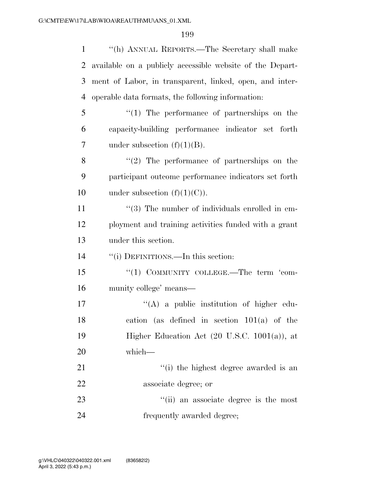| $\mathbf{1}$ | "(h) ANNUAL REPORTS.—The Secretary shall make             |
|--------------|-----------------------------------------------------------|
| 2            | available on a publicly accessible website of the Depart- |
| 3            | ment of Labor, in transparent, linked, open, and inter-   |
| 4            | operable data formats, the following information:         |
| 5            | $\lq(1)$ The performance of partnerships on the           |
| 6            | capacity-building performance indicator set forth         |
| 7            | under subsection $(f)(1)(B)$ .                            |
| 8            | $\lq(2)$ The performance of partnerships on the           |
| 9            | participant outcome performance indicators set forth      |
| 10           | under subsection $(f)(1)(C)$ .                            |
| 11           | $\lq(3)$ The number of individuals enrolled in em-        |
| 12           | ployment and training activities funded with a grant      |
| 13           | under this section.                                       |
| 14           | "(i) DEFINITIONS.—In this section:                        |
| 15           | "(1) COMMUNITY COLLEGE.—The term 'com-                    |
| 16           | munity college' means—                                    |
| 17           |                                                           |
|              | $\lq\lq$ a public institution of higher edu-              |
| 18           | (as defined in section $101(a)$ of the<br>cation          |
| 19           | Higher Education Act $(20 \text{ U.S.C. } 1001(a))$ , at  |
| 20           | which-                                                    |
| 21           | "(i) the highest degree awarded is an                     |
| 22           | associate degree; or                                      |
| 23           | "(ii) an associate degree is the most                     |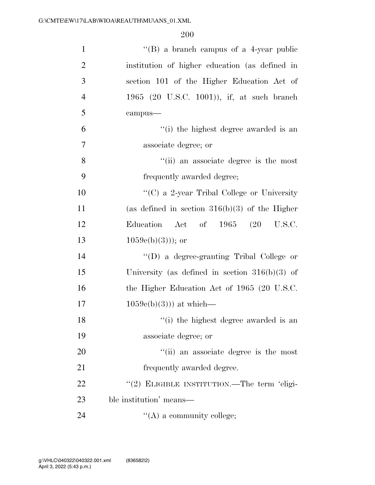| $\mathbf{1}$   | $\lq\lq (B)$ a branch campus of a 4-year public  |
|----------------|--------------------------------------------------|
| $\overline{2}$ | institution of higher education (as defined in   |
| 3              | section 101 of the Higher Education Act of       |
| $\overline{4}$ | 1965 (20 U.S.C. 1001)), if, at such branch       |
| 5              | campus-                                          |
| 6              | "(i) the highest degree awarded is an            |
| $\overline{7}$ | associate degree; or                             |
| 8              | "(ii) an associate degree is the most            |
| 9              | frequently awarded degree;                       |
| 10             | "(C) a 2-year Tribal College or University       |
| 11             | (as defined in section $316(b)(3)$ of the Higher |
| 12             | Education Act of $1965$ $(20$ U.S.C.             |
| 13             | $1059e(b)(3))$ ; or                              |
| 14             | "(D) a degree-granting Tribal College or         |
| 15             | University (as defined in section $316(b)(3)$ of |
| 16             | the Higher Education Act of 1965 (20 U.S.C.      |
| 17             | $1059e(b)(3))$ at which—                         |
| 18             | "(i) the highest degree awarded is an            |
| 19             | associate degree; or                             |
| 20             | "(ii) an associate degree is the most            |
| 21             | frequently awarded degree.                       |
| 22             | "(2) ELIGIBLE INSTITUTION.—The term 'eligi-      |
| 23             | ble institution' means—                          |
| 24             | $\lq\lq$ (A) a community college;                |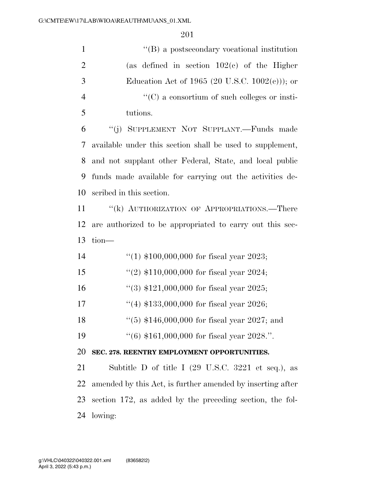| $\mathbf{1}$   | $\lq\lq (B)$ a postsecondary vocational institution                   |
|----------------|-----------------------------------------------------------------------|
| $\overline{2}$ | (as defined in section $102(c)$ of the Higher                         |
| 3              | Education Act of 1965 (20 U.S.C. $1002(e)$ ); or                      |
| $\overline{4}$ | $\lq\lq$ (C) a consortium of such colleges or insti-                  |
| 5              | tutions.                                                              |
| 6              | "(j) SUPPLEMENT NOT SUPPLANT.—Funds made                              |
| 7              | available under this section shall be used to supplement,             |
| 8              | and not supplant other Federal, State, and local public               |
| 9              | funds made available for carrying out the activities de-              |
| 10             | scribed in this section.                                              |
| 11             | "(k) AUTHORIZATION OF APPROPRIATIONS.—There                           |
| 12             | are authorized to be appropriated to carry out this sec-              |
| 13             | $tion$ —                                                              |
| 14             | "(1) $$100,000,000$ for fiscal year 2023;                             |
| 15             | "(2) $$110,000,000$ for fiscal year 2024;                             |
| 16             | "(3) $$121,000,000$ for fiscal year 2025;                             |
| 17             | "(4) $$133,000,000$ for fiscal year 2026;                             |
| 18             | $(5)$ \$146,000,000 for fiscal year 2027; and                         |
| 19             | $(16)$ \$161,000,000 for fiscal year 2028.".                          |
| 20             | SEC. 278. REENTRY EMPLOYMENT OPPORTUNITIES.                           |
| 21             | Subtitle D of title I $(29 \text{ U.S.C. } 3221 \text{ et seq.}),$ as |
| 22             | amended by this Act, is further amended by inserting after            |
| 23             | section 172, as added by the preceding section, the fol-              |
| 24             | lowing:                                                               |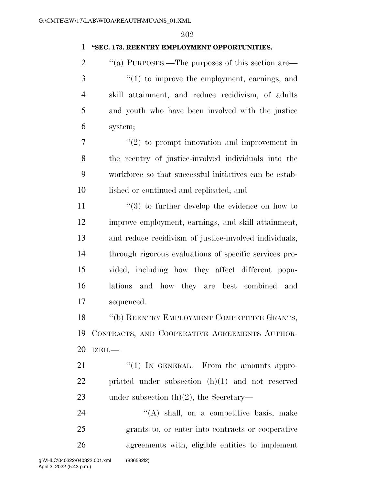## **''SEC. 173. REENTRY EMPLOYMENT OPPORTUNITIES.**

 $\cdot$  "(a) PURPOSES.—The purposes of this section are— ''(1) to improve the employment, earnings, and skill attainment, and reduce recidivism, of adults and youth who have been involved with the justice system;

 $7 \t$  ''(2) to prompt innovation and improvement in the reentry of justice-involved individuals into the workforce so that successful initiatives can be estab-lished or continued and replicated; and

 $\frac{1}{3}$  to further develop the evidence on how to improve employment, earnings, and skill attainment, and reduce recidivism of justice-involved individuals, through rigorous evaluations of specific services pro- vided, including how they affect different popu- lations and how they are best combined and sequenced.

18 "(b) REENTRY EMPLOYMENT COMPETITIVE GRANTS, CONTRACTS, AND COOPERATIVE AGREEMENTS AUTHOR-IZED.—

21 "(1) IN GENERAL.—From the amounts appro- priated under subsection (h)(1) and not reserved under subsection (h)(2), the Secretary—

24  $\langle (A) \rangle$  shall, on a competitive basis, make grants to, or enter into contracts or cooperative agreements with, eligible entities to implement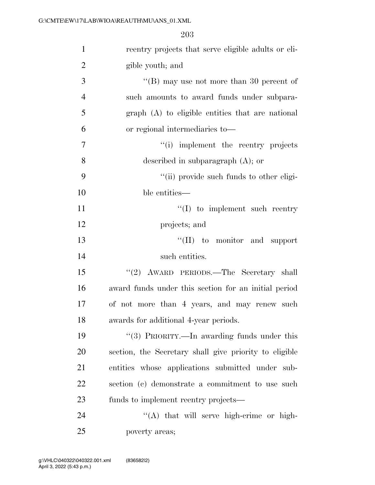| $\mathbf{1}$   | reentry projects that serve eligible adults or eli-    |
|----------------|--------------------------------------------------------|
| $\overline{2}$ | gible youth; and                                       |
| 3              | "(B) may use not more than 30 percent of               |
| $\overline{4}$ | such amounts to award funds under subpara-             |
| 5              | graph (A) to eligible entities that are national       |
| 6              | or regional intermediaries to—                         |
| 7              | "(i) implement the reentry projects                    |
| 8              | described in subparagraph $(A)$ ; or                   |
| 9              | "(ii) provide such funds to other eligi-               |
| 10             | ble entities—                                          |
| 11             | $\lq\lq$ to implement such reentry                     |
| 12             | projects; and                                          |
| 13             | $\lq\lq$ (II) to monitor and support                   |
| 14             | such entities.                                         |
| 15             | "(2) AWARD PERIODS.—The Secretary shall                |
| 16             | award funds under this section for an initial period   |
| 17             | of not more than 4 years, and may renew such           |
| 18             | awards for additional 4-year periods.                  |
| 19             | "(3) PRIORITY.—In awarding funds under this            |
| 20             | section, the Secretary shall give priority to eligible |
| 21             | entities whose applications submitted under sub-       |
| 22             | section (c) demonstrate a commitment to use such       |
| 23             | funds to implement reentry projects—                   |
| 24             | "(A) that will serve high-crime or high-               |
| 25             | poverty areas;                                         |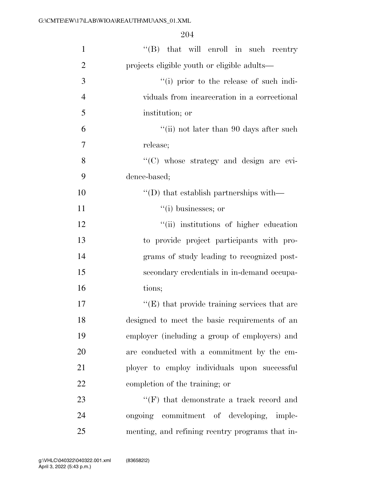| $\mathbf{1}$   | "(B) that will enroll in such reentry                |
|----------------|------------------------------------------------------|
| $\overline{2}$ | projects eligible youth or eligible adults—          |
| 3              | "(i) prior to the release of such indi-              |
| $\overline{4}$ | viduals from incarceration in a correctional         |
| 5              | institution; or                                      |
| 6              | "(ii) not later than 90 days after such              |
| 7              | release;                                             |
| 8              | "(C) whose strategy and design are evi-              |
| 9              | dence-based;                                         |
| 10             | $\lq\lq$ that establish partnerships with —          |
| 11             | $``(i)$ businesses; or                               |
| 12             | "(ii) institutions of higher education               |
| 13             | to provide project participants with pro-            |
| 14             | grams of study leading to recognized post-           |
| 15             | secondary credentials in in-demand occupa-           |
| 16             | tions;                                               |
| 17             | $\lq\lq$ (E) that provide training services that are |
| 18             | designed to meet the basic requirements of an        |
| 19             | employer (including a group of employers) and        |
| 20             | are conducted with a commitment by the em-           |
| 21             | ployer to employ individuals upon successful         |
| 22             | completion of the training; or                       |
| 23             | $\lq\lq(F)$ that demonstrate a track record and      |
| 24             | ongoing commitment of developing, imple-             |
| 25             | menting, and refining reentry programs that in-      |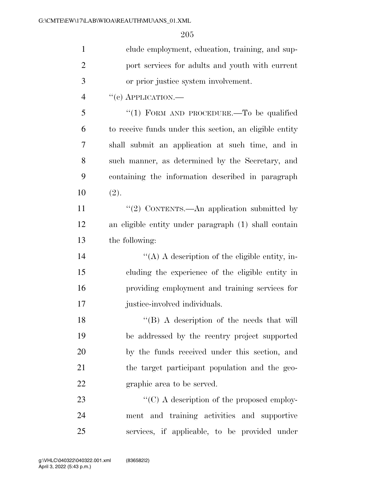| $\mathbf{1}$   | clude employment, education, training, and sup-         |
|----------------|---------------------------------------------------------|
| $\overline{2}$ | port services for adults and youth with current         |
| 3              | or prior justice system involvement.                    |
| $\overline{4}$ | $``(e)$ APPLICATION.—                                   |
| 5              | "(1) FORM AND PROCEDURE.—To be qualified                |
| 6              | to receive funds under this section, an eligible entity |
| 7              | shall submit an application at such time, and in        |
| 8              | such manner, as determined by the Secretary, and        |
| 9              | containing the information described in paragraph       |
| 10             | (2).                                                    |
| 11             | "(2) CONTENTS.—An application submitted by              |
| 12             | an eligible entity under paragraph (1) shall contain    |
| 13             | the following:                                          |
| 14             | "(A) A description of the eligible entity, in-          |
| 15             | cluding the experience of the eligible entity in        |
| 16             | providing employment and training services for          |
| 17             | justice-involved individuals.                           |
| 18             | "(B) A description of the needs that will               |
| 19             | be addressed by the reentry project supported           |
| 20             | by the funds received under this section, and           |
| 21             | the target participant population and the geo-          |
| 22             | graphic area to be served.                              |
| 23             | $\lq\lq$ (C) A description of the proposed employ-      |
| 24             | ment and training activities and supportive             |
| 25             | services, if applicable, to be provided under           |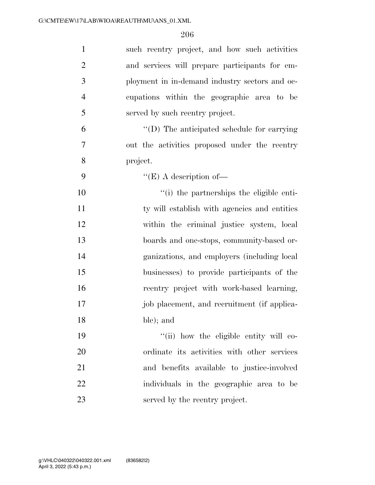| $\mathbf{1}$   | such reentry project, and how such activities  |
|----------------|------------------------------------------------|
| $\overline{2}$ | and services will prepare participants for em- |
| $\mathfrak{Z}$ | ployment in in-demand industry sectors and oc- |
| $\overline{4}$ | cupations within the geographic area to be     |
| 5              | served by such reentry project.                |
| 6              | "(D) The anticipated schedule for carrying     |
| $\overline{7}$ | out the activities proposed under the reentry  |
| 8              | project.                                       |
| 9              | $\lq\lq (E)$ A description of —                |
| 10             | "(i) the partnerships the eligible enti-       |
| 11             | ty will establish with agencies and entities   |
| 12             | within the criminal justice system, local      |
| 13             | boards and one-stops, community-based or-      |
| 14             | ganizations, and employers (including local    |
| 15             | businesses) to provide participants of the     |
| 16             | reentry project with work-based learning,      |
| 17             | job placement, and recruitment (if applica-    |
| 18             | ble); and                                      |
| 19             | "(ii) how the eligible entity will co-         |
| 20             | ordinate its activities with other services    |
| 21             | and benefits available to justice-involved     |
| 22             | individuals in the geographic area to be       |
| 23             | served by the reentry project.                 |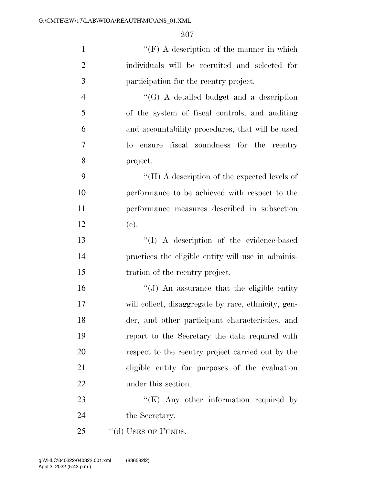| $\mathbf{1}$   | "(F) A description of the manner in which           |
|----------------|-----------------------------------------------------|
| $\mathbf{2}$   | individuals will be recruited and selected for      |
| 3              | participation for the reentry project.              |
| $\overline{4}$ | $\lq\lq(G)$ A detailed budget and a description     |
| 5              | of the system of fiscal controls, and auditing      |
| 6              | and accountability procedures, that will be used    |
| 7              | to ensure fiscal soundness for the reentry          |
| 8              | project.                                            |
| 9              | "(H) A description of the expected levels of        |
| 10             | performance to be achieved with respect to the      |
| 11             | performance measures described in subsection        |
| 12             | (e).                                                |
| 13             | "(I) A description of the evidence-based            |
| 14             | practices the eligible entity will use in adminis-  |
| 15             | tration of the reentry project.                     |
| 16             | $\lq\lq(J)$ An assurance that the eligible entity   |
| 17             | will collect, disaggregate by race, ethnicity, gen- |
| 18             | der, and other participant characteristics, and     |
| 19             | report to the Secretary the data required with      |
| 20             | respect to the reentry project carried out by the   |
| 21             | eligible entity for purposes of the evaluation      |
| 22             | under this section.                                 |
| 23             | " $(K)$ Any other information required by           |
| 24             | the Secretary.                                      |
| 25             | "(d) USES OF FUNDS.—                                |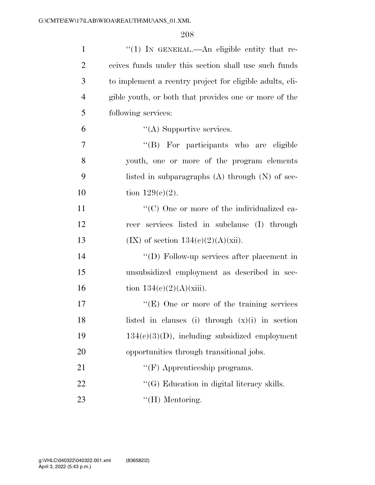| $\mathbf{1}$   | "(1) IN GENERAL.—An eligible entity that re-             |
|----------------|----------------------------------------------------------|
| $\overline{2}$ | ceives funds under this section shall use such funds     |
| 3              | to implement a reentry project for eligible adults, eli- |
| $\overline{4}$ | gible youth, or both that provides one or more of the    |
| 5              | following services:                                      |
| 6              | $\lq\lq$ Supportive services.                            |
| 7              | "(B) For participants who are eligible                   |
| 8              | youth, one or more of the program elements               |
| 9              | listed in subparagraphs $(A)$ through $(N)$ of sec-      |
| 10             | tion $129(c)(2)$ .                                       |
| 11             | "(C) One or more of the individualized ca-               |
| 12             | reer services listed in subclause (I) through            |
| 13             | $(IX)$ of section $134(c)(2)(A)(xii)$ .                  |
| 14             | "(D) Follow-up services after placement in               |
| 15             | unsubsidized employment as described in sec-             |
| 16             | tion $134(c)(2)(A)(xiii)$ .                              |
| 17             | "(E) One or more of the training services                |
| 18             | listed in clauses (i) through $(x)(i)$ in section        |
| 19             | $134(c)(3)(D)$ , including subsidized employment         |
| 20             | opportunities through transitional jobs.                 |
| 21             | $\lq\lq(F)$ Apprenticeship programs.                     |
| 22             | "(G) Education in digital literacy skills.               |
| 23             | $\lq\lq(H)$ Mentoring.                                   |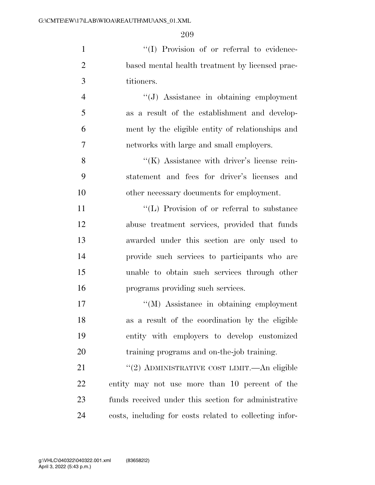1  $\langle (I) \rangle$  Provision of or referral to evidence- based mental health treatment by licensed prac-titioners.

 ''(J) Assistance in obtaining employment as a result of the establishment and develop- ment by the eligible entity of relationships and networks with large and small employers.

8 ''(K) Assistance with driver's license rein- statement and fees for driver's licenses and other necessary documents for employment.

 $\langle (L)$  Provision of or referral to substance abuse treatment services, provided that funds awarded under this section are only used to provide such services to participants who are unable to obtain such services through other programs providing such services.

 ''(M) Assistance in obtaining employment as a result of the coordination by the eligible entity with employers to develop customized training programs and on-the-job training.

21 ''(2) ADMINISTRATIVE COST LIMIT.—An eligible entity may not use more than 10 percent of the funds received under this section for administrative costs, including for costs related to collecting infor-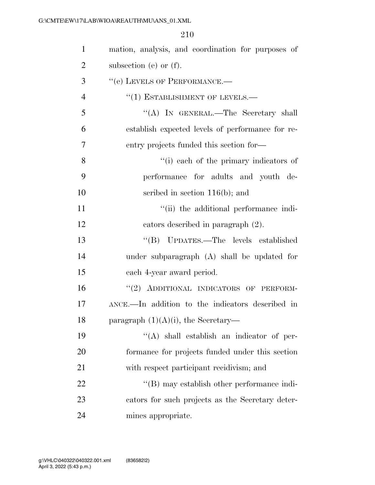| $\mathbf{1}$   | mation, analysis, and coordination for purposes of |
|----------------|----------------------------------------------------|
| $\overline{2}$ | subsection (e) or $(f)$ .                          |
| 3              | "(e) LEVELS OF PERFORMANCE.-                       |
| $\overline{4}$ | $``(1)$ ESTABLISHMENT OF LEVELS.—                  |
| 5              | "(A) IN GENERAL.—The Secretary shall               |
| 6              | establish expected levels of performance for re-   |
| 7              | entry projects funded this section for—            |
| 8              | "(i) each of the primary indicators of             |
| 9              | performance for adults and youth de-               |
| 10             | scribed in section $116(b)$ ; and                  |
| 11             | "(ii) the additional performance indi-             |
| 12             | cators described in paragraph (2).                 |
| 13             | "(B) UPDATES.—The levels established               |
| 14             | under subparagraph (A) shall be updated for        |
| 15             | each 4-year award period.                          |
| 16             | "(2) ADDITIONAL INDICATORS OF PERFORM-             |
| 17             | ANCE.—In addition to the indicators described in   |
| 18             | paragraph $(1)(A)(i)$ , the Secretary—             |
| 19             | $\lq\lq$ shall establish an indicator of per-      |
| 20             | formance for projects funded under this section    |
| 21             | with respect participant recidivism; and           |
| 22             | "(B) may establish other performance indi-         |
| 23             | cators for such projects as the Secretary deter-   |
| 24             | mines appropriate.                                 |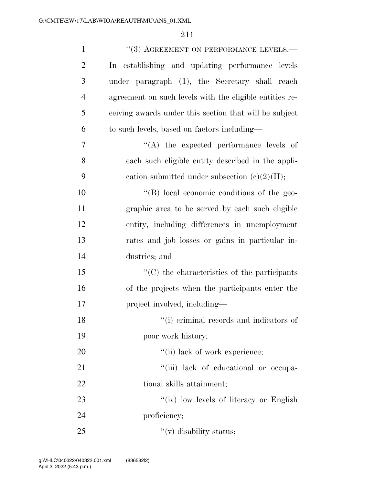| $\mathbf{1}$   | "(3) AGREEMENT ON PERFORMANCE LEVELS.—                  |
|----------------|---------------------------------------------------------|
| $\overline{2}$ | In establishing and updating performance levels         |
| 3              | under paragraph (1), the Secretary shall reach          |
| $\overline{4}$ | agreement on such levels with the eligible entities re- |
| 5              | ceiving awards under this section that will be subject  |
| 6              | to such levels, based on factors including—             |
| 7              | $\lq\lq$ the expected performance levels of             |
| 8              | each such eligible entity described in the appli-       |
| 9              | cation submitted under subsection $(c)(2)(H);$          |
| 10             | "(B) local economic conditions of the geo-              |
| 11             | graphic area to be served by each such eligible         |
| 12             | entity, including differences in unemployment           |
| 13             | rates and job losses or gains in particular in-         |
| 14             | dustries; and                                           |
| 15             | $\cdot$ (C) the characteristics of the participants     |
| 16             | of the projects when the participants enter the         |
| 17             | project involved, including—                            |
| 18             | "(i) criminal records and indicators of                 |
| 19             | poor work history;                                      |
| 20             | "(ii) lack of work experience;                          |
| 21             | "(iii) lack of educational or occupa-                   |
| 22             | tional skills attainment;                               |
| 23             | "(iv) low levels of literacy or English                 |
| 24             | proficiency;                                            |
| 25             | $f'(v)$ disability status;                              |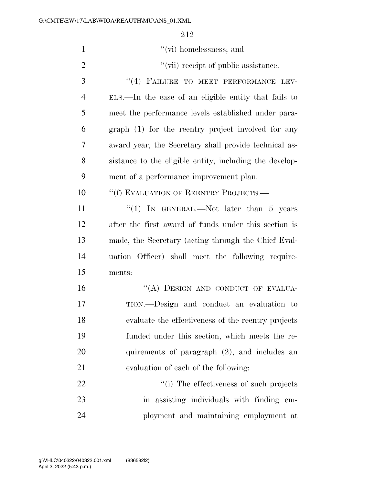| $\mathbf{1}$   | $``$ (vi) homelessness; and                             |
|----------------|---------------------------------------------------------|
| $\overline{2}$ | "(vii) receipt of public assistance.                    |
| 3              | "(4) FAILURE TO MEET PERFORMANCE LEV-                   |
| $\overline{4}$ | ELS.—In the case of an eligible entity that fails to    |
| 5              | meet the performance levels established under para-     |
| 6              | graph (1) for the reentry project involved for any      |
| 7              | award year, the Secretary shall provide technical as-   |
| 8              | sistance to the eligible entity, including the develop- |
| 9              | ment of a performance improvement plan.                 |
| 10             | "(f) EVALUATION OF REENTRY PROJECTS.—                   |
| 11             | "(1) IN GENERAL.—Not later than $5$ years               |
| 12             | after the first award of funds under this section is    |
| 13             | made, the Secretary (acting through the Chief Eval-     |
| 14             | uation Officer) shall meet the following require-       |
| 15             | ments:                                                  |
| 16             | "(A) DESIGN AND CONDUCT OF EVALUA-                      |
| 17             | TION.—Design and conduct an evaluation to               |
| 18             | evaluate the effectiveness of the reentry projects      |
| 19             | funded under this section, which meets the re-          |
| 20             | quirements of paragraph (2), and includes an            |
| 21             | evaluation of each of the following:                    |
| 22             | "(i) The effectiveness of such projects                 |
| 23             | in assisting individuals with finding em-               |
| 24             | ployment and maintaining employment at                  |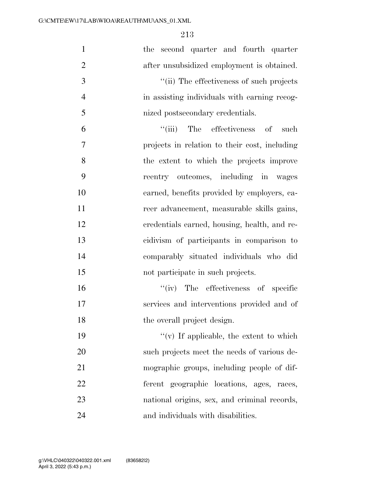| $\mathbf{1}$   | the second quarter and fourth quarter         |
|----------------|-----------------------------------------------|
| $\overline{2}$ | after unsubsidized employment is obtained.    |
| 3              | "(ii) The effectiveness of such projects      |
| $\overline{4}$ | in assisting individuals with earning recog-  |
| 5              | nized postsecondary credentials.              |
| 6              | ``(iii)<br>The effectiveness of<br>such       |
| 7              | projects in relation to their cost, including |
| 8              | the extent to which the projects improve      |
| 9              | reentry outcomes, including in wages          |
| 10             | earned, benefits provided by employers, ca-   |
| 11             | reer advancement, measurable skills gains,    |
| 12             | credentials earned, housing, health, and re-  |
| 13             | cidivism of participants in comparison to     |
| 14             | comparably situated individuals who did       |
| 15             | not participate in such projects.             |
| 16             | $``(iv)$ The effectiveness of specific        |
| 17             | services and interventions provided and of    |
| 18             | the overall project design.                   |
| 19             | $``(v)$ If applicable, the extent to which    |
| 20             | such projects meet the needs of various de-   |
| 21             | mographic groups, including people of dif-    |
| 22             | ferent geographic locations, ages, races,     |
| 23             | national origins, sex, and criminal records,  |
| 24             | and individuals with disabilities.            |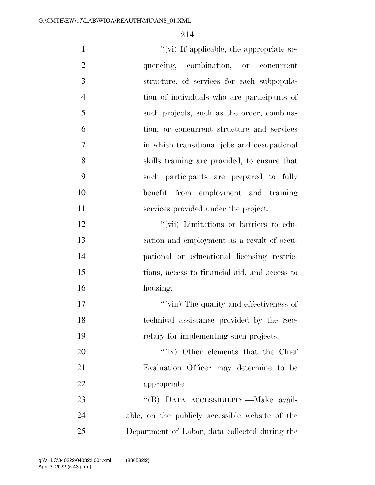| $\mathbf{1}$   | $\lq\lq$ (vi) If applicable, the appropriate se- |
|----------------|--------------------------------------------------|
| $\overline{2}$ | quencing, combination, or concurrent             |
| 3              | structure, of services for each subpopula-       |
| $\overline{4}$ | tion of individuals who are participants of      |
| 5              | such projects, such as the order, combina-       |
| 6              | tion, or concurrent structure and services       |
| 7              | in which transitional jobs and occupational      |
| 8              | skills training are provided, to ensure that     |
| 9              | such participants are prepared to fully          |
| 10             | benefit from employment and training             |
| 11             | services provided under the project.             |
| 12             | "(vii) Limitations or barriers to edu-           |
| 13             | cation and employment as a result of occu-       |
| 14             | pational or educational licensing restric-       |
| 15             | tions, access to financial aid, and access to    |
| 16             | housing.                                         |
| 17             | "(viii) The quality and effectiveness of         |
| 18             | technical assistance provided by the Sec-        |
| 19             | retary for implementing such projects.           |
| 20             | "(ix) Other elements that the Chief              |
| 21             | Evaluation Officer may determine to be           |
| 22             | appropriate.                                     |
| 23             | "(B) DATA ACCESSIBILITY.-Make avail-             |
| 24             | able, on the publicly accessible website of the  |
| $25\,$         | Department of Labor, data collected during the   |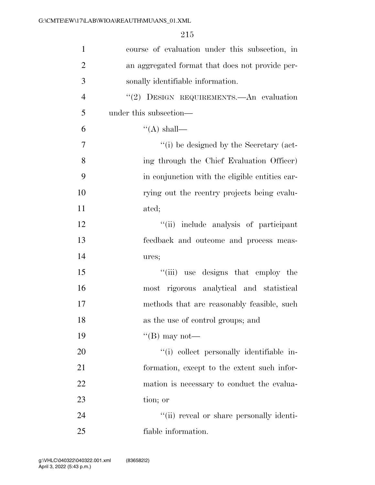| $\mathbf{1}$   | course of evaluation under this subsection, in  |
|----------------|-------------------------------------------------|
| $\overline{2}$ | an aggregated format that does not provide per- |
| 3              | sonally identifiable information.               |
| $\overline{4}$ | "(2) DESIGN REQUIREMENTS.—An evaluation         |
| 5              | under this subsection—                          |
| 6              | $\lq\lq$ (A) shall—                             |
| 7              | "(i) be designed by the Secretary (act-         |
| 8              | ing through the Chief Evaluation Officer)       |
| 9              | in conjunction with the eligible entities car-  |
| 10             | rying out the reentry projects being evalu-     |
| 11             | ated;                                           |
| 12             | "(ii) include analysis of participant           |
| 13             | feedback and outcome and process meas-          |
| 14             | ures;                                           |
| 15             | "(iii) use designs that employ the              |
| 16             | most rigorous analytical and statistical        |
| 17             | methods that are reasonably feasible, such      |
| 18             | as the use of control groups; and               |
| 19             | "(B) may not—                                   |
| 20             | "(i) collect personally identifiable in-        |
| 21             | formation, except to the extent such infor-     |
| 22             | mation is necessary to conduct the evalua-      |
| 23             | tion; or                                        |
| 24             | "(ii) reveal or share personally identi-        |
| 25             | fiable information.                             |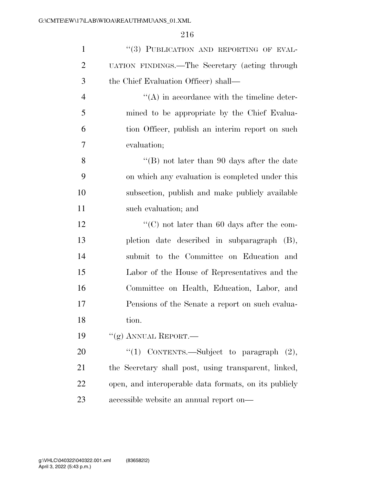| $\mathbf{1}$   | "(3) PUBLICATION AND REPORTING OF EVAL-               |
|----------------|-------------------------------------------------------|
| $\overline{2}$ | UATION FINDINGS.—The Secretary (acting through        |
| 3              | the Chief Evaluation Officer) shall—                  |
| $\overline{4}$ | $\lq\lq$ in accordance with the timeline deter-       |
| 5              | mined to be appropriate by the Chief Evalua-          |
| 6              | tion Officer, publish an interim report on such       |
| 7              | evaluation;                                           |
| 8              | "(B) not later than 90 days after the date            |
| 9              | on which any evaluation is completed under this       |
| 10             | subsection, publish and make publicly available       |
| 11             | such evaluation; and                                  |
| 12             | "(C) not later than 60 days after the com-            |
| 13             | pletion date described in subparagraph (B),           |
| 14             | submit to the Committee on Education and              |
| 15             | Labor of the House of Representatives and the         |
| 16             | Committee on Health, Education, Labor, and            |
| 17             | Pensions of the Senate a report on such evalua-       |
| 18             | tion.                                                 |
| 19             | " $(g)$ ANNUAL REPORT.—                               |
| 20             | "(1) CONTENTS.—Subject to paragraph $(2)$ ,           |
| 21             | the Secretary shall post, using transparent, linked,  |
| 22             | open, and interoperable data formats, on its publicly |
| 23             | accessible website an annual report on—               |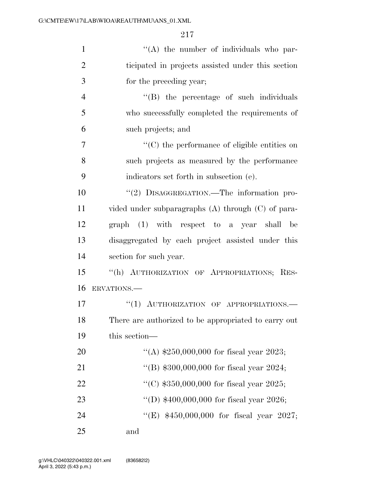| $\mathbf{1}$   | $\lq\lq$ the number of individuals who par-            |
|----------------|--------------------------------------------------------|
| $\overline{2}$ | ticipated in projects assisted under this section      |
| 3              | for the preceding year;                                |
| $\overline{4}$ | "(B) the percentage of such individuals                |
| 5              | who successfully completed the requirements of         |
| 6              | such projects; and                                     |
| $\overline{7}$ | $\cdot$ (C) the performance of eligible entities on    |
| 8              | such projects as measured by the performance           |
| 9              | indicators set forth in subsection (e).                |
| 10             | "(2) DISAGGREGATION.—The information pro-              |
| 11             | vided under subparagraphs $(A)$ through $(C)$ of para- |
| 12             | graph (1) with respect to a year shall be              |
| 13             | disaggregated by each project assisted under this      |
| 14             | section for such year.                                 |
| 15             | "(h) AUTHORIZATION OF APPROPRIATIONS; RES-             |
| 16             | ERVATIONS.                                             |
| 17             | "(1) AUTHORIZATION OF APPROPRIATIONS.-                 |
| 18             | There are authorized to be appropriated to carry out   |
| 19             | this section—                                          |
| 20             | "(A) $$250,000,000$ for fiscal year 2023;              |
| 21             | "(B) $$300,000,000$ for fiscal year 2024;              |
| 22             | "(C) $$350,000,000$ for fiscal year 2025;              |
| 23             | "(D) $$400,000,000$ for fiscal year 2026;              |
| 24             | "(E) \$450,000,000 for fiscal year 2027;               |
| 25             | and                                                    |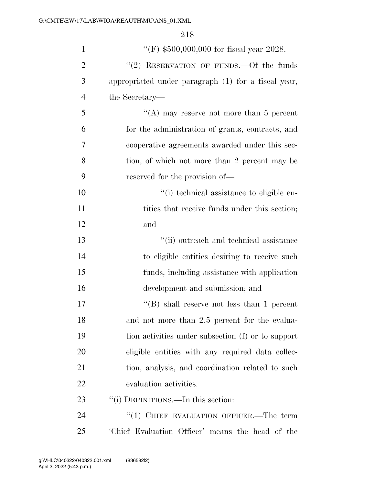| $\mathbf{1}$   | "(F) $$500,000,000$ for fiscal year 2028.           |
|----------------|-----------------------------------------------------|
| $\overline{2}$ | "(2) RESERVATION OF FUNDS. - Of the funds           |
| 3              | appropriated under paragraph (1) for a fiscal year, |
| $\overline{4}$ | the Secretary—                                      |
| 5              | "(A) may reserve not more than 5 percent            |
| 6              | for the administration of grants, contracts, and    |
| 7              | cooperative agreements awarded under this sec-      |
| 8              | tion, of which not more than 2 percent may be       |
| 9              | reserved for the provision of—                      |
| 10             | "(i) technical assistance to eligible en-           |
| 11             | tities that receive funds under this section;       |
| 12             | and                                                 |
| 13             | "(ii) outreach and technical assistance             |
| 14             | to eligible entities desiring to receive such       |
| 15             | funds, including assistance with application        |
| 16             | development and submission; and                     |
| 17             | "(B) shall reserve not less than 1 percent          |
| 18             | and not more than 2.5 percent for the evalua-       |
| 19             | tion activities under subsection (f) or to support  |
| 20             | eligible entities with any required data collec-    |
| 21             | tion, analysis, and coordination related to such    |
| 22             | evaluation activities.                              |
| 23             | "(i) DEFINITIONS.—In this section:                  |
| 24             | "(1) CHIEF EVALUATION OFFICER.—The term             |
| 25             | Chief Evaluation Officer' means the head of the     |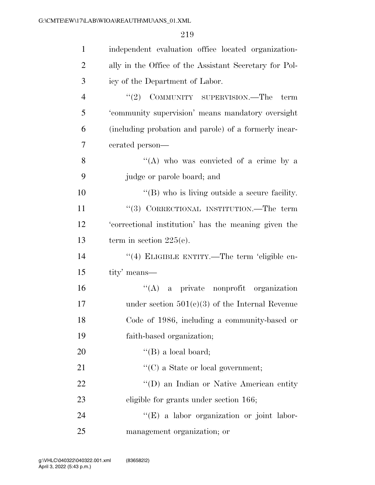| $\mathbf{1}$   | independent evaluation office located organization-    |
|----------------|--------------------------------------------------------|
| $\overline{2}$ | ally in the Office of the Assistant Secretary for Pol- |
| 3              | icy of the Department of Labor.                        |
| $\overline{4}$ | $"(2)$ COMMUNITY SUPERVISION.—The<br>term              |
| 5              | 'community supervision' means mandatory oversight      |
| 6              | (including probation and parole) of a formerly incar-  |
| 7              | cerated person—                                        |
| 8              | "(A) who was convicted of a crime by a                 |
| 9              | judge or parole board; and                             |
| 10             | "(B) who is living outside a secure facility.          |
| 11             | "(3) CORRECTIONAL INSTITUTION.—The term                |
| 12             | 'correctional institution' has the meaning given the   |
| 13             | term in section $225(e)$ .                             |
| 14             | "(4) ELIGIBLE ENTITY.—The term 'eligible en-           |
| 15             | tity' means—                                           |
| 16             | $\lq\lq$ a private nonprofit organization              |
| 17             | under section $501(c)(3)$ of the Internal Revenue      |
| 18             | Code of 1986, including a community-based or           |
| 19             | faith-based organization;                              |
| 20             | $\lq\lq$ (B) a local board;                            |
| 21             | $\lq\lq$ (C) a State or local government;              |
| 22             | "(D) an Indian or Native American entity               |
| 23             | eligible for grants under section 166;                 |
| 24             | "(E) a labor organization or joint labor-              |
| 25             | management organization; or                            |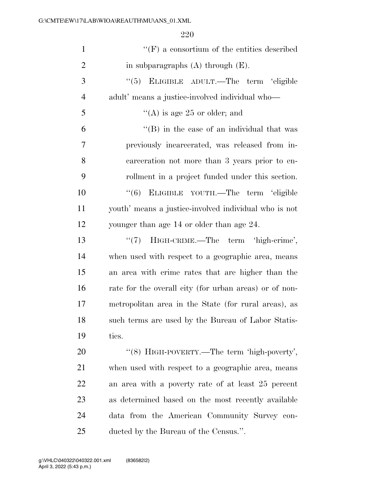| $\mathbf{1}$   | $\lq\lq(F)$ a consortium of the entities described     |
|----------------|--------------------------------------------------------|
| $\overline{2}$ | in subparagraphs $(A)$ through $(E)$ .                 |
| 3              | "(5) ELIGIBLE ADULT.—The term 'eligible                |
| $\overline{4}$ | adult' means a justice-involved individual who—        |
| 5              | "(A) is age 25 or older; and                           |
| 6              | $\lq$ (B) in the case of an individual that was        |
| 7              | previously incarcerated, was released from in-         |
| 8              | carceration not more than 3 years prior to en-         |
| 9              | rollment in a project funded under this section.       |
| 10             | "(6) ELIGIBLE YOUTH.—The term 'eligible                |
| 11             | youth' means a justice-involved individual who is not  |
| 12             | younger than age 14 or older than age 24.              |
| 13             | HIGH-CRIME.—The term 'high-crime',<br>$(3^{12})^2$     |
| 14             | when used with respect to a geographic area, means     |
| 15             | an area with crime rates that are higher than the      |
| 16             | rate for the overall city (for urban areas) or of non- |
| 17             | metropolitan area in the State (for rural areas), as   |
| 18             | such terms are used by the Bureau of Labor Statis-     |
| 19             | tics.                                                  |
| 20             | "(8) HIGH-POVERTY.—The term 'high-poverty',            |
| 21             | when used with respect to a geographic area, means     |
| 22             | an area with a poverty rate of at least 25 percent     |
| 23             | as determined based on the most recently available     |
| 24             | data from the American Community Survey con-           |
| 25             | ducted by the Bureau of the Census.".                  |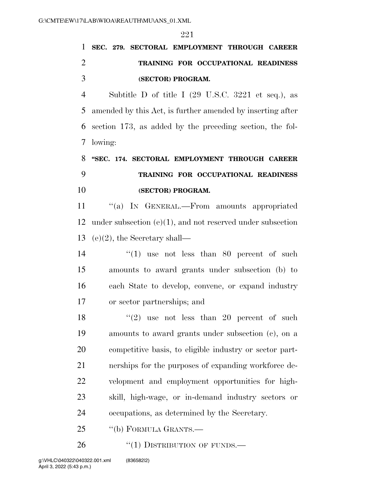# **SEC. 279. SECTORAL EMPLOYMENT THROUGH CAREER TRAINING FOR OCCUPATIONAL READINESS (SECTOR) PROGRAM.**

 Subtitle D of title I (29 U.S.C. 3221 et seq.), as amended by this Act, is further amended by inserting after section 173, as added by the preceding section, the fol-lowing:

# **''SEC. 174. SECTORAL EMPLOYMENT THROUGH CAREER TRAINING FOR OCCUPATIONAL READINESS (SECTOR) PROGRAM.**

11 "(a) IN GENERAL.—From amounts appropriated under subsection (e)(1), and not reserved under subsection (e)(2), the Secretary shall—

14 ''(1) use not less than 80 percent of such amounts to award grants under subsection (b) to each State to develop, convene, or expand industry or sector partnerships; and

 $(2)$  use not less than 20 percent of such amounts to award grants under subsection (c), on a competitive basis, to eligible industry or sector part- nerships for the purposes of expanding workforce de- velopment and employment opportunities for high- skill, high-wage, or in-demand industry sectors or occupations, as determined by the Secretary.

''(b) FORMULA GRANTS.—

26 "(1) DISTRIBUTION OF FUNDS.—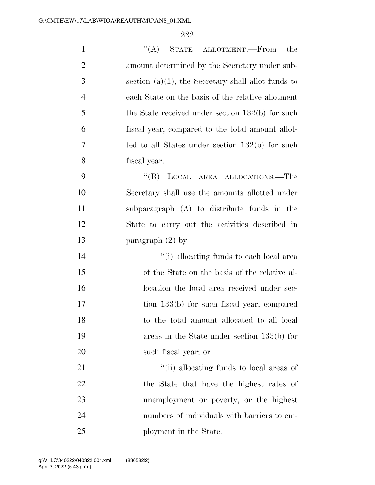| $\mathbf{1}$   | STATE ALLOTMENT.—From<br>``(A)<br>the                 |
|----------------|-------------------------------------------------------|
| $\overline{2}$ | amount determined by the Secretary under sub-         |
| 3              | section $(a)(1)$ , the Secretary shall allot funds to |
| $\overline{4}$ | each State on the basis of the relative allotment     |
| 5              | the State received under section $132(b)$ for such    |
| 6              | fiscal year, compared to the total amount allot-      |
| 7              | ted to all States under section $132(b)$ for such     |
| 8              | fiscal year.                                          |
| 9              | $\mathrm{``(B)}$<br>LOCAL AREA ALLOCATIONS.-The       |
| 10             | Secretary shall use the amounts allotted under        |
| 11             | subparagraph (A) to distribute funds in the           |
| 12             | State to carry out the activities described in        |
| 13             | paragraph $(2)$ by-                                   |
| 14             | "(i) allocating funds to each local area              |
| 15             | of the State on the basis of the relative al-         |
| 16             | location the local area received under sec-           |
| 17             | tion 133(b) for such fiscal year, compared            |
| 18             | to the total amount allocated to all local            |
| 19             | areas in the State under section 133(b) for           |
| 20             | such fiscal year; or                                  |
| 21             | "(ii) allocating funds to local areas of              |
| 22             | the State that have the highest rates of              |
| 23             | unemployment or poverty, or the highest               |
| 24             | numbers of individuals with barriers to em-           |
| 25             | ployment in the State.                                |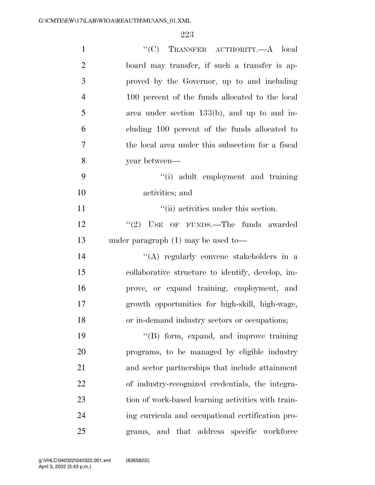| $\mathbf{1}$   | "(C) TRANSFER AUTHORITY.— $A$ local                |
|----------------|----------------------------------------------------|
| $\overline{2}$ | board may transfer, if such a transfer is ap-      |
| 3              | proved by the Governor, up to and including        |
| $\overline{4}$ | 100 percent of the funds allocated to the local    |
| 5              | area under section $133(b)$ , and up to and in-    |
| 6              | cluding 100 percent of the funds allocated to      |
| $\overline{7}$ | the local area under this subsection for a fiscal  |
| 8              | year between—                                      |
| 9              | "(i) adult employment and training                 |
| 10             | activities; and                                    |
| 11             | "(ii) activities under this section.               |
| 12             | $"(2)$ USE OF FUNDS.—The funds awarded             |
| 13             | under paragraph $(1)$ may be used to-              |
| 14             | "(A) regularly convene stakeholders in a           |
| 15             | collaborative structure to identify, develop, im-  |
| 16             | prove, or expand training, employment, and         |
| 17             | growth opportunities for high-skill, high-wage,    |
| 18             | or in-demand industry sectors or occupations;      |
| 19             | "(B) form, expand, and improve training            |
| 20             | programs, to be managed by eligible industry       |
| 21             | and sector partnerships that include attainment    |
| 22             | of industry-recognized credentials, the integra-   |
| 23             | tion of work-based learning activities with train- |
| 24             | ing curricula and occupational certification pro-  |
| 25             | and that address specific workforce<br>grams,      |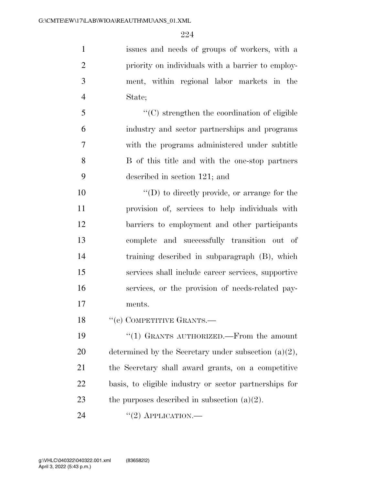issues and needs of groups of workers, with a priority on individuals with a barrier to employ- ment, within regional labor markets in the State;

 ''(C) strengthen the coordination of eligible industry and sector partnerships and programs with the programs administered under subtitle B of this title and with the one-stop partners described in section 121; and

 $\langle \text{`}(D) \rangle$  to directly provide, or arrange for the provision of, services to help individuals with barriers to employment and other participants complete and successfully transition out of training described in subparagraph (B), which services shall include career services, supportive services, or the provision of needs-related pay-ments.

18 "(c) COMPETITIVE GRANTS.—

 ''(1) GRANTS AUTHORIZED.—From the amount 20 determined by the Secretary under subsection  $(a)(2)$ , the Secretary shall award grants, on a competitive basis, to eligible industry or sector partnerships for 23 the purposes described in subsection  $(a)(2)$ .

24  $((2)$  APPLICATION.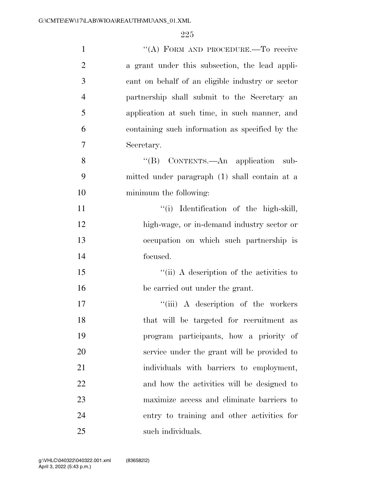| $\mathbf{1}$   | "(A) FORM AND PROCEDURE.—To receive              |
|----------------|--------------------------------------------------|
| $\overline{2}$ | a grant under this subsection, the lead appli-   |
| 3              | cant on behalf of an eligible industry or sector |
| $\overline{4}$ | partnership shall submit to the Secretary an     |
| 5              | application at such time, in such manner, and    |
| 6              | containing such information as specified by the  |
| 7              | Secretary.                                       |
| 8              | "(B) CONTENTS.—An application<br>sub-            |
| 9              | mitted under paragraph (1) shall contain at a    |
| 10             | minimum the following:                           |
| 11             | "(i) Identification of the high-skill,           |
| 12             | high-wage, or in-demand industry sector or       |
| 13             | occupation on which such partnership is          |
| 14             | focused.                                         |
| 15             | "(ii) A description of the activities to         |
| 16             | be carried out under the grant.                  |
| 17             | "(iii) A description of the workers              |
| 18             | that will be targeted for recruitment as         |
| 19             | program participants, how a priority of          |
| 20             | service under the grant will be provided to      |
| 21             | individuals with barriers to employment,         |
| 22             | and how the activities will be designed to       |
| 23             | maximize access and eliminate barriers to        |
| 24             | entry to training and other activities for       |
| 25             | such individuals.                                |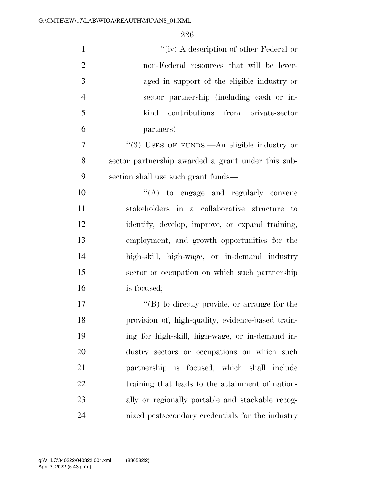| $\mathbf{1}$   | "(iv) A description of other Federal or              |
|----------------|------------------------------------------------------|
| $\overline{2}$ | non-Federal resources that will be lever-            |
| 3              | aged in support of the eligible industry or          |
| $\overline{4}$ | sector partnership (including cash or in-            |
| 5              | contributions from private-sector<br>kind            |
| 6              | partners).                                           |
| 7              | "(3) USES OF FUNDS.—An eligible industry or          |
| 8              | sector partnership awarded a grant under this sub-   |
| 9              | section shall use such grant funds—                  |
| 10             | "(A) to engage and regularly convene                 |
| 11             | stakeholders in a collaborative structure to         |
| 12             | identify, develop, improve, or expand training,      |
| 13             | employment, and growth opportunities for the         |
| 14             | high-skill, high-wage, or in-demand industry         |
| 15             | sector or occupation on which such partnership       |
| 16             | is focused;                                          |
| 17             | $\lq\lq (B)$ to directly provide, or arrange for the |
| 18             | provision of, high-quality, evidence-based train-    |
| 19             | ing for high-skill, high-wage, or in-demand in-      |
| 20             | dustry sectors or occupations on which such          |
| 21             | partnership is focused, which shall include          |
| 22             | training that leads to the attainment of nation-     |
| 23             | ally or regionally portable and stackable recog-     |
| 24             | nized postsecondary credentials for the industry     |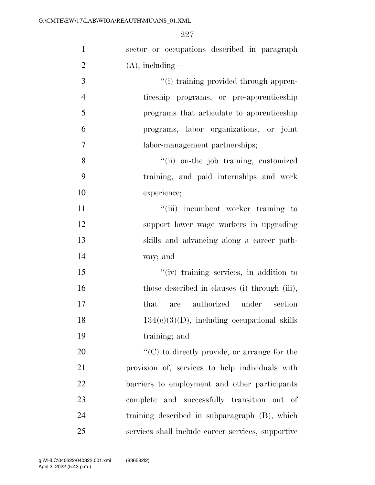| $\mathbf{1}$   | sector or occupations described in paragraph         |
|----------------|------------------------------------------------------|
| $\overline{2}$ | $(A)$ , including—                                   |
| 3              | "(i) training provided through appren-               |
| $\overline{4}$ | ticeship programs, or pre-apprenticeship             |
| 5              | programs that articulate to apprenticeship           |
| 6              | programs, labor organizations, or joint              |
| $\overline{7}$ | labor-management partnerships;                       |
| 8              | "(ii) on-the job training, customized                |
| 9              | training, and paid internships and work              |
| 10             | experience;                                          |
| 11             | "(iii) incumbent worker training to                  |
| 12             | support lower wage workers in upgrading              |
| 13             | skills and advancing along a career path-            |
| 14             | way; and                                             |
| 15             | "(iv) training services, in addition to              |
| 16             | those described in clauses (i) through (iii),        |
| 17             | authorized under<br>section<br>that<br>are           |
| 18             | $134(c)(3)(D)$ , including occupational skills       |
| 19             | training; and                                        |
| 20             | $\lq\lq$ (C) to directly provide, or arrange for the |
| 21             | provision of, services to help individuals with      |
| 22             | barriers to employment and other participants        |
| 23             | complete and successfully transition out of          |
| 24             | training described in subparagraph (B), which        |
| 25             | services shall include career services, supportive   |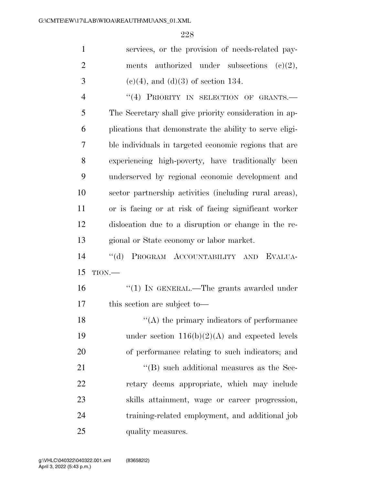|   | services, or the provision of needs-related pay-        |
|---|---------------------------------------------------------|
| 2 | ments authorized under subsections $(c)(2)$ ,           |
| 3 | $(c)(4)$ , and $(d)(3)$ of section 134.                 |
| 4 | "(4) PRIORITY IN SELECTION OF GRANTS.—                  |
| 5 | The Secretary shall give priority consideration in ap-  |
| 6 | plications that demonstrate the ability to serve eligi- |
| 7 | ble individuals in targeted economic regions that are   |
| 8 | experiencing high-poverty, have traditionally been      |

 underserved by regional economic development and sector partnership activities (including rural areas), or is facing or at risk of facing significant worker dislocation due to a disruption or change in the re-gional or State economy or labor market.

 ''(d) PROGRAM ACCOUNTABILITY AND EVALUA-TION.—

 ''(1) IN GENERAL.—The grants awarded under this section are subject to—

18 ''(A) the primary indicators of performance 19 under section  $116(b)(2)(A)$  and expected levels of performance relating to such indicators; and

21 ''(B) such additional measures as the Sec- retary deems appropriate, which may include skills attainment, wage or career progression, training-related employment, and additional job 25 quality measures.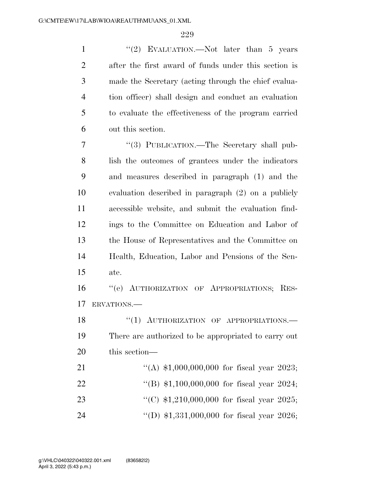1 ''(2) EVALUATION.—Not later than 5 years after the first award of funds under this section is made the Secretary (acting through the chief evalua- tion officer) shall design and conduct an evaluation to evaluate the effectiveness of the program carried out this section.

 ''(3) PUBLICATION.—The Secretary shall pub- lish the outcomes of grantees under the indicators and measures described in paragraph (1) and the evaluation described in paragraph (2) on a publicly accessible website, and submit the evaluation find- ings to the Committee on Education and Labor of the House of Representatives and the Committee on Health, Education, Labor and Pensions of the Sen-ate.

 ''(e) AUTHORIZATION OF APPROPRIATIONS; RES-ERVATIONS.—

18 "(1) AUTHORIZATION OF APPROPRIATIONS. There are authorized to be appropriated to carry out this section—

| 21 | "(A) $$1,000,000,000$ for fiscal year 2023; |  |  |
|----|---------------------------------------------|--|--|
| 22 | "(B) $$1,100,000,000$ for fiscal year 2024; |  |  |
| 23 | "(C) $$1,210,000,000$ for fiscal year 2025; |  |  |
| 24 | "(D) $$1,331,000,000$ for fiscal year 2026; |  |  |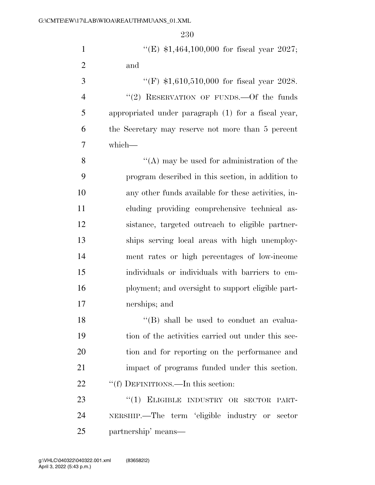| $\mathbf{1}$   | "(E) $$1,464,100,000$ for fiscal year 2027;         |
|----------------|-----------------------------------------------------|
| $\overline{2}$ | and                                                 |
| 3              | "(F) $$1,610,510,000$ for fiscal year 2028.         |
| $\overline{4}$ | "(2) RESERVATION OF FUNDS. - Of the funds           |
| 5              | appropriated under paragraph (1) for a fiscal year, |
| 6              | the Secretary may reserve not more than 5 percent   |
| 7              | which-                                              |
| 8              | $\lq\lq$ (A) may be used for administration of the  |
| 9              | program described in this section, in addition to   |
| 10             | any other funds available for these activities, in- |
| 11             | cluding providing comprehensive technical as-       |
| 12             | sistance, targeted outreach to eligible partner-    |
| 13             | ships serving local areas with high unemploy-       |
| 14             | ment rates or high percentages of low-income        |
| 15             | individuals or individuals with barriers to em-     |
| 16             | ployment; and oversight to support eligible part-   |
| 17             | nerships; and                                       |
| 18             | "(B) shall be used to conduct an evalua-            |
| 19             | tion of the activities carried out under this sec-  |
| 20             | tion and for reporting on the performance and       |
| 21             | impact of programs funded under this section.       |
| 22             | "(f) DEFINITIONS.—In this section:                  |
| 23             | "(1) ELIGIBLE INDUSTRY OR SECTOR PART-              |
| 24             | NERSHIP.—The term 'eligible industry or sector      |
| 25             | partnership' means—                                 |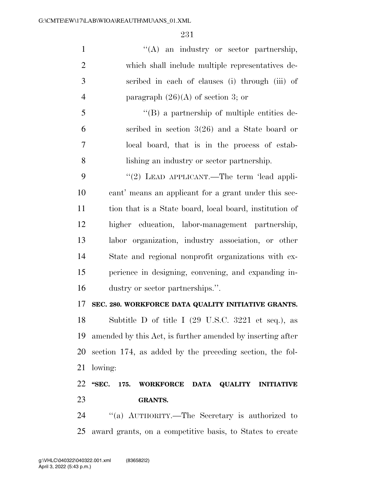1 ''(A) an industry or sector partnership, which shall include multiple representatives de- scribed in each of clauses (i) through (iii) of 4 paragraph  $(26)(A)$  of section 3; or

 ''(B) a partnership of multiple entities de- scribed in section 3(26) and a State board or local board, that is in the process of estab-lishing an industry or sector partnership.

9 "(2) LEAD APPLICANT.—The term 'lead appli- cant' means an applicant for a grant under this sec- tion that is a State board, local board, institution of higher education, labor-management partnership, labor organization, industry association, or other State and regional nonprofit organizations with ex- perience in designing, convening, and expanding in-dustry or sector partnerships.''.

#### **SEC. 280. WORKFORCE DATA QUALITY INITIATIVE GRANTS.**

 Subtitle D of title I (29 U.S.C. 3221 et seq.), as amended by this Act, is further amended by inserting after section 174, as added by the preceding section, the fol-lowing:

## **''SEC. 175. WORKFORCE DATA QUALITY INITIATIVE GRANTS.**

 ''(a) AUTHORITY.—The Secretary is authorized to award grants, on a competitive basis, to States to create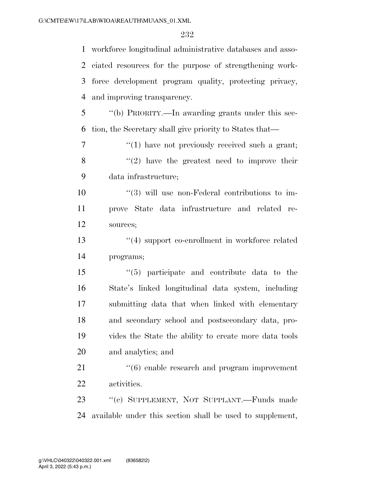| $\mathbf{1}$   | workforce longitudinal administrative databases and asso-      |
|----------------|----------------------------------------------------------------|
|                | 2 ciated resources for the purpose of strengthening work-      |
| 3              | force development program quality, protecting privacy,         |
| $\overline{4}$ | and improving transparency.                                    |
| 5              | "(b) PRIORITY.—In awarding grants under this sec-              |
| 6              | tion, the Secretary shall give priority to States that—        |
| $\overline{7}$ | $\lq(1)$ have not previously received such a grant;            |
| 8              | $\lq(2)$ have the greatest need to improve their               |
| 9              | data infrastructure;                                           |
| 10             | $\cdot\cdot\cdot(3)$ will use non-Federal contributions to im- |
| 11             | prove State data infrastructure and related re-                |
| 12             | sources;                                                       |
| 13             | "(4) support co-enrollment in workforce related                |
| 14             | programs;                                                      |
| 15             | $\cdot$ (5) participate and contribute data to the             |
| 16             | State's linked longitudinal data system, including             |
| 17             | submitting data that when linked with elementary               |
| 18             | and secondary school and postsecondary data, pro-              |
| 19             | vides the State the ability to create more data tools          |
| 20             | and analytics; and                                             |
| 21             | $\cdot\cdot\cdot(6)$ enable research and program improvement   |
| 22             | activities.                                                    |
| 23             | "(c) SUPPLEMENT, NOT SUPPLANT.—Funds made                      |
| 24             | available under this section shall be used to supplement,      |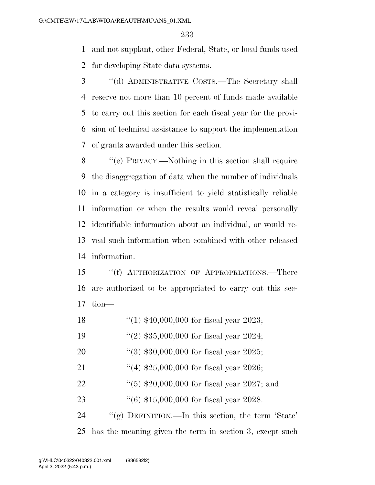and not supplant, other Federal, State, or local funds used for developing State data systems.

 ''(d) ADMINISTRATIVE COSTS.—The Secretary shall reserve not more than 10 percent of funds made available to carry out this section for each fiscal year for the provi- sion of technical assistance to support the implementation of grants awarded under this section.

 ''(e) PRIVACY.—Nothing in this section shall require the disaggregation of data when the number of individuals in a category is insufficient to yield statistically reliable information or when the results would reveal personally identifiable information about an individual, or would re- veal such information when combined with other released information.

 ''(f) AUTHORIZATION OF APPROPRIATIONS.—There are authorized to be appropriated to carry out this sec-tion—

- ''(1) \$40,000,000 for fiscal year 2023;
- ''(2) \$35,000,000 for fiscal year 2024;
- ''(3) \$30,000,000 for fiscal year 2025;
- 21 ''(4) \$25,000,000 for fiscal year 2026;
- 22 ''(5) \$20,000,000 for fiscal year 2027; and
- ''(6) \$15,000,000 for fiscal year 2028.

 ''(g) DEFINITION.—In this section, the term 'State' has the meaning given the term in section 3, except such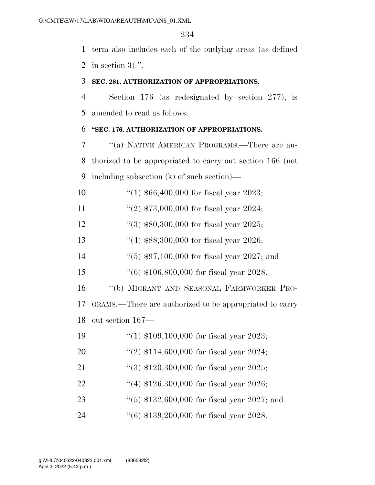term also includes each of the outlying areas (as defined in section 3).''.

#### **SEC. 281. AUTHORIZATION OF APPROPRIATIONS.**

 Section 176 (as redesignated by section 277), is amended to read as follows:

#### **''SEC. 176. AUTHORIZATION OF APPROPRIATIONS.**

 ''(a) NATIVE AMERICAN PROGRAMS.—There are au- thorized to be appropriated to carry out section 166 (not including subsection (k) of such section)—

''(1) \$66,400,000 for fiscal year 2023;

11  $\frac{1}{2}$  \$73,000,000 for fiscal year 2024;

''(3) \$80,300,000 for fiscal year 2025;

- ''(4) \$88,300,000 for fiscal year 2026;
- ''(5) \$97,100,000 for fiscal year 2027; and
- ''(6) \$106,800,000 for fiscal year 2028.

''(b) MIGRANT AND SEASONAL FARMWORKER PRO-

 GRAMS.—There are authorized to be appropriated to carry out section 167—

- ''(1) \$109,100,000 for fiscal year 2023;
- ''(2) \$114,600,000 for fiscal year 2024;
- 21 ''(3) \$120,300,000 for fiscal year 2025;
- ''(4) \$126,300,000 for fiscal year 2026;
- 23 ''(5) \$132,600,000 for fiscal year 2027; and

''(6) \$139,200,000 for fiscal year 2028.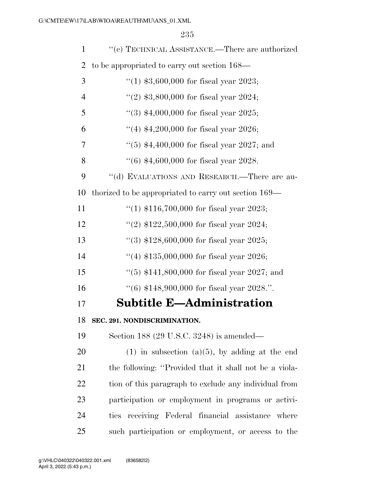| $\mathbf{1}$   | "(c) TECHNICAL ASSISTANCE.—There are authorized        |
|----------------|--------------------------------------------------------|
| $\overline{2}$ | to be appropriated to carry out section 168—           |
| 3              | "(1) $$3,600,000$ for fiscal year 2023;                |
| $\overline{4}$ | "(2) $$3,800,000$ for fiscal year 2024;                |
| 5              | "(3) $$4,000,000$ for fiscal year 2025;                |
| 6              | "(4) $$4,200,000$ for fiscal year 2026;                |
| 7              | "(5) $*4,400,000$ for fiscal year 2027; and            |
| 8              | $(6)$ \$4,600,000 for fiscal year 2028.                |
| 9              | "(d) EVALUATIONS AND RESEARCH.—There are au-           |
| 10             | thorized to be appropriated to carry out section 169—  |
| 11             | "(1) $$116,700,000$ for fiscal year 2023;              |
| 12             | "(2) $$122,500,000$ for fiscal year 2024;              |
| 13             | "(3) $$128,600,000$ for fiscal year 2025;              |
| 14             | "(4) $$135,000,000$ for fiscal year 2026;              |
| 15             | "(5) $$141,800,000$ for fiscal year 2027; and          |
| 16             | "(6) $$148,900,000$ for fiscal year 2028.".            |
| 17             | <b>Subtitle E-Administration</b>                       |
| 18             | SEC. 291. NONDISCRIMINATION.                           |
| 19             | Section 188 (29 U.S.C. 3248) is amended—               |
| 20             | $(1)$ in subsection $(a)(5)$ , by adding at the end    |
| 21             | the following: "Provided that it shall not be a viola- |
| 22             | tion of this paragraph to exclude any individual from  |
| 23             | participation or employment in programs or activi-     |
| 24             | ties receiving Federal financial assistance where      |
| 25             | such participation or employment, or access to the     |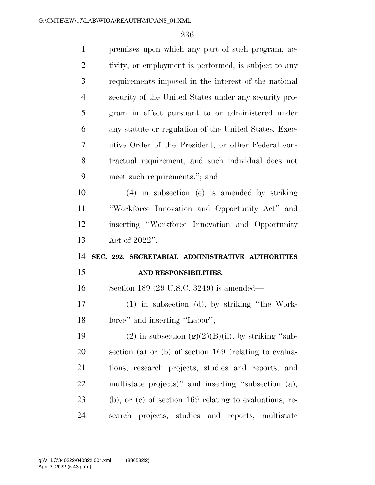| $\mathbf{1}$   | premises upon which any part of such program, ac-            |
|----------------|--------------------------------------------------------------|
| $\overline{2}$ | tivity, or employment is performed, is subject to any        |
| 3              | requirements imposed in the interest of the national         |
| $\overline{4}$ | security of the United States under any security pro-        |
| 5              | gram in effect pursuant to or administered under             |
| 6              | any statute or regulation of the United States, Exec-        |
| 7              | utive Order of the President, or other Federal con-          |
| 8              | tractual requirement, and such individual does not           |
| 9              | meet such requirements."; and                                |
| 10             | $(4)$ in subsection (e) is amended by striking               |
| 11             | "Workforce Innovation and Opportunity Act" and               |
| 12             | inserting "Workforce Innovation and Opportunity              |
|                |                                                              |
| 13             | Act of $2022"$ .                                             |
|                | SEC. 292. SECRETARIAL ADMINISTRATIVE AUTHORITIES             |
| 14<br>15       | AND RESPONSIBILITIES.                                        |
| 16             | Section 189 (29 U.S.C. 3249) is amended—                     |
| 17             | $(1)$ in subsection $(d)$ , by striking "the Work-           |
| 18             | force" and inserting "Labor";                                |
| 19             | (2) in subsection $(g)(2)(B)(ii)$ , by striking "sub-        |
| 20             | section (a) or (b) of section $169$ (relating to evalua-     |
| 21             | tions, research projects, studies and reports, and           |
| 22             | multistate projects)" and inserting "subsection (a),         |
| 23             | $(b)$ , or $(c)$ of section 169 relating to evaluations, re- |
| 24             | search projects, studies and reports, multistate             |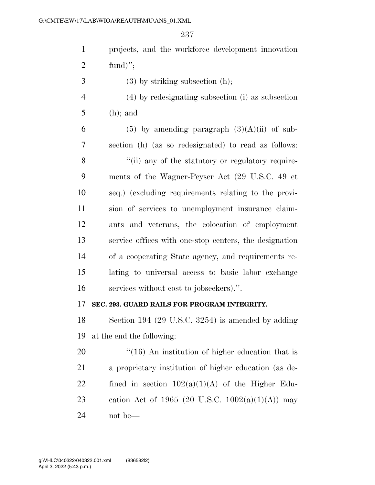| $\mathbf{1}$   | projects, and the workforce development innovation      |
|----------------|---------------------------------------------------------|
| $\overline{2}$ | fund)";                                                 |
| 3              | $(3)$ by striking subsection $(h)$ ;                    |
| $\overline{4}$ | (4) by redesignating subsection (i) as subsection       |
| 5              | $(h)$ ; and                                             |
| 6              | $(5)$ by amending paragraph $(3)(A)(ii)$ of sub-        |
| 7              | section (h) (as so redesignated) to read as follows:    |
| 8              | "(ii) any of the statutory or regulatory require-       |
| 9              | ments of the Wagner-Peyser Act (29 U.S.C. 49 et         |
| 10             | seq.) (excluding requirements relating to the provi-    |
| 11             | sion of services to unemployment insurance claim-       |
| 12             | ants and veterans, the colocation of employment         |
| 13             | service offices with one-stop centers, the designation  |
| 14             | of a cooperating State agency, and requirements re-     |
| 15             | lating to universal access to basic labor exchange      |
| 16             | services without cost to jobseekers).".                 |
| 17             | SEC. 293. GUARD RAILS FOR PROGRAM INTEGRITY.            |
| 18             | Section 194 (29 U.S.C. 3254) is amended by adding       |
| 19             | at the end the following:                               |
| 20             | $\cdot$ (16) An institution of higher education that is |
| 21             | a proprietary institution of higher education (as de-   |
| 22             | fined in section $102(a)(1)(A)$ of the Higher Edu-      |
| 23             | cation Act of 1965 (20 U.S.C. 1002(a)(1)(A)) may        |
| 24             | not be—                                                 |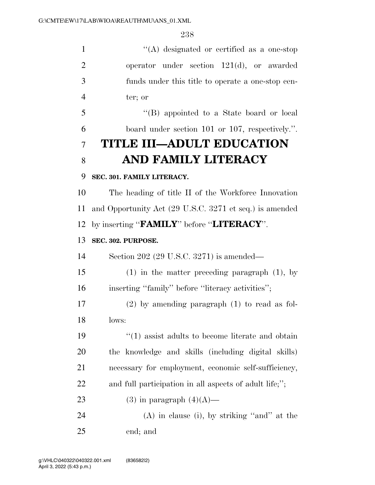''(A) designated or certified as a one-stop operator under section 121(d), or awarded funds under this title to operate a one-stop cen- ter; or ''(B) appointed to a State board or local board under section 101 or 107, respectively.''. **TITLE III—ADULT EDUCATION AND FAMILY LITERACY SEC. 301. FAMILY LITERACY.**  The heading of title II of the Workforce Innovation and Opportunity Act (29 U.S.C. 3271 et seq.) is amended by inserting ''**FAMILY**'' before ''**LITERACY**''. **SEC. 302. PURPOSE.**  Section 202 (29 U.S.C. 3271) is amended— (1) in the matter preceding paragraph (1), by 16 inserting "family" before "literacy activities";

 (2) by amending paragraph (1) to read as fol-lows:

19 ''(1) assist adults to become literate and obtain the knowledge and skills (including digital skills) necessary for employment, economic self-sufficiency, and full participation in all aspects of adult life;'';

23 (3) in paragraph  $(4)(A)$ —

 (A) in clause (i), by striking ''and'' at the end; and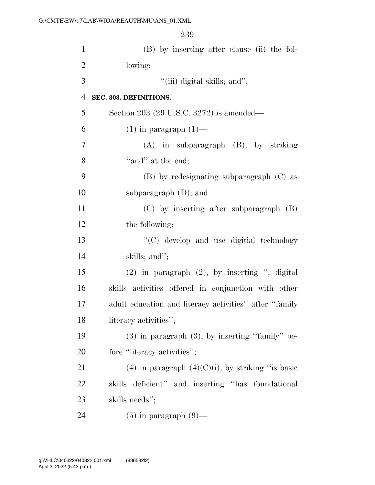(B) by inserting after clause (ii) the fol- lowing: ''(iii) digital skills; and''; **SEC. 303. DEFINITIONS.**  Section 203 (29 U.S.C. 3272) is amended— 6 (1) in paragraph  $(1)$ — (A) in subparagraph (B), by striking 8 "and" at the end; (B) by redesignating subparagraph (C) as subparagraph (D); and (C) by inserting after subparagraph (B) the following: ''(C) develop and use digitial technology skills; and''; (2) in paragraph (2), by inserting '', digital skills activities offered in conjunction with other adult education and literacy activities'' after ''family 18 literacy activities"; (3) in paragraph (3), by inserting ''family'' be-20 fore "literacy activities"; 21 (4) in paragraph  $(4)(C)(i)$ , by striking "is basic skills deficient'' and inserting ''has foundational skills needs''; 24 (5) in paragraph  $(9)$ —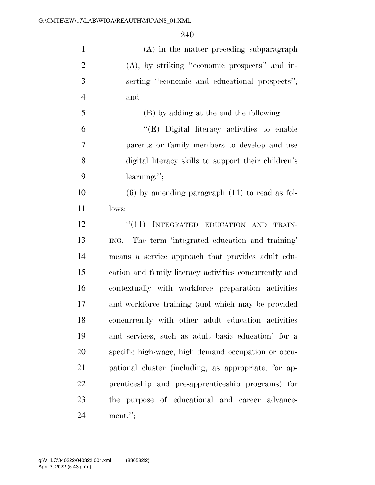| $\mathbf{1}$   | $(A)$ in the matter preceding subparagraph             |
|----------------|--------------------------------------------------------|
| $\overline{2}$ | $(A)$ , by striking "economic prospects" and in-       |
| 3              | serting "economic and educational prospects";          |
| $\overline{4}$ | and                                                    |
| 5              | (B) by adding at the end the following:                |
| 6              | "(E) Digital literacy activities to enable             |
| $\overline{7}$ | parents or family members to develop and use           |
| 8              | digital literacy skills to support their children's    |
| 9              | $learning."$ ;                                         |
| 10             | $(6)$ by amending paragraph $(11)$ to read as fol-     |
| 11             | lows:                                                  |
| 12             | "(11) INTEGRATED EDUCATION AND<br>TRAIN-               |
| 13             | ING.—The term 'integrated education and training'      |
| 14             | means a service approach that provides adult edu-      |
| 15             | cation and family literacy activities concurrently and |
| 16             | contextually with workforce preparation activities     |
| 17             | and workforce training (and which may be provided      |
| 18             | concurrently with other adult education activities     |
| 19             | and services, such as adult basic education) for a     |
| 20             | specific high-wage, high demand occupation or occu-    |
| 21             | pational cluster (including, as appropriate, for ap-   |
| 22             | prenticeship and pre-apprenticeship programs) for      |
| 23             | the purpose of educational and career advance-         |
| 24             | $ment.$ ";                                             |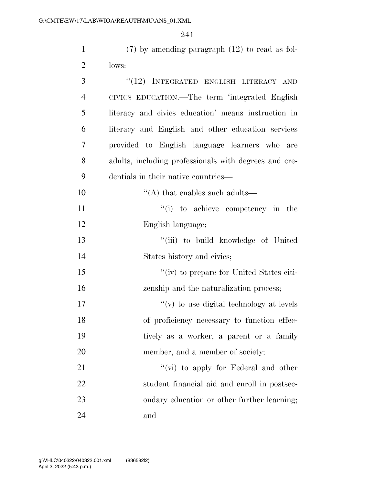| $\mathbf{1}$   | $(7)$ by amending paragraph $(12)$ to read as fol-    |
|----------------|-------------------------------------------------------|
| $\overline{2}$ | lows:                                                 |
| 3              | "(12) INTEGRATED ENGLISH LITERACY AND                 |
| $\overline{4}$ | CIVICS EDUCATION.—The term 'integrated English        |
| 5              | literacy and civics education' means instruction in   |
| 6              | literacy and English and other education services     |
| 7              | provided to English language learners who<br>are      |
| 8              | adults, including professionals with degrees and cre- |
| 9              | dentials in their native countries—                   |
| 10             | $\lq\lq$ that enables such adults—                    |
| 11             | "(i) to achieve competency in the                     |
| 12             | English language;                                     |
| 13             | "(iii) to build knowledge of United                   |
| 14             | States history and civics;                            |
| 15             | "(iv) to prepare for United States citi-              |
| 16             | zenship and the naturalization process;               |
| 17             | $f'(v)$ to use digital technology at levels           |
| 18             | of proficiency necessary to function effec-           |
| 19             | tively as a worker, a parent or a family              |
| 20             | member, and a member of society;                      |
| 21             | "(vi) to apply for Federal and other                  |
| 22             | student financial aid and enroll in postsec-          |
| 23             | ondary education or other further learning;           |
| 24             | and                                                   |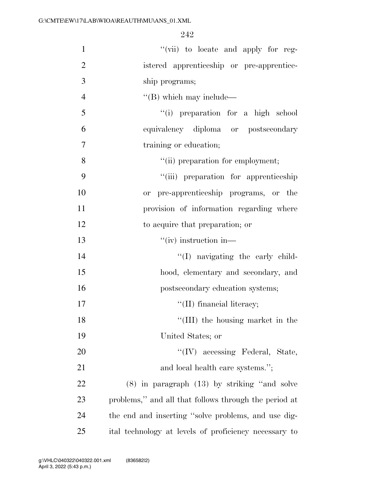| $\mathbf{1}$   | "(vii) to locate and apply for reg-                   |
|----------------|-------------------------------------------------------|
| $\overline{2}$ | istered apprenticeship or pre-apprentice-             |
| 3              | ship programs;                                        |
| $\overline{4}$ | $\lq\lq$ (B) which may include—                       |
| 5              | "(i) preparation for a high school                    |
| 6              | equivalency diploma or postsecondary                  |
| 7              | training or education;                                |
| 8              | "(ii) preparation for employment;                     |
| 9              | "(iii) preparation for apprenticeship                 |
| 10             | or pre-apprenticeship programs, or the                |
| 11             | provision of information regarding where              |
| 12             | to acquire that preparation; or                       |
| 13             | $``(iv)$ instruction in—                              |
| 14             | "(I) navigating the early child-                      |
| 15             | hood, elementary and secondary, and                   |
| 16             | postsecondary education systems;                      |
| 17             | "(II) financial literacy;                             |
| 18             | "(III) the housing market in the                      |
| 19             | United States; or                                     |
| 20             | "(IV) accessing Federal, State,                       |
| 21             | and local health care systems.";                      |
| 22             | $(8)$ in paragraph $(13)$ by striking "and solve      |
| 23             | problems," and all that follows through the period at |
| 24             | the end and inserting "solve problems, and use dig-   |
| 25             | ital technology at levels of proficiency necessary to |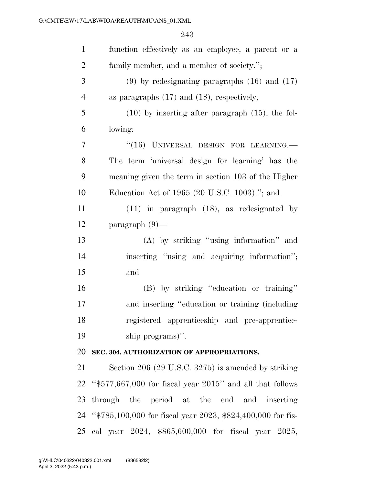| $\mathbf{1}$   | function effectively as an employee, a parent or a             |
|----------------|----------------------------------------------------------------|
| $\overline{2}$ | family member, and a member of society.";                      |
| 3              | $(9)$ by redesignating paragraphs $(16)$ and $(17)$            |
| $\overline{4}$ | as paragraphs $(17)$ and $(18)$ , respectively;                |
| 5              | $(10)$ by inserting after paragraph $(15)$ , the fol-          |
| 6              | lowing:                                                        |
| 7              | "(16) UNIVERSAL DESIGN FOR LEARNING.                           |
| 8              | The term 'universal design for learning' has the               |
| 9              | meaning given the term in section 103 of the Higher            |
| 10             | Education Act of 1965 (20 U.S.C. 1003)."; and                  |
| 11             | $(11)$ in paragraph $(18)$ , as redesignated by                |
| 12             | $\text{paramph}(9)$ —                                          |
| 13             | (A) by striking "using information" and                        |
| 14             | inserting "using and acquiring information";                   |
| 15             | and                                                            |
| 16             | (B) by striking "education or training"                        |
| 17             | and inserting "education or training (including                |
| 18             | registered apprenticeship and pre-apprentice-                  |
| 19             | ship programs)".                                               |
| 20             | SEC. 304. AUTHORIZATION OF APPROPRIATIONS.                     |
| 21             | Section 206 (29 U.S.C. 3275) is amended by striking            |
| 22             | " $$577,667,000$ for fiscal year $2015$ " and all that follows |
| 23             | through the period at the end and inserting                    |
|                | 24 "\$785,100,000 for fiscal year 2023, \$824,400,000 for fis- |
|                | 25 cal year 2024, \$865,600,000 for fiscal year 2025,          |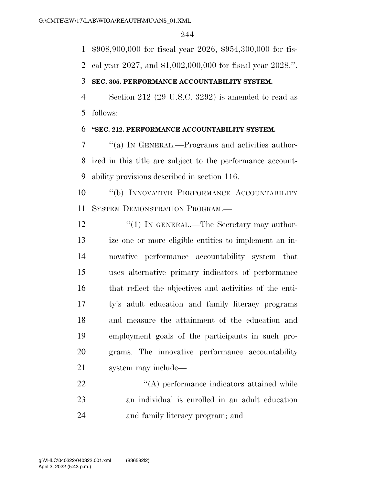\$908,900,000 for fiscal year 2026, \$954,300,000 for fis-

cal year 2027, and \$1,002,000,000 for fiscal year 2028.''.

### **SEC. 305. PERFORMANCE ACCOUNTABILITY SYSTEM.**

 Section 212 (29 U.S.C. 3292) is amended to read as follows:

### **''SEC. 212. PERFORMANCE ACCOUNTABILITY SYSTEM.**

 ''(a) IN GENERAL.—Programs and activities author- ized in this title are subject to the performance account-ability provisions described in section 116.

 ''(b) INNOVATIVE PERFORMANCE ACCOUNTABILITY SYSTEM DEMONSTRATION PROGRAM.—

12 "(1) IN GENERAL.—The Secretary may author- ize one or more eligible entities to implement an in- novative performance accountability system that uses alternative primary indicators of performance that reflect the objectives and activities of the enti- ty's adult education and family literacy programs and measure the attainment of the education and employment goals of the participants in such pro- grams. The innovative performance accountability system may include—

22  $\langle (A)$  performance indicators attained while an individual is enrolled in an adult education and family literacy program; and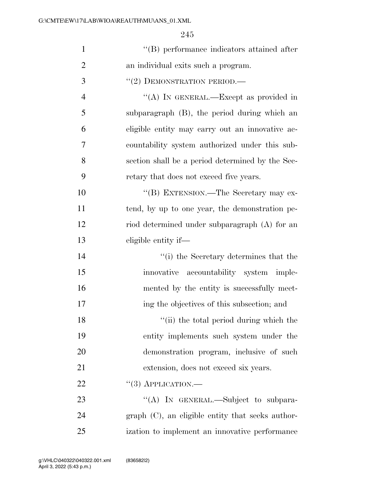| $\mathbf{1}$   | "(B) performance indicators attained after          |
|----------------|-----------------------------------------------------|
| $\overline{2}$ | an individual exits such a program.                 |
| 3              | $``(2)$ DEMONSTRATION PERIOD.—                      |
| $\overline{4}$ | "(A) IN GENERAL.—Except as provided in              |
| 5              | subparagraph (B), the period during which an        |
| 6              | eligible entity may carry out an innovative ac-     |
| 7              | countability system authorized under this sub-      |
| 8              | section shall be a period determined by the Sec-    |
| 9              | retary that does not exceed five years.             |
| 10             | "(B) EXTENSION.—The Secretary may ex-               |
| 11             | tend, by up to one year, the demonstration pe-      |
| 12             | riod determined under subparagraph (A) for an       |
| 13             | eligible entity if—                                 |
| 14             | "(i) the Secretary determines that the              |
| 15             | innovative accountability system imple-             |
| 16             | mented by the entity is successfully meet-          |
| 17             | ing the objectives of this subsection; and          |
| 18             | "(ii) the total period during which the             |
| 19             | entity implements such system under the             |
| 20             | demonstration program, inclusive of such            |
| 21             | extension, does not exceed six years.               |
| 22             | $``(3)$ APPLICATION.—                               |
| 23             | "(A) IN GENERAL.—Subject to subpara-                |
| 24             | $graph (C)$ , an eligible entity that seeks author- |
| 25             | ization to implement an innovative performance      |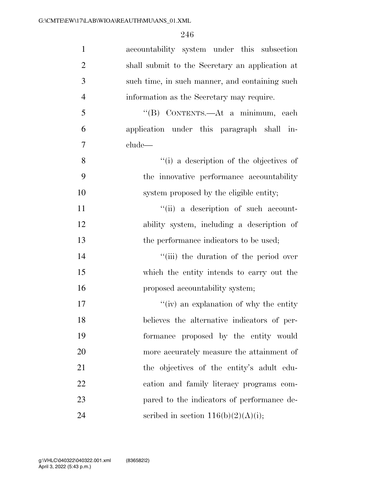| $\mathbf{1}$   | accountability system under this subsection     |
|----------------|-------------------------------------------------|
| $\overline{2}$ | shall submit to the Secretary an application at |
| 3              | such time, in such manner, and containing such  |
| $\overline{4}$ | information as the Secretary may require.       |
| 5              | "(B) CONTENTS.—At a minimum, each               |
| 6              | application under this paragraph shall in-      |
| $\overline{7}$ | clude—                                          |
| 8              | "(i) a description of the objectives of         |
| 9              | the innovative performance accountability       |
| 10             | system proposed by the eligible entity;         |
| 11             | "(ii) a description of such account-            |
| 12             | ability system, including a description of      |
| 13             | the performance indicators to be used;          |
| 14             | "(iii) the duration of the period over          |
| 15             | which the entity intends to carry out the       |
| 16             | proposed accountability system;                 |
| 17             | $f'(iv)$ an explanation of why the entity       |
| 18             | believes the alternative indicators of per-     |
| 19             | formance proposed by the entity would           |
| 20             | more accurately measure the attainment of       |
| 21             | the objectives of the entity's adult edu-       |
| 22             | cation and family literacy programs com-        |
| 23             | pared to the indicators of performance de-      |
| 24             | scribed in section $116(b)(2)(A)(i);$           |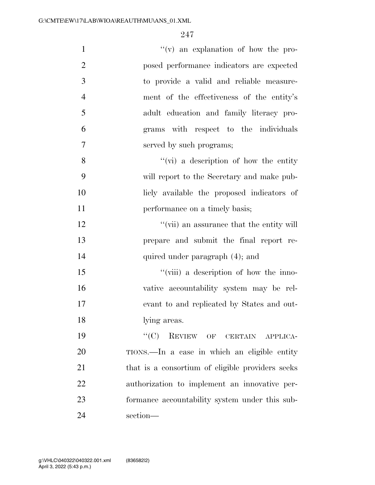| $\mathbf{1}$   | $f'(v)$ an explanation of how the pro-           |
|----------------|--------------------------------------------------|
| $\mathfrak{2}$ | posed performance indicators are expected        |
| 3              | to provide a valid and reliable measure-         |
| $\overline{4}$ | ment of the effectiveness of the entity's        |
| 5              | adult education and family literacy pro-         |
| 6              | grams with respect to the individuals            |
| $\overline{7}$ | served by such programs;                         |
| 8              | $\lq\lq$ (vi) a description of how the entity    |
| 9              | will report to the Secretary and make pub-       |
| 10             | licly available the proposed indicators of       |
| 11             | performance on a timely basis;                   |
| 12             | "(vii) an assurance that the entity will         |
| 13             | prepare and submit the final report re-          |
| 14             | quired under paragraph (4); and                  |
| 15             | "(viii) a description of how the inno-           |
| 16             | vative accountability system may be rel-         |
| 17             | evant to and replicated by States and out-       |
| 18             | lying areas.                                     |
| 19             | $``(C)$ REVIEW OF CERTAIN APPLICA-               |
| 20             | TIONS.—In a case in which an eligible entity     |
| 21             | that is a consortium of eligible providers seeks |
| 22             | authorization to implement an innovative per-    |
| 23             | formance accountability system under this sub-   |
| 24             | section-                                         |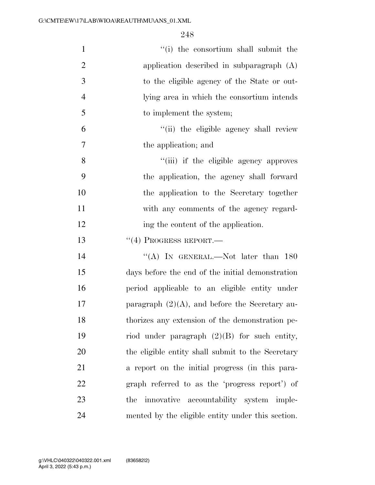| $\mathbf{1}$   | "(i) the consortium shall submit the              |
|----------------|---------------------------------------------------|
| $\overline{2}$ | application described in subparagraph (A)         |
| 3              | to the eligible agency of the State or out-       |
| $\overline{4}$ | lying area in which the consortium intends        |
| 5              | to implement the system;                          |
| 6              | "(ii) the eligible agency shall review            |
| 7              | the application; and                              |
| 8              | "(iii) if the eligible agency approves            |
| 9              | the application, the agency shall forward         |
| 10             | the application to the Secretary together         |
| 11             | with any comments of the agency regard-           |
| 12             | ing the content of the application.               |
| 13             | $``(4)$ PROGRESS REPORT.—                         |
|                |                                                   |
| 14             | "(A) IN GENERAL.—Not later than $180$             |
| 15             | days before the end of the initial demonstration  |
| 16             | period applicable to an eligible entity under     |
| 17             | paragraph $(2)(A)$ , and before the Secretary au- |
| 18             | thorizes any extension of the demonstration pe-   |
| 19             | riod under paragraph $(2)(B)$ for such entity,    |
| 20             | the eligible entity shall submit to the Secretary |
| 21             | a report on the initial progress (in this para-   |
| 22             | graph referred to as the 'progress report') of    |
| 23             | innovative accountability system imple-<br>the    |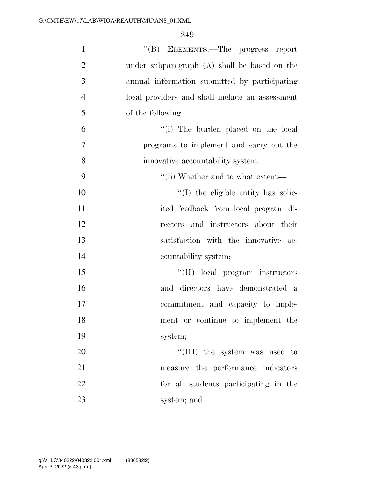| $\mathbf{1}$   | "(B) ELEMENTS.—The progress report              |
|----------------|-------------------------------------------------|
| $\overline{2}$ | under subparagraph (A) shall be based on the    |
| 3              | annual information submitted by participating   |
| $\overline{4}$ | local providers and shall include an assessment |
| 5              | of the following:                               |
| 6              | "(i) The burden placed on the local             |
| $\overline{7}$ | programs to implement and carry out the         |
| 8              | innovative accountability system.               |
| 9              | "(ii) Whether and to what extent—               |
| 10             | "(I) the eligible entity has solic-             |
| 11             | ited feedback from local program di-            |
| 12             | rectors and instructors about their             |
| 13             | satisfaction with the innovative ac-            |
| 14             | countability system;                            |
| 15             | "(II) local program instructors                 |
| 16             | and directors have demonstrated a               |
| 17             | commitment and capacity to imple-               |
| 18             | ment or continue to implement the               |
| 19             | system;                                         |
| 20             | "(III) the system was used to                   |
| 21             | measure the performance indicators              |
| 22             | for all students participating in the           |
| 23             | system; and                                     |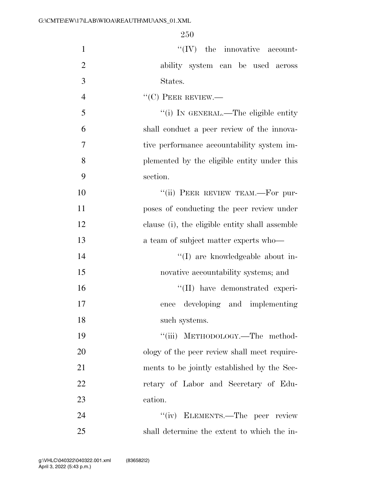| $\mathbf{1}$   | $\lq\lq (IV)$ the innovative account-          |
|----------------|------------------------------------------------|
| $\overline{2}$ | ability system can be used across              |
| 3              | States.                                        |
| $\overline{4}$ | $\lq\lq(C)$ PEER REVIEW.—                      |
| 5              | "(i) IN GENERAL.—The eligible entity           |
| 6              | shall conduct a peer review of the innova-     |
| $\overline{7}$ | tive performance accountability system im-     |
| 8              | plemented by the eligible entity under this    |
| 9              | section.                                       |
| 10             | "(ii) PEER REVIEW TEAM.—For pur-               |
| 11             | poses of conducting the peer review under      |
| 12             | clause (i), the eligible entity shall assemble |
| 13             | a team of subject matter experts who—          |
| 14             | "(I) are knowledgeable about in-               |
| 15             | novative accountability systems; and           |
| 16             | "(II) have demonstrated experi-                |
| 17             | developing and implementing<br>ence            |
| 18             | such systems.                                  |
| 19             | "(iii) METHODOLOGY.—The method-                |
| 20             | ology of the peer review shall meet require-   |
| 21             | ments to be jointly established by the Sec-    |
| 22             | retary of Labor and Secretary of Edu-          |
| 23             | cation.                                        |
| 24             | "(iv) ELEMENTS.—The peer review                |
| 25             | shall determine the extent to which the in-    |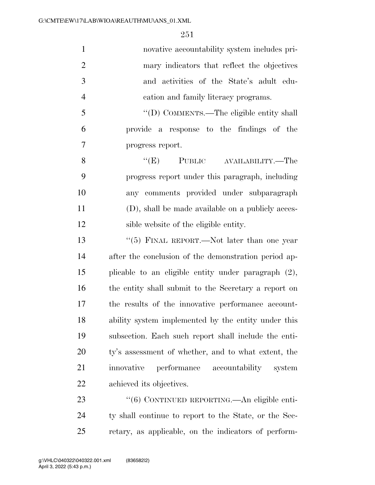novative accountability system includes pri- mary indicators that reflect the objectives and activities of the State's adult edu-cation and family literacy programs.

 ''(D) COMMENTS.—The eligible entity shall provide a response to the findings of the progress report.

8 "(E) PUBLIC AVAILABILITY.—The progress report under this paragraph, including any comments provided under subparagraph (D), shall be made available on a publicly acces-sible website of the eligible entity.

 ''(5) FINAL REPORT.—Not later than one year after the conclusion of the demonstration period ap- plicable to an eligible entity under paragraph (2), the entity shall submit to the Secretary a report on the results of the innovative performance account- ability system implemented by the entity under this subsection. Each such report shall include the enti- ty's assessment of whether, and to what extent, the innovative performance accountability system achieved its objectives.

23 "(6) CONTINUED REPORTING.—An eligible enti- ty shall continue to report to the State, or the Sec-retary, as applicable, on the indicators of perform-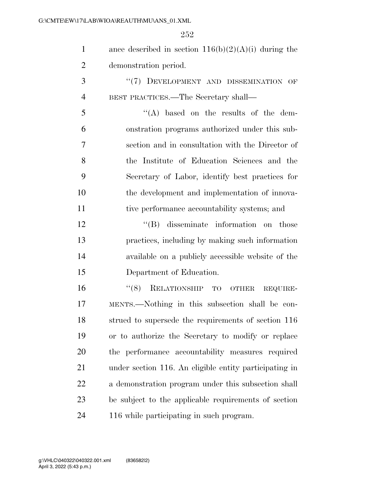| $\mathbf{1}$   | ance described in section $116(b)(2)(A)(i)$ during the |
|----------------|--------------------------------------------------------|
| $\overline{2}$ | demonstration period.                                  |
| 3              | "(7) DEVELOPMENT AND DISSEMINATION OF                  |
| $\overline{4}$ | BEST PRACTICES.—The Secretary shall—                   |
| 5              | "(A) based on the results of the dem-                  |
| 6              | onstration programs authorized under this sub-         |
| 7              | section and in consultation with the Director of       |
| 8              | the Institute of Education Sciences and the            |
| 9              | Secretary of Labor, identify best practices for        |
| 10             | the development and implementation of innova-          |
| 11             | tive performance accountability systems; and           |
| 12             | "(B) disseminate information on those                  |
| 13             | practices, including by making such information        |
| 14             | available on a publicly accessible website of the      |
| 15             | Department of Education.                               |
| 16             | RELATIONSHIP TO<br>(8)<br>OTHER<br>REQUIRE-            |
| 17             | MENTS.—Nothing in this subsection shall be con-        |
| 18             | strued to supersede the requirements of section 116    |
| 19             | or to authorize the Secretary to modify or replace     |
| 20             | the performance accountability measures required       |
| 21             | under section 116. An eligible entity participating in |
| 22             | a demonstration program under this subsection shall    |
| 23             | be subject to the applicable requirements of section   |
| 24             | 116 while participating in such program.               |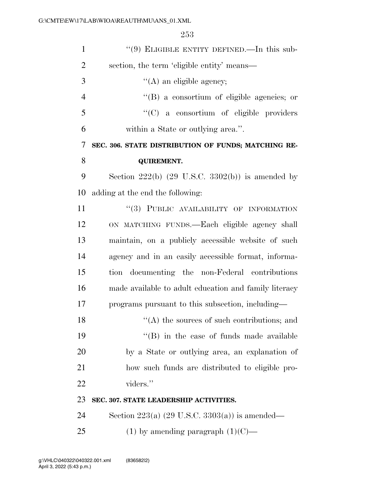| $\mathbf{1}$   | "(9) ELIGIBLE ENTITY DEFINED.—In this sub-                    |
|----------------|---------------------------------------------------------------|
| $\overline{2}$ | section, the term 'eligible entity' means—                    |
| 3              | $\lq\lq$ (A) an eligible agency;                              |
| $\overline{4}$ | "(B) a consortium of eligible agencies; or                    |
| 5              | "(C) a consortium of eligible providers                       |
| 6              | within a State or outlying area.".                            |
| 7              | SEC. 306. STATE DISTRIBUTION OF FUNDS; MATCHING RE-           |
| 8              | <b>QUIREMENT.</b>                                             |
| 9              | Section $222(b)$ (29 U.S.C. 3302(b)) is amended by            |
| 10             | adding at the end the following:                              |
| 11             | "(3) PUBLIC AVAILABILITY OF INFORMATION                       |
| 12             | ON MATCHING FUNDS.—Each eligible agency shall                 |
| 13             | maintain, on a publicly accessible website of such            |
| 14             | agency and in an easily accessible format, informa-           |
| 15             | tion documenting the non-Federal contributions                |
| 16             | made available to adult education and family literacy         |
| 17             | programs pursuant to this subsection, including—              |
| 18             | $\lq$ <sup>"</sup> (A) the sources of such contributions; and |
| 19             | $\lq\lq$ (B) in the case of funds made available              |
| 20             | by a State or outlying area, an explanation of                |
| 21             | how such funds are distributed to eligible pro-               |
| 22             | viders."                                                      |
| 23             | SEC. 307. STATE LEADERSHIP ACTIVITIES.                        |
| 24             | Section 223(a) $(29 \text{ U.S.C. } 3303(a))$ is amended—     |
| 25             | (1) by amending paragraph $(1)(C)$ —                          |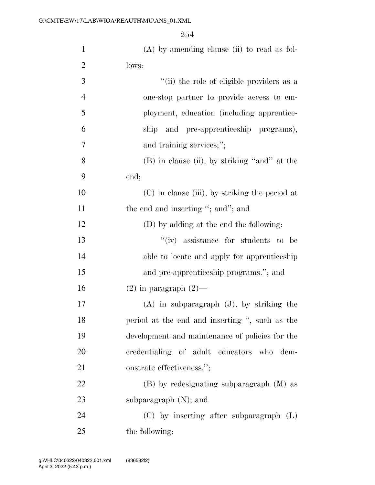| $\mathbf{1}$   | $(A)$ by amending clause (ii) to read as fol-   |
|----------------|-------------------------------------------------|
| $\overline{2}$ | lows:                                           |
| 3              | "(ii) the role of eligible providers as a       |
| $\overline{4}$ | one-stop partner to provide access to em-       |
| 5              | ployment, education (including apprentice-      |
| 6              | ship and pre-apprenticeship programs),          |
| 7              | and training services;";                        |
| 8              | (B) in clause (ii), by striking "and" at the    |
| 9              | end;                                            |
| 10             | (C) in clause (iii), by striking the period at  |
| 11             | the end and inserting "; and"; and              |
| 12             | (D) by adding at the end the following:         |
| 13             | $``(iv)$ assistance for students to be          |
| 14             | able to locate and apply for apprenticeship     |
| 15             | and pre-apprenticeship programs."; and          |
| 16             | $(2)$ in paragraph $(2)$ —                      |
| 17             | $(A)$ in subparagraph $(J)$ , by striking the   |
| 18             | period at the end and inserting ", such as the  |
| 19             | development and maintenance of policies for the |
| <b>20</b>      | credentialing of adult educators who dem-       |
| 21             | onstrate effectiveness.";                       |
| 22             | (B) by redesignating subparagraph (M) as        |
| 23             | subparagraph $(N)$ ; and                        |
| 24             | $(C)$ by inserting after subparagraph $(L)$     |
| 25             | the following:                                  |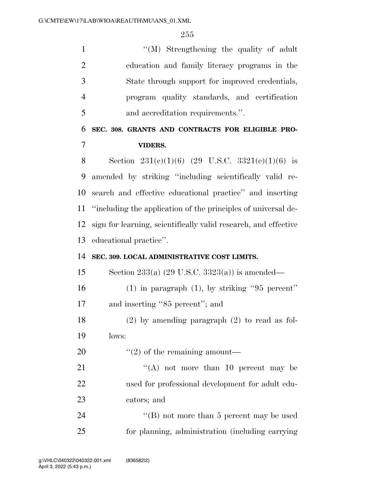''(M) Strengthening the quality of adult education and family literacy programs in the State through support for improved credentials, program quality standards, and certification and accreditation requirements.''.

## **SEC. 308. GRANTS AND CONTRACTS FOR ELIGIBLE PRO-VIDERS.**

8 Section  $231(e)(1)(6)$  (29 U.S.C.  $3321(e)(1)(6)$  is amended by striking ''including scientifically valid re- search and effective educational practice'' and inserting ''including the application of the principles of universal de- sign for learning, scientifically valid research, and effective educational practice''.

### **SEC. 309. LOCAL ADMINISTRATIVE COST LIMITS.**

 Section 233(a) (29 U.S.C. 3323(a)) is amended— (1) in paragraph (1), by striking ''95 percent'' and inserting ''85 percent''; and

 (2) by amending paragraph (2) to read as fol-lows:

20  $\frac{1}{2}$  (2) of the remaining amount—

21  $\langle (A) \rangle$  not more than 10 percent may be used for professional development for adult edu-cators; and

24 ''(B) not more than 5 percent may be used for planning, administration (including carrying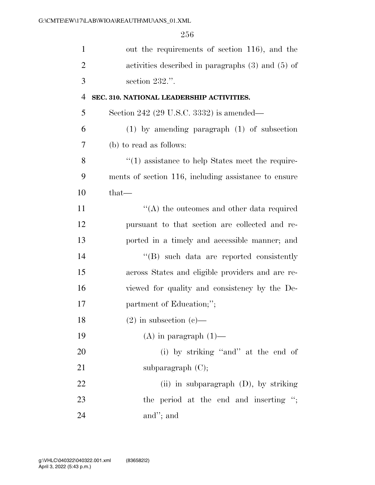| $\mathbf{1}$   | out the requirements of section 116), and the                    |
|----------------|------------------------------------------------------------------|
| $\overline{2}$ | activities described in paragraphs $(3)$ and $(5)$ of            |
| 3              | section $232$ .".                                                |
| $\overline{4}$ | SEC. 310. NATIONAL LEADERSHIP ACTIVITIES.                        |
| 5              | Section 242 (29 U.S.C. 3332) is amended—                         |
| 6              | $(1)$ by amending paragraph $(1)$ of subsection                  |
| 7              | (b) to read as follows:                                          |
| 8              | $\cdot\cdot\cdot(1)$ assistance to help States meet the require- |
| 9              | ments of section 116, including assistance to ensure             |
| 10             | $that-$                                                          |
| 11             | $\cdot$ (A) the outcomes and other data required                 |
| 12             | pursuant to that section are collected and re-                   |
| 13             | ported in a timely and accessible manner; and                    |
| 14             | $\lq\lq$ such data are reported consistently                     |
| 15             | across States and eligible providers and are re-                 |
| 16             | viewed for quality and consistency by the De-                    |
| 17             | partment of Education;";                                         |
| 18             | $(2)$ in subsection $(e)$ —                                      |
| 19             | $(A)$ in paragraph $(1)$ —                                       |
| 20             | (i) by striking "and" at the end of                              |
| 21             | subparagraph $(C)$ ;                                             |
| 22             | (ii) in subparagraph (D), by striking                            |
| 23             | the period at the end and inserting ";                           |
| 24             | and"; and                                                        |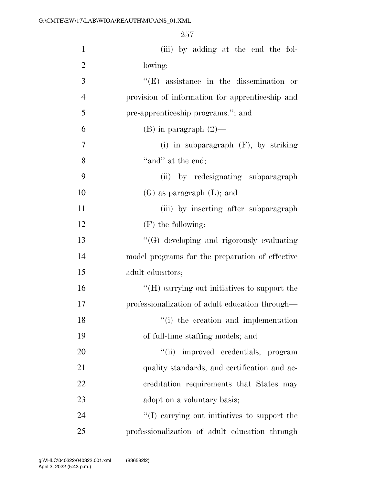| $\mathbf{1}$   | (iii) by adding at the end the fol-              |
|----------------|--------------------------------------------------|
| $\overline{2}$ | lowing:                                          |
| 3              | $\lq\lq$ (E) assistance in the dissemination or  |
| $\overline{4}$ | provision of information for apprenticeship and  |
| 5              | pre-apprenticeship programs."; and               |
| 6              | $(B)$ in paragraph $(2)$ —                       |
| 7              | (i) in subparagraph $(F)$ , by striking          |
| 8              | "and" at the end;                                |
| 9              | (ii) by redesignating subparagraph               |
| 10             | $(G)$ as paragraph $(L)$ ; and                   |
| 11             | (iii) by inserting after subparagraph            |
| 12             | $(F)$ the following:                             |
| 13             | $\lq\lq(G)$ developing and rigorously evaluating |
| 14             | model programs for the preparation of effective  |
| 15             | adult educators;                                 |
| 16             | "(H) carrying out initiatives to support the     |
| 17             | professionalization of adult education through—  |
| 18             | "(i) the creation and implementation             |
| 19             | of full-time staffing models; and                |
| 20             | "(ii) improved credentials, program              |
| 21             | quality standards, and certification and ac-     |
| 22             | creditation requirements that States may         |
| 23             | adopt on a voluntary basis;                      |
| 24             | "(I) carrying out initiatives to support the     |
| 25             | professionalization of adult education through   |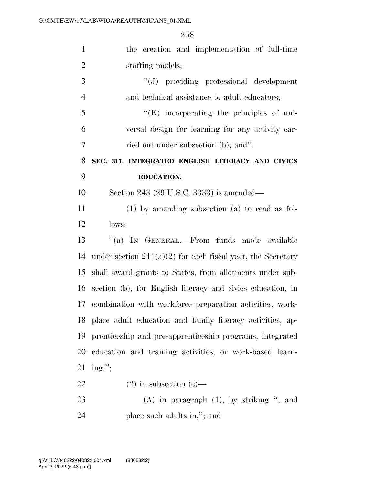| $\mathbf{1}$   | the creation and implementation of full-time                  |
|----------------|---------------------------------------------------------------|
| $\overline{2}$ | staffing models;                                              |
| 3              | "(J) providing professional development                       |
| $\overline{4}$ | and technical assistance to adult educators;                  |
| 5              | $\lq\lq(K)$ incorporating the principles of uni-              |
| 6              | versal design for learning for any activity car-              |
| 7              | ried out under subsection (b); and".                          |
| 8              | SEC. 311. INTEGRATED ENGLISH LITERACY AND CIVICS              |
| 9              | <b>EDUCATION.</b>                                             |
| 10             | Section 243 (29 U.S.C. 3333) is amended—                      |
| 11             | $(1)$ by amending subsection $(a)$ to read as fol-            |
| 12             | lows:                                                         |
| 13             | "(a) IN GENERAL.—From funds made available                    |
| 14             | under section $211(a)(2)$ for each fiscal year, the Secretary |
| 15             | shall award grants to States, from allotments under sub-      |
| 16             | section (b), for English literacy and civics education, in    |
| 17             | combination with workforce preparation activities, work-      |
|                | 18 place adult education and family literacy activities, ap-  |
| 19             | prenticeship and pre-apprenticeship programs, integrated      |
| 20             | education and training activities, or work-based learn-       |
| 21             | ing.";                                                        |
| 22             | $(2)$ in subsection $(e)$ —                                   |
| 23             | $(A)$ in paragraph $(1)$ , by striking ", and                 |
| 24             | place such adults in,"; and                                   |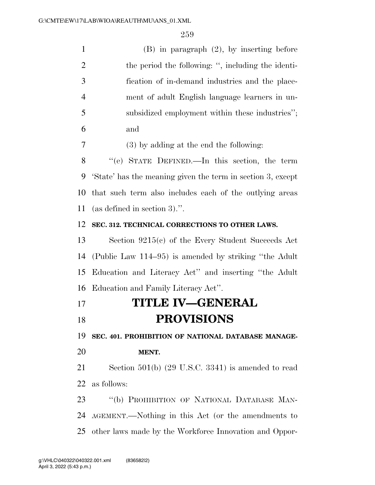| $\mathbf{1}$   | $(B)$ in paragraph $(2)$ , by inserting before              |
|----------------|-------------------------------------------------------------|
| $\overline{2}$ | the period the following: ", including the identi-          |
| 3              | fication of in-demand industries and the place-             |
| $\overline{4}$ | ment of adult English language learners in un-              |
| 5              | subsidized employment within these industries";             |
| 6              | and                                                         |
| 7              | $(3)$ by adding at the end the following:                   |
| 8              | "(e) STATE DEFINED.—In this section, the term               |
| 9              | 'State' has the meaning given the term in section 3, except |
| 10             | that such term also includes each of the outlying areas     |
| 11             | (as defined in section 3).".                                |
| 12             | SEC. 312. TECHNICAL CORRECTIONS TO OTHER LAWS.              |
| 13             | Section $9215(c)$ of the Every Student Succeeds Act         |
| 14             | (Public Law 114–95) is amended by striking "the Adult"      |
| 15             | Education and Literacy Act" and inserting "the Adult        |
| 16             | Education and Family Literacy Act".                         |
| 17             | <b>TITLE IV—GENERAL</b>                                     |
| 18             | <b>PROVISIONS</b>                                           |
| 19             | SEC. 401. PROHIBITION OF NATIONAL DATABASE MANAGE-          |
| 20             | MENT.                                                       |
| 21             | Section $501(b)$ (29 U.S.C. 3341) is amended to read        |
| 22             | as follows:                                                 |
| 23             | "(b) PROHIBITION OF NATIONAL DATABASE MAN-                  |
| 24             | AGEMENT.—Nothing in this Act (or the amendments to          |
| 25             | other laws made by the Workforce Innovation and Oppor-      |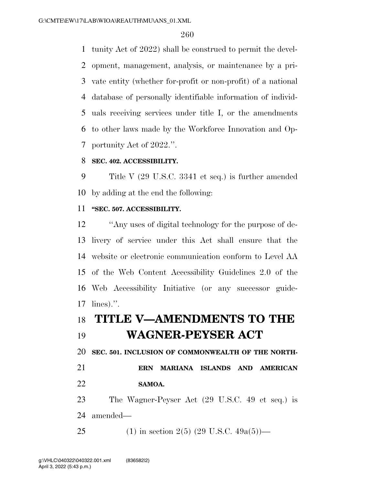tunity Act of 2022) shall be construed to permit the devel- opment, management, analysis, or maintenance by a pri- vate entity (whether for-profit or non-profit) of a national database of personally identifiable information of individ- uals receiving services under title I, or the amendments to other laws made by the Workforce Innovation and Op-portunity Act of 2022.''.

### **SEC. 402. ACCESSIBILITY.**

 Title V (29 U.S.C. 3341 et seq.) is further amended by adding at the end the following:

### **''SEC. 507. ACCESSIBILITY.**

 ''Any uses of digital technology for the purpose of de- livery of service under this Act shall ensure that the website or electronic communication conform to Level AA of the Web Content Accessibility Guidelines 2.0 of the Web Accessibility Initiative (or any successor guide-lines).''.

### **TITLE V—AMENDMENTS TO THE**

### **WAGNER-PEYSER ACT**

**SEC. 501. INCLUSION OF COMMONWEALTH OF THE NORTH-**

 **ERN MARIANA ISLANDS AND AMERICAN SAMOA.** 

 The Wagner-Peyser Act (29 U.S.C. 49 et seq.) is amended—

25 (1) in section 2(5) (29 U.S.C.  $49a(5)$ )—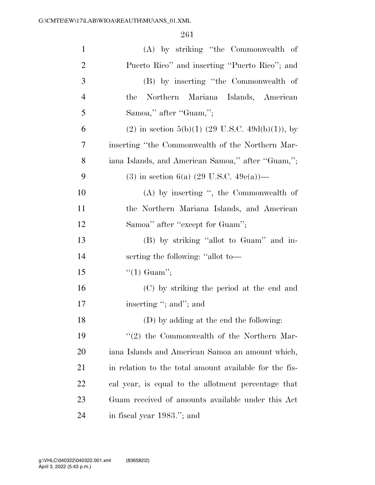| $\mathbf{1}$   | (A) by striking "the Commonwealth of                   |
|----------------|--------------------------------------------------------|
| $\overline{2}$ | Puerto Rico" and inserting "Puerto Rico"; and          |
| 3              | (B) by inserting "the Commonwealth of                  |
| $\overline{4}$ | Northern Mariana Islands, American<br>the              |
| 5              | Samoa," after "Guam,";                                 |
| 6              | $(2)$ in section 5(b)(1) (29 U.S.C. 49d(b)(1)), by     |
| 7              | inserting "the Commonwealth of the Northern Mar-       |
| 8              | iana Islands, and American Samoa," after "Guam,";      |
| 9              | (3) in section 6(a) (29 U.S.C. 49e(a))—                |
| 10             | $(A)$ by inserting ", the Commonwealth of              |
| 11             | the Northern Mariana Islands, and American             |
| 12             | Samoa" after "except for Guam";                        |
| 13             | (B) by striking "allot to Guam" and in-                |
| 14             | serting the following: "allot to-                      |
| 15             | $\lq(1)$ Guam'';                                       |
| 16             | (C) by striking the period at the end and              |
| 17             | inserting "; and"; and                                 |
| 18             | (D) by adding at the end the following:                |
| 19             | $\lq(2)$ the Commonwealth of the Northern Mar-         |
| 20             | iana Islands and American Samoa an amount which,       |
| 21             | in relation to the total amount available for the fis- |
| 22             | cal year, is equal to the allotment percentage that    |
| 23             | Guam received of amounts available under this Act      |
| 24             | in fiscal year 1983."; and                             |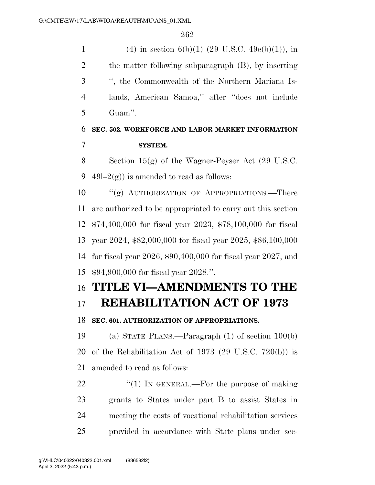1 (4) in section 6(b)(1) (29 U.S.C. 49 $e(b)(1)$ , in the matter following subparagraph (B), by inserting '', the Commonwealth of the Northern Mariana Is- lands, American Samoa,'' after ''does not include Guam''.

## **SEC. 502. WORKFORCE AND LABOR MARKET INFORMATION SYSTEM.**

 Section 15(g) of the Wagner-Peyser Act (29 U.S.C. 9 49l–2(g)) is amended to read as follows:

10 "(g) AUTHORIZATION OF APPROPRIATIONS.—There are authorized to be appropriated to carry out this section \$74,400,000 for fiscal year 2023, \$78,100,000 for fiscal year 2024, \$82,000,000 for fiscal year 2025, \$86,100,000 for fiscal year 2026, \$90,400,000 for fiscal year 2027, and \$94,900,000 for fiscal year 2028.''.

# **TITLE VI—AMENDMENTS TO THE**

# **REHABILITATION ACT OF 1973**

### **SEC. 601. AUTHORIZATION OF APPROPRIATIONS.**

 (a) STATE PLANS.—Paragraph (1) of section 100(b) of the Rehabilitation Act of 1973 (29 U.S.C. 720(b)) is amended to read as follows:

 $\frac{1}{2}$  (1) In GENERAL.—For the purpose of making grants to States under part B to assist States in meeting the costs of vocational rehabilitation services provided in accordance with State plans under sec-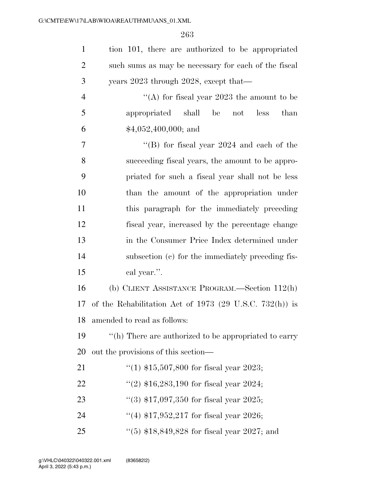| $\mathbf{1}$   | tion 101, there are authorized to be appropriated       |
|----------------|---------------------------------------------------------|
| $\overline{2}$ | such sums as may be necessary for each of the fiscal    |
| 3              | years 2023 through 2028, except that—                   |
| $\overline{4}$ | "(A) for fiscal year $2023$ the amount to be            |
| 5              | appropriated shall be<br>less<br>than<br>not            |
| 6              | $$4,052,400,000;$ and                                   |
| $\overline{7}$ | "(B) for fiscal year $2024$ and each of the             |
| 8              | succeeding fiscal years, the amount to be appro-        |
| 9              | priated for such a fiscal year shall not be less        |
| 10             | than the amount of the appropriation under              |
| 11             | this paragraph for the immediately preceding            |
| 12             | fiscal year, increased by the percentage change         |
| 13             | in the Consumer Price Index determined under            |
| 14             | subsection (c) for the immediately preceding fis-       |
| 15             | cal year.".                                             |
| 16             | (b) CLIENT ASSISTANCE PROGRAM.—Section 112(h)           |
| 17             | of the Rehabilitation Act of 1973 (29 U.S.C. 732(h)) is |
|                | 18 amended to read as follows:                          |
| 19             | "(h) There are authorized to be appropriated to carry   |
| 20             | out the provisions of this section—                     |
| 21             | "(1) $$15,507,800$ for fiscal year 2023;                |
| 22             | "(2) $$16,283,190$ for fiscal year 2024;                |
| 23             | $(3)$ \$17,097,350 for fiscal year 2025;                |
| 24             | "(4) $$17,952,217$ for fiscal year 2026;                |
| 25             | "(5) $$18,849,828$ for fiscal year 2027; and            |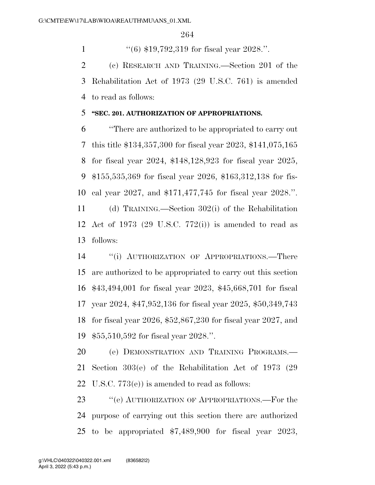''(6) \$19,792,319 for fiscal year 2028.''.

 (c) RESEARCH AND TRAINING.—Section 201 of the Rehabilitation Act of 1973 (29 U.S.C. 761) is amended to read as follows:

### **''SEC. 201. AUTHORIZATION OF APPROPRIATIONS.**

 ''There are authorized to be appropriated to carry out this title \$134,357,300 for fiscal year 2023, \$141,075,165 for fiscal year 2024, \$148,128,923 for fiscal year 2025, \$155,535,369 for fiscal year 2026, \$163,312,138 for fis- cal year 2027, and \$171,477,745 for fiscal year 2028.''. (d) TRAINING.—Section 302(i) of the Rehabilitation

 Act of 1973 (29 U.S.C. 772(i)) is amended to read as follows:

 ''(i) AUTHORIZATION OF APPROPRIATIONS.—There are authorized to be appropriated to carry out this section \$43,494,001 for fiscal year 2023, \$45,668,701 for fiscal year 2024, \$47,952,136 for fiscal year 2025, \$50,349,743 for fiscal year 2026, \$52,867,230 for fiscal year 2027, and \$55,510,592 for fiscal year 2028.''.

 (e) DEMONSTRATION AND TRAINING PROGRAMS.— Section 303(e) of the Rehabilitation Act of 1973 (29 U.S.C. 773(e)) is amended to read as follows:

23 " (e) AUTHORIZATION OF APPROPRIATIONS.—For the purpose of carrying out this section there are authorized to be appropriated \$7,489,900 for fiscal year 2023,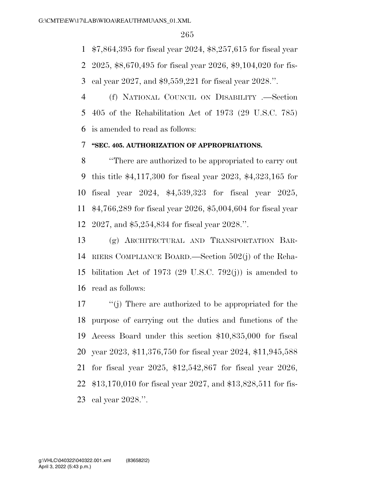\$7,864,395 for fiscal year 2024, \$8,257,615 for fiscal year

2025, \$8,670,495 for fiscal year 2026, \$9,104,020 for fis-

cal year 2027, and \$9,559,221 for fiscal year 2028.''.

 (f) NATIONAL COUNCIL ON DISABILITY .—Section 405 of the Rehabilitation Act of 1973 (29 U.S.C. 785) is amended to read as follows:

### **''SEC. 405. AUTHORIZATION OF APPROPRIATIONS.**

 ''There are authorized to be appropriated to carry out this title \$4,117,300 for fiscal year 2023, \$4,323,165 for fiscal year 2024, \$4,539,323 for fiscal year 2025, \$4,766,289 for fiscal year 2026, \$5,004,604 for fiscal year 2027, and \$5,254,834 for fiscal year 2028.''.

 (g) ARCHITECTURAL AND TRANSPORTATION BAR- RIERS COMPLIANCE BOARD.—Section 502(j) of the Reha- bilitation Act of 1973 (29 U.S.C. 792(j)) is amended to read as follows:

 ''(j) There are authorized to be appropriated for the purpose of carrying out the duties and functions of the Access Board under this section \$10,835,000 for fiscal year 2023, \$11,376,750 for fiscal year 2024, \$11,945,588 for fiscal year 2025, \$12,542,867 for fiscal year 2026, \$13,170,010 for fiscal year 2027, and \$13,828,511 for fis-cal year 2028.''.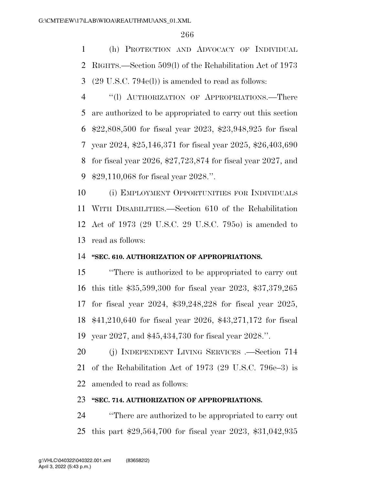(h) PROTECTION AND ADVOCACY OF INDIVIDUAL RIGHTS.—Section 509(l) of the Rehabilitation Act of 1973 (29 U.S.C. 794e(l)) is amended to read as follows:

 ''(l) AUTHORIZATION OF APPROPRIATIONS.—There are authorized to be appropriated to carry out this section \$22,808,500 for fiscal year 2023, \$23,948,925 for fiscal year 2024, \$25,146,371 for fiscal year 2025, \$26,403,690 for fiscal year 2026, \$27,723,874 for fiscal year 2027, and \$29,110,068 for fiscal year 2028.''.

 (i) EMPLOYMENT OPPORTUNITIES FOR INDIVIDUALS WITH DISABILITIES.—Section 610 of the Rehabilitation Act of 1973 (29 U.S.C. 29 U.S.C. 795o) is amended to read as follows:

### **''SEC. 610. AUTHORIZATION OF APPROPRIATIONS.**

 ''There is authorized to be appropriated to carry out this title \$35,599,300 for fiscal year 2023, \$37,379,265 for fiscal year 2024, \$39,248,228 for fiscal year 2025, \$41,210,640 for fiscal year 2026, \$43,271,172 for fiscal year 2027, and \$45,434,730 for fiscal year 2028.''.

 (j) INDEPENDENT LIVING SERVICES .—Section 714 of the Rehabilitation Act of 1973 (29 U.S.C. 796e–3) is amended to read as follows:

#### **''SEC. 714. AUTHORIZATION OF APPROPRIATIONS.**

 ''There are authorized to be appropriated to carry out this part \$29,564,700 for fiscal year 2023, \$31,042,935